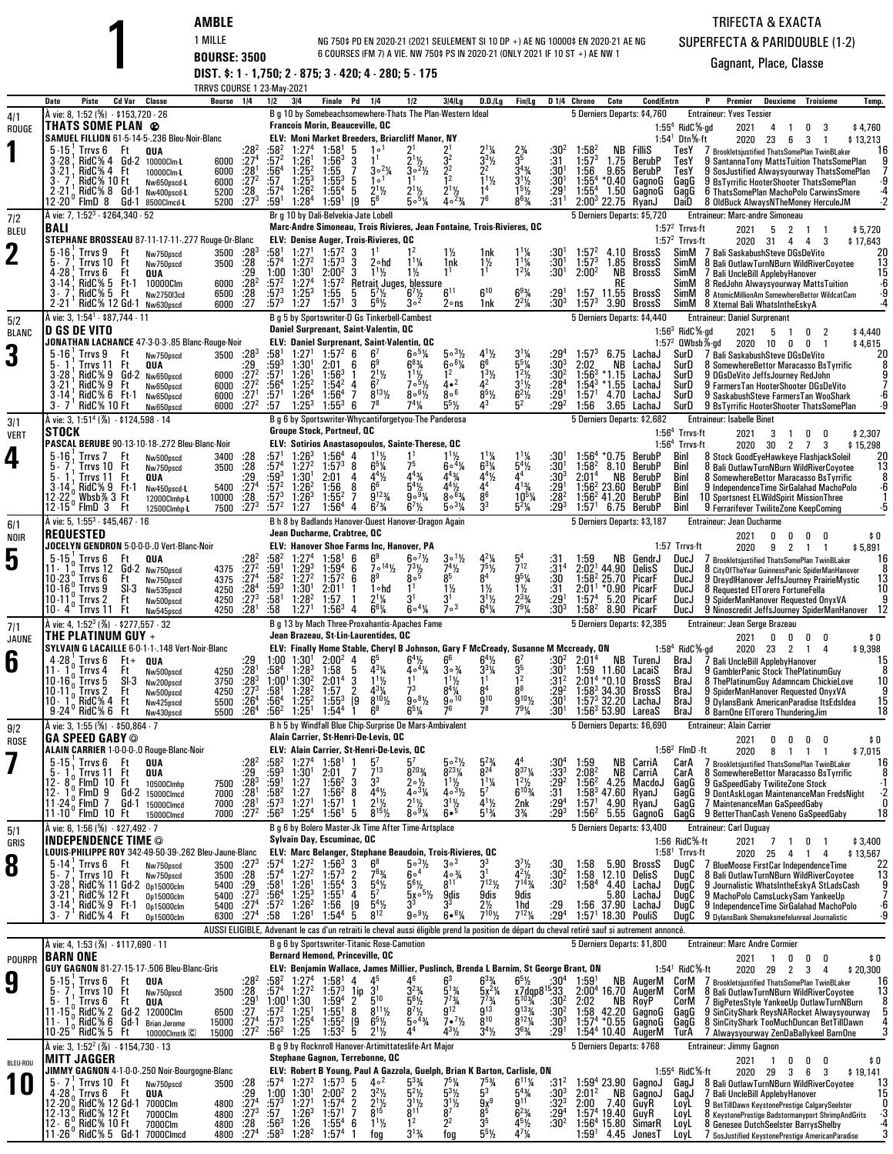**AMBLE**<br>
1 MILLE **BOURSE: 3500 BOURSES (FM 7) A VIE. NW 750;**<br> **DIST. \$: 1 - 1,750; 2 - 875; 3 - 420; 4 - 280; 5 - 175** NG 750\$ PD EN 2020-21 (2021 SEULEMENT SI 10 DP +) AE NG 10000\$ EN 2020-21 AE NG6 COURSES (FM 7) A VIE. NW 750\$ PS IN 2020-21 (ONLY 2021 IF 10 ST +) AE NW 1

## TRIFECTA & EXACTASUPERFECTA & PARIDOUBLE (1-2)

|                     | <b>TRRVS COURSE 1 23-May-2021</b><br>Piste<br>Cd Var<br>Classe<br>Bourse<br>1/4<br>Date                                                                                           | 3 4<br>1/2<br>Finale<br>Pd<br>1/4<br>1/2                                                                                                                                                                                   | $3 4 $ lg<br>D.D./Lq                                                                                                                                                     | D <sub>14</sub> Chrono<br>Cote<br><b>Cond/Entrn</b><br>Fin/Lg                                                                                                                                                               | P<br>Premier<br>Deuxieme<br>Troisieme<br>Temp.                                                                                                      |
|---------------------|-----------------------------------------------------------------------------------------------------------------------------------------------------------------------------------|----------------------------------------------------------------------------------------------------------------------------------------------------------------------------------------------------------------------------|--------------------------------------------------------------------------------------------------------------------------------------------------------------------------|-----------------------------------------------------------------------------------------------------------------------------------------------------------------------------------------------------------------------------|-----------------------------------------------------------------------------------------------------------------------------------------------------|
| 4/1                 | À vie: 8, 1:52 (%) - \$153,720 - 26                                                                                                                                               | B g 10 by Somebeachsomewhere-Thats The Plan-Western Ideal                                                                                                                                                                  |                                                                                                                                                                          | 5 Derniers Departs: \$4,760                                                                                                                                                                                                 | <b>Entraineur: Yves Tessier</b>                                                                                                                     |
| ROUGE               | THATS SOME PLAN @<br>SAMUEL FILLION 61-5-14-5-.236 Bleu-Noir-Blanc                                                                                                                | <b>Francois Morin, Beauceville, QC</b><br>ELV: Moni Market Breeders, Briarcliff Manor, NY                                                                                                                                  |                                                                                                                                                                          |                                                                                                                                                                                                                             | $1:554$ RidC $%$ -gd<br>2021<br>\$4,760<br>4<br>0<br>-1<br>1:54 <sup>1</sup> Dtn <sup>5</sup> %-ft<br>2020<br>\$13,213<br>23<br>6<br>3<br>-1        |
|                     | Trrvs 6<br>Ft<br>$^{128^2}_{127^4}$<br>$5 - 15$<br>QUA                                                                                                                            | :58ª<br>1:58 <sup>1</sup><br>5<br>1 <sup>0</sup>                                                                                                                                                                           |                                                                                                                                                                          | $\frac{23}{3^{5}}$<br>:304<br>$1:58^2$<br>Fillis<br>NB.                                                                                                                                                                     | TesY<br>16<br>/ Brookletsjustified ThatsSomePlan TwinBLaker                                                                                         |
|                     | $3 - 28$<br>$RidC\% 4 Gd-2$<br>6000<br>10000Clm-L<br>:28 <sup>1</sup><br>3-21<br>RidC% 4 Ft<br>6000<br>10000Clm-L                                                                 | $\bar{2}^{1}\frac{1}{2}$<br>$:57^2$<br>$1:26^{1}$<br>$1:56^{3}$<br>3<br>$:56^4$<br>$\overline{7}$<br>$30^{2}$ %<br>$1:25^{2}$<br>1:55                                                                                      | $3^{3}$ <sup>1</sup> / <sub>2</sub><br>32<br>2 <sup>2</sup><br>$30^{2}/2$<br>2                                                                                           | :31<br>$1:57^{3}$<br>1.75<br>BerubP<br>$:30^{1}$<br>1:56<br>9.65<br>BerubP                                                                                                                                                  | TesY<br>9 SantannaTony MattsTuition ThatsSomePlan<br>TesY<br>9 SosJustified Alwaysyourway ThatsSomePlan                                             |
|                     | $\frac{.27^2}{.28}$<br>3.7<br><b>RidC% 10 Ft</b><br>6000<br>Nw650pscd-L<br>$2 - 21$<br>RidC% 8 Gd-1<br>5200<br>Nw400pscd-L                                                        | :57<br>$1:25^{3}$<br>$1:55^{3}$<br>1 <sup>0</sup><br>5<br>$1:26^{2}$<br>5<br>$1:55^{4}$<br>$2^{11/2}$<br>$2^{11/2}$<br>:57 <sup>4</sup>                                                                                    | $1^{11}/2$<br>1 <sup>4</sup>                                                                                                                                             | $3^{11/2}$<br>$1^{51/2}$<br>$:30^{1}$<br>:291<br>$1:55^{4}$<br>$1:55^{4}$<br>0.40 ْ<br>GagnoG<br>1.50<br>GagnoG                                                                                                             | GaaG<br>9 BsTyrrific HooterShooter ThatsSomePlan<br>-4<br>GagG<br>6 ThatsSomePlan MachoPolo CarwinsSmore                                            |
|                     | $:27^{3}$<br>12-20° FlmD 8<br>Gd-1<br>5200<br>8500Clmcd-L                                                                                                                         | :591<br>1:28 <sup>4</sup><br>1:59 <sup>1</sup><br>[9<br>$5^6$                                                                                                                                                              | $40^{23}/4$<br>76<br>$50^{5}$ %                                                                                                                                          | $8^{63/4}$<br>$:31^{1}$<br>$2:00^3$ 22.75<br>RyanJ                                                                                                                                                                          | $\cdot$ 2<br>DaiD<br>8 OldBuck AlwaysNTheMoney HerculeJM                                                                                            |
| 7 2<br>BLEU         | À vie: 7, 1:52 <sup>3</sup> - \$264,340 - 52<br>IBALI                                                                                                                             | Br g 10 by Dali-Belvekia-Jate Lobell<br>Marc-Andre Simoneau, Trois Rivieres, Jean Fontaine, Trois-Rivieres, QC                                                                                                             |                                                                                                                                                                          | 5 Derniers Departs: \$5,720                                                                                                                                                                                                 | Entraineur: Marc-andre Simoneau<br>$1:572$ Trrvs-ft<br>2021<br>- 5<br>2<br>\$5,720<br>$\overline{1}$                                                |
|                     | STEPHANE BROSSEAU 87-11-17-11-.277 Rouge-Or-Blanc                                                                                                                                 | ELV: Denise Auger, Trois-Rivieres, QC                                                                                                                                                                                      |                                                                                                                                                                          |                                                                                                                                                                                                                             | $1:572$ Trrvs-ft<br>2020 31<br>\$17,643<br>4<br>4<br>3                                                                                              |
| 2                   | $5 - 16$<br>$:28^{3}$<br>Trrvs 9<br>Ft<br>3500<br>Nw750pscd<br>:28<br>5.7<br>Trrvs 10<br>Ft<br>3500<br>Nw750pscd                                                                  | :581<br>$1:57^{2}$<br>1:27 <sup>1</sup><br>3<br>12<br>$1^{11}/4$<br>:57ª<br>$1:27^{2}$<br>$1:57^{3}$<br>3<br>$2 \circ h d$                                                                                                 | 1nk<br>$1\frac{1}{2}$<br>$1\frac{1}{2}$<br>1nk                                                                                                                           | $1^{1}\frac{1}{4}$<br>$1^{1}\frac{1}{4}$<br>$1^{2}\frac{1}{4}$<br>$:30^{\circ}$<br>1:57 <sup>2</sup><br>4.10 BrossS<br>$:30^{1}$<br>$1:57^{3}$<br>1.85<br>BrossS                                                            | SimM 7 Bali SaskabushSteve DGsDeVito<br>20<br>13<br>SimM<br>8 Bali OutlawTurnNBurn WildRiverCoyotee                                                 |
|                     | : 29.282<br>4.28<br>Trrvs 6<br>QUA<br>Ft<br>RidC% 5 Ft-1<br>3-14<br>10000Clm<br>6000                                                                                              | 2:00 <sup>2</sup><br>1:30 <sup>1</sup><br>$1^{11}$<br>1:00<br>3<br>$1\frac{1}{2}$<br>$:57^{2}$<br>1:27 <sup>4</sup><br>$1:57^{2}$<br>Retrait Juges, blessure                                                               | 1 <sup>1</sup><br>1 <sup>1</sup>                                                                                                                                         | $:30^1$<br>2:00 <sup>2</sup><br>NB<br>BrossS<br>RE                                                                                                                                                                          | 15<br>SimM<br>7 Bali UncleBill ApplebyHanover<br>-6<br>SimM<br>8 RedJohn Alwaysyourway MattsTuition                                                 |
|                     | :28<br>3.7<br>RidC% 5 Ft<br>6500<br>Nw2750I3cd<br>:27<br>2-21 RidC% 12 Gd-1 Nw630pscd<br>6000                                                                                     | $:57^{3}$<br>$1:25^{3}$<br>1:55<br>5<br>5''/2<br>$6^{7}/_{2}$<br>:57 <sup>3</sup><br>1:27<br>1:57 <sup>1</sup><br>3<br>$5^{6}$ <sup>1</sup> / <sub>2</sub><br>$3°^2$                                                       | $6^{10}$<br>611<br>2∘ns<br>1nk                                                                                                                                           | $6^{9}_{2^{2}\%}$<br>$: 291$<br>$: 303$<br>1:57 11.55<br>BrossS<br>$1:57^{3}$<br>3.90 BrossS                                                                                                                                | -9<br>SimM<br>8 AtomicMillionAm SomewhereBettor WildcatCam<br>SimM<br>8 Xternal Bali WhatsIntheEskyA                                                |
| 5/2                 | A vie: 3, $1.54^1 \cdot $87,744 \cdot 11$                                                                                                                                         | B g 5 by Sportswriter-D Gs Tinkerbell-Cambest                                                                                                                                                                              |                                                                                                                                                                          | 5 Derniers Departs: \$4,440                                                                                                                                                                                                 | <b>Entraineur: Daniel Surprenant</b>                                                                                                                |
| <b>BLANC</b>        | D GS DE VITO<br>JONATHAN LACHANCE 47-3-0-3-.85 Blanc-Rouge-Noir                                                                                                                   | Daniel Surprenant, Saint-Valentin, OC<br>ELV: Daniel Surprenant, Saint-Valentin, QC                                                                                                                                        |                                                                                                                                                                          |                                                                                                                                                                                                                             | 1:56 $3$ RidC $%$ -gd<br>2021<br>5<br>\$4,440<br>0<br>$\overline{2}$<br>$\overline{1}$<br>1:57 $2$ QWbsb $\%$ -gd<br>2020 10<br>\$4,615<br>0<br>0   |
| 3                   | $:28^{3}$<br>$5 - 16$<br>Trrvs 9<br>Ft<br>3500<br>Nw750pscd                                                                                                                       | :58†<br>$1:57^{2}$<br>$1:27^1$<br>6<br>6'                                                                                                                                                                                  | $5 \circ 3\frac{1}{2}$<br>$60^{5}$ <sup>/4</sup><br>6 <sup>6</sup><br>$60^{6}$ %                                                                                         | $3^1\%$<br>$:29^{4}$<br>$1:57^{3}$<br>6.75 LachaJ                                                                                                                                                                           | SurD<br>20<br>7 Bali Saskabush Steve DGsDeVito                                                                                                      |
|                     | $\frac{.29}{.272}$<br>5.1<br>Trrvs 11 Ft<br>QUA<br>$3 - 28$<br>$RidC\%9Gd-2$<br>6000<br>Nw650pscd                                                                                 | $6^{8}$ <sup>3</sup> / <sub>4</sub><br>$:59^{3}_{157^{1}}$<br>$1:30^{1}$<br>2:01<br>6<br>6 <sup>9</sup><br>$1\frac{1}{2}$<br>$1:26^{1}$<br>$2^{11/2}$<br>$1:56^3$                                                          | 12<br>$13$ / <sub>2</sub>                                                                                                                                                | $\frac{55}{12}$ %<br>$:30^{3}$<br>$:30^{2}$<br>NB<br>2:02<br>LachaJ<br>$1:56^{3}$<br>1.15<br>LachaJ                                                                                                                         | SurD<br>8 SomewhereBettor Maracasso BsTyrrific<br>SurD<br>9 DGsDeVito JeffsJourney RedJohn                                                          |
|                     | :27 <sup>2</sup><br>$3 - 21$<br>RidC% 9 Ft<br>6000<br>Nw650pscd<br>$\frac{1}{2}$<br>$\frac{2}{7}$<br>RidC% 6 Ft-1<br>$3 - 14$<br>6000<br>Nw650pscd                                | $1:25^{2}$<br>$1:54^{2}$<br>6 <sup>7</sup><br>:56ª<br>4<br>$8^{13}$ %<br>:57'<br>1:26 <sup>4</sup><br>1:56 <sup>4</sup><br>7                                                                                               | $4 \cdot 2$<br>$705\%$<br>42<br>$8\circ ^6$<br>$800\frac{1}{2}$<br>$8^{5}\%$                                                                                             | $3^{1}/_{2}$<br>$:28^{4}$<br>$1:54^{3}$<br>$*1.55$<br>LachaJ<br>$6^{2}\%$<br>$:29^{1}$<br>:29 <sup>2</sup><br>1:57 <sup>1</sup><br>4.70<br>LachaJ                                                                           | SurD<br>9 FarmersTan HooterShooter DGsDeVito<br>SurD<br>9 SaskabushSteve FarmersTan WooShark                                                        |
|                     | $3 - 7$<br>RidC% 10 Ft<br>6000<br>Nw650pscd<br>A vie: 3, 1:51 <sup>4</sup> (%) - \$124,598 - 14                                                                                   | 78<br>:57<br>$1:55^{3}$<br>6<br>$7^4\%$<br>$1:25^{3}$<br>B g 6 by Sportswriter-Whycantiforgetyou-The Panderosa                                                                                                             | 551/2                                                                                                                                                                    | 52<br>1:56<br>3.65<br>LachaJ<br>5 Derniers Departs: \$2,682                                                                                                                                                                 | SurD<br>9 BsTyrrific HooterShooter ThatsSomePlan<br><b>Entraineur: Isabelle Binet</b>                                                               |
| 3/1<br><b>VERT</b>  | STOCK                                                                                                                                                                             | Groupe Stock, Portneuf, QC                                                                                                                                                                                                 |                                                                                                                                                                          |                                                                                                                                                                                                                             | $1:564$ Trrvs-ft<br>\$2,307<br>2021<br>3<br>0<br>0<br>-1                                                                                            |
| 4                   | PASCAL BERUBE 90-13-10-18-.272 Bleu-Blanc-Noir<br>$5 - 16$<br>:28<br>28:<br>Trrvs <sub>7</sub><br>Ft<br>3400<br>Nw500pscd                                                         | ELV: Sotirios Anastasopoulos, Sainte-Therese, QC<br>:57<br>$1:26^{3}$<br>1:56 <sup>4</sup>                                                                                                                                 | $\frac{1^{1}\frac{1}{2}}{6^{0.4}\%}$                                                                                                                                     | $1\frac{1}{2}$<br>5 <sup>4</sup> $\frac{1}{2}$<br>1:56 <sup>4</sup><br>*0.75<br>BerubP                                                                                                                                      | $1:564$ Trrvs-ft<br>2020<br>30<br>\$15,298<br>2 7<br>3<br>Binl<br>8 Stock GoodEyeHawkeye FlashjackSoleil                                            |
|                     | 5.<br>3500<br>Trrvs 10 Ft<br>Nw750pscd<br>: 29<br>5.<br>Trrvs 11 Ft<br>QUA                                                                                                        | 75<br>:57 <sup>4</sup><br>$1:57^{3}$<br>8<br>$65\%$<br>1:27 <sup>2</sup><br>$4^{43}$ / <sub>4</sub><br>:59 $^3$<br>$4^{4}$ <sup>1</sup> / <sub>2</sub><br>1:30 <sup>1</sup><br>2:01<br>4                                   | $6^{3}$ /4<br>4 <sup>43</sup> ⁄4<br>441/2                                                                                                                                | $:30^{\circ}$<br>1:58 <sup>2</sup><br>8.10<br>BerubP<br>:30ª<br>2:01 <sup>4</sup><br>NB<br>BerubP                                                                                                                           | 20<br>13<br>Binl<br>8 Bali OutlawTurnNBurn WildRiverCoyotee<br>Binl<br>8<br>8 SomewhereBettor Maracasso BsTyrrific                                  |
|                     | $^{1274}_{128}$<br>$RidC\%9$ Ft-1<br>5400<br>$3 - 14$<br>Nw450pscd-L<br>12 - 22<br>Wbsb% 3 Ft<br>10000<br>12000Clmhp-L                                                            | $:57^2$<br>6 <sup>6</sup><br>$1:26^2$<br>1:56<br>8<br>$:57^{3}$<br>$1:26^{3}$<br>g <sub>123</sub><br>7<br>$1:55^{2}$                                                                                                       | $5^{4}\frac{1}{2}$<br>9. <sup>91</sup> / <sub>4</sub><br>8 <sup>6</sup><br>$80^{63}$                                                                                     | $4^{13}$ / <sub>4</sub><br>$: 291$<br>:28 <sup>2</sup><br>$1:56^{2}$<br>23.60<br>BerubP<br>$1:56^2$ 41.20<br>$10^{5}$ <sup>/</sup> / <sub>4</sub><br>BerubP                                                                 | -6<br>Binl<br>9 IndependenceTime SirGalahad MachoPolo<br>Binl<br>10 Sportsnest ELWildSpirit MissionThree                                            |
|                     | $:27^{3}$<br>$12.15^{\circ}$ FlmD $3$<br>Ft<br>7500<br>12500Clmhp-L                                                                                                               | :57 <sup>2</sup><br>$6^{7}$ <sup>3</sup> / <sub>4</sub><br>$6^{7}$ <sup>1</sup> / <sub>2</sub><br>1:27<br>1:56 <sup>4</sup><br>4                                                                                           | 3 <sup>3</sup><br>$5 \circ 3\frac{1}{4}$                                                                                                                                 | $:29^{3}$<br>$5^2\%$<br>1:57 <sup>1</sup><br>6.75<br>BerubP                                                                                                                                                                 | Binl<br>9 Ferrarifever TwiliteZone KeepComing                                                                                                       |
| 6/1<br><b>NOIR</b>  | A vie: 5, 1:55 <sup>3</sup> - \$45,467 - 16<br><b>REQUESTED</b>                                                                                                                   | B h 8 by Badlands Hanover-Quest Hanover-Dragon Again<br>Jean Ducharme, Crabtree, QC                                                                                                                                        |                                                                                                                                                                          | 5 Derniers Departs: \$3,187                                                                                                                                                                                                 | Entraineur: Jean Ducharme<br>2021<br>\$0<br>0<br>0<br>0<br>0                                                                                        |
| 5                   | JOCELYN GENDRON 5-0-0-0-.0 Vert-Blanc-Noir<br>$:28^2$<br>$5-15$ . Trrvs 6<br>Ft<br>QUA                                                                                            | <b>ELV: Hanover Shoe Farms Inc, Hanover, PA</b><br>$:58^2$<br>1:27 <sup>4</sup><br>6 <sup>9</sup><br>1:58 <sup>1</sup><br>6                                                                                                | $3\circ 1\frac{1}{2}$<br>$6^{\circ}$ <sup>7</sup> / <sub>2</sub>                                                                                                         | NB<br>GendrJ<br>:31<br>1:59                                                                                                                                                                                                 | 1:57 Trrvs-ft<br>2020<br>9<br>$\overline{2}$<br>\$5,891<br>$\overline{1}$<br>-1<br>DucJ<br>16<br><b>Brookletsjustified ThatsSomePlan TwinBLaker</b> |
|                     | :27 <sup>2</sup><br>Trrvs 12 Gd-2 Nw750pscd<br>4375<br>10.23 <sup>0</sup><br>:27 <sup>4</sup>                                                                                     | $7 \cdot 14\frac{1}{2}$<br>:591<br>$1:29^{3}$<br>$1:59^{4}$<br>6<br>$7^{3}\frac{1}{2}$<br>$1:57^{2}$<br>8 <sup>9</sup><br>800<br>:58ª<br>1:27 <sup>2</sup><br>6                                                            | $7^5\frac{1}{2}$<br>74½<br>8 <sup>4</sup>                                                                                                                                | $7^{12}$<br>:31 <sup>4</sup><br>$2:021$ 44.90<br>DelisS<br>$95\%$<br>$1:58^{2}$                                                                                                                                             | DucJ<br>8 CityOfTheYear GuinnessPanic SpiderManHanover<br>8                                                                                         |
|                     | Trrvs 6<br>4375<br>Ft<br>Nw750pscd<br>:28 <sup>4</sup><br>SI 3<br>10 $-16\degree$ Trrvs 9<br>4250<br>Nw535pscd                                                                    | :59 $^3$<br>1:30 <sup>1</sup><br>2:01 <sup>1</sup><br>11<br>1∘hd                                                                                                                                                           | $1\frac{1}{2}$<br>$1\frac{1}{2}$                                                                                                                                         | $\frac{.30}{.31}$<br>25.70<br>PicarF<br>$1\frac{1}{2}$<br>2:01'<br>*0.90<br>PicarF                                                                                                                                          | $\begin{array}{c} 13 \\ 10 \end{array}$<br>DucJ<br>9 DreydlHanover JeffsJourney PrairieMystic<br>DucJ<br>8 Requested ElTorero FortuneFella          |
|                     | $: 27^{3}$<br>$10.11$ ູ Trrvs 2<br>Ft<br>4250<br>Nw500pscd<br>10 $4^{\circ}$ Trrvs 11 Ft<br>:28 <sup>1</sup><br>4250<br>Nw545pscd                                                 | :581<br>$2^{1}$ <sup>1</sup> / <sub>4</sub><br>3 <sup>1</sup><br>1:28 <sup>2</sup><br>1:57<br>$6^{6}$ <sup>%</sup><br>:58<br>1:27 <sup>1</sup><br>$1:56^{3}$<br>4                                                          | 3 <sup>1</sup><br>$3^{1}/_{2}$<br>$7\degree$ <sup>3</sup><br>$6^{4}$ <sup>1</sup> / <sub>4</sub><br>$6^{\circ 4}$ %                                                      | $2^{3}$ <sup>4</sup><br>:29 <sup>1</sup><br>1:57 <sup>4</sup><br>5.20<br>PicarF<br>$7^{9}$ <sup>1</sup> / <sub>4</sub><br>$:30^{3}$<br>1:58 <sup>2</sup><br>8.90<br>PicarF                                                  | DucJ<br>9 SpiderManHanover Requested OnyxVA<br>9 Ninoscredit JeffsJourney SpiderManHanover 12<br>DucJ                                               |
| 7/1<br><b>JAUNE</b> | A vie: 4, 1:52 <sup>3</sup> (%) $-$ \$277,557 $-$ 32<br>THE PLATINUM GUY +                                                                                                        | B g 13 by Mach Three-Proxahantis-Apaches Fame<br>Jean Brazeau, St-Lin-Laurentides, QC                                                                                                                                      |                                                                                                                                                                          | 5 Derniers Departs: \$2,385                                                                                                                                                                                                 | Entraineur: Jean Serge Brazeau<br>0<br>2021<br>0<br>0<br>0<br>\$0                                                                                   |
|                     | SYLVAIN G LACAILLE 6-0-1-1-148 Vert-Noir-Blanc                                                                                                                                    | ELV: Finally Home Stable, Cheryl B Johnson, Gary F McCready, Susanne M Mccready, ON                                                                                                                                        |                                                                                                                                                                          |                                                                                                                                                                                                                             | 1:58 <sup>4</sup> RidC%-gd<br>2020<br>\$9,398<br>23<br>$\overline{2}$<br>1<br>4                                                                     |
| 6                   | :29<br>$4 - 28$<br>Trrvs 6<br>Ft+<br>QUA<br>$: 281$<br>$: 283$<br>11 - 1<br>4250<br>Trrvs 4<br>Ft<br>Nw500pscd                                                                    | 2:00 <sup>2</sup><br>6 <sup>5</sup><br>$6^{4}$ <sup>1</sup> / <sub>2</sub><br>1:00<br>$1:30^{1}$<br>4<br>:58ª<br>$1:28^{3}$<br>1:58<br>5<br>$4^{3}\%$                                                                      | $40^{4}$ %<br>$3^{3}\%$                                                                                                                                                  | :30ª<br>2:01 <sup>4</sup><br>NB<br>TurenJ<br>35<br>1 <sup>2</sup><br>:30'<br>1:59 11.60<br>LacaiS                                                                                                                           | BraJ<br>7 Bali UncleBill ApplebyHanover<br>15<br>BraJ<br>9 GamblerPanic Stock ThePlatinumGuv                                                        |
|                     | SI 3<br>10 - 16 °<br>Trrvs 5<br>3750<br>Nw200pscd<br>$:27^{3}$<br>$10 - 11$ , Trrvs 2<br>Ft<br>4250<br>Nw500pscd                                                                  | $1^{11}$<br>11<br>1:00 <sup>1</sup><br>1:30 <sup>2</sup><br>3<br>2:01 <sup>4</sup><br>73<br>:581<br>2<br>$4^{3}$ <sup>1</sup> / <sub>4</sub><br>$1:28^{2}$<br>1:57                                                         | $1\frac{1}{2}$<br>$8^4\%$                                                                                                                                                | :31 <sup>2</sup><br>2:01 <sup>4</sup><br>*0.10<br>BrossS<br>8 <sup>8</sup><br>$:29^{2}$<br>$1:58^3$ 34.30<br>BrossS                                                                                                         | 10<br>BraJ<br>8 ThePlatinumGuy Adamncam ChickieLove<br>9<br>BraJ<br>9 SpiderManHanover Requested OnyxVA                                             |
|                     | $10 \cdot 1^0$<br>$^{126^4}_{126^4}$<br>RidC% 4<br>Ft<br>5500<br>Nw425pscd<br>RidC% 6<br>$9 - 24$<br>Ft<br>5500<br>Nw430pscd                                                      | [9<br>$8^{10}\%$<br>:56ª<br>$1:25^{2}$<br>$1:55^{3}$<br>$1:54^{4}$<br>$6^8$<br>65%<br>:56 <sup>2</sup><br>1:25                                                                                                             | $9^{10}$<br>$908\%$<br>9 <sup>0</sup><br>78<br>76                                                                                                                        | $9^{10}$ %<br>:301<br>$1:57^{3}$<br>32.20<br>LachaJ<br>791/4<br>$:30^{1}$<br>1:56 <sup>3</sup> 53.90<br>LareaS                                                                                                              | $\begin{array}{c} 15 \\ 18 \end{array}$<br>BraJ<br>9 DylansBank AmericanParadise ItsEdsIdea<br>BraJ<br>8 BarnOne EITorero ThunderingJim             |
| 9/2                 | À vie: 3, 1:55 (%) - \$50,864 - 7                                                                                                                                                 | B h 5 by Windfall Blue Chip-Surprise De Mars-Ambivalent<br>Alain Carrier, St-Henri-De-Levis, QC                                                                                                                            |                                                                                                                                                                          | 5 Derniers Departs: \$6,690                                                                                                                                                                                                 | <b>Entraineur: Alain Carrier</b>                                                                                                                    |
| ROSE                | <b>GA SPEED GABY ©</b><br>ALAIN CARRIER 1-0-0-0-.0 Rouge-Blanc-Noir                                                                                                               | ELV: Alain Carrier, St-Henri-De-Levis, QC                                                                                                                                                                                  |                                                                                                                                                                          |                                                                                                                                                                                                                             | 2021<br>0<br>0<br>0<br>0<br>\$0<br>1:56 $2$ FlmD $\cdot$ ft<br>2020<br>8<br>\$7,015<br>$\overline{1}$<br>$\overline{1}$                             |
|                     | $5 - 15$<br>Trrvs 6<br>Ft<br>QUA<br>$\frac{.28^2}{.29}$<br>Trrvs 11<br>Ft<br>QUA                                                                                                  | 1:58 <sup>1</sup><br>$5^7$<br>$\frac{1}{7}$ 13<br>8203/4<br>$:59^{3}$<br>1:30 <sup>1</sup><br>2:01                                                                                                                         | $5^{\circ}{}^{2}\%_{8^{23}\%}$<br>$\frac{5^{23}}{8^{24}}$                                                                                                                | $1:59$<br>$2:082$<br>CarriA<br>NВ<br>$8^{37}$ %<br>$:33^{\circ}$<br><b>NB</b><br>CarriA                                                                                                                                     | CarA<br>7 Brookletsjustified ThatsSomePlan TwinBLaker<br>16<br>8 SomewhereBettor Maracasso BsTyrrific<br>CarA                                       |
|                     | $:28^{3}$<br>$12 \cdot 8^0$ FlmD 10 Ft<br>7500<br>10500Clmhp<br>7000<br>Gd-2 15000Clmcd                                                                                           | $:59^{1}$<br>3 <sup>3</sup><br>1:27<br>$1:56^{2}$<br>3<br>$20\frac{1}{2}$<br>$4^{4}$ <sup>1</sup> / <sub>2</sub><br>8                                                                                                      | $\frac{11\frac{1}{2}}{4\cdot\frac{3}{2}}$<br>$\frac{11}{5^7}$<br>$40^{3}$ %                                                                                              | $\frac{1^{2}\frac{1}{2}}{6^{10}\frac{3}{4}}$<br>:29 <sup>2</sup><br>$1:56^{2}$<br>4.25<br>MacdoJ<br>47.60<br>RyanJ                                                                                                          | GagG<br>9 GaSpeedGaby TwiliteZone Stock<br>$\cdot$ 1<br>9 DontAskLogan MaintenanceMan FredsNight<br>$\cdot$ 2<br>GagG                               |
|                     | $: 281$<br>$: 281$<br>12 - 1 o FimD 9<br>11 -24 o FimD 7<br>Gd-1<br>7000<br>15000Clmcd<br>:27 <sup>2</sup>                                                                        | $:58^{2}_{3}$<br>$1:27$<br>$1:27$<br>$1:56^2$<br>$1:57^1$<br>$2^{11/2}$<br>$2^{11/2}$<br>$:56^{3}$<br>$8^{15}$ <sup>1</sup> / <sub>2</sub>                                                                                 | $4^{1}$ %<br>$\frac{3^{1}\frac{1}{2}}{6 \cdot 5}$<br>$809\frac{1}{4}$<br>$5^{13}/4$                                                                                      | $\frac{1}{2}$<br>$\frac{1}{2}$<br>$1:58^{3}$<br>$1:57^{1}$<br>4.90<br>2nk<br>RyanJ<br>$3\frac{3}{4}$<br>$:29^{3}$                                                                                                           | 7 MaintenanceMan GaSpeedGaby<br>GagG                                                                                                                |
| 5/1                 | 11-10°FlmD 10 Ft<br>7000<br>15000Clmcd<br>À vie: 6, 1:56 (%) - \$27,492 - 7                                                                                                       | $1:56^{1}$<br>$1:25^{4}$<br>5<br>B g 6 by Bolero Master-Jk Time After Time-Artsplace                                                                                                                                       |                                                                                                                                                                          | $1:56^2$ 5.55 GagnoG<br>5 Derniers Departs: \$3,400                                                                                                                                                                         | 18<br>GagG<br>9 BetterThanCash Veneno GaSpeedGaby<br><b>Entraineur: Carl Duguay</b>                                                                 |
| GRIS                | <b>INDEPENDENCE TIME ©</b><br>LOUIS-PHILIPPE ROY 342-49-50-39-.262 Bleu-Jaune-Blanc                                                                                               | Sylvain Day, Escuminac, QC<br>ELV: Marc Belanger, Stephane Beaudoin, Trois-Rivieres, QC                                                                                                                                    |                                                                                                                                                                          |                                                                                                                                                                                                                             | 1:56 $RidC\%$ -ft<br>2021 7 1 0 1<br>\$3,400<br>$1:581$ Trrvs-ft<br>2020 25 4 1<br>\$13,567<br>4                                                    |
| 8                   | $:27^{3}$<br>$5.14$ , Trrvs $6$<br>Ft<br>3500<br>Nw750pscd                                                                                                                        | 1:27 <sup>2</sup><br>$1:56^{3}$<br>:57ª<br>$6^8$                                                                                                                                                                           | 3 <sup>3</sup><br>$5 \cdot \frac{31}{2}$<br>$3^{\circ}$ <sup>3</sup>                                                                                                     | $3^7\%$<br>5.90 BrossS<br>:30<br>1:58                                                                                                                                                                                       | DugC<br>7 BlueMoose FirstCar IndependenceTime<br>22                                                                                                 |
|                     | :28<br>3500<br>5.7<br>Trrvs 10 Ft<br>Nw750pscd<br>$\frac{.29}{.27^3}$<br>$3 - 28$<br>RidC% 11 Gd-2 0p15000clm<br>5400                                                             | 60 <sup>4</sup><br>$:57^4$<br>1:27 <sup>2</sup><br>$1:57^{3}$<br>$\overline{2}$<br>$7^{6}_{4}$<br>$\frac{5^{4}\%}{5^{7}}$<br>$:58^{1}$<br>:56 <sup>4</sup><br>$1:261$<br>$1:253$<br>$1:55^{4}$<br>3                        | $4 \circ \frac{3}{4}$<br>3 <sup>1</sup><br>$7^{12}$ <sup>1</sup> / <sub>2</sub><br>$\frac{5^{6}\%}{5x^{0.5}\%}$<br>811                                                   | $4^{2}\frac{1}{2}$<br>7 <sup>143</sup> / <sub>4</sub><br>1:58<br>:30 <sup>2</sup><br>12.10<br>DelisS<br>$:30^2$<br>$1:58^{4}$<br>4.40 LachaJ                                                                                | 13<br>DugC<br>8 Bali Outlaw TurnNBurn WildRiverCoyotee<br>9 Journalistic WhatsIntheEskyA StLadsCash<br>DugC                                         |
|                     | RidC% 12 Ft<br>$3 - 21$<br>5400<br>Op15000clm<br>:27 <sup>4</sup><br>$3.14$ , RidC% 9 Ft-1<br>5400<br>0p15000clm                                                                  | 4<br>1:55 <sup>1</sup><br>$\frac{5^{4}\%}{8^{12}}$<br>[9<br>:57 <sup>2</sup><br>$1:26^2$<br>1:56<br>3 <sup>3</sup>                                                                                                         | 9dis<br>9dis<br>$2\frac{1}{2}$                                                                                                                                           | 9dis<br>5.80 LachaJ<br>:29.294<br>1:56 37.90 LachaJ<br>1hd                                                                                                                                                                  | 9 MachoPolo CamsLuckySam YankeeUp<br>DugC<br>-6<br>DugC<br>9 Independence Time SirGalahad MachoPolo                                                 |
|                     | :27 <sup>4</sup><br>3.7<br>RidC% 4 Ft<br>6300<br>Op15000clm                                                                                                                       | 1:26 <sup>1</sup><br>5<br>:58<br>1:54 <sup>4</sup>                                                                                                                                                                         | $900\frac{9}{2}$<br>$6 • 6\%$<br>$7^{10}$ %                                                                                                                              | $7^{12}$ <sup>1</sup> / <sub>4</sub><br>1:57 <sup>1</sup><br>18.30 PouliS<br>AUSSI ELIGIBLE, Advenant le cas d'un retraiti le cheval aussi éligible prend la position de départ du cheval retiré sauf si autrement annoncé. | -9<br>DugC<br>9 DylansBank Shemaksmefelunreal Journalistic                                                                                          |
|                     | Å vie: 4, 1:53 (%) - \$117,690 - 11                                                                                                                                               | B g 6 by Sportswriter-Titanic Rose-Camotion                                                                                                                                                                                |                                                                                                                                                                          | 5 Derniers Departs: \$1,800                                                                                                                                                                                                 | <b>Entraineur: Marc Andre Cormier</b>                                                                                                               |
| POURPR              | BARN ONE<br>GUY GAGNON 81-27-15-17-.506 Bleu-Blanc-Gris                                                                                                                           | <b>Bernard Hemond, Princeville, QC</b><br>ELV: Benjamin Wallace, James Millier, Puslinch, Brenda L Barnim, St George Brant, ON                                                                                             |                                                                                                                                                                          |                                                                                                                                                                                                                             | 2021<br>0<br>\$0<br>0<br>0<br>1:54 <sup>1</sup> RidC <sup>5</sup> %-ft<br>2020<br>29<br>\$20,300<br>2<br>3<br>4                                     |
| 9                   | $\frac{.28^2}{.28}$<br>$5 - 15$<br>Trrvs 6<br>Ft<br>QUA<br>Trrvs 10 Ft                                                                                                            | :58ª<br>1:27 <sup>4</sup><br>$1:581$<br>$1:573$<br>45<br>4<br>1:27 <sup>2</sup><br>:57 <sup>4</sup><br>3 <sup>1</sup><br>$3^{23}/4$<br>1ip                                                                                 | 63<br>$5x^2$ <sup>/</sup> / <sub>4</sub><br>$5^{13}/4$                                                                                                                   | $65\frac{1}{2}$<br>:30ª<br>1:59<br>NB AugerM<br>x7dqp8 <sup>15</sup> .33<br>$2:004$ 16.70 AugerM                                                                                                                            | CorM<br>16<br>7 Brookletsjustified ThatsSomePlan TwinBLaker<br>13<br>8 Bali OutlawTurnNBurn WildRiverCoyotee<br>CorM                                |
|                     | 3500<br>Nw750pscd<br>$:29^{1}$<br>Ft<br>$5 - 1.$<br>, Trrvs 6<br>QUA                                                                                                              | $5^{10}$<br>$5^{6}$ %<br>$1:00^1$ 1:30<br>$1:59^{4}$<br>$2^{\circ}$<br>$8^{11}\%$<br>1:55 <sup>1</sup><br>8                                                                                                                | $7^{7}_{4}$<br>$7^{73/4}$<br>q13                                                                                                                                         | $5^{103/4}$<br>9 <sup>133</sup> / <sub>4</sub><br>$:30^{2}$<br>NB RoyP<br>2:02                                                                                                                                              | CorM<br>7 BigPetesStyle YankeeUp OutlawTurnNBurn                                                                                                    |
|                     | 11 - 15 <sup>0</sup> RidC% 2 Gd-2 12000Clm<br>11 - 1 <sup>0</sup> RidC% 6 Gd-1 Brian Jerome<br>10 - 25 <sup>0</sup> RidC% 5 Ft 10000Clmstk<br>$\frac{.27}{.274}$<br>6500<br>15000 | $:57^{2}_{3}$<br>$1:251$<br>$1:254$<br>[9<br>$6^{5}\%$<br>$1:55^{2}$<br>4 <sup>4</sup>                                                                                                                                     | $8^{7}\frac{1}{2}$<br>5. <sup>43</sup> / <sub>4</sub><br>$8^{10}$<br>$7 \cdot \frac{7}{2}$<br>$3^{4}$ <sup>1</sup> / <sub>2</sub><br>$4^{3}$ <sup>1</sup> / <sub>2</sub> | $:30^{2}$<br>$:30^{3}$<br>1:58 42.20 GagnoG<br>1:57 <sup>4</sup> *0.55 GagnoG<br>$8^{12}\%$                                                                                                                                 | 9 SinCityShark ReysNARocket Alwaysyourway<br>GagG<br>8 SinCityShark TooMuchDuncan BetTillDawn<br>GagG                                               |
|                     | $:27^2$<br>15000<br>10000Clmstk <sup>C</sup><br>À vie: 3, 1:52 <sup>2</sup> (%) - \$154,730 - 13                                                                                  | $:56^2$<br>1:53 <sup>2</sup><br>$2^{1}\frac{1}{2}$<br>1:25<br>5<br>B g 9 by Rocknroll Hanover-Artimittateslife-Art Major                                                                                                   |                                                                                                                                                                          | $3^{6}_{4}$<br>:29 <sup>1</sup><br>1:54 <sup>4</sup> 10.40 AugerM<br>5 Derniers Departs: \$768                                                                                                                              | TurA<br>7 Alwaysyourway ZenDaBallykeel BarnOne<br><b>Entraineur: Jimmy Gagnon</b>                                                                   |
| BLEU-ROU            | <b>MITT JAGGER</b><br>JIMMY GAGNON 4-1-0-0-.250 Noir-Bourgogne-Blanc                                                                                                              | Stephane Gagnon, Terrebonne, QC<br>ELV: Robert B Young, Paul A Gazzola, Guelph, Brian K Barton, Carlisle, ON                                                                                                               |                                                                                                                                                                          |                                                                                                                                                                                                                             | 2021<br>\$0<br>$\overline{1}$<br>0<br>0<br>0<br>1:55 $4$ RidC $%$ -ft<br>$3^{\circ}$<br>6                                                           |
|                     | Trrvs 10 Ft<br>$5 - 7$<br>Nw750pscd                                                                                                                                               | 40 <sup>2</sup><br>$:57^4$ 1:27 <sup>2</sup><br>$1:57^3$ 5<br>$5^{3}\%$                                                                                                                                                    | $7^{5}_{3/4}$                                                                                                                                                            | $6^{11}\%$<br>:31 <sup>2</sup><br>$1:594 23.90$ GagnoJ                                                                                                                                                                      | 2020 29<br>3<br>\$19,141<br>GagJ<br>8 Bali Outlaw TurnNBurn WildRiverCoyotee<br>13                                                                  |
|                     | 3500 :28<br>:29<br>4800 :27 <sup>4</sup><br>4800 :27 <sup>3</sup><br>4 -28 Trrvs 6 Ft<br>12 -20 RidC% 12 Gd-1<br>12 -13 RidC% 12 Ft<br>QUA<br>7000Clm                             | $3^{2}\frac{1}{2}$<br>$1:00$ $1:301$<br>$2:00^2$ 2<br>$5^2\frac{1}{2}$<br>$\frac{.57^3}{.57}$<br>$1:271$<br>$1:263$<br>$1:57^{4}$<br>$1:57^{1}$<br>$\frac{2}{7}$<br>$\frac{2^{1}y_{2}}{8^{15}}$<br>$\frac{3^{11}}{8^{11}}$ | $5^{3}$ <sup>1</sup> / <sub>2</sub><br>$3\frac{1}{2}\frac{1}{2}$                                                                                                         | $5^{4}$ <sup>3</sup> / <sub>4</sub><br>$:30^{3}$<br>2:01 <sup>2</sup><br>NB GagnoJ<br>9 <sup>11</sup><br>$:32^{3}$<br>$:29^{4}$<br>2:00 7.40<br>1:57 <sup>4</sup> 19.40<br>GuyR                                             | 15<br>GagJ<br>7 Bali UncleBill ApplebyHanover<br>9 BetTillDawn KeystonePrestige CalgarySeelster<br>LoyL                                             |
|                     | 7000Clm<br>:28<br>12 $-6^\circ$ , RidC% 10 Ft<br>7000Clm<br>4800                                                                                                                  | $1^{11}$<br>1 <sup>2</sup><br>$:56^{3}$<br>6<br>1:26<br>$1:55^{4}$                                                                                                                                                         | $\frac{9}{8^{5}}^{9}$<br>$2^2$                                                                                                                                           | $6^{23}/4$<br>GuyR<br>:30 <sup>2</sup><br>451/2<br>1:56 <sup>4</sup> 15.80<br>SimarR                                                                                                                                        | -3<br>LoyL<br>8 KeystonePrestige Badstormanyport ShrimpAndGrits<br>LoyL<br>8 Genesee DutchSeelster BarrysShelby                                     |
|                     | 11-26 RidC% 5 Gd-1 7000Clmcd<br>:27 <sup>4</sup><br>4800                                                                                                                          | $:58^{3}$<br>1:28 <sup>2</sup><br>1:57 <sup>4</sup><br>$3^{13}/4$<br>fog                                                                                                                                                   | $5^{5}$ <sup>1</sup> / <sub>2</sub><br>fog                                                                                                                               | 471/4<br>1:59 <sup>1</sup><br>4.45<br>JonesT                                                                                                                                                                                | LoyL<br>7 SosJustified KeystonePrestige AmericanParadise                                                                                            |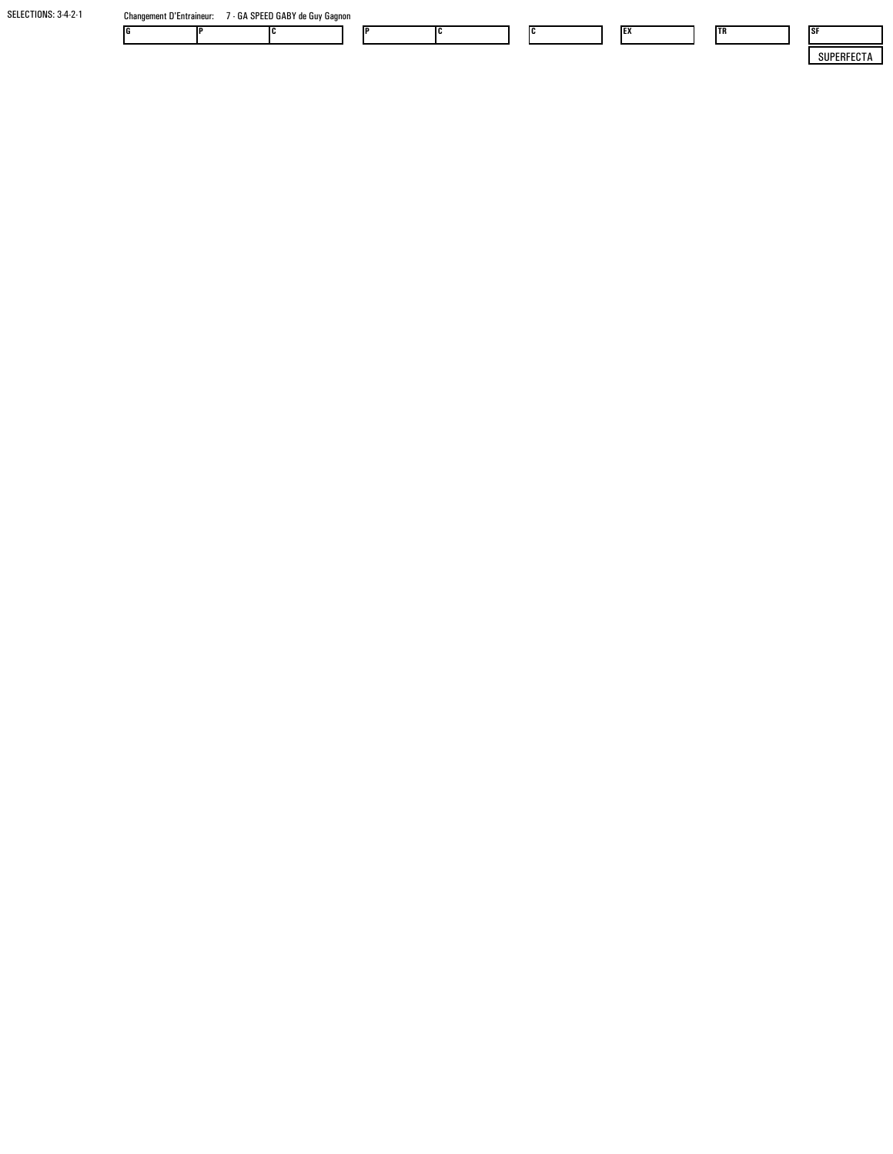| SELECTIONS: 3-4-2-1 | <b>Changement D'Entraineur:</b> | 7 - GA SPEED GABY de Guy Gagnon |  |    |  |            |     |            |
|---------------------|---------------------------------|---------------------------------|--|----|--|------------|-----|------------|
|                     |                                 |                                 |  | IC |  | <b>IEX</b> | ltr | 1SF        |
|                     |                                 |                                 |  |    |  |            |     | SUPERFECTA |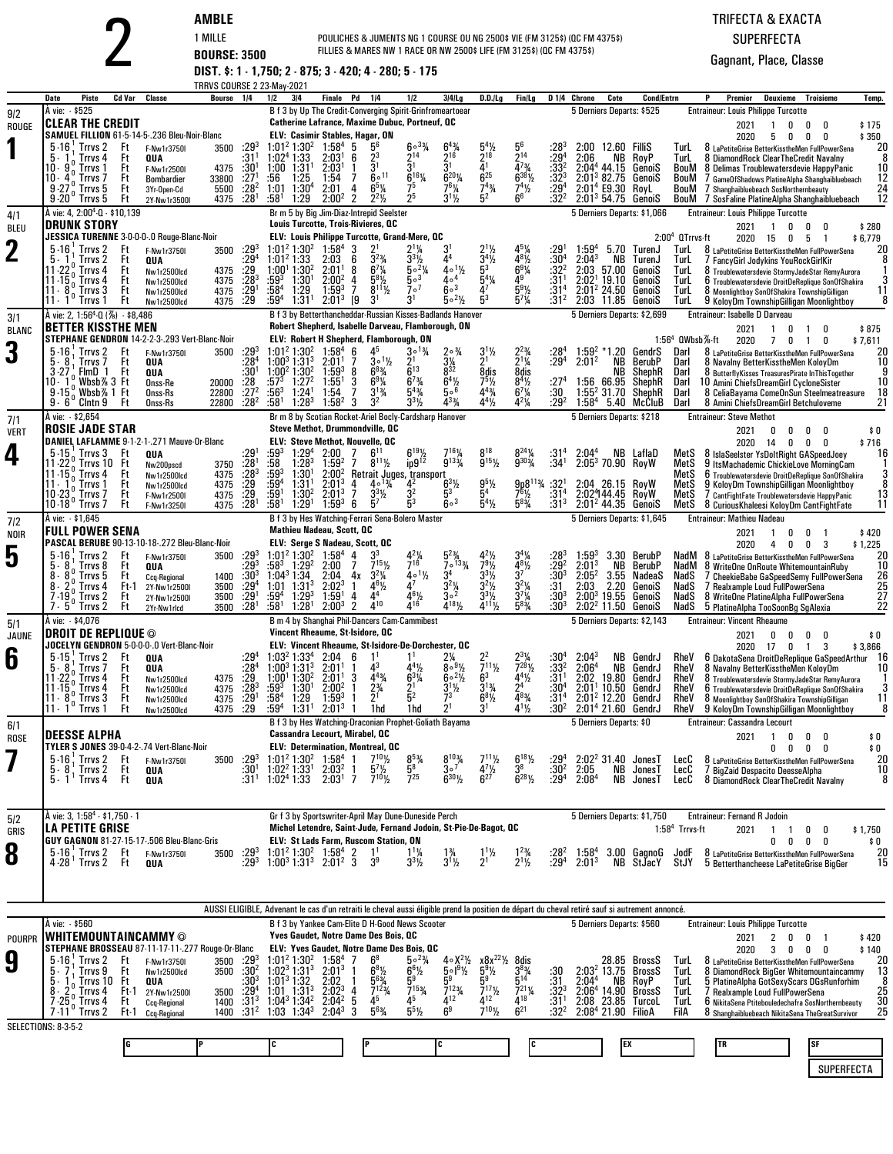|  |  |  | AMBL |
|--|--|--|------|
|  |  |  |      |

## TRIFECTA & EXACTASUPERFECTA

|                     |                                                                                                                                                                                                                                                                                                                                                                                                                                                                                   | <b>BOURSE: 3500</b>                                                                                                            |                                                        |                                                                                 | POULICHES & JUMENTS NG 1 COURSE OU NG 2500\$ VIE (FM 3125\$) (QC FM 4375\$)<br>FILLIES & MARES NW 1 RACE OR NW 2500\$ LIFE (FM 3125\$) (QC FM 4375\$)<br>DIST. \$: 1 - 1,750; 2 - 875; 3 - 420; 4 - 280; 5 - 175 |                                                                                                                           |                                                                                                                                                                                                                                                                                           | TRIFECTA & EXACTA<br><b>SUPERFECTA</b><br>Gagnant, Place, Classe                             |                                                                                                                                     |                                                                                                                                              |                                                                                                                                          |                                                                                                       |                                                                                                                                                                             |                                                          |                                                                          |                                                                                                                                                                                                                                                                                                                                          |                                                            |                     |                                              |
|---------------------|-----------------------------------------------------------------------------------------------------------------------------------------------------------------------------------------------------------------------------------------------------------------------------------------------------------------------------------------------------------------------------------------------------------------------------------------------------------------------------------|--------------------------------------------------------------------------------------------------------------------------------|--------------------------------------------------------|---------------------------------------------------------------------------------|------------------------------------------------------------------------------------------------------------------------------------------------------------------------------------------------------------------|---------------------------------------------------------------------------------------------------------------------------|-------------------------------------------------------------------------------------------------------------------------------------------------------------------------------------------------------------------------------------------------------------------------------------------|----------------------------------------------------------------------------------------------|-------------------------------------------------------------------------------------------------------------------------------------|----------------------------------------------------------------------------------------------------------------------------------------------|------------------------------------------------------------------------------------------------------------------------------------------|-------------------------------------------------------------------------------------------------------|-----------------------------------------------------------------------------------------------------------------------------------------------------------------------------|----------------------------------------------------------|--------------------------------------------------------------------------|------------------------------------------------------------------------------------------------------------------------------------------------------------------------------------------------------------------------------------------------------------------------------------------------------------------------------------------|------------------------------------------------------------|---------------------|----------------------------------------------|
|                     | <b>Piste</b><br>Date                                                                                                                                                                                                                                                                                                                                                                                                                                                              | Cd Var<br>Classe                                                                                                               | TRRVS COURSE 2 23-May-2021<br>Bourse 1/4               |                                                                                 | 1/2<br>3 4                                                                                                                                                                                                       | <b>Finale</b> Pd                                                                                                          | 1/4                                                                                                                                                                                                                                                                                       | 1/2                                                                                          | $3 4 $ Lg                                                                                                                           | D.D.ILg                                                                                                                                      | Fin/Lg                                                                                                                                   | D <sub>14</sub> Chrono                                                                                | Cote                                                                                                                                                                        | <b>Cond/Entrn</b>                                        |                                                                          | Premier                                                                                                                                                                                                                                                                                                                                  | <b>Deuxieme Troisieme</b>                                  |                     | Temp.                                        |
| 9/2<br>ROUGE        | À vie: \$525<br><b>CLEAR THE CREDIT</b><br>SAMUEL FILLION 61-5-14-5-.236 Bleu-Noir-Blanc<br>5-16 Trrvs 2<br>5.<br>Trrvs 4<br>$10 \cdot 9\%$<br>Trrvs 1<br>10 - 41<br>Trrvs 7<br>9.27 <sup>0</sup><br>$9.27^{\circ}$ Trrvs 5<br>9.20 <sup>°</sup> Trrvs 5                                                                                                                                                                                                                          | Ft<br>F-Nw1r3750I<br>Ft<br>QUA<br>Ft<br>F-Nw1r2500I<br>Ft<br>Bombardier<br>Ft<br>3Yr-Open-Cd<br>Ft<br>2Y-Nw1r3500I             | 3500<br>4375<br>33800<br>5500 :28 <sup>2</sup><br>4375 | $:29^{3}$<br>:31'<br>$:30^1$<br>:27 <sup>1</sup><br>:28 <sup>1</sup>            | $1:01^2$ 1:30 <sup>2</sup><br>1:02 <sup>4</sup> 1:33<br>1:31<br>1:00<br>1:25<br>:56<br>$1:01$ $1:304$<br>:58 <sup>1</sup><br>1:29                                                                                | $1:58^{4}$<br>2:03 <sup>1</sup><br>2:03'<br>1:54<br>2:01<br>$2:00^2$                                                      | B f 3 by Up The Credit-Converging Spirit-Grinfromeartoear<br>Catherine Lafrance, Maxime Dubuc, Portneuf, QC<br>ELV: Casimir Stables, Hagar, ON<br>-5<br>$2^3$<br>6<br>$\mathbf{1}$<br>$60^{11}$<br>-7<br>$6^{5}$ <sup>%</sup><br>4<br>$2^2$ <sup>1</sup> / <sub>2</sub><br>$\overline{2}$ | $60^{3}/4$<br>214<br>$6^{16}$ %<br>75<br>2 <sup>5</sup>                                      | $2^{16}$<br>51<br>$6^{20}$ %<br>761/4<br>$3^{11/2}$                                                                                 | $\frac{5^{4}\%}{2^{18}}$<br>$\bar{4}$ <sup>1</sup><br>$6^{25}$<br>$7^{43}$ /4<br>5 <sup>2</sup>                                              | 214<br>$\bar{4}^{73}$<br>$6^{38}\%$<br>$7^{4}\frac{1}{2}$<br>6 <sup>6</sup>                                                              | :28<br>$:29^{4}$<br>$:33^{2}$<br>$:32^{3}$<br>$:29^{4}$<br>$:32^{2}$                                  | 5 Derniers Departs: \$525<br>2:00 12.60 FilliS<br>2:06<br>NB.<br>$2:044$ 44.15<br>$2:013$ 82.75 GenoiS<br>2:01 <sup>4</sup> E9.30 RoyL<br>$2:013 54.75$ GenoiS              | RoyP<br>GenoiS                                           | TurL<br>TurL<br>BouM<br>BouM<br>BouM<br>BouM                             | <b>Entraineur: Louis Philippe Turcotte</b><br>2021<br>2020<br>8 LaPetiteGrise BetterKisstheMen FullPowerSena<br>8 DiamondRock ClearTheCredit Navalny<br>8 Delimas Troublewatersdevie HappyPanic<br>/ GameOfShadows PlatineAlpha Shanghaibluebeach<br>7 Shanghaibluebeach SosNorthernbeauty<br>7 SosFaline PlatineAlpha Shanghaibluebeach | 0<br>0<br>$\overline{1}$<br>0<br>5<br>0                    | 0<br>0              | \$175<br>\$350<br>20<br>10<br>12<br>24<br>12 |
| 4/1<br><b>BLEU</b>  | À vie: 4, 2:00 <sup>4</sup> -0 - \$10,139<br><b>DRUNK STORY</b>                                                                                                                                                                                                                                                                                                                                                                                                                   |                                                                                                                                |                                                        |                                                                                 |                                                                                                                                                                                                                  |                                                                                                                           | Br m 5 by Big Jim-Diaz-Intrepid Seelster<br>Louis Turcotte, Trois-Rivieres, QC                                                                                                                                                                                                            |                                                                                              |                                                                                                                                     |                                                                                                                                              |                                                                                                                                          |                                                                                                       | 5 Derniers Departs: \$1,066                                                                                                                                                 |                                                          |                                                                          | <b>Entraineur: Louis Philippe Turcotte</b><br>2021                                                                                                                                                                                                                                                                                       | 0<br>0<br>-1                                               | 0                   | \$280                                        |
| $\mathbf 2$         | JESSICA TURENNE 3-0-0-0-.0 Rouge-Blanc-Noir<br>$5-16$ . Trrvs 2<br>Trrvs <sub>2</sub><br>11-22.<br>Trrvs 4<br>$11 - 15o$<br>Trrvs 4<br>11 - 8 <sup>0</sup> Trrvs 3<br>11 - 1 <sup>0</sup> Trrvs 1                                                                                                                                                                                                                                                                                 | Ft<br>F-Nw1r3750I<br>Ft<br>QUA<br>Ft<br>Nw1r2500lcd<br>Ft<br>Nw1r2500lcd<br>Ft<br>Nw1r2500lcd<br>Ft<br>Nw1r2500lcd             | 3500<br>4375<br>4375<br>4375<br>4375                   | $:29^{3}$<br>:29 <sup>4</sup><br>$\frac{.29}{.28}$<br>$:29$ <sup>1</sup><br>:29 | $1:01^2$ 1:30 <sup>2</sup><br>1:01 <sup>2</sup> 1:33<br>1:00 <sup>1</sup> 1:30 <sup>2</sup><br>:593<br>$1:30^{1}$<br>$:58^4$<br>1:29<br>1:31 <sup>1</sup><br>$:59^4$                                             | $1.58^{4}$<br>2:03<br>2:01 <sup>1</sup><br>$2:00^2$<br>$1:59^{3}$<br>$2:01^3$                                             | ELV: Louis Philippe Turcotte, Grand-Mere, QC<br>-3<br>6<br>8<br>$6^{7}$ <sup>1</sup> / <sub>4</sub><br>$5^{8}$ <sup>1</sup> / <sub>2</sub><br>4<br>7<br>$8^{11}\frac{1}{2}$<br>3 <sup>1</sup><br>19                                                                                       | $50^{2}$ %<br>$5^{\circ 3}$<br>7 <sup>0</sup><br>$3^1$                                       | 44<br>$4 \circ 1\frac{1}{2}$<br>$4\circ^4$<br>$6\circ$ <sup>3</sup><br>$5 \circ 2\frac{1}{2}$                                       | $3^{4}$ %<br>53<br>$5^4\%$<br>4 <sup>7</sup>                                                                                                 | $4^{8}$ <sup>1</sup> / <sub>2</sub><br>$6^{9}$ <sup>1</sup> / <sub>4</sub><br>49<br>$5^{9}$ %<br>$5^{7}$ <sup>1</sup> / <sub>4</sub>     | :29<br>$:30^4$<br>$:32^{2}$<br>:31<br>:31 <sup>4</sup><br>:31 <sup>2</sup>                            | $1:59^{4}$<br>2:04 <sup>3</sup><br>NB<br>2:03<br>57.00<br>2:02 <sup>1</sup><br>19.10<br>$2:01^2$ 24.50<br>2:03 11.85 GenoiS                                                 | 5.70 TurenJ<br>TurenJ<br>GenoiS<br>GenoiS<br>GenoiS      | $2:004$ QTrrvs-ft<br><b>TurL</b><br>TurL<br>lurL<br>TurL<br>TurL<br>TurL | 2020 15<br>8 LaPetiteGrise BetterKisstheMen FullPowerSena<br>7 FancyGirl Jodykins YouRockGirlKir<br>8 Troublewatersdevie StormyJadeStar RemyAurora<br>6 Troublewatersdevie DroitDeReplique SonOfShakira<br>8 Moonlightboy SonOfShakira TownshipGilligan<br>9 KoloyDm TownshipGilligan Moonlightboy                                       | 5<br>0                                                     | $\overline{1}$      | \$6,779<br>20<br>11<br>8                     |
| 3/1<br><b>BLANC</b> | À vie: 2, 1:56 <sup>4</sup> -Q (%) - \$8,486<br><b>BETTER KISSTHE MEN</b>                                                                                                                                                                                                                                                                                                                                                                                                         |                                                                                                                                |                                                        |                                                                                 |                                                                                                                                                                                                                  |                                                                                                                           | B f 3 by Betterthancheddar-Russian Kisses-Badlands Hanover<br>Robert Shepherd, Isabelle Darveau, Flamborough, ON                                                                                                                                                                          |                                                                                              |                                                                                                                                     |                                                                                                                                              |                                                                                                                                          |                                                                                                       | 5 Derniers Departs: \$2,699                                                                                                                                                 |                                                          |                                                                          | Entraineur: Isabelle D Darveau<br>2021                                                                                                                                                                                                                                                                                                   | $\overline{1}$<br>0<br>-1                                  | 0                   | \$875                                        |
| 3                   | STEPHANE GENDRON 14-2-2-3-.293 Vert-Blanc-Noir<br>$5 - 16$<br>Trrvs 2<br>5.8<br>Trrvs 7<br>$3.27^{1}_{0}$ FlmD 1<br>10 - 1 <sup>0</sup> Whsh %<br>10–1°Wbsb%3Ft<br>9–15°Wbsb%1Ft<br>$9 - 6^\circ$ Clntn $9$                                                                                                                                                                                                                                                                       | Ft<br>F-Nw1r3750I<br>Ft<br>QUA<br>Ft<br>QUA<br>Onss-Re<br>Onss-Rs<br>Ft<br>Onss-Rs                                             | 3500<br>20000<br>22800<br>22800                        | $:29^{3}$<br>:28 <sup>4</sup><br>$:30^{1}$<br>:28<br>$:27^{2}$<br>$:28^2$       | 1:01 <sup>2</sup> 1:30 <sup>2</sup><br>1:00 <sup>3</sup> 1:31 <sup>3</sup><br>1:00 <sup>2</sup> 1:30 <sup>2</sup><br>$:57^{3}$<br>1:27 <sup>2</sup><br>$:56^3$<br>1:24 <sup>1</sup><br>:58†<br>$1:28^{3}$        | 1:58 <sup>4</sup><br>2:01 <sup>1</sup><br>$1:59^{3}$<br>1:55 <sup>1</sup><br>1:54<br>1:58 <sup>2</sup>                    | ELV: Robert H Shepherd, Flamborough, ON<br>45<br>6<br>$3^0\frac{1}{2}$<br>7<br>$6^{8}$ <sup>3</sup> / <sub>4</sub><br>8<br>$6^{9}$ <sup>%</sup><br>3<br>$\overline{7}$<br>$3^{13}/4$<br>3 <sup>2</sup><br>3                                                                               | $30^{13}$<br>$2^1$<br>$6^{13}$<br>$6^{7}$ <sup>3</sup> / <sub>4</sub><br>$5^{43}$<br>$3^3\%$ | $20\frac{3}{4}$<br>$\frac{3\frac{1}{4}}{8^{32}}$<br>$6^{4}\frac{1}{6}$<br>$4^{3}$ %                                                 | $3^1\frac{1}{2}$<br>21<br>8dis<br>$75$ / <sub>2</sub><br>$4^{4}$ <sup>3</sup> / <sub>4</sub><br>$4^{4}$ <sup>1</sup> / <sub>2</sub>          | $2^{2\frac{3}{4}}$<br>$2^{1\frac{1}{4}}$<br>8dis<br>$8^{4}\frac{1}{2}$<br>6 <sup>7</sup> / <sub>4</sub><br>4 <sup>2</sup> / <sub>4</sub> | :28'<br>$:29^{4}$<br>$^{127^4}_{.30}$<br>$:29^2$                                                      | $1:59^{2}$<br>*1.20<br>$2:01^2$<br>NB.<br>NВ<br>1:56 66.95<br>$1:552 31.70$ ShephR<br>$1:58^{4}$                                                                            | GendrS<br>BerubP<br>ShephR<br>ShephR<br>5.40 McCluB      | 1:56 $4$ QWbsb $%$ -ft<br>Darl<br>Darl<br>Darl<br>Darl<br>Darl<br>Darl   | 2020<br>8 LaPetiteGrise BetterKisstheMen FullPowerSena<br>8 Navalny BetterKisstheMen KoloyDm<br>8 ButterflyKisses TreasuresPirate InThisTogether<br>10 Amini ChiefsDreamGirl CycloneSister<br>8 CeliaBayama ComeOnSun Steelmeatreasure<br>8 Amini ChiefsDreamGirl Betchuloveme                                                           | 70<br>$\overline{1}$                                       | 0                   | \$7,611<br>20<br>10<br>10<br>18<br>21        |
| 7/1<br><b>VERT</b>  | <b>ROSIE JADE STAR</b>                                                                                                                                                                                                                                                                                                                                                                                                                                                            |                                                                                                                                |                                                        |                                                                                 |                                                                                                                                                                                                                  |                                                                                                                           | Br m 8 by Scotian Rocket-Ariel Bocly-Cardsharp Hanover<br>Steve Methot, Drummondville, QC                                                                                                                                                                                                 |                                                                                              |                                                                                                                                     |                                                                                                                                              |                                                                                                                                          |                                                                                                       | 5 Derniers Departs: \$218                                                                                                                                                   |                                                          |                                                                          | <b>Entraineur: Steve Methot</b><br>2021                                                                                                                                                                                                                                                                                                  | 0<br>0<br>0                                                | 0                   | \$0                                          |
| 4                   | DANIEL LAFLAMME 9-1-2-1-.271 Mauve-Or-Blanc<br>$5-15$ , Trrvs 3<br>$11 - 22^{0}$<br>Trrvs 10 Ft<br>$11 - 150$ Trrvs 4<br>Trrvs 1<br>$11 - 11$<br>$10.230$ Trrvs 7<br>10-18 Trrvs 7                                                                                                                                                                                                                                                                                                | Ft<br>QUA<br>Nw200pscd<br>Ft<br>Nw1r2500lcd<br>Ft<br>Nw1r2500lcd<br>Ft<br>F-Nw1r2500I<br>Ft<br>F-Nw1r3250I                     | 3750<br>4375<br>4375<br>4375<br>4375                   | :29<br>$: 281$<br>$: 283$<br>$: 29$<br>$: 281$<br>$: 281$                       | 1:29 <sup>4</sup><br>:593<br>:58<br>$1:28^{3}$<br>$:59^{3}$<br>1:30<br>$:59^{4}$<br>1:31 <sup>1</sup><br>$:59^{1}$<br>1:30 <sup>2</sup><br>:58'<br>1:29 <sup>1</sup>                                             | 2:00<br>$1:59^{2}$<br>$2:00^2$<br>$2:01^{3}$<br>$2:01^3$<br>$1:59^{3}$                                                    | <b>ELV: Steve Methot, Nouvelle, QC</b><br>7<br>7<br>$8^{11}\frac{1}{2}$<br>Retrait Juges, transport<br>$40^{13}/4$<br>4<br>7<br>$3^{3}$ <sup>1</sup> / <sub>2</sub><br>6<br>5 <sup>7</sup>                                                                                                | $6^{19}\frac{1}{2}$<br>42<br>32<br>5 <sup>3</sup>                                            | $7^{16}$ <sup>1</sup> / <sub>4</sub><br>$9^{133}$<br>$6^{3}$ <sup>1</sup> / <sub>2</sub><br>5 <sup>3</sup><br>$6\circ$ <sup>3</sup> | $8^{18}$<br>$9^{15}$ %<br>$\frac{9^{5}\%}{5^{4}}$<br>$5^{4}$ %                                                                               | $8^{24}\%$<br>9303/4<br>$9p8^{11}\%$ :32<br>$7^{6}$ <sup>1</sup> / <sub>2</sub><br>$5^{8}$ <sup>3</sup> / <sub>4</sub>                   | :31ª<br>$:34^{1}$<br>:31 <sup>4</sup><br>$:31^{3}$                                                    | 2:04 <sup>4</sup><br>$2:053$ 70.90 RoyW<br>2:04 26.15 RoyW<br>2:02444.45 RoyW<br>$2:012$ 44.35 GenoiS                                                                       | NB LaflaD                                                | MetS<br>MetS<br>MetS<br>MetS<br>MetS<br>MetS                             | 2020 14<br>8 IslaSeelster YsDoltRight GASpeedJoey<br>9 ItsMachademic ChickieLove MorningCam<br>6 Troublewatersdevie DroitDeReplique SonOfShakira<br>9 KoloyDm TownshipGilligan Moonlightboy<br>7 CantFightFate Troublewatersdevie HappyPanic<br>8 Curious Khaleesi KoloyDm CantFightFate                                                 | 0<br>0                                                     | 0                   | \$716<br>16<br>13<br>11                      |
| 7 2<br><b>NOIR</b>  | À vie: \$1,645<br><b>FULL POWER SENA</b>                                                                                                                                                                                                                                                                                                                                                                                                                                          |                                                                                                                                |                                                        |                                                                                 |                                                                                                                                                                                                                  | <b>Mathieu Nadeau, Scott, OC</b>                                                                                          | B f 3 by Hes Watching-Ferrari Sena-Bolero Master                                                                                                                                                                                                                                          |                                                                                              |                                                                                                                                     |                                                                                                                                              |                                                                                                                                          |                                                                                                       | 5 Derniers Departs: \$1,645                                                                                                                                                 |                                                          |                                                                          | <b>Entraineur: Mathieu Nadeau</b><br>2021                                                                                                                                                                                                                                                                                                | 0<br>0<br>-1                                               | -1                  | \$420                                        |
| 5                   | PASCAL BERUBE 90-13-10-18-.272 Bleu-Blanc-Noir<br>$5 - 16$<br>Trrvs 2<br>8<br>Trrvs 8<br>5.<br>8 -<br>Trrvs 5<br>8.<br>Trrvs 4<br>$7 - 19$<br>Trrvs <sub>2</sub><br>7 - 5<br>Trrvs 2                                                                                                                                                                                                                                                                                              | Ft<br>F-Nw1r3750I<br>Ft<br>QUA<br>Ft<br><b>Ccq-Regional</b><br>Ft-1<br>2Y-Nw1r2500I<br>Ft<br>2Y-Nw1r2500I<br>Ft<br>2Yr-Nw1rlcd | 3500<br>1400<br>3500<br>3500<br>3500                   | $: 29^3$<br>$: 29^3$<br>$:30^{3}$<br>$:29^{4}$<br>$:29^{1}$<br>:28 <sup>1</sup> | $1:01^2$ 1:30 <sup>2</sup><br>:583<br>1:29 <sup>2</sup><br>1:04 <sup>3</sup> 1:34<br>1:01<br>$1:31^{3}$<br>$:59^{4}$<br>$1:29^{3}$<br>$1:28$ <sup>1</sup><br>:581                                                | ELV: Serge S Nadeau, Scott, OC<br>$1.58^{4}$<br>2:00<br>2:04<br>$2:02^3$<br>1:59 <sup>1</sup><br>$2:00^{3}$               | 3 <sup>3</sup><br>4<br>$7^{15}$ <sup>1</sup> / <sub>2</sub><br>7<br>$3^{2}\%$<br>4х<br>$4^{6}\%$<br>$\mathbf{1}$<br>44<br>4<br>410<br>$\overline{2}$                                                                                                                                      | $7^{16}$<br>$4 \cdot 1\frac{1}{2}$<br>$4^7$<br>$4^{6}\frac{1}{4}$                            | $5^{23}$<br>$7^{\circ}$ <sup>133</sup> /a<br>34<br>$3^{2}\frac{1}{4}$<br>$4^{18}$ %                                                 | $44\frac{1}{2}$<br>$7^{9}$ <sup>1</sup> / <sub>2</sub><br>$3^{3}$ <sup>1</sup> / <sub>2</sub><br>$3^2\%$<br>$3^{3}\%$<br>$4^{11}\frac{1}{2}$ | $4^{8}$ <sup>1/2</sup><br>$3^7$<br>$3^{2}\frac{1}{4}$<br>$3^{7}\frac{1}{4}$<br>$5^{8}\frac{3}{4}$                                        | :283<br>$: 29^2$<br>$: 30^3$<br>:31<br>$:30^{3}$<br>:30 <sup>3</sup>                                  | $1:59^{3}$<br>2:01 <sup>3</sup><br>NB<br>$2:05^2$<br>2:03<br>2.20<br>$2:00^{3}$<br>19.55<br>$2:022$ 11.50 GenoiS                                                            | 3.30 BerubP<br>BerubP<br>3.55 NadeaS<br>GenoiS<br>GenoiS | NadM<br>NadS<br>NadS<br>NadS<br>NadS                                     | 2020<br>NadM 8 LaPetiteGrise BetterKisstheMen FullPowerSena<br>8 WriteOne OnRoute WhitemountainRuby<br>7 CheekieBabe GaSpeedSemy FullPowerSena<br>7 Realxample Loud FullPowerSena<br>8 WriteOne PlatineAlpha FullPowerSena<br>5 PlatineAlpha TooSoonBg SgAlexia                                                                          | $\overline{4}$<br>0<br>0                                   | 3                   | \$1,225<br>20<br>10<br>26<br>25<br>27<br>22  |
| 5/1<br><b>JAUNE</b> | Å vie: - \$4,076<br><b>DROIT DE REPLIQUE ©</b>                                                                                                                                                                                                                                                                                                                                                                                                                                    |                                                                                                                                |                                                        |                                                                                 |                                                                                                                                                                                                                  |                                                                                                                           | B m 4 by Shanghai Phil-Dancers Cam-Cammibest<br>Vincent Rheaume, St-Isidore, QC                                                                                                                                                                                                           |                                                                                              |                                                                                                                                     |                                                                                                                                              |                                                                                                                                          |                                                                                                       | 5 Derniers Departs: \$2,143                                                                                                                                                 |                                                          |                                                                          | <b>Entraineur: Vincent Rheaume</b><br>2021                                                                                                                                                                                                                                                                                               | 0<br>0<br>n                                                | 0                   | \$0                                          |
| 6                   | JOCELYN GENDRON 5-0-0-0-.0 Vert-Blanc-Noir<br>$5-15$ ; Trrvs 2<br>- Ft<br>$\overline{5}$ $\cdot$ $\overline{8}$ Trrvs 7<br>$\begin{array}{ l l l } \hline 10 & 0 & \hline 118 & 4 \\ 11 & 15 & 0 & \hline 118 & 4 \\ 11 & 15 & 0 & \hline 118 & 4 \\ 11 & 15 & 0 & \hline 118 & 3 \\ 11 & 15 & 0 & 118 & 3 \\ 12 & 11 & 0 & 0 & 118 & 3 \\ 13 & 0 & 0 & 0 & 118 & 3 \\ 14 & 0 & 0 & 0 & 118 & 3 \\ 16 & 0 & 0 & 0 & 0 & 3 \\ 17 & 0 & 0 & 0 & 0 & 3$<br>$11 \cdot 1^0$<br>Trrvs 1 | QUA<br>Ft<br>QUA<br>Ft<br>Nw1r2500lcd<br>Ft<br>Nw1r2500lcd<br>Ft<br>Nw1r2500lcd<br>Ft<br>Nw1r2500lcd                           | 4375<br>4375<br>4375<br>4375                           | :29ª<br>:28 <sup>4</sup><br>$\frac{129}{128^3}$<br>$\frac{129}{129^1}$<br>.29   | $1:00^3$ 1:31 <sup>3</sup><br>1:00 <sup>1</sup> 1:30 <sup>2</sup><br>$:59^{3}$<br>$1:30^{1}$<br>$:58^{4}$<br>1:29<br>$:59^4$ 1:31 <sup>1</sup>                                                                   | $1:032 1:334 2:04$<br>$2:01^1$ 1<br>2:01 <sup>1</sup><br>2:00 <sup>2</sup><br>$1:59^{3}$<br>$2:01^{3}$                    | ELV: Vincent Rheaume, St-Isidore-De-Dorchester, QC<br>6<br>$4^3$<br>3<br>$4^{43}/4$<br>$2^{3/4}$<br>1hd                                                                                                                                                                                   | 441/2<br>$6^{3}$ <sup>1</sup> / <sub>4</sub><br>$\frac{2^1}{5^2}$<br>1hd                     | 80.9%<br>$6^{\circ 2}/2$<br>$\frac{3^{1}}{7^{3}}$<br>2 <sup>1</sup>                                                                 | $\frac{2^2}{7^{11}\frac{1}{2}}$<br>6 <sup>3</sup><br>$3^{13/4}$<br>$6^{81/2}$<br>3 <sup>1</sup>                                              | $2^{3}\frac{1}{4}$<br>$7^{28}\frac{1}{2}$<br>$4^{4}\frac{1}{2^{4}}$<br>$4^{8}\frac{3}{4^{8}}$<br>$4^{1}\%$                               | :30 $^4$<br>:33 <sup>2</sup><br>:31 <sup>1</sup><br>$:30^{4}$<br>:31 <sup>4</sup><br>:30 <sup>2</sup> | $2:04^3$<br>2:06 <sup>4</sup><br>2:02 19.80 GendrJ<br>$2:011$ 10.50 GendrJ<br>$2:012$ 12.20 GendrJ<br>$2:014 21.60$ GendrJ                                                  | NB GendrJ<br>NB GendrJ                                   | RheV<br>RheV<br>RheV                                                     | 2020<br>RheV 6 DakotaSena DroitDeReplique GaSpeedArthur 16<br>RheV 8 Navalny BetterKisstheMen KoloyDm<br>RheV 8 Troublewatersdevie StormyJadeStar RemyAurora<br>6 Troublewatersdevie DroitDeReplique SonOfShakira<br>8 Moonlightboy SonOfShakira TownshipGilligan<br>9 KoloyDm TownshipGilligan Moonlightboy                             | 17<br>0<br>1                                               | 3                   | \$3,866<br>11<br>8                           |
| 6/1<br>ROSE         | <b>DEESSE ALPHA</b>                                                                                                                                                                                                                                                                                                                                                                                                                                                               |                                                                                                                                |                                                        |                                                                                 |                                                                                                                                                                                                                  | Cassandra Lecourt, Mirabel, QC                                                                                            | B f 3 by Hes Watching-Draconian Prophet-Goliath Bayama                                                                                                                                                                                                                                    |                                                                                              |                                                                                                                                     |                                                                                                                                              |                                                                                                                                          |                                                                                                       | 5 Derniers Departs: \$0                                                                                                                                                     |                                                          |                                                                          | Entraineur: Cassandra Lecourt<br>2021                                                                                                                                                                                                                                                                                                    | $\overline{1}$<br>0<br>0                                   | 0                   | \$0                                          |
|                     | TYLER S JONES 39-0-4-2-.74 Vert-Blanc-Noir<br>$5-16$ , Trrvs 2<br>Trrvs 2<br>$5 - 8$<br>5 - 1 ' Trrvs 4                                                                                                                                                                                                                                                                                                                                                                           | Ft<br>F-Nw1r3750I<br>Ft<br>QUA<br>Ft<br>QUA                                                                                    | $3500$ :29 <sup>3</sup>                                | :30 $^{\circ}$                                                                  | $1:02^{2}$ 1:33 <sup>1</sup>                                                                                                                                                                                     | $1:01^2$ 1:30 <sup>2</sup> 1:58 <sup>4</sup> 1<br>2:03 <sup>2</sup><br>$:31^1$ 1:02 <sup>4</sup> 1:33 2:03 <sup>1</sup> 7 | <b>ELV: Determination, Montreal, QC</b><br>$7^{10}$ <sup>1</sup> / <sub>2</sub><br>$\frac{5^7\frac{1}{2}}{7^{10}\frac{1}{2}}$<br>-1                                                                                                                                                       | $8\frac{53}{4}$<br>58<br>$7^{25}$                                                            | $8^{103}/4$<br>$3^{\circ}$ <sup>7</sup><br>$6^{30}$ <sup>1</sup> / <sub>2</sub>                                                     | $7^{11}_{-}$<br>$\frac{4^7}{6^{27}}$                                                                                                         | $\frac{6^{18}\%}{3^8}$<br>$6^{28}$ <sup>1/2</sup>                                                                                        | :29ª<br>:30 <sup>2</sup><br>:29 <sup>4</sup>                                                          | $2:022 31.40$ JonesT<br>2:05<br>NΒ<br>2:08 <sup>4</sup><br>NB                                                                                                               | JonesT<br>JonesT                                         | LecC<br>LecC<br>LecC                                                     | 8 LaPetiteGrise BetterKisstheMen FullPowerSena<br>7 BigZaid Despacito DeesseAlpha<br>8 DiamondRock ClearTheCredit Navalny                                                                                                                                                                                                                | 0<br>0<br>0                                                | 0                   | \$0<br>20<br>10<br>8                         |
| 5/2<br>GRIS         | A vie: 3, $1:58^4 \cdot $1,750 \cdot 1$<br>LA PETITE GRISE                                                                                                                                                                                                                                                                                                                                                                                                                        |                                                                                                                                |                                                        |                                                                                 |                                                                                                                                                                                                                  |                                                                                                                           | Gr f 3 by Sportswriter-April May Dune-Duneside Perch<br>Michel Letendre, Saint-Jude, Fernand Jodoin, St-Pie-De-Bagot, QC                                                                                                                                                                  |                                                                                              |                                                                                                                                     |                                                                                                                                              |                                                                                                                                          |                                                                                                       | 5 Derniers Departs: \$1,750                                                                                                                                                 |                                                          | $1:584$ Trrvs-ft                                                         | <b>Entraineur: Fernand R Jodoin</b><br>2021                                                                                                                                                                                                                                                                                              | $\overline{1}$<br>0<br>-1                                  | 0                   | \$1,750                                      |
| 8                   | GUY GAGNON 81-27-15-17-.506 Bleu-Blanc-Gris<br>$5-16$ , Trrvs 2 Ft<br>4-28 Trrvs 2 Ft                                                                                                                                                                                                                                                                                                                                                                                             | F-Nw1r3750I<br>QUA                                                                                                             | 3500 : 29 <sup>3</sup>                                 | $:29^{3}$                                                                       |                                                                                                                                                                                                                  | $1:01^2$ 1:30 <sup>2</sup> 1:58 <sup>4</sup> 2<br>$1:00^3$ 1:31 <sup>3</sup> 2:01 <sup>2</sup> 3                          | ELV: St Lads Farm, Ruscom Station, ON<br>1 <sup>1</sup><br>3 <sup>9</sup>                                                                                                                                                                                                                 | $\frac{11\frac{1}{4}}{3^3\frac{1}{2}}$                                                       | $\frac{1\frac{3}{4}}{3\frac{1}{2}}$                                                                                                 | $1^{11}/2$<br>2 <sup>1</sup>                                                                                                                 | $1^{2}\frac{3}{4}$<br>$2^{1}\frac{1}{2}$                                                                                                 | .28 <sup>2</sup><br>$:29^{4}$                                                                         | $1:58^{4}$<br>2:01 <sup>3</sup>                                                                                                                                             | NB StJacY                                                |                                                                          | 3.00 GagnoG JodF 8 LaPetiteGrise BetterKisstheMen FullPowerSena<br>StJY 5 Betterthancheese LaPetiteGrise BigGer                                                                                                                                                                                                                          | 0<br>0<br>0                                                | 0                   | \$0<br>20<br>15                              |
|                     | Å vie: - \$560                                                                                                                                                                                                                                                                                                                                                                                                                                                                    |                                                                                                                                |                                                        |                                                                                 |                                                                                                                                                                                                                  |                                                                                                                           | B f 3 by Yankee Cam-Elite D H-Good News Scooter                                                                                                                                                                                                                                           |                                                                                              |                                                                                                                                     |                                                                                                                                              |                                                                                                                                          |                                                                                                       | AUSSI ELIGIBLE, Advenant le cas d'un retraiti le cheval aussi éligible prend la position de départ du cheval retiré sauf si autrement annoncé.<br>5 Derniers Departs: \$560 |                                                          |                                                                          | <b>Entraineur: Louis Philippe Turcotte</b>                                                                                                                                                                                                                                                                                               |                                                            |                     |                                              |
| POURPR              | WHITEMOUNTAINCAMMY ©<br>STEPHANE BROSSEAU 87-11-17-11-.277 Rouge-Or-Blanc                                                                                                                                                                                                                                                                                                                                                                                                         |                                                                                                                                |                                                        |                                                                                 |                                                                                                                                                                                                                  |                                                                                                                           | <b>Yves Gaudet, Notre Dame Des Bois, QC</b><br>ELV: Yves Gaudet, Notre Dame Des Bois, OC                                                                                                                                                                                                  |                                                                                              |                                                                                                                                     |                                                                                                                                              |                                                                                                                                          |                                                                                                       |                                                                                                                                                                             |                                                          |                                                                          | 2021<br>2020                                                                                                                                                                                                                                                                                                                             | 2<br>0<br>0<br>$\overline{\mathbf{3}}$<br>0<br>$\mathbf 0$ | $\overline{1}$<br>0 | \$420<br>\$140                               |
| 9                   | $5-16$ , Trrvs 2<br>$5 - 7$<br>Trrvs 9<br>$5 - 11$ Trrvs 10 Ft<br>8 - 2 <sup>0</sup> Trrvs 4 Ft<br>7 -25 <sup>0</sup> Trrvs 4 Ft<br>$7-11$ Trrvs 2                                                                                                                                                                                                                                                                                                                                | Ft<br>F-Nw1r3750I<br>Ft<br>Nw1r2500lcd<br>QUA<br>Ft-1<br>2Y-Nw1r2500I<br><b>Ccq-Regional</b><br>Ft-1<br><b>Ccq-Regional</b>    | 3500 : 29 <sup>3</sup><br>$3500 : 30^{2}$<br>3500      | :30 $^3$<br>$:29^{4}$                                                           | $1:01^2$ 1:30 <sup>2</sup><br>$1:023$ 1:31 <sup>3</sup><br>$1:01^3$ $1:32$<br>$1:01$ , $1:31^3$<br>1400 :31 <sup>3</sup> 1:04 <sup>3</sup> 1:34 <sup>2</sup><br>1400 :31 <sup>2</sup> 1:03 1:34 <sup>3</sup>     | $1:58^4$<br>$2:01^{3}$<br>2:02<br>$2:02^3$ 4<br>$2:04^2$<br>$2:04^3$                                                      | -7<br>$6^{8}$ <sup>1</sup> / <sub>2</sub><br>-1<br>$5^{6}$ %<br>$7^{123}/4$<br>45<br>-5<br>$5^{6}_{4}$<br>-3                                                                                                                                                                              | $5 \circ 2 \frac{3}{4}$<br>$6^{6}\%$<br>59<br>$7^{15}_{/4}$<br>45<br>$5^5\%$                 | $4 \circ \chi^2 \frac{1}{2}$<br>$5 \circ 1^9$ / <sub>2</sub><br>59<br>$7^{123}/4$<br>$4^{12}$<br>6 <sup>9</sup>                     | $x \frac{8}{2}x^{22}\frac{1}{2}$ 8dis<br>$5^{9}$ <sup>1</sup> / <sub>2</sub><br>5 <sup>9</sup><br>$7^{17}$ %<br>$4^{12}$<br>$7^{10}$ %       | $3^{8\frac{3}{4}}$<br>$7^{21}$ <sup>1</sup> / <sub>4</sub><br>$4^{18}$<br>$6^{21}$                                                       | :30<br>:31.323<br>:31 <sup>1</sup><br>$:32^{2}$                                                       | 2:03 <sup>2</sup> 13.75 BrossS<br>2:04 <sup>4</sup><br>2:06 <sup>4</sup> 14.90 BrossS<br>2:08 23.85 TurcoL<br>2:08 <sup>4</sup> 21.90 FilioA                                | 28.85 BrossS<br>NB RoyP                                  | TurL<br><b>TurL</b><br>TurL<br>TurL<br><b>TurL</b><br>FilA               | 8 LaPetiteGrise BetterKisstheMen FullPowerSena<br>8 DiamondRock BigGer Whitemountaincammy<br>5 PlatineAlpha GotSexyScars DGsRunforhim<br>7 Realxample Loud FullPowerSena<br>6 NikitaSena Ptitebouledechafra SosNorthernbeauty<br>8 Shanghaibluebeach NikitaSena TheGreatSurvivor                                                         |                                                            |                     | 20<br>13<br>8<br>25<br>30<br>25              |
|                     | <b>SELECTIONS: 8-3-5-2</b>                                                                                                                                                                                                                                                                                                                                                                                                                                                        | G                                                                                                                              |                                                        |                                                                                 |                                                                                                                                                                                                                  |                                                                                                                           |                                                                                                                                                                                                                                                                                           |                                                                                              |                                                                                                                                     |                                                                                                                                              |                                                                                                                                          |                                                                                                       | EX                                                                                                                                                                          |                                                          |                                                                          | TR                                                                                                                                                                                                                                                                                                                                       | SF                                                         |                     |                                              |
|                     |                                                                                                                                                                                                                                                                                                                                                                                                                                                                                   |                                                                                                                                |                                                        |                                                                                 |                                                                                                                                                                                                                  |                                                                                                                           |                                                                                                                                                                                                                                                                                           |                                                                                              |                                                                                                                                     |                                                                                                                                              |                                                                                                                                          |                                                                                                       |                                                                                                                                                                             |                                                          |                                                                          |                                                                                                                                                                                                                                                                                                                                          |                                                            | SUPERFECTA          |                                              |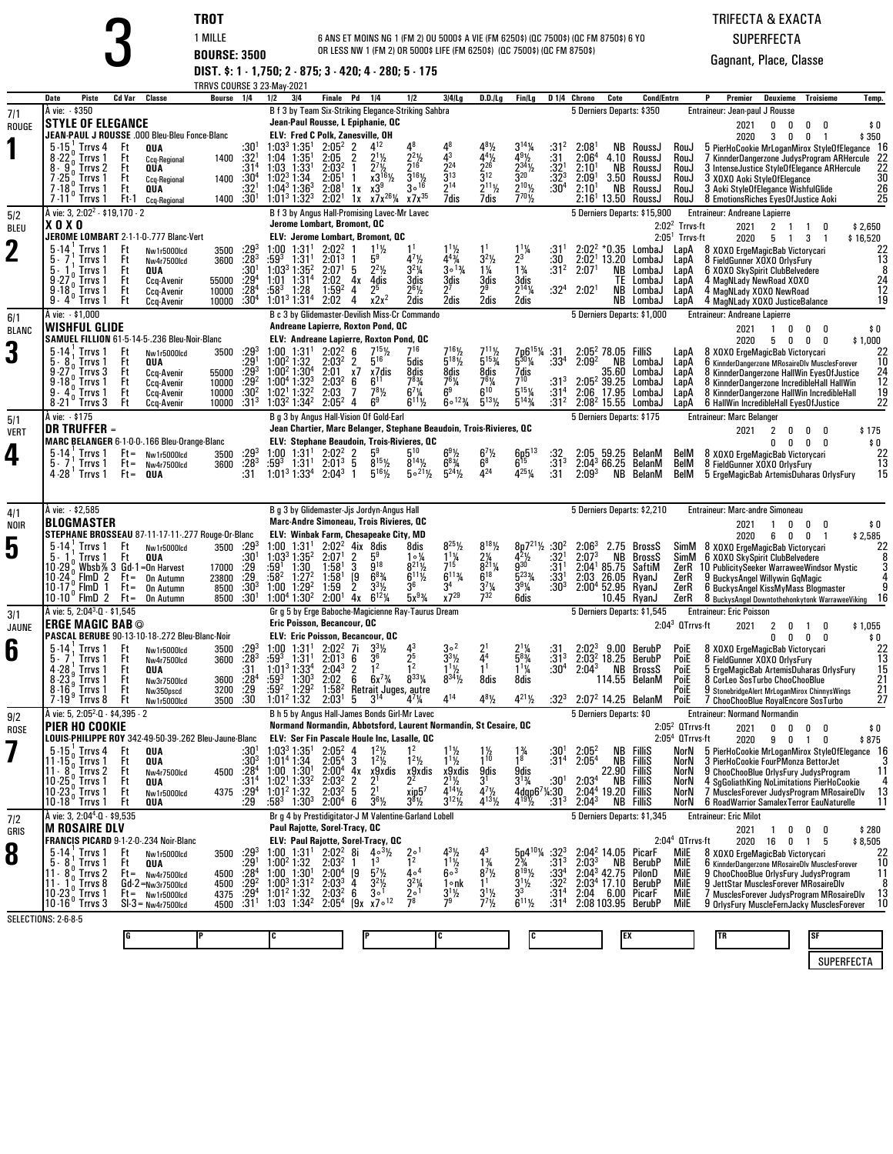| ٠ |  |
|---|--|
|   |  |

 **TROT** 1 MILLE **BOURSE: 3500 DIST. \$: 1 - 1,750; 2 - 875; 3 - 420; 4 - 280; 5 - 175** 6 ANS ET MOINS NG 1 (FM 2) OU 5000\$ A VIE (FM 6250\$) (QC 7500\$) (QC FM 8750\$) 6 YO<br>OR LESS NW 1 (FM 2) OR 5000\$ LIFE (FM 6250\$) (QC 7500\$) (QC FM 8750\$) TRIFECTA & EXACTA

SUPERFECTA

|              |                                                                     |                                                                      | TRRVS COURSE 3 23-May-2021 |                                              |                                                                            |                                        |                                                                                                                        |                                                           |                                                                             |                                                        |                                                                                                        |                                      |                                                     |                  |                                |                                                  |                                                                |                                                                                              |                                               |
|--------------|---------------------------------------------------------------------|----------------------------------------------------------------------|----------------------------|----------------------------------------------|----------------------------------------------------------------------------|----------------------------------------|------------------------------------------------------------------------------------------------------------------------|-----------------------------------------------------------|-----------------------------------------------------------------------------|--------------------------------------------------------|--------------------------------------------------------------------------------------------------------|--------------------------------------|-----------------------------------------------------|------------------|--------------------------------|--------------------------------------------------|----------------------------------------------------------------|----------------------------------------------------------------------------------------------|-----------------------------------------------|
|              | Date<br><b>Piste</b><br>À vie: \$350                                | Cd Var<br>Classe                                                     | Bourse                     | 1/2<br>1/4                                   | 3 4                                                                        | <b>Finale</b> Pd                       | 1/4<br>B f 3 by Team Six-Striking Elegance-Striking Sahbra                                                             | 1/2                                                       | $3 4 $ Lg                                                                   | $D.D.$ / Lg                                            | <b>Fin/Lg</b>                                                                                          |                                      | D <sub>14</sub> Chrono<br>5 Derniers Departs: \$350 | Cote             | <b>Cond/Entrn</b>              |                                                  | Premier<br>Entraineur: Jean-paul J Rousse                      | Deuxieme<br><b>Troisieme</b>                                                                 | Temp.                                         |
| 7/1<br>ROUGE | <b>STYLE OF ELEGANCE</b>                                            |                                                                      |                            |                                              |                                                                            |                                        | Jean-Paul Rousse, L Epiphanie, QC                                                                                      |                                                           |                                                                             |                                                        |                                                                                                        |                                      |                                                     |                  |                                |                                                  | 2021                                                           | 0<br>0<br>0<br>n                                                                             | \$0                                           |
|              |                                                                     | JEAN-PAUL J ROUSSE .000 Bleu-Bleu Fonce-Blanc                        |                            |                                              |                                                                            |                                        | <b>ELV: Fred C Polk, Zanesville, OH</b>                                                                                |                                                           |                                                                             |                                                        |                                                                                                        |                                      |                                                     |                  |                                |                                                  | 2020                                                           | 0<br>3<br>0<br>$\overline{1}$                                                                | \$350                                         |
|              | $5.151$ . Trrvs 4<br>Trrvs 1<br>8-22                                | Ft<br>QUA<br>Ft<br><b>Ccq-Regional</b>                               | 1400                       | $:30^1$<br>:32 <sup>1</sup>                  | 1:03 <sup>3</sup> 1:35 <sup>1</sup><br>$1:04$ $1:35$ <sup>1</sup>          | $2:05^2$ 2<br>2:05                     | $4^{12}$<br>$2^{11}/2$<br>2                                                                                            | $2^{2}\frac{1}{2}$                                        | 43                                                                          | $4\frac{4}{2}$                                         | $3^{14}$ <sup>/</sup> / <sub>4</sub><br>$4^{9}$ <sup>1/2</sup>                                         | :31 <sup>2</sup><br>:31              | 2:08<br>2:06 <sup>4</sup>                           | 4.10             | NB RoussJ<br>RoussJ            | RouJ<br>RouJ                                     |                                                                | 5 PierHoCookie MrLoganMirox StyleOfElegance 16<br>7 KinnderDangerzone JudysProgram ARHercule | 22                                            |
|              | Trrvs <sub>2</sub><br>8.9<br>Trrvs 1                                | Ft<br>QUA<br>Ft<br>Ccq-Regional                                      | 1400                       | :314<br>$:30^4$                              | $1:33^{1}$<br>1:03<br>$1:02^3$ 1:34                                        | 2:03 <sup>2</sup><br>$2:05^{\circ}$    | $2^7$ <sup>1</sup> / <sub>2</sub><br>1<br>$x3^{16}\frac{1}{2}$                                                         | ን16<br>$3^{16}$ %                                         | 2 <sup>24</sup><br>$\bar{3}^{13}$                                           | $\frac{1}{3}12$                                        | $2^{34}$ <sup>1</sup> / <sub>2</sub><br>$\frac{1}{3}$ <sup>20</sup>                                    | $:32^{1}$<br>$:32^{3}$               | $2:10^{1}$<br>2:09 <sup>1</sup>                     | NB<br>3.50       | RoussJ<br>RoussJ               | RouJ<br>RouJ                                     | 3 XOXO Aoki StyleOfElegance                                    | 3 IntenseJustice StyleOfElegance ARHercule                                                   | 22<br>30                                      |
|              | $7 - 18$<br>Trrvs 1<br>$7.11^{\circ}$ Trrvs 1                       | Ft<br>QUA<br>Ft-1                                                    | 1400                       | :32'<br>$:30^{1}$                            | $1:04^3$ 1:36 <sup>3</sup><br>1:01 <sup>3</sup> 1:32 <sup>3</sup>          | 2:08 <sup>1</sup><br>2:02 <sup>1</sup> | $1x \times 3^9$<br>$1x \times 7x^{26}\%$                                                                               | $3^{\circ}$ <sup>16</sup><br>$x7x^{35}$                   | 214<br>7dis                                                                 | $2^{11}$ %<br>7dis                                     | $2^{10}$ %<br>$7^{70}$                                                                                 | :30 <sup>4</sup>                     | 2:10 <sup>1</sup>                                   | NB               | RoussJ<br>$2:161$ 13.50 RoussJ | RouJ<br>RouJ                                     |                                                                | 3 Aoki StyleOfElegance WishfulGlide<br>8 EmotionsRiches EyesOfJustice Aoki                   | $\overline{26}$<br>25                         |
| 5/2          | À vie: 3, 2:02 <sup>2</sup> - \$19,170 - 2                          | <b>Ccq-Regional</b>                                                  |                            |                                              |                                                                            |                                        | B f 3 by Angus Hall-Promising Lavec-Mr Lavec                                                                           |                                                           |                                                                             |                                                        |                                                                                                        |                                      |                                                     |                  | 5 Derniers Departs: \$15,900   |                                                  | <b>Entraineur: Andreane Lapierre</b>                           |                                                                                              |                                               |
| <b>BLEU</b>  | <b>XOXO</b>                                                         |                                                                      |                            |                                              | Jerome Lombart, Bromont, QC                                                |                                        |                                                                                                                        |                                                           |                                                                             |                                                        |                                                                                                        |                                      |                                                     |                  |                                | $2:022$ Trrvs-ft                                 | 2021                                                           | $\overline{2}$<br>$\overline{1}$<br>0<br>-1                                                  | \$2,650                                       |
| $\mathbf 2$  | $5 - 14$<br>¦ Trrvs 1                                               | JEROME LOMBART 2-1-1-0-.777 Blanc-Vert<br>Ft<br>Nw1r5000lcd          | 3500                       | $:29^{3}$                                    | 1:00<br>1:31'                                                              | 2:02 <sup>2</sup>                      | ELV: Jerome Lombart, Bromont, QC<br>$1^{11}$                                                                           |                                                           | $1^{11}/2$                                                                  |                                                        | $1^{11}/4$                                                                                             | :31'                                 |                                                     |                  | $2:02^2 * 0.35$ LombaJ         | $2:051$ Trrvs-ft<br>LapA                         | 2020                                                           | 5 1<br>3<br>-1<br>8 XOXO ErgeMagicBab Victorycari                                            | \$16,520                                      |
|              | Trrvs<br>5.<br>5.<br><b>Trrvs</b>                                   | Ft<br>Nw4r7500lcd<br>Ft<br>QUA                                       | 3600                       | $\frac{128}{30^{1}}$                         | :593<br>1:31 <sup>1</sup><br>1:03 <sup>3</sup> 1:35 <sup>2</sup>           | 2:01 <sup>3</sup><br>2:07 <sup>1</sup> | 5 <sup>9</sup><br>$2^2$ <sup>1</sup> / <sub>2</sub><br>5                                                               | $4^{7}\frac{1}{2}$<br>$3^{2}\frac{1}{4}$                  | $\frac{4^{43}}{3^{013}}$                                                    | $3^{2}\frac{1}{2}$<br>$1\frac{1}{4}$                   | $2^3$<br>$\frac{1}{4}$                                                                                 | :30<br>:31 <sup>2</sup>              | $2:02$ <sup>1</sup> 13.20<br>2:07 <sup>1</sup>      | ΝB               | LombaJ<br>LombaJ               | LapA<br>LapA                                     | 8 FieldGunner XOXO OrlysFury<br>6 XOXO SkySpirit ClubBelvedere |                                                                                              | $\begin{array}{c} 22 \\ 13 \\ 8 \end{array}$  |
|              | 9.27<br>Trrvs 1                                                     | Ft<br>Ccq-Avenir                                                     | 55000                      | $:29^{4}$                                    | 1:01<br>$1:31^{4}$<br>$:58^3$                                              | 2:02                                   | 4х<br>4dis<br>2 <sup>5</sup>                                                                                           | 3dis                                                      | 3dis<br>27                                                                  | 3dis<br>29                                             | 3dis<br>$2^{14}$ <sup>/</sup> 4                                                                        |                                      |                                                     | TE<br>NB         | LombaJ                         | LapA                                             | 4 MagNLady NewRoad XOXO                                        |                                                                                              | 24                                            |
|              | Trrvs 1<br>9 - 18<br>$9 - 4'$<br>Trrvs 1                            | Ft<br>Ccq-Avenir<br>Ft<br>Ccq-Avenir                                 | 10000<br>10000             | $\frac{1}{30^4}$                             | 1:28<br>1:01 <sup>3</sup> 1:31 <sup>4</sup>                                | $1:59^{2}$<br>2:02                     | 4<br>$x2x^2$<br>4                                                                                                      | 26½<br>2dis                                               | 2dis                                                                        | 2dis                                                   | 2dis                                                                                                   | :32 <sup>4</sup>                     | 2:02 <sup>1</sup>                                   | NB               | LombaJ<br>LombaJ               | LapA<br>LapA                                     | 4 MagNLady XOXO NewRoad                                        | 4 MagNLady XOXO JusticeBalance                                                               | $\frac{12}{19}$                               |
| 6/1          | A vie: $-$ \$1,000<br><b>WISHFUL GLIDE</b>                          |                                                                      |                            |                                              |                                                                            |                                        | B c 3 by Glidemaster-Devilish Miss-Cr Commando<br>Andreane Lapierre, Roxton Pond, QC                                   |                                                           |                                                                             |                                                        |                                                                                                        |                                      |                                                     |                  | 5 Derniers Departs: \$1,000    |                                                  | <b>Entraineur: Andreane Lapierre</b>                           |                                                                                              |                                               |
| <b>BLANC</b> |                                                                     | SAMUEL FILLION 61-5-14-5-.236 Bleu-Noir-Blanc                        |                            |                                              |                                                                            |                                        | ELV: Andreane Lapierre, Roxton Pond, OC                                                                                |                                                           |                                                                             |                                                        |                                                                                                        |                                      |                                                     |                  |                                |                                                  | 2021<br>2020                                                   | 0<br>0<br>0<br>-1<br>5<br>0<br>0<br>0                                                        | \$0<br>\$1,000                                |
| 3            | $5 - 14$<br><b>Trrvs</b><br>5.8<br>Trrvs 1                          | Ft<br>Nw1r5000lcd<br>Ft<br>QUA                                       | 3500                       | $:29^{3}$<br>$:29^{1}$                       | 1:00<br>1:31'<br>$1:00^2$ 1:32                                             | $2:02^2$<br>2:03 <sup>2</sup>          | $7^{15}$ <sup>1</sup> / <sub>2</sub><br>6<br>$5^{16}$<br>2                                                             | 716<br>5dis                                               | $7^{16}\frac{1}{2}$<br>5 <sup>181</sup> / <sub>2</sub>                      | $7^{11}\frac{1}{2}$<br>5 <sup>153</sup> / <sub>4</sub> | 7p6 <sup>15</sup> <sup>1</sup> / <sub>4</sub><br>5 <sup>30</sup> <sup>1</sup> / <sub>4</sub>           | $:3^{\circ}$<br>:33 <sup>4</sup>     | $2:05^{2}_{3}$ 78.05<br>2:09 <sup>2</sup>           | NB               | Fillis<br>LombaJ               | LapA<br>LapA                                     |                                                                | 8 XOXO ErgeMagicBab Victorycari<br>6 KinnderDangerzone MRosaireDIv MusclesForever            | $^{22}_{10}$                                  |
|              | $9 - 27$<br>Trrvs 3<br>9.18 <sup>0</sup>                            | Ft<br>Ccq-Avenir<br>Ft                                               | 55000                      | $:29^{3}$                                    | 1:00 <sup>2</sup> 1:30 <sup>4</sup>                                        | 2:01<br>2:03 <sup>2</sup>              | х7<br>x7dis<br>$6^{11}$<br>6                                                                                           | 8dis                                                      | 8dis<br>761/4                                                               | 8dis<br>761/4                                          | $\frac{7}{7}$ dis                                                                                      | :31 <sup>3</sup>                     |                                                     | 35.60            | LombaJ<br>LombaJ               | LapA<br>LapA                                     |                                                                | 8 KinnderDangerzone HallWin EyesOfJustice                                                    |                                               |
|              | $\frac{0}{0}$ Trrvs 1<br>9.4<br>Trrvs 1                             | Ccq-Avenir<br>Ft<br>Ccq-Avenir                                       | 10000<br>10000             | $\frac{1}{2}$ .30 <sup>2</sup>               | 1:00 <sup>4</sup> 1:32 <sup>3</sup><br>1:02 <sup>1</sup> 1:32 <sup>2</sup> | 2:03                                   | $7^{8}$ <sup>1</sup> / <sub>2</sub><br>7                                                                               | $7^{8}_{4}$<br>6 <sup>7</sup> <sup>/</sup> / <sub>4</sub> | 6 <sup>9</sup><br>$6^{\circ}$ <sup>123</sup> / <sub>4</sub>                 | $6^{10}$                                               | $5^{15}$ <sup>1</sup> %<br>$5^{14}$ %                                                                  | :31 <sup>4</sup>                     | 2:05 <sup>2</sup> 39.25<br>2:06 17.95               |                  | LombaJ                         | LapA                                             |                                                                | 8 KinnderDangerzone IncredibleHall HallWin<br>8 KinnderDangerzone HallWin IncredibleHall     | $\frac{24}{12}$<br>$\frac{12}{19}$<br>22      |
| 5/1          | $8-21$<br>′ Trrvs 3<br>À vie: - \$175                               | Ft<br>Ccq-Avenir                                                     | 10000                      | :31 <sup>3</sup>                             | 1:03 <sup>2</sup> 1:34 <sup>2</sup>                                        | $2:05^{2}$                             | 6 <sup>9</sup><br>4<br>B g 3 by Angus Hall-Vision Of Gold-Earl                                                         | $6^{11}$ %                                                |                                                                             | $\bar{5}^{13}$ %                                       |                                                                                                        | $:31^2$                              | 5 Derniers Departs: \$175                           |                  | $2:082 15.55$ LombaJ           | LapA                                             | <b>Entraineur: Marc Belanger</b>                               | 6 HallWin IncredibleHall EyesOfJustice                                                       |                                               |
| <b>VERT</b>  | <b>DR TRUFFER =</b>                                                 |                                                                      |                            |                                              |                                                                            |                                        | Jean Chartier, Marc Belanger, Stephane Beaudoin, Trois-Rivieres, QC                                                    |                                                           |                                                                             |                                                        |                                                                                                        |                                      |                                                     |                  |                                |                                                  | 2021                                                           | $\overline{2}$<br>0<br>0<br>0                                                                | \$175                                         |
| 4            | $5 - 14$ , Trrvs 1                                                  | MARC BELANGER 6-1-0-0-166 Bleu-Orange-Blanc<br>$Ft =$<br>Nw1r5000lcd | 3500                       | $:29^{3}$                                    | $1:00$ $1:31$ <sup>1</sup>                                                 | $2:02^2$                               | ELV: Stephane Beaudoin, Trois-Rivieres, QC<br>59                                                                       | $5^{10}$                                                  | $6^{9}$ <sup>1</sup> / <sub>2</sub>                                         | $6^{7}$ <sup>1</sup> / <sub>2</sub>                    | $6^{15}_{15}$                                                                                          | :32                                  | 2:05 59.25                                          |                  | BelanM                         | BelM                                             |                                                                | 0<br>0<br>0<br>0<br>8 XOXO ErgeMagicBab Victorycari                                          | \$0<br>22                                     |
|              | 5.7<br>Trrvs 1<br>4 - 28 <sup>'</sup> Trrvs 1                       | $Ft =$<br>Nw4r7500lcd<br>$Ft =$<br>QUA                               | 3600                       | :28 <sup>3</sup><br>:31                      | :593<br>1:31 <sup>1</sup><br>$1:01^3$ 1:33 <sup>4</sup>                    | $2:01^{3}$<br>$2:04^3$                 | $8^{15}$ <sup>1</sup> / <sub>2</sub><br>5<br>$5^{16}$ %<br>-1                                                          | $8^{14}$ <sup>1</sup> / <sub>2</sub><br>$5^{\circ 21}$ %  | $6^{8}$ <sup>3</sup> / <sub>4</sub><br>$5^{24}$ <sup>1</sup> / <sub>2</sub> | $6^8$<br>424                                           | 4251/4                                                                                                 | $:31^3$<br>:31                       | $2:04^3$ 66.25 BelanM<br>$2:09^{3}$                 |                  | <b>NB</b> BelanM               | BelM<br>BelM                                     | 8 FieldGunner XOXO OrlysFury                                   | 5 ErgeMagicBab ArtemisDuharas OrlysFury                                                      | $\overline{1}\overline{3}$<br>15              |
|              |                                                                     |                                                                      |                            |                                              |                                                                            |                                        |                                                                                                                        |                                                           |                                                                             |                                                        |                                                                                                        |                                      |                                                     |                  |                                |                                                  |                                                                |                                                                                              |                                               |
| 4/1          | A vie: - \$2,585                                                    |                                                                      |                            |                                              |                                                                            |                                        | B g 3 by Glidemaster-Jjs Jordyn-Angus Hall                                                                             |                                                           |                                                                             |                                                        |                                                                                                        |                                      |                                                     |                  | 5 Derniers Departs: \$2,210    |                                                  | Entraineur: Marc-andre Simoneau                                |                                                                                              |                                               |
| NOIR         | <b>BLOGMASTER</b>                                                   | STEPHANE BROSSEAU 87-11-17-11-.277 Rouge-Or-Blanc                    |                            |                                              |                                                                            |                                        | Marc-Andre Simoneau, Trois Rivieres, QC<br>ELV: Winbak Farm, Chesapeake City, MD                                       |                                                           |                                                                             |                                                        |                                                                                                        |                                      |                                                     |                  |                                |                                                  | 2021                                                           | 0<br>0<br>0<br>-1<br>$\overline{1}$                                                          | \$0                                           |
| 5            | $5 - 14$<br>¦ Trrvs 1                                               | Ft<br>Nw1r5000lcd                                                    | 3500                       | $:29^{3}$                                    | $1:00$ $1:31'$                                                             | $2:02^2$                               | 4ix 8dis                                                                                                               | 8dis                                                      | $8^{25}$ <sup>1</sup> / <sub>2</sub>                                        | $8^{18}\%$                                             | $8p7^{21}\frac{1}{2}$                                                                                  | :30 <sup>2</sup>                     | $2:06^3$                                            |                  | 2.75 BrossS                    | SimM                                             | 2020                                                           | 6<br>0<br>$\mathbf 0$<br>8 XOXO ErgeMagicBab Victorycari                                     | \$2,585<br>22                                 |
|              | Trrvs 1<br>5.1<br>$10 - 29$                                         | Ft<br>QUA<br>Wbsb% 3 Gd-1=0n Harvest                                 | 17000                      | $:30^{1}$<br>:29<br>:29                      | $1:03^3$ $1:35^2$<br>:59 <sup>1</sup> $1:30$                               | 2:07<br>1:58 <sup>1</sup>              | 2<br>5 <sup>9</sup><br>$\bar{3}$<br>$9^{18}$                                                                           | $1 \circ \frac{1}{4}$<br>$8^{21}\%$                       | $\frac{11}{7}$ <sup>1</sup> / <sub>4</sub>                                  | $2\frac{7}{4}$<br>8 <sup>21</sup> / <sub>4</sub>       | $4^{2}\frac{1}{2}$<br>930                                                                              | :32 <sup>1</sup><br>:31 <sup>1</sup> | 2:07 <sup>3</sup><br>$2:04^1$ 85.75                 | NB               | BrossS<br>SaftiM               | SimM<br>ZerR                                     | 6 XOXO SkySpirit ClubBelvedere                                 | 10 PublicitySeeker WarraweeWindsor Mystic                                                    | $\frac{8}{3}$                                 |
|              | FlmD 2 Ft=<br>10 24 .<br>$10 - 17$                                  | <b>On Autumn</b><br>$Ft =$<br><b>On Autumn</b>                       | 23800<br>8500              | $:30^{3}$                                    | $:58^2$<br>$1:27^{2}$<br>1:29 <sup>2</sup><br>1:00                         | 1:58 <sup>1</sup><br>1:59              | $6^{8}$ <sup>3</sup> / <sub>4</sub><br>19<br>2                                                                         | $6^{11}\%$<br>36                                          | $6^{113}$<br>34                                                             | $6^{18}$<br>$\frac{3^{7}3}{7^{32}}$                    | $5^{23}$ %<br>$3^{9}$ <sup>%</sup>                                                                     | $:33^{1}$<br>:30 <sup>3</sup>        | 2:03<br>$2:00^4$ 52.95                              | 26.05            | RyanJ<br>RyanJ                 | ZerR<br>ZerR                                     |                                                                | 9 BuckysAngel Willywin GgMagic<br>6 BuckysAngel KissMyMass Blogmaster                        | 9                                             |
|              | 10-17° FImD 1<br>10-10° FImD 2                                      | $Ft =$<br><b>On Autumn</b>                                           | 8500                       | :30 <sup>1</sup>                             | $1:00^4$ 1:30 <sup>2</sup>                                                 | 2:00 <sup>1</sup>                      | $3^{31/2}$<br>6 <sup>12</sup> / <sub>4</sub><br>4x                                                                     | $5x^{9}$ <sup>4</sup>                                     | $x7^{29}$                                                                   |                                                        | 6dis                                                                                                   |                                      |                                                     | 10.45            | RyanJ                          | ZerR                                             |                                                                | 8 BuckysAngel Downtothehonkytonk WarraweeViking                                              | 16                                            |
| 3/1<br>JAUNE | À vie: 5, 2:04 <sup>3</sup> -0 - \$1,545<br><b>ERGE MAGIC BAB ©</b> |                                                                      |                            |                                              | Eric Poisson, Becancour, QC                                                |                                        | Gr g 5 by Erge Baboche-Magicienne Ray-Taurus Dream                                                                     |                                                           |                                                                             |                                                        |                                                                                                        |                                      | 5 Derniers Departs: \$1,545                         |                  |                                | $2:043$ QTrrvs-ft                                | <b>Entraineur: Eric Poisson</b><br>2021                        | 2<br>0<br>-1<br>0                                                                            | \$1,055                                       |
|              |                                                                     | PASCAL BERUBE 90-13-10-18-.272 Bleu-Blanc-Noir                       |                            |                                              |                                                                            |                                        | ELV: Eric Poisson, Becancour, QC                                                                                       |                                                           |                                                                             |                                                        |                                                                                                        |                                      |                                                     |                  |                                |                                                  |                                                                | 0<br>0<br>0<br>0                                                                             | \$0                                           |
| 6            | Trrvs 1<br>$5 - 14$<br>Trrvs 1<br>5.7                               | Ft<br>Nw1r5000lcd<br>Ft<br>Nw4r7500lcd                               | 3500<br>3600               | $: 29^3$<br>$: 28^3$                         | 1:31 <sup>1</sup><br>$^{1:00}_{:59^{3}}$<br>1:31 <sup>1</sup>              | $2:02^2$<br>2:01 <sup>3</sup>          | $3^{3}$ <sup>1</sup> / <sub>2</sub><br>7i<br>3 <sup>6</sup><br>6                                                       | 43<br>2 <sup>5</sup>                                      | $3^{\circ2}$<br>$3^{3}$ <sup>1</sup> / <sub>2</sub>                         | $^{21}_{44}$                                           | $2^{1}\frac{1}{4}$<br>5 <sup>83</sup> / <sub>4</sub>                                                   | $^{131}_{131}$                       | 2:02 <sup>3</sup> 9.00<br>2:03 <sup>2</sup> 18.25   |                  | BerubP<br>BerubP               | Poie<br>PoiE                                     | 8 FieldGunner XOXO OrlysFury                                   | 8 XOXO ErgeMagicBab Victorycari                                                              | $\begin{array}{c} 22 \\ 13 \\ 15 \end{array}$ |
|              | 4 - 28<br>Trrvs 1<br>$8 - 23$<br>Trrvs 1                            | Ft<br>QUA<br>Ft<br>Nw3r7500lcd                                       | 3600                       | :31                                          | 1:01 <sup>3</sup> 1:33 <sup>4</sup><br>:59 $^3$<br>$1:30^{3}$              | $2:04^3$<br>2:02                       | 1 <sup>2</sup><br>2<br>$6x^{7}\frac{3}{4}$<br>6                                                                        | 12<br>$8^{33}$ <sup>1</sup> / <sub>4</sub>                | $1^{11}/2$<br>$8^{34}$ %                                                    | 1 <sup>1</sup><br>8dis                                 | $1\frac{1}{4}$<br>8dis                                                                                 | $:30^4$                              | $2:04^3$                                            | NB               | BrossS<br>114.55 BelanM        | PoiE<br>PoiE                                     |                                                                | 5 ErgeMagicBab ArtemisDuharas OrlysFury<br>8 CorLeo SosTurbo ChooChooBlue                    |                                               |
|              | 8-16°. Trrvs 1<br>$7.19^{\circ}$<br>Trrvs 8                         | Ft<br>Nw350pscd<br>Ft<br>Nw1r5000lcd                                 | 3200<br>3500               | $\frac{.28}{.29}$<br>$\cdot \frac{.29}{.30}$ | :59 <sup>2</sup><br>1:29 <sup>2</sup><br>1:01 <sup>2</sup> 1:32            | $1:58^{2}$<br>2:03'                    | Retrait Juges, autre<br>5<br>$3^{14}$                                                                                  | $4^7/4$                                                   | 414                                                                         | $4^{8}$ <sup>1</sup> / <sub>2</sub>                    | $4^{21}$ <sup>1</sup> / <sub>2</sub>                                                                   | $:32^{3}$                            | 2:07 <sup>2</sup> 14.25 BelanM                      |                  |                                | PoiE<br>PoiE                                     |                                                                | 9 StonebridgeAlert MrLoganMirox ChinnysWings<br>7 ChooChooBlue RoyalEncore SosTurbo          | $\frac{21}{21}$                               |
| 9/2          | À vie: 5, 2:05 <sup>2</sup> -0 - \$4,395 - 2                        |                                                                      |                            |                                              |                                                                            |                                        | B h 5 by Angus Hall-James Bonds Girl-Mr Lavec                                                                          |                                                           |                                                                             |                                                        |                                                                                                        |                                      | 5 Derniers Departs: \$0                             |                  |                                |                                                  | <b>Entraineur: Normand Normandin</b>                           |                                                                                              |                                               |
| ROSE         | PIER HO COOKIE                                                      | LOUIS-PHILIPPE ROY 342-49-50-39-.262 Bleu-Jaune-Blanc                |                            |                                              |                                                                            |                                        | Normand Normandin, Abbotsford, Laurent Normandin, St Cesaire, QC<br><b>ELV: Ser Fin Pascale Houle Inc, Lasalle, OC</b> |                                                           |                                                                             |                                                        |                                                                                                        |                                      |                                                     |                  |                                | $2:052$ QTrrvs-ft<br>2:05 <sup>4</sup> OTrrvs-ft | 2021<br>2020                                                   | $0\quad 0\quad 0$<br>9<br>$0 \quad 1 \quad 0$                                                | \$0<br>\$875                                  |
|              | 5 - 15 $_{0}^{1}$ Trrvs 4                                           | Ft<br>QUA                                                            |                            | $:30^{1}$                                    | $1:03^3$ 1:35 <sup>1</sup>                                                 | $2:05^2$ 4                             | $1^2\frac{1}{2}$                                                                                                       | 1 <sup>2</sup>                                            |                                                                             | $\frac{1\frac{1}{2}}{1^{10}}$                          | $\frac{1\%}{1\%}$                                                                                      | :30'                                 | 2:05 <sup>2</sup>                                   | <b>NB FilliS</b> |                                | NorN                                             |                                                                | 5 PierHoCookie MrLoganMirox StyleOfElegance 16                                               |                                               |
|              | 11-15.<br>Trrvs 1<br>$11 - 8^{\circ}$ Trrvs 2                       | Ft<br>QUA<br>Ft<br>Nw4r7500lcd                                       | 4500                       | :30ª<br>$:28^{4}$                            | $1:01^4$ 1:34<br>$1:00$ $1:301$<br>1:02 <sup>1</sup> 1:33 <sup>2</sup>     | 2:05 <sup>4</sup><br>$2:00^4$ 4x       | $1^{2}$<br>3<br>$x_2^0$ xdis                                                                                           | $1^2$ <sup>1</sup> / <sub>2</sub><br>$x_2^{\text{9xdis}}$ | $1^{11}$<br>x9xdis                                                          | 9dis                                                   | 9dis<br>$3^{13}/4$                                                                                     | :31 <sup>4</sup>                     | 2:05 <sup>4</sup>                                   | NB<br>22.90      | FilliS<br>Fillis               | NorN<br>NorN                                     |                                                                | 3 PierHoCookie FourPMonza BettorJet<br>9 ChooChooBlue OrlysFury JudysProgram                 | 11                                            |
|              | $10.25o$ . Trrvs 1<br>$10 - 23$ Trrvs 1<br>10 - 18 Trrvs 1          | Ft<br>QUA<br>Ft<br>Nw1r5000lcd                                       | 4375                       | :31 <sup>4</sup><br>:29 $^4$                 | $1:01^2$ 1:32                                                              | 2:03 <sup>2</sup><br>2:03 <sup>2</sup> | 2<br>$\overline{2}$ <sup>1</sup><br>5                                                                                  | $x$ ip $57$                                               | $2^1\frac{1}{2}$<br>$4^{14}$ <sup>1</sup> / <sub>2</sub>                    | $4^{7}\frac{1}{2}$<br>$4^{13}\frac{1}{2}$              | $4$ dqp6 <sup>7</sup> <sup>1</sup> .30<br>4 <sup>19</sup> <sup>1</sup> / <sub>2</sub> :31 <sup>3</sup> | :30'                                 | $2:03^{4}$<br>2:04 <sup>4</sup> 19.20 FilliS        | <b>NB FilliS</b> |                                | NorN<br>NorN                                     |                                                                | 4 SgGoliathKing NoLimitations PierHoCookie<br>7 MusclesForever JudysProgram MRosaireDlv      | 4<br>13                                       |
|              |                                                                     | Ft<br>QUA                                                            |                            | : 29                                         | $:58^3$<br>$1:30^{3}$                                                      | 2:00 <sup>4</sup>                      | $36\frac{1}{2}$<br>6                                                                                                   | $3^{8}$ <sup>1/2</sup>                                    | $3^{12}\%$                                                                  |                                                        |                                                                                                        | :31 <sup>3</sup>                     | $2:04^{3}$                                          | <b>NB FilliS</b> |                                | NorN                                             | <b>Entraineur: Eric Milot</b>                                  | 6 RoadWarrior SamalexTerror EauNaturelle                                                     | 11                                            |
| 7/2<br>GRIS  | À vie: 3, 2:04 <sup>4</sup> -0 - \$9,535<br><b>M ROSAIRE DLV</b>    |                                                                      |                            |                                              | Paul Rajotte, Sorel-Tracy, QC                                              |                                        | Br g 4 by Prestidigitator-J M Valentine-Garland Lobell                                                                 |                                                           |                                                                             |                                                        |                                                                                                        |                                      |                                                     |                  | 5 Derniers Departs: \$1,345    |                                                  | 2021                                                           | 0<br>0<br>0                                                                                  | \$280                                         |
|              | $5 - 14$ , Trrvs 1                                                  | FRANCIS PICARD 9-1-2-0-.234 Noir-Blanc<br>Ft                         |                            | $:29^{3}$                                    | $1:00$ $1:31$ <sup>1</sup>                                                 | $2:02^2$                               | ELV: Paul Rajotte, Sorel-Tracy, OC<br>8i<br>$4 \circ 3\frac{1}{2}$                                                     | $2^{\circ}$                                               |                                                                             |                                                        | $5p4^{10}\%$                                                                                           | $:32^{3}$                            | 2:04 <sup>2</sup> 14.05 PicarF                      |                  |                                | $2:044$ QTrrvs-ft<br>Mile                        | 2020 16                                                        | 0<br>5<br>1<br>8 XOXO ErgeMagicBab Victorycari                                               | \$8,505<br>22                                 |
| 8            | $5 - 81$ Trrvs 1<br>11 - 8 <sup>0</sup> Trrvs 2                     | Nw1r5000lcd<br>Ft<br>QUA                                             | 3500                       | :29 <sup>1</sup>                             | $1:002$ 1:32<br>1:00 1:30                                                  | 2:03 <sup>2</sup>                      | 1 <sup>3</sup>                                                                                                         | 1 <sup>2</sup>                                            | $4^{3}\frac{1}{2}$<br>$\frac{1^{11/2}}{6^{3}}$                              | $1\frac{3}{4}$<br>8 <sup>7</sup> / <sub>2</sub>        | $\frac{2\frac{5}{4}}{8^{19}}$                                                                          | :313                                 | $2:03^{3}$                                          | NB               | BerubP                         | Mile                                             |                                                                | 6 KinnderDangerzone MRosaireDIv MusclesForever                                               | 10                                            |
|              | $11 - 10$<br>Trrvs 8                                                | $Ft =$<br>Nw4r7500lcd<br>Gd-2 = Nw3r7500lcd                          | 4500<br>4500               | :28 <sup>4</sup><br>.29 <sup>2</sup>         |                                                                            | 2:00 <sup>4</sup><br>2:03 <sup>3</sup> | [9<br>4<br>$5^7\frac{1}{2}$<br>$3^2$ <sup>1</sup> / <sub>2</sub>                                                       | $4\circ4$<br>$3^{2}\%$                                    | 1∘nk                                                                        |                                                        | $3^{11/2}$                                                                                             | $:33^{4}$<br>$:32^{2}$               | 2:04 <sup>3</sup> 42.75<br>2:03 <sup>4</sup> 17.10  |                  | PilonD<br>BerubP               | <b>MilE</b><br>Mile                              |                                                                | 9 ChooChooBlue OrlysFury JudysProgram<br>9 JettStar MusclesForever MRosaireDlv               | 11<br>8                                       |
|              | $10.230$ Trrvs 1<br>$10 - 16^{\circ}$<br>Trrvs 3                    | $Ft = Nw1r5000lcd$<br>$SI-3 = Nw4r7500lcd$                           | 4375<br>4500               | $:29^{4}$<br>:31 <sup>1</sup>                | $1:00^3$ $1:31^2$<br>$1:01^2$ $1:32$<br>$1:03$ $1:34^2$                    | 2:03 <sup>2</sup><br>2:05 <sup>4</sup> | $3^{\circ}$ <sup>1</sup><br>6<br>$[9x \ x70^{12}]$                                                                     | $2^{\circ}$<br>78                                         | $3^{1}/2$                                                                   | $\frac{3^{1}\frac{1}{2}}{7^{7}\frac{1}{2}}$            | $6^{11}$ %                                                                                             | $:31^{4}$<br>:314                    | 2:04<br>2:08 103.95 BerubP                          | 6.00             | PicarF                         | Mile<br>Mile                                     |                                                                | 7 MusclesForever JudysProgram MRosaireDlv<br>9 OrlysFury MuscleFernJacky MusclesForever      | $\begin{array}{c} 13 \\ 10 \end{array}$       |
|              |                                                                     |                                                                      |                            |                                              |                                                                            |                                        |                                                                                                                        |                                                           |                                                                             |                                                        |                                                                                                        |                                      |                                                     |                  |                                |                                                  |                                                                |                                                                                              |                                               |
|              | SELECTIONS: 2-6-8-5                                                 |                                                                      |                            |                                              |                                                                            |                                        |                                                                                                                        |                                                           |                                                                             |                                                        |                                                                                                        |                                      |                                                     |                  |                                |                                                  |                                                                |                                                                                              |                                               |
|              |                                                                     | G                                                                    |                            | IC                                           |                                                                            |                                        |                                                                                                                        |                                                           | C                                                                           |                                                        |                                                                                                        |                                      |                                                     | EX               |                                |                                                  | <b>TR</b>                                                      | SF                                                                                           |                                               |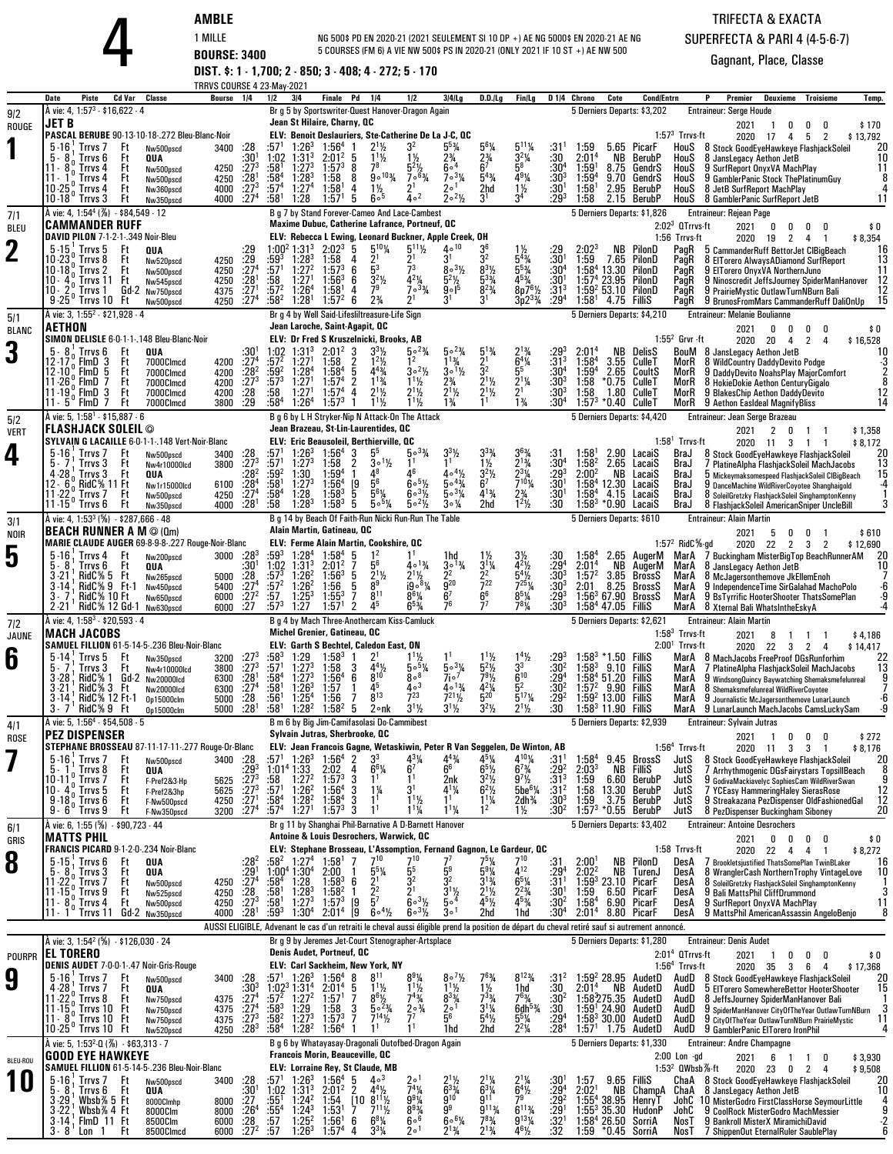**AMBLE**<br>
1 MILLE **BOURSE: 3400 DIST. \$: 1 - 1,700; 2 - 850; 3 - 408; 4 - 272; 5 - 170**<br> **DIST. \$: 1 - 1,700; 2 - 850; 3 - 408; 4 - 272; 5 - 170** NG 500\$ PD EN 2020-21 (2021 SEULEMENT SI 10 DP +) AE NG 5000\$ EN 2020-21 AE NG5 COURSES (FM 6) A VIE NW 500\$ PS IN 2020-21 (ONLY 2021 IF 10 ST +) AE NW 500

## TRIFECTA & EXACTASUPERFECTA & PARI 4 (4-5-6-7)

|                    | TRRVS COURSE 4 23-May-2021                                                                                                                                                                                                                                                                                                                                                                                                                                    |                                                                                                                                                                                                                                                                                                                                                                                                                                                                                                                                                                                                                                                                                                 |                                                                                                                                                                                                                                                                                                                                                                                                                                                                                                                                               |                                                                                                                                                                                                                                                                                                                                                                                                                                                                 |
|--------------------|---------------------------------------------------------------------------------------------------------------------------------------------------------------------------------------------------------------------------------------------------------------------------------------------------------------------------------------------------------------------------------------------------------------------------------------------------------------|-------------------------------------------------------------------------------------------------------------------------------------------------------------------------------------------------------------------------------------------------------------------------------------------------------------------------------------------------------------------------------------------------------------------------------------------------------------------------------------------------------------------------------------------------------------------------------------------------------------------------------------------------------------------------------------------------|-----------------------------------------------------------------------------------------------------------------------------------------------------------------------------------------------------------------------------------------------------------------------------------------------------------------------------------------------------------------------------------------------------------------------------------------------------------------------------------------------------------------------------------------------|-----------------------------------------------------------------------------------------------------------------------------------------------------------------------------------------------------------------------------------------------------------------------------------------------------------------------------------------------------------------------------------------------------------------------------------------------------------------|
| 9/2                | Piste<br>Cd Var<br><b>Classe</b><br>Bourse<br>1/4<br>Date<br>À vie: 4, 1:57 <sup>3</sup> - \$16,622 - 4                                                                                                                                                                                                                                                                                                                                                       | 3 4<br>Pd<br>1/2<br>Finale<br>1/4<br>1/2<br>$3 4 $ Lg<br>Br g 5 by Sportswriter-Quest Hanover-Dragon Again                                                                                                                                                                                                                                                                                                                                                                                                                                                                                                                                                                                      | D.D.ILg<br>Fin/Lg<br>D 1/4<br>Chrono<br>Cote<br>5 Derniers Departs: \$3,202                                                                                                                                                                                                                                                                                                                                                                                                                                                                   | <b>Cond/Entrn</b><br>Premier<br>Deuxieme<br>Troisieme<br>Temp.<br><b>Entraineur: Serge Houde</b>                                                                                                                                                                                                                                                                                                                                                                |
| ROUGE              | JET B                                                                                                                                                                                                                                                                                                                                                                                                                                                         | Jean St Hilaire, Charny, OC                                                                                                                                                                                                                                                                                                                                                                                                                                                                                                                                                                                                                                                                     |                                                                                                                                                                                                                                                                                                                                                                                                                                                                                                                                               | 2021<br>\$170<br>0<br>0<br>n                                                                                                                                                                                                                                                                                                                                                                                                                                    |
|                    | PASCAL BERUBE 90-13-10-18-.272 Bleu-Blanc-Noir<br>$5 - 16$<br>Trrvs <sub>7</sub><br>:28<br>Ft<br>3400<br>Nw500pscd<br>:30 <sup>1</sup><br>5.<br>8<br>Ft<br>Trrvs 6<br>QUA<br>$:27^{3}$<br>:28 <sup>1</sup><br>11 -<br>Trrvs 4<br>Ft<br>4250<br>Nw500pscd<br>Ft<br>$11 -$<br>Trrvs 4<br>4250<br>Nw500pscd<br>$:27^{3}$<br>Ft<br>10 - 25<br>Trrvs 4<br>4000<br>Nw360pscd<br>:27 <sup>4</sup><br>$10 - 18$<br>' Trrvs 3<br>4000<br>Ft<br>Nw350pscd               | ELV: Benoit Deslauriers, Ste-Catherine De La J-C, QC<br>3 <sup>2</sup><br>$5^5\%$<br>:57'<br>$1:26^{3}$<br>$2^{11/2}$<br>1:56 <sup>4</sup><br>$1^{11}/2$<br>$1:02$ $1:313$<br>$2:01^2$<br>$1\frac{1}{2}$<br>$2\frac{3}{4}$<br>5<br>:581<br>$1:57^{3}$<br>7 <sup>8</sup><br>$1:27^{3}$<br>8<br>$\frac{5^{2}\frac{1}{2}}{7^{6}\frac{3}{4}}$<br>60 <sup>4</sup><br>:58 <sup>4</sup><br>$900\frac{103}{4}$<br>$1:28^{3}$<br>$7 \circ 3\frac{1}{4}$<br>1:58<br>8<br>2 <sup>1</sup><br>:574<br>1:27 <sup>4</sup><br>1:58 <sup>1</sup><br>$1\frac{1}{2}$<br>$2^{\circ}$ <sup>1</sup><br>4<br>40 <sup>2</sup><br>$2^o2\frac{1}{2}$<br>:581<br>1:28<br>600<br>1:57 <sup>1</sup><br>5                     | $5^{11}$ %<br>$5^{6}$ <sup>1</sup> / <sub>4</sub><br>:31'<br>1:59<br>5.65 PicarF<br>$3^2\%$<br>:30<br>$2\frac{3}{4}$<br>2:01 <sup>4</sup><br>NB<br>BerubP<br>58<br>$:30^{4}$<br>$:30^{3}$<br>1:59<br>8.75<br>GendrS<br>$5^{4}$ %<br>4 <sup>9</sup> <sup>1</sup> /4<br>$1:59^{4}$<br>9.70<br>GendrS<br>$1\frac{1}{2}$<br>$:30^{1}$<br>2.95<br>2hd<br>1:58 <sup>1</sup><br>BerubP<br>3 <sup>4</sup><br>3 <sup>1</sup><br>:293<br>1:58<br>2.15 BerubP                                                                                            | $1:573$ Trrvs-ft<br>2020<br>\$13,792<br>- 17<br>5<br>2<br>4<br>HouS<br>8 Stock GoodEyeHawkeye FlashjackSoleil<br>20<br>10<br>8 JansLegacy Aethon JetB<br>HouS<br>HouS<br>9 SurfReport OnyxVA MachPlay<br>11<br>8<br>HouS<br>9 GamblerPanic Stock ThePlatinumGuy<br>HouS<br>8 JetB SurfReport MachPlay<br>4<br>11<br>HouS<br>8 GamblerPanic SurfReport JetB                                                                                                      |
| 7/1<br><b>BLEU</b> | À vie: 4, 1:54 <sup>4</sup> (%) - \$84,549 - 12<br><b>CAMMANDER RUFF</b>                                                                                                                                                                                                                                                                                                                                                                                      | B g 7 by Stand Forever-Cameo And Lace-Cambest<br>Maxime Dubuc, Catherine Lafrance, Portneuf, QC                                                                                                                                                                                                                                                                                                                                                                                                                                                                                                                                                                                                 | 5 Derniers Departs: \$1,826                                                                                                                                                                                                                                                                                                                                                                                                                                                                                                                   | Entraineur: Rejean Page<br>$2:023$ QTrrvs-ft<br>2021<br>\$0<br>0<br>0<br>0<br>0                                                                                                                                                                                                                                                                                                                                                                                 |
| $\mathbf 2$        | DAVID PILON 7-1-2-1-.349 Noir-Bleu<br>$5-15$ , Trrvs 5<br>Ft<br>:29<br>QUA<br>$\frac{.29}{.27^4}$<br>10-23<br>Trrvs 8<br>Ft<br>4250<br>Nw520pscd<br>Ft<br>10 - 18<br>Trrvs <sub>2</sub><br>4250<br>Nw500pscd<br>:28 <sup>1</sup><br>Ft<br>$10 -$<br>Trrvs 11<br>4250<br>Nw545pscd<br>$\frac{.271}{.274}$<br>$10 -$<br>Gd-2 Nw750pscd<br>4375<br>Trrvs 1<br>$9 - 25'$<br>Trrvs 10<br>Ft<br>4250<br>Nw500pscd                                                   | ELV: Rebecca L Ewing, Leonard Buckner, Apple Creek, OH<br>$5^{10}$ <sup>/4</sup><br>$5^{11}\%$<br>$40^{10}$<br>$1:00^2$ 1:31 <sup>3</sup><br>$2:02^3$<br>-5<br>$\frac{2^1}{5^3}$<br>$\frac{2^1}{7^3}$<br>:593<br>$1:28^{3}$<br>31<br>1:58<br>$8 \cdot \frac{31}{2}$<br>1:27 <sup>2</sup><br>:57'<br>$1:57^{3}$<br>6<br>$3^2$ <sup>1</sup> / <sub>2</sub><br>$4^{2}\%$<br>:58<br>$1:56^{3}$<br>6<br>$5^2\frac{1}{2}$<br>$1:27^1$<br>:572<br>79<br>$7^{\circ}3\frac{3}{4}$<br>$9 \circ 1^5$<br>$1:26^{4}$<br>1:58 <sup>1</sup><br>4<br>$2\frac{3}{4}$<br>$:58^2$<br>2 <sup>1</sup><br>$1:28$ <sup>1</sup><br>$1:57^{2}$<br>6                                                                      | 2:02 <sup>3</sup><br>:29<br>NB<br>PilonD<br>32<br>$5^{4}_{3/4}$<br>$5^{5}_{3/4}$<br>$4^{5}_{3/4}$<br>$:30^{1}$<br>$:30^{4}$<br>1:59<br>7.65<br>PilonD<br>$8^{3}$ <sup>1</sup> / <sub>2</sub><br>1:58 <sup>4</sup><br>13.30<br>PilonD<br>$:30^{1}$<br>$1:574 23.95$ PilonD<br>$8p7^{6}\%$<br>$:31^{3}$<br>$:29^{4}$<br>1:59 <sup>2</sup> 53.10<br>PilonD<br>$3p2^3\%$<br>1:58 <sup>1</sup><br>4.75 FilliS                                                                                                                                      | 1:56 Trrvs-ft<br>\$8,354<br>2020<br>$\overline{2}$<br>19<br>4<br>-1<br>16<br>PagR<br>5 CammanderRuff BettorJet ClBigBeach<br>13<br>PagR<br>8 EITorero Always A Diamond Surf Report<br>11<br>PagR<br>9 EITorero OnvxVA NorthernJuno<br>12<br>PagR<br>9 Ninoscredit JeffsJourney SpiderManHanover<br>$\begin{array}{c} 12 \\ 15 \end{array}$<br>PagR<br>9 PrairieMystic OutlawTurnNBurn Bali<br>PagR<br>9 BrunosFromMars CammanderRuff DaliOnUp                   |
| 5/1                | A vie: 3, 1:55 <sup>2</sup> - \$21,928 - 4<br><b>AETHON</b>                                                                                                                                                                                                                                                                                                                                                                                                   | Br g 4 by Well Said-Lifesliltreasure-Life Sign<br>Jean Laroche, Saint-Agapit, QC                                                                                                                                                                                                                                                                                                                                                                                                                                                                                                                                                                                                                | 5 Derniers Departs: \$4,210                                                                                                                                                                                                                                                                                                                                                                                                                                                                                                                   | <b>Entraineur: Melanie Boulianne</b><br>\$0<br>0<br>0                                                                                                                                                                                                                                                                                                                                                                                                           |
| <b>BLANC</b><br>3  | SIMON DELISLE 6-0-1-1-.148 Bleu-Blanc-Noir<br>$:30^{1}$<br>$:27^{4}$<br>Trrvs 6<br>Ft<br>QUA<br>12 - 17<br>FlmD <sub>3</sub><br>Ft<br>7000Clmcd<br>4200<br>:28 <sup>2</sup><br>12 10°, FlmD 5<br>Ft<br>7000Clmcd<br>4200<br>$\frac{1273}{28}$<br>$11 - 26$<br><b>FimD</b><br>7<br>Ft<br>4200<br>7000Clmcd<br>$\frac{9}{6}$ FimD 3<br>11 - 19<br>Ft<br>7000Clmcd<br>4200<br>.29<br>Ft<br>3800<br>7000Clmcd                                                     | ELV: Dr Fred S Kruszelnicki, Brooks, AB<br>$2:01^2$<br>1 <sup>2</sup><br>$11\frac{3}{4}$<br>$:57^2$<br>1:27 <sup>1</sup><br>:58<br>$30^{2}/2$<br>$:59^2$<br>1:28 <sup>4</sup><br>$4^{43}$ / <sub>4</sub><br>$3^0\frac{1}{2}$<br>1:58 <sup>4</sup><br>5<br>$1^{13}/4$<br>$:57^{3}$<br>1:27 <sup>1</sup><br>1:57 <sup>4</sup><br>$2\frac{3}{4}$<br>$2\frac{1}{2}$<br>$1\frac{1}{2}\frac{1}{2}$<br>1:27 <sup>1</sup><br>$2^{11/2}$<br>:58<br>1.57 <sup>4</sup><br>4<br>$1^{11}$<br>$1^{11}$<br>$1\frac{3}{4}$<br>:58 $4$<br>1:26 <sup>4</sup><br>$1:57^{3}$                                                                                                                                        | $\frac{5^1}{2^1}$<br>$: 29^3$<br>:31 <sup>3</sup><br>NB<br>DelisS<br>$^{2:01^4}_{1:58^4}$<br>$6^{4}\%$<br>CulleT<br>3.55<br>3 <sup>2</sup><br>$5^5$<br>:30 <sup>4</sup><br>$1:59^{4}$<br>2.65 CoultS<br>$\frac{2^{1}}{2^{1}}$<br>$:30^{3}$<br>$:30^{3}$<br>$2^{11/2}$<br>$2^{11/2}$<br>1:58<br>*0.75<br>CulleT<br>1:58<br>1.80 CulleT<br>$1\frac{3}{4}$<br>$:30^4$<br>$1:57^{3}$<br>*0.40 CulleT                                                                                                                                              | 2021<br>0<br>0<br>$1:552$ Grvr -ft<br>2020<br>20<br>$\overline{2}$<br>\$16,528<br>4<br>$\overline{4}$<br>BouM<br>8 JansLegacy Aethon JetB<br>$\frac{10}{3}$<br>MorR<br>8 WildCountry DaddyDevito Podge<br>$\overline{2}$<br>MorR<br>9 DaddyDevito NoahsPlay MajorComfort<br>8<br>8 HokieDokie Aethon CenturyGigalo<br>MorR<br>$\frac{12}{14}$<br>MorR<br>9 BlakesChip Aethon DaddyDevito<br>MorR<br>9 Aethon Easideal MagnifyBliss                              |
| 5/2<br><b>VERT</b> | À vie: 5, 1:58 <sup>1</sup> - \$15,887 - 6<br> FLASHJACK SOLEIL ©                                                                                                                                                                                                                                                                                                                                                                                             | B a 6 by L H Stryker-Nip N Attack-On The Attack<br>Jean Brazeau, St-Lin-Laurentides, QC                                                                                                                                                                                                                                                                                                                                                                                                                                                                                                                                                                                                         | 5 Derniers Departs: \$4,420                                                                                                                                                                                                                                                                                                                                                                                                                                                                                                                   | Entraineur: Jean Serge Brazeau<br>2021<br>2<br>\$1,358<br>0<br>-1                                                                                                                                                                                                                                                                                                                                                                                               |
| 4                  | SYLVAIN G LACAILLE 6-0-1-1-148 Vert-Noir-Blanc<br>$5 - 16$<br>Trrvs <sub>7</sub><br>:28<br>Ft<br>3400<br>Nw500pscd<br>: 27 <sup>3</sup><br>Ft<br>5.7<br>Trrvs 3<br>3800<br>Nw4r10000lcd<br>$:28^{2}$<br>$:28^{4}$<br>4.28<br>Trrvs 3<br>Ft<br><b>QUA</b><br>RidC% 11 Ft<br>12 - 6<br>6100<br>Nw1r15000lcd<br>:27 <sup>4</sup><br>$11 - 22$<br>Ft<br>Trrvs 7<br>4250<br>Nw500pscd<br>$11.15^{\circ}$ Trrvs 6<br>:28 <sup>1</sup><br>4000<br>Ft<br>Nw350pscd    | <b>ELV: Eric Beausoleil, Berthierville, QC</b><br>:571<br>$1:26^{3}$<br>55<br>1:56 <sup>4</sup><br>3<br>$50^{3}/4$<br>:57 <sup>1</sup><br>1:27 <sup>3</sup><br>1:58<br>2<br>$3^{\circ}$ <sup>1</sup> / <sub>2</sub><br>$\frac{.59^2}{.58^1}$<br>1:30<br>$1:59^{4}$<br>$\mathbf{1}$<br>48<br>46<br>$40^{4}$ %<br>$50^{43}$<br>5 <sup>6</sup><br>[9<br>$60^{5}$ %<br>1:27 <sup>3</sup><br>1:56 <sup>4</sup><br>$:58^4$<br>5<br>$5^{6}$ <sup>1</sup> / <sub>4</sub><br>$503\%$<br>1:28<br>$1:58^{3}$<br>$60^{31/2}$<br>:58<br>$1:28^{3}$<br>$1:58^{3}$<br>$5 \cdot \frac{5}{4}$<br>$5 \cdot \frac{21}{2}$<br>$3 \circ \frac{1}{4}$<br>5                                                            | $3^{6}\frac{3}{4}$<br>$2^{1}\frac{3}{4}$<br>$2^{3}\frac{1}{4}$<br>$7^{10}\frac{1}{4}$<br>1:58'<br>2.90 LacaiS<br>:31<br>:30 <sup>4</sup><br>1½<br>$1:58^{2}$<br>2.65 LacaiS<br>$\frac{.29^3}{.30^1}$<br>$3^2\%$<br>2:00 <sup>2</sup><br>NΒ<br>LacaiS<br>$1:58^{4}$<br>6′<br>12.30 LacaiS<br>$2\frac{3}{4}$<br>$4^{13}/4$<br>:30 <sup>1</sup><br>1:58 <sup>4</sup><br>4.15 LacaiS<br>$1^2$ <sup>1</sup> / <sub>2</sub><br>2hd<br>:30<br>1:58 $3 * 0.90$ LacaiS                                                                                 | $1:581$ Trrvs-ft<br>2020 11<br>\$8,172<br>3<br>-1<br>BraJ<br>20<br>8 Stock GoodEyeHawkeye FlashjackSoleil<br>13<br>BraJ<br>7 PlatineAlpha FlashjackSoleil MachJacobs<br>15<br>BraJ<br>b Mickeymaksomespeed FlashjackSoleil CIBigBeach<br>$-4$<br>BraJ<br>9 DanceMachine WildRiverCoyotee Shanghaigold<br>$\overline{\mathbf{1}}$<br>BraJ<br>8 SoleilGretzky FlashjackSoleil SinghamptonKenny<br>3<br>BraJ<br>8 FlashjackSoleil AmericanSniper UncleBill         |
| 3/1                | À vie: 4, 1:53 <sup>3</sup> (%) - \$287,666 - 48<br><b>BEACH RUNNER A M @ (Qm)</b>                                                                                                                                                                                                                                                                                                                                                                            | B g 14 by Beach Of Faith-Run Nicki Run-Run The Table<br>Alain Martin, Gatineau, QC                                                                                                                                                                                                                                                                                                                                                                                                                                                                                                                                                                                                              | 5 Derniers Departs: \$610                                                                                                                                                                                                                                                                                                                                                                                                                                                                                                                     | <b>Entraineur: Alain Martin</b><br>2021<br>\$610<br>5<br>0<br>0                                                                                                                                                                                                                                                                                                                                                                                                 |
| <b>NOIR</b><br>5   | MARIE CLAUDE AUGER 69-8-9-8-.227 Rouge-Noir-Blanc<br>$5 - 16$<br>$:28^{3}$<br>Trrvs 4<br>Ft<br>3000<br>Nw200pscd<br>$:30^{1}$<br>$:28$<br>$5 - 8$<br>Trrvs 6<br>Ft<br>QUA<br>$3 - 21$<br>RidC% 5<br>Ft<br>5000<br>Nw265pscd<br>:27 <sup>4</sup><br>RidC% 9 Ft-1<br>$3 - 14$<br>5400<br>Nw450pscd<br>$\frac{1}{27}$<br>$\frac{27}{27}$<br><b>RidC% 10 Ft</b><br>6000<br>Nw650pscd<br>RidC% 12 Gd-1<br>$2 - 21$<br>6000<br>Nw630pscd                            | <b>ELV: Ferme Alain Martin, Cookshire, QC</b><br>$:59^{3}$<br>1:28 <sup>4</sup><br>$1:58^{4}$<br>5<br>$1^2$<br>1hd<br>$40^{13}/4$<br>56<br>1:02<br>$1:31^{3}$<br>$2:01^2$<br>$30^{13}/4$<br>$:57^{3}$<br>$\bar{2}^2$<br>$1:26^2$<br>$2^{11/2}$<br>5<br>$2^{11/2}$<br>$1:56^{3}$<br>$\bar{9}^{20}$<br>19°8%<br>:57 <sup>2</sup><br>$\tilde{8}^9$<br>$1:26^2$<br>1:56<br>5<br>:57<br>$8^{11}$<br>$8^6\%$<br>6 <sup>7</sup><br>$1:25^{3}$<br>$1:55^{3}$<br>7<br>1:27<br>45<br>76<br>$:57^3$<br>$\overline{2}$<br>$6^{5}$ <sup>%</sup><br>1:57                                                                                                                                                      | :30<br>1:58 <sup>4</sup><br>2.65 AugerM<br>3½<br>$\frac{3^{1}\%}{2^{2}}$<br>$\frac{4^2}{5^4}$<br>$: 29^{4}$<br>$: 30^{3}$<br>2:01 <sup>4</sup><br>NΒ<br>AugerM<br>1:57 <sup>2</sup><br>BrossS<br>3.85<br>$\frac{1}{7}$<br>$7^{25}$ <sup>1</sup> / <sub>4</sub><br>$:30^{3}$<br>2:01<br>8.25<br>BrossS<br>6 <sup>6</sup><br>$8^{5}$ <sup>1</sup> / <sub>4</sub><br>$\frac{.293}{.303}$<br>1:56 <sup>3</sup> 67.90 Bross<br>1:58 <sup>4</sup> 47.05 FilliS<br><b>BrossS</b><br>$7^{8}$ <sup>1</sup> / <sub>4</sub>                              | 1:57 $^2$ RidC $\%$ -gd<br>2020<br>\$12,690<br>22<br>$\overline{2}$<br>$\mathbf{3}$<br>2<br>-20<br>MarA<br>7 Buckingham MisterBigTop BeachRunnerAM<br>10<br>MarA<br>8 JansLegacy Aethon JetB<br>MarA<br>8 McJagersonthemove JkEllemEnoh<br>-6<br>MarA<br>9 Independence Time SirGalahad MachoPolo<br>$\frac{9}{4}$<br>MarA<br>9 BsTvrrific HooterShooter ThatsSomePlan<br>MarA<br>8 Xternal Bali WhatsIntheEskyA                                                |
| 7 2                | A vie: 4, 1:58 <sup>3</sup> - \$20,593 - 4<br><b>MACH JACOBS</b>                                                                                                                                                                                                                                                                                                                                                                                              | B g 4 by Mach Three-Anothercam Kiss-Camluck<br>Michel Grenier, Gatineau, QC                                                                                                                                                                                                                                                                                                                                                                                                                                                                                                                                                                                                                     | 5 Derniers Departs: \$2,621                                                                                                                                                                                                                                                                                                                                                                                                                                                                                                                   | <b>Entraineur: Alain Martin</b><br>$1:583$ Trrvs-ft<br>2021<br>8<br>\$4,186<br>$\overline{1}$<br>$\overline{1}$<br>$\overline{1}$                                                                                                                                                                                                                                                                                                                               |
| JAUNE<br>6         | SAMUEL FILLION 61-5-14-5-.236 Bleu-Noir-Blanc<br>$:27^{3}$<br>$:27^{3}$<br>$5 - 14$<br>Ft<br>Trrvs 5<br>3200<br>Nw350pscd<br>5. 7<br>Ft<br>Trrvs 3<br>3800<br>Nw4r10000lcd<br>:28 <sup>1</sup><br>$RidC\% 1 Gd-2$<br>$3 - 28$<br>6300<br>Nw20000lcd<br>$\frac{127}{28}$<br>RidC% 3 Ft<br>$3 - 21$<br>6300<br><b>Nw20000Icd</b><br>RidC% 12 Ft-1<br>3-14<br>5000<br><b>0p15000clm</b><br>:281<br>RidC% 9 Ft<br>3.7<br>5000<br>Op15000clm                       | ELV: Garth S Bechtel, Caledon East, ON<br>$:58^{3}$<br>:571<br>$1\frac{1}{2}$<br>5.5%<br>$1:29$<br>$1:273$<br>1:58 <sup>3</sup><br>$4^{4}$ <sup>1</sup> / <sub>2</sub><br>$503\%$<br>1:58<br>3<br>$8^{10}$<br>$7i^2$<br>$1:27^{3}$<br>$8^{\circ8}$<br>$:58^4$<br>1:56 <sup>4</sup><br>6<br>$4\circ$ <sup>3</sup><br>$:58^{1}$<br>:56 <sup>1</sup><br>$1:26^{3}$<br>45<br>$4 \circ 13'_{4}$<br>1:57<br>$8^{13}$<br>$7^{23}$<br>1:25 <sup>4</sup><br>$7^{21}$ <sup>1</sup> / <sub>2</sub><br>1:56<br>7<br>$3^{11}/2$<br>:581<br>1:58 <sup>2</sup><br>2°nk<br>$3^{1}/_{2}$<br>1:28 <sup>2</sup><br>5                                                                                               | $1.4\%$<br>$\substack{.29^3 \ .30^2 }$<br>$:58^{3}$<br>.50<br>Fillis<br>$5^{2}$ <sup>1</sup> / <sub>2</sub><br>$1:58^{3}$<br>9.10<br>Fillis<br>$6^{10}$<br>79½<br>:294<br>1:58 <sup>4</sup> 51.20<br>FilliS<br>5 <sup>2</sup><br>$4^{2}\frac{1}{4}$<br>$:30^{2}$<br>:29 <sup>2</sup><br>$1:57^{2}$<br>9.90<br>FilliS<br>$\frac{5^{17}}{4}$<br>1:59 <sup>2</sup> 13.00 FilliS<br>$3^{2}$ <sup>1</sup> / <sub>2</sub><br>$2^{11/2}$<br>:30<br>$1:583$ 11.90 FilliS                                                                              | $2:001$ Trrvs-ft<br>2020<br>22<br>3<br>2<br>\$14,417<br>$\overline{4}$<br>MarA<br>8 MachJacobs FreeProof DGsRunforhim<br>$^{22}_{13}$<br>MarA<br>7 PlatineAlpha FlashjackSoleil MachJacobs<br>9<br>MarA<br>9 WindsongQuincy Baywatching Shemaksmefelunreal<br>MarA<br>8 Shemaksmefelunreal WildRiverCoyotee<br>-6<br>MarA<br>9 Journalistic McJagersonthemove LunarLaunch<br>-9<br>MarA<br>9 LunarLaunch MachJacobs CamsLuckySam                                |
| 4/1<br>ROSE        | A vie: 5, 1:56 <sup>4</sup> - \$54,508 - 5<br> PEZ DISPENSER                                                                                                                                                                                                                                                                                                                                                                                                  | B m 6 by Big Jim-Camifasolasi Do-Cammibest<br>Sylvain Jutras, Sherbrooke, UC                                                                                                                                                                                                                                                                                                                                                                                                                                                                                                                                                                                                                    | 5 Derniers Departs: \$2,939                                                                                                                                                                                                                                                                                                                                                                                                                                                                                                                   | <b>Entraineur: Sylvain Jutras</b><br>2021<br>\$272<br>0<br>0<br>$\overline{1}$<br>$\mathbf{0}$                                                                                                                                                                                                                                                                                                                                                                  |
|                    | STEPHANE BROSSEAU 87-11-17-11-.277 Rouge-Or-Blanc<br>$5 - 16$ ; Trrvs 7<br>3400 :28<br>Ft<br>Nw500pscd<br>:293<br>Ft<br>5.1<br>Trrvs 8<br>QUA<br>10 - 11 <sup>0</sup> Trrvs 7<br>10 - 4 <sup>0</sup> Trrvs 5<br>9 - 18 <sup>0</sup> Trrvs 6<br>$: 27^{3}$<br>$: 27^{3}$<br>Ft<br>5625<br>F-Pref2&3-Hp<br>Ft<br>5625<br>F-Pref2&3hp<br>:27 <sup>1</sup><br>Ft<br>F-Nw500pscd<br>4250<br>:27 <sup>4</sup><br>$9.6^\circ$ Trrvs $9$<br>3200<br>Ft<br>F-Nw350pscd | ELV: Jean Francois Gagne, Wetaskiwin, Peter R Van Seggelen, De Winton, AB<br>$1:26^{3}$<br>:57 $^1$<br>$1:56^{4}$ 2<br>3 <sup>3</sup><br>431/4<br>$4^{43}$ /4<br>4<br>6 <sup>7</sup><br>6 <sup>6</sup><br>1:01 <sup>4</sup> 1:33<br>$6^{6}$ <sup>%</sup><br>2:02<br>$\frac{.58}{.571}$<br>$1:27^2$<br>$1:26^2$<br>$1:57^{3}$<br>3<br>1 <sup>1</sup><br>2nk<br>3 <sup>1</sup><br>1:56 <sup>4</sup><br>3<br>$1\frac{1}{4}$<br>$4^{1}\%$<br>1 <sup>1</sup><br>$1^{11}$<br>:58 $^4$<br>$1:28^2$<br>$1:58^{4}$<br>3<br>1 <sup>1</sup><br>$:57^4$ 1:27 <sup>1</sup><br>$1^{11}/4$<br>$1:57^{3}$<br>1 <sup>1</sup><br>$1^{11}/4$<br>3                                                                  | $4^{10}$ <sup>/</sup> / <sub>4</sub><br>451⁄4<br>$1:58^{4}$<br>:31'<br>9.45 BrossS<br>$6^{7}$ <sup>3</sup> / <sub>4</sub><br>$6^5\%$<br>$:29^2$<br>2:03 <sup>3</sup><br>NB<br>Fillis<br>$\frac{9^7}{6}$<br>5be <sup>6</sup> <sup>/4</sup><br>$3^{2}\frac{1}{2}$<br>6 <sup>2</sup> $\frac{1}{2}$<br>$:31^{3}_{2}$<br>:31 <sup>2</sup><br>1:59<br>1:58<br>6.60<br>BerubP<br>13.30<br>BerubP<br>$1^{1}\frac{1}{4}$<br>$:30^{3}$<br>2dh <sup>3</sup> / <sub>4</sub><br>1:59<br>3.75<br>BerubP<br>:30ª<br>1:57 $3 * 0.55$ BerubP<br>$1\frac{1}{2}$ | $1:564$ Trrvs-ft<br>2020 11 3 3<br>\$8,176<br>$\overline{1}$<br>JutS<br>8 Stock GoodEyeHawkeye FlashjackSoleil<br>20<br>8<br>7 Arrhythmogenic DGsFairystars TopsillBeach<br>JutS<br>JutS<br>9 GodivaMackiavelyc SophiesCam WildRiverSwan<br>$\frac{12}{12}$<br>7 YCEasy HammeringHaley SierasRose<br>JutS<br>JutS<br>9 Streakazana PezDispenser OldFashionedGal<br>20<br>JutS<br>8 PezDispenser Buckingham Siboney                                              |
| 6/1<br>GRIS        | À vie: 6, 1:55 (%) · \$90,723 · 44<br><b>MATTS PHIL</b>                                                                                                                                                                                                                                                                                                                                                                                                       | Br g 11 by Shanghai Phil-Barnative A D-Barnett Hanover<br>Antoine & Louis Desrochers, Warwick, QC                                                                                                                                                                                                                                                                                                                                                                                                                                                                                                                                                                                               | 5 Derniers Departs: \$3,402                                                                                                                                                                                                                                                                                                                                                                                                                                                                                                                   | <b>Entraineur: Antoine Desrochers</b><br>2021<br>0<br>0<br>\$0<br>0<br>0                                                                                                                                                                                                                                                                                                                                                                                        |
| 8                  | FRANCIS PICARD 9-1-2-0-.234 Noir-Blanc<br>$5-15$ ; Trrvs $6$<br>Ft<br>:28ª<br>QUA<br>$5 - 8$<br>$:291274}$<br>Trrvs 3<br>QUA<br>Ft<br>$11 - 22$<br>Trrvs <sub>7</sub><br>Ft<br>4250<br>Nw500pscd<br>$\frac{128}{27^3}$<br>$\frac{27^3}{28^1}$<br>$11.15°$ . Trrvs 9<br>Ft<br>4250<br>Nw525pscd<br>$11 \cdot 80$<br>Trrvs 4<br>4250<br>Ft<br>Nw500pscd<br>11 - 1 ° Trrvs 11<br>Gd-2 Nw350pscd<br>4000                                                          | ELV: Stephane Brosseau, L'Assomption, Fernand Gagnon, Le Gardeur, OC<br>$7^{10}$<br>1:27 <sup>4</sup><br>710<br>:58 <sup>2</sup><br>1:58 <sup>1</sup><br>7'<br>5 <sup>5</sup><br>$1.00^4$ 1:30 <sup>4</sup><br>:58 <sup>4</sup> 1:28<br>$\frac{5^{5}\%}{2^{1}}$<br>2:00<br>32<br>$\bar{3}^2$<br>$1:58^{3}$<br>6<br>$\frac{2^2}{5^7}$<br>2 <sup>1</sup><br>$3^{1}/2$<br>:58'<br>$1:28^{3}$<br>$1:58^{2}$<br>-1<br>:581<br>603%<br>$1:27^{3}$<br>$1:57^{3}$<br>[9<br>[9<br>50 <sup>4</sup><br>$:59^{3}$<br>$1:30^{4}$<br>2:01 <sup>4</sup><br>$6^{\circ 4}$ /2<br>$6^{\circ 3}/2$<br>∃ه 3                                                                                                         | 710<br>$7^5%$<br>2:00 <sup>1</sup><br><b>NB</b> PilonD<br>:31<br>412<br>$\frac{5^9}{3^1}$ %<br>$:29^{4}$<br>$:31^{1}$<br>2:02 <sup>2</sup><br>NΒ<br>TurenJ<br>$1.59^3$ 23.10 PicarF<br>$6^{5}$ <sup>%</sup><br>$2^{23}/4$<br>$2^{1}\frac{1}{2}$<br>$:30^{1}$<br>1:59<br>6.50 PicarF<br>$4^{53}$ /4<br>$4^{5}$ <sup>1</sup> / <sub>2</sub><br>$:30^{2}$<br>$:30^{4}$<br>$1:58^{4}$<br>6.90<br>PicarF<br>2hd<br>1hd<br>2:01 <sup>4</sup><br>8.80 PicarF                                                                                         | 1:58 Trrvs-ft<br>2020 22 4<br>\$8,272<br>4<br>$\overline{1}$<br>DesA<br>16<br>7 Brookletsjustified ThatsSomePlan TwinBLaker<br>8 WranglerCash NorthernTrophy VintageLove<br>10<br>DesA<br>DesA<br>8 SoleilGretzky FlashiackSoleil SinghamptonKenny<br>3<br>9 Bali MattsPhil CliffDrummond<br>DesA<br>9 SurfReport OnyxVA MachPlay<br>11<br>DesA<br>9 MattsPhil AmericanAssassin AngeloBenjo<br>8<br>DesA                                                        |
|                    | A vie: 3, 1:54 <sup>2</sup> (%) - \$126,030 - 24                                                                                                                                                                                                                                                                                                                                                                                                              | AUSSI ELIGIBLE, Advenant le cas d'un retraiti le cheval aussi éligible prend la position de départ du cheval retiré sauf si autrement annoncé.<br>Br g 9 by Jeremes Jet-Court Stenographer-Artsplace                                                                                                                                                                                                                                                                                                                                                                                                                                                                                            | 5 Derniers Departs: \$1,280                                                                                                                                                                                                                                                                                                                                                                                                                                                                                                                   | <b>Entraineur: Denis Audet</b>                                                                                                                                                                                                                                                                                                                                                                                                                                  |
| POURPR<br>9        | EL TORERO<br><b>DENIS AUDET 7-0-0-1-.47 Noir-Gris-Rouge</b><br>$5.16^{+}$ Trrvs 7<br>Ft<br>:28<br>3400<br>Nw500pscd<br>:30 <sup>3</sup><br>4 - 28<br>Ft<br>Trrvs 7<br>QUA<br>11-22<br>$^{127^4}_{127^4}$<br>Trrvs 8<br>Ft<br>4375<br>Nw750pscd<br>$11.15^{\circ}$ , Trrvs 10<br>Ft<br>4375<br>Nw750pscd<br>$:27^{3}$<br>$11 \cdot 8^{\circ}$ Trrvs 10<br>Ft<br>4375<br>Nw750pscd<br>$10.25^{\circ}$ Trrvs 10 Ft<br>$:28^{3}$<br>4250<br>Nw520pscd             | Denis Audet, Portneuf, QC<br>ELV: Carl Sackheim, New York, NY<br>$1:26^{3}$<br>$8^{11}$<br>$8 \cdot \frac{71}{2}$<br>:571<br>$1:56^{4}$<br>8<br>$8^{9}$ <sup>%</sup><br>1:02 <sup>3</sup> 1:31 <sup>4</sup><br>$1^{11}/2$<br>$1^{11}$<br>$1^{11}/2$<br>2:01 <sup>4</sup><br>5<br>$:57^{2}$<br>1:27 <sup>2</sup><br>$8^6\frac{1}{2}$<br>743/4<br>$8^{3\frac{3}{4}}$<br>2 <sup>o</sup> <sup>1</sup><br>1:57 <sup>1</sup><br>7<br>$5^{\circ 2}$ %<br>:58 <sup>3</sup><br>3<br>$2 \circ \frac{3}{4}$<br>1:29<br>1:58<br>$7^{14}$ <sup>1</sup> / <sub>2</sub><br>56<br>$:58^2$ 1:27 <sup>3</sup><br>$1:57^{3}$<br>77<br>7<br>$:58^4$ 1:28 <sup>2</sup><br>1:56 <sup>4</sup><br>1 <sup>1</sup><br>1hd | $8^{12}\%$<br>$7^{6}_{4}$<br>:312<br>1:59 $2$ 28.95 AudetD<br>:30<br>$1\frac{1}{2}$<br>2:01 <sup>4</sup><br>NB AudetD<br>1hd<br>$7^{3}_{4}$<br>$3^{1}_{4}$<br>$7^{6}_{4}$<br>$\frac{130^2}{30}$<br>1:58 275.35<br>AudetD<br>$6dh^{5}$ %<br>$1:591 24.90$ AudetD<br>$5^{4}$ %<br>$5^5\%$<br>$:29^{4}$<br>$1:583$ 30.00 AudetD<br>$2^2\frac{1}{4}$<br>2hd<br>:284<br>$1:571$ 1.75 AudetD                                                                                                                                                        | $2:014$ QTrrvs-ft<br>2021<br>0<br>\$0<br>0<br>0<br>$1:564$ Trrvs-ft<br>2020<br>35<br>\$17,368<br>3<br>4<br>6<br>AudD<br>8 Stock GoodEyeHawkeye FlashjackSoleil<br>20<br>15<br>5 EITorero SomewhereBettor HooterShooter<br>AudD<br>8 JeffsJourney SpiderManHanover Bali<br>AudD<br>3<br>AudD<br>9 SpiderManHanover CityOfTheYear OutlawTurnNBurn<br>11<br>AudD<br>9 CityOfTheYear OutlawTurnNBurn PrairieMystic<br>9 GamblerPanic ElTorero IronPhil<br>4<br>AudD |
|                    | À vie: 5, 1:53 <sup>2</sup> -Q (%) - \$63,313 - 7<br><b>GOOD EYE HAWKEYE</b>                                                                                                                                                                                                                                                                                                                                                                                  | B g 6 by Whatayasay-Dragonali Outofbed-Dragon Again<br><b>Francois Morin, Beauceville, QC</b>                                                                                                                                                                                                                                                                                                                                                                                                                                                                                                                                                                                                   | 5 Derniers Departs: \$1,330                                                                                                                                                                                                                                                                                                                                                                                                                                                                                                                   | <b>Entraineur: Andre Champagne</b><br>$2:00$ Lon $-gd$<br>2021<br>6<br>\$3,930<br>$\overline{1}$<br>0<br>-1                                                                                                                                                                                                                                                                                                                                                     |
| BLEU-ROU           | SAMUEL FILLION 61-5-14-5-.236 Bleu-Noir-Blanc<br>$5 - 16$<br>Ft<br>Trrvs 7<br>:28<br>Nw500pscd<br>3400<br>$\frac{1}{2}$<br>$\frac{1}{2}$<br>$5 - 8$<br>Trrvs 6<br>Ft<br>QUA<br>Whsh% 5 Ft<br>$3 - 29$<br>8000<br>8000Clmhp<br>:26 <sup>4</sup><br>Wbsb% 4 Ft<br>$3 - 22$<br>8000Clm<br>8000<br>$\frac{.28}{.27^2}$<br>FimD 11 Ft<br>$3-14$<br>8500Clm<br>6000<br>$3 - 8$<br>Ft<br>Lon<br>8500Clmcd<br>6000<br>-1                                              | <b>ELV: Lorraine Rey, St Claude, MB</b><br>$1:26^{3}$<br>$1:56^4$ 5<br>:57 <sup>1</sup><br>$2^{1}\frac{1}{2}$<br>4 <sup>3</sup><br>$2^{\circ}$<br>$7^4\%$<br>$6^{3}\frac{3}{4}$<br>$1:02$ $1:31^3$<br>$:55^1$ $1:24^2$<br>$:55^4$ $1:24^3$<br>$:57$ $1:25^2$<br>$:57$ $1:26^3$<br>2:01 <sup>2</sup><br>$4^4\%$<br>$8^{11}\%$<br>$\bar{[}10$<br>$99\frac{1}{4}$<br>$\tilde{q}$ <sup>10</sup><br>1:54<br>$7^{11}$ <sup>1</sup> / <sub>2</sub><br>$8^{93}$<br>1:53 <sup>1</sup><br>7<br>$6^{8}$ <sup>1</sup> / <sub>4</sub><br>606<br>$600\%$<br>$1:561$<br>1:57 <sup>4</sup><br>6<br>$3^{3}\%$<br>$2^{13}/4$<br>2 <sup>0</sup><br>4                                                               | $2^{1}$ <sup>/</sup> / <sub>4</sub><br>$2^{1}\frac{1}{4}$<br>:30'<br>9.65 FilliS<br>1:57<br>$6^{3}$ <sup>1</sup> / <sub>4</sub><br>$\frac{6^{4}y_{2}}{7^{9}}$<br>$:29^{4}$<br>$:29^{2}$<br>2:02 <sup>1</sup><br>NΒ<br>ChampA<br>9 <sup>11</sup><br>$1.55^{4}$ 38.95<br>HenryT<br>$6^{11}$ %<br>:29<br>$9^{113}$<br>$1:55^3$ 35.30<br>HudonP<br>$7^{83}$<br>$:32^{1}$<br>:32<br>$1:58^4$ 26.50<br>1:59 *0.45<br>SorriA<br>$2^{13}/4$<br>461/2<br>SorriA                                                                                        | 1:53 $^2$ QWbsb $\%$ -ft<br>2020<br>0 <sub>2</sub><br>23<br>\$9,508<br>$\overline{4}$<br>ChaA<br>8 Stock GoodEyeHawkeye FlashjackSoleil<br>20<br>10<br>8 JansLegacy Aethon JetB<br>ChaA<br>10 MisterGodro FirstClassHorse SeymourLittle<br>JohC<br>9<br>JohC<br>9 CoolRock MisterGodro MachMessier<br>9 Bankroll MisterX MiramichiDavid<br>$\frac{2}{6}$<br>NosT<br>7 ShippenOut EternalRuler SaublePlay<br>NosT                                                |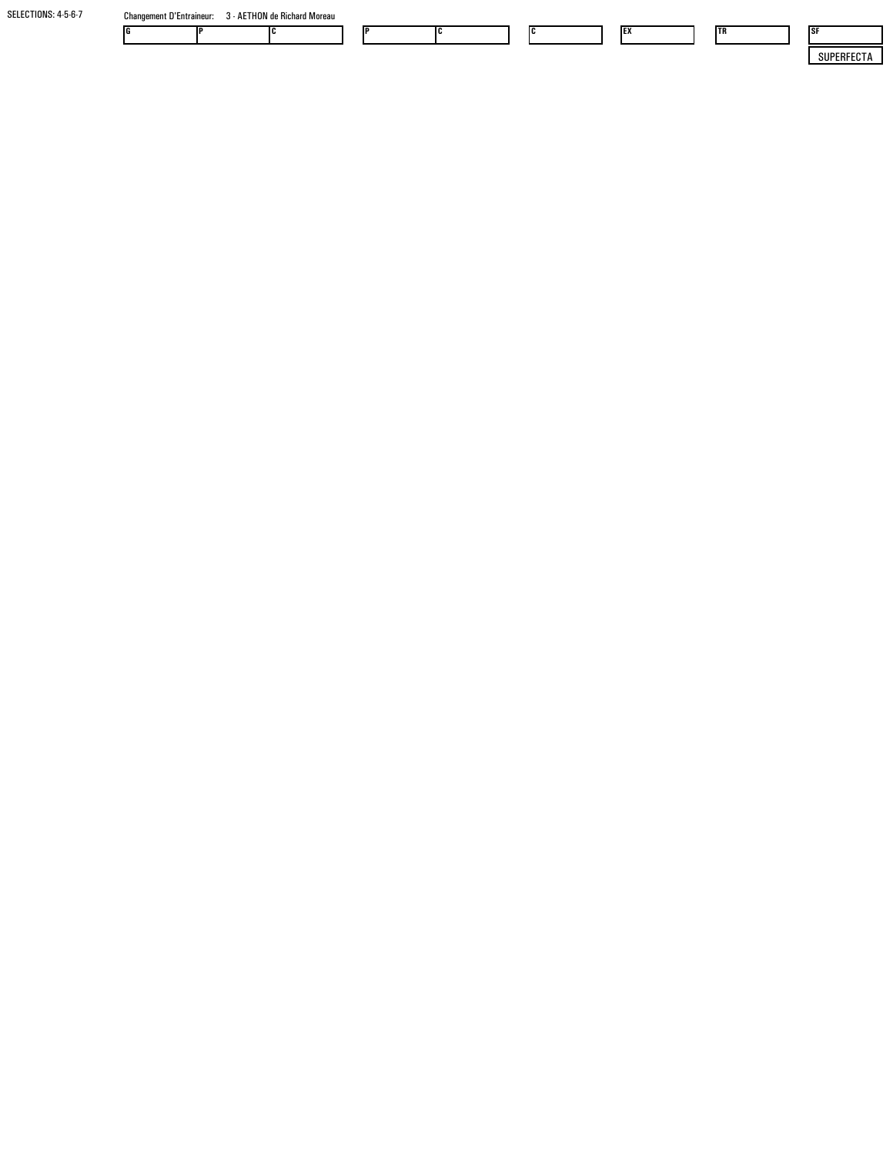| SELECTIONS: 4-5-6-7 | <b>Changement D'Entraineur:</b> | - AETHON de Richard Moreau |  |  |    |            |    |            |
|---------------------|---------------------------------|----------------------------|--|--|----|------------|----|------------|
|                     |                                 |                            |  |  | Ic | <b>IEX</b> | TR | - ISF      |
|                     |                                 |                            |  |  |    |            |    | SUPERFECTA |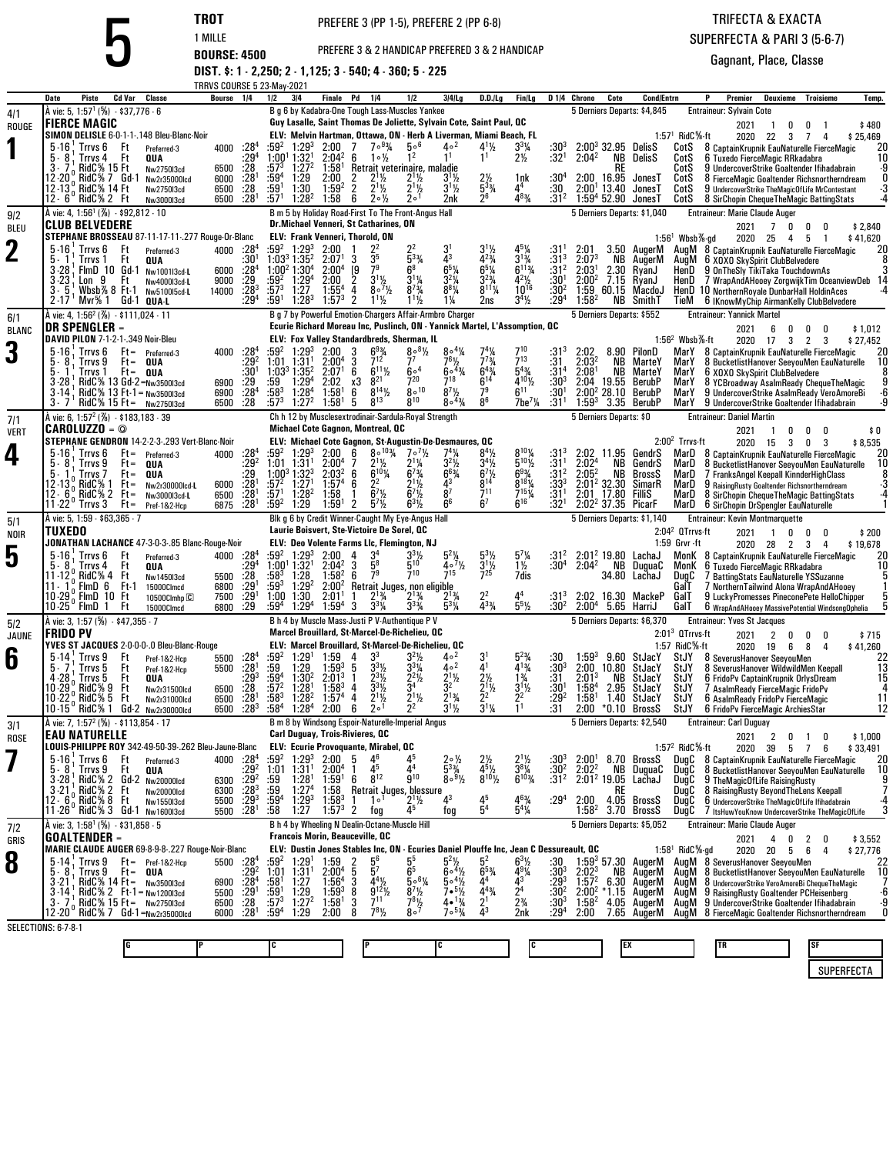PREFERE 3 & 2 HANDICAP PREFERED 3 & 2 HANDICAP

TRIFECTA & EXACTASUPERFECTA & PARI 3 (5-6-7)

Gagnant, Place, Classe

**TROT** PREFERE 3 (PP 1-5), PREFERE 2 (PP 6-8)<br> **BOURSE: 4500** PREFERE 3 & 2 HANDICAP PREFERED 3 & 2 H<br> **DIST. \$: 1 - 2,250; 2 - 1,125; 3 - 540; 4 - 360; 5 - 225** 

|              |                                                                                                                       |                                       | TRRVS COURSE 5 23-May-2021 |                                       |                                     |                                                                                  |                                                                                                            |                       |                                                                                                                 |                                                                                                            |                                                  |                                                       |                               |                                                 |               |                                                     |                                          |                                                                                                    |                     |
|--------------|-----------------------------------------------------------------------------------------------------------------------|---------------------------------------|----------------------------|---------------------------------------|-------------------------------------|----------------------------------------------------------------------------------|------------------------------------------------------------------------------------------------------------|-----------------------|-----------------------------------------------------------------------------------------------------------------|------------------------------------------------------------------------------------------------------------|--------------------------------------------------|-------------------------------------------------------|-------------------------------|-------------------------------------------------|---------------|-----------------------------------------------------|------------------------------------------|----------------------------------------------------------------------------------------------------|---------------------|
|              | Cd Var<br>Date<br>Piste<br>À vie: 5, 1:57 <sup>1</sup> (%) - \$37,776 - 6                                             | Classe                                | Bourse                     | 1/4                                   | 1/2                                 | 3 4                                                                              | Finale Pd                                                                                                  | 1/4                   | 1/2<br>B g 6 by Kadabra-One Tough Lass-Muscles Yankee                                                           | $3 4 $ lg                                                                                                  | D.D. / Lg                                        | Fin/Lg                                                |                               | D <sub>1/4</sub> Chrono                         | Cote          | <b>Cond/Entrn</b><br>5 Derniers Departs: \$4,845    |                                          | P<br>Premier<br><b>Deuxieme</b><br>Troisieme<br><b>Entraineur: Sylvain Cote</b>                    | Temp.               |
| 4/1<br>ROUGE | <b>FIERCE MAGIC</b>                                                                                                   |                                       |                            |                                       |                                     |                                                                                  |                                                                                                            |                       |                                                                                                                 | Guy Lasalle, Saint Thomas De Joliette, Sylvain Cote, Saint Paul, OC                                        |                                                  |                                                       |                               |                                                 |               |                                                     |                                          | 2021<br>$\overline{1}$<br>0<br>0                                                                   | \$480               |
|              | SIMON DELISLE 6-0-1-1-.148 Bleu-Blanc-Noir                                                                            |                                       |                            |                                       |                                     |                                                                                  |                                                                                                            |                       |                                                                                                                 | ELV: Melvin Hartman, Ottawa, ON - Herb A Liverman, Miami Beach, FL                                         |                                                  |                                                       |                               |                                                 |               |                                                     | $1.571$ RidC %-ft                        | 2020 22<br>3<br>7<br>4                                                                             | \$25,469            |
|              | $5 - 16$<br>Trrvs 6<br>Ft<br>5.8<br>Trrvs 4<br>Ft                                                                     | Preferred-3<br>QUA                    | 4000                       | $:28^4$<br>:29 $4$                    | :592                                | $1:29^{3}$<br>1:00 <sup>1</sup> 1:32 <sup>1</sup>                                | 2:00<br>$2:04^2$                                                                                           | 7<br>6                | $7°^{93}/4$<br>5∘6<br>1 <sup>2</sup><br>$1 \circ \frac{1}{2}$                                                   | $4\circ^2$                                                                                                 | 41%<br>1 <sup>1</sup>                            | 331⁄4<br>$2\frac{1}{2}$                               | $:30^{3}$<br>$:32^{1}$        | 2:04 <sup>2</sup>                               | NB            | $2:00^3$ 32.95 DelisS<br>DelisS                     | CotS<br>CotS                             | 8 CaptainKrupnik EauNaturelle FierceMagic<br>6 Tuxedo FierceMagic RRkadabra                        | 20<br>10            |
|              | <b>RidC% 15 Ft</b><br>3.7                                                                                             | Nw2750I3cd                            | 6500                       | $: 28$<br>:28 <sup>1</sup>            | $:57^{3}$                           | $1:27^{2}$                                                                       | 1:58 <sup>1</sup>                                                                                          |                       | Retrait veterinaire, maladie                                                                                    |                                                                                                            |                                                  |                                                       |                               |                                                 | RE            |                                                     | CotS                                     | 9 UndercoverStrike Goaltender Ifihadabrain                                                         | -9                  |
|              | RidC% 7 Gd-1<br>12-20 .<br>12 13, RidC% 14 Ft                                                                         | Nw2r35000lcd<br>Nw275013cd            | 6000<br>6500               | .28                                   | :59ª<br>$:59^1$                     | 1:29<br>1:30                                                                     | 2:00<br>1:59 <sup>2</sup>                                                                                  | 2<br>2                | $2^{11/2}$<br>$2^{11/2}$<br>$2^{11}/2$<br>$2^{1}$ <sup>1</sup> / <sub>2</sub>                                   | $3^{1}/_{2}$<br>$3^{1}$ 1/ <sub>2</sub>                                                                    | $2\frac{1}{2}$<br>5 <sup>33</sup> / <sub>4</sub> | 1nk<br>44                                             | $:30^4$<br>:30                | 2:00 16.95<br>$2:001$ 13.40                     |               | JonesT<br>JonesT                                    | CotS<br>CotS                             | 8 FierceMagic Goaltender Richsnortherndream<br>9 UndercoverStrike TheMagicOfLife MrContestant      |                     |
|              | 12 - 6 ° RidC % 2 Ft                                                                                                  | Nw3000I3cd                            | 6500                       | :28 <sup>1</sup>                      | :57 <sup>1</sup>                    | 1:28 <sup>2</sup>                                                                | 1:58                                                                                                       | 6                     | $2 \circ \frac{1}{2}$<br>2 <sup>0</sup>                                                                         | 2nk                                                                                                        | 26                                               | 483/4                                                 | :31 <sup>2</sup>              |                                                 |               | $1:59^4$ 52.90 JonesT                               | CotS                                     | 8 SirChopin ChequeTheMagic BattingStats                                                            |                     |
| 9/2          | A vie: 4, 1:56 <sup>1</sup> (%) $-$ \$92,812 $-$ 10                                                                   |                                       |                            |                                       |                                     |                                                                                  |                                                                                                            |                       | B m 5 by Holiday Road-First To The Front-Angus Hall<br>Dr.Michael Venneri, St Catharines, ON                    |                                                                                                            |                                                  |                                                       |                               |                                                 |               | 5 Derniers Departs: \$1,040                         |                                          | <b>Entraineur: Marie Claude Auger</b>                                                              |                     |
| BLEU         | <b>CLUB BELVEDERE</b><br>STEPHANE BROSSEAU 87-11-17-11-.277 Rouge-Or-Blanc                                            |                                       |                            |                                       |                                     |                                                                                  | <b>ELV: Frank Venneri, Thorold, ON</b>                                                                     |                       |                                                                                                                 |                                                                                                            |                                                  |                                                       |                               |                                                 |               |                                                     | $1.561$ Wbsb%-gd                         | 2021<br>0<br>7<br>0<br>0<br>2020 25 4<br>5<br>-1                                                   | \$2,840<br>\$41,620 |
| $\mathbf 2$  | $5.16$ : Trrvs $6$<br>Ft                                                                                              | Preferred-3                           | 4000                       | :284                                  |                                     | $:59^2$ 1:29 <sup>3</sup>                                                        | 2:00                                                                                                       |                       |                                                                                                                 |                                                                                                            | $3^{11}_{2}$                                     | 451⁄4                                                 | :31                           | 2:01                                            |               | 3.50 AugerM                                         |                                          | AugM 8 CaptainKrupnik EauNaturelle FierceMagic                                                     | 20                  |
|              | 5.1<br>Trrvs 1<br>Ft<br>$3 - 28$<br>FlmD 10 Gd-1                                                                      | QUA<br>Nw1001I3cd-L                   | 6000                       | :30†<br>:28 <sup>4</sup>              | $1:00^2$ 1:30 <sup>4</sup>          | 1:03 <sup>3</sup> 1:35 <sup>2</sup>                                              | 2:07 <sup>1</sup><br>2:00 <sup>4</sup>                                                                     | 35<br>3<br>79<br>[9   |                                                                                                                 |                                                                                                            | $4^{23}$ /4<br>$6^{5}$ <sup>%</sup>              | $3^{13/4}$<br>6 <sup>113</sup> / <sub>4</sub>         | :313<br>:31 <sup>2</sup>      | 2:07 <sup>3</sup><br>2.03 <sup>1</sup>          | ΝB<br>2.30    | AugerM<br>RyanJ                                     | AuaM<br>HenD                             | 6 XOXO SkySpirit ClubBelvedere<br>9 OnTheSly TikiTaka TouchdownAs                                  |                     |
|              | $3 - 23$<br>Lon 9<br>Ft                                                                                               | Nw4000l3cd-L                          | 9000                       | :29                                   | :59ª                                | $1:29^{4}$                                                                       | 2:00                                                                                                       | $\overline{2}$        | $3^{1}\frac{1}{2}$<br>$8^{0.7}\frac{1}{2}$                                                                      |                                                                                                            | $3^{23}/4$                                       | $4^{2}\%$<br>$10^{16}$                                | :30 <sup>1</sup>              | $2:00^2$                                        |               | 7.15 RyanJ                                          | HenD                                     | 7 WrapAndAHooey ZorgwijkTim OceanviewDeb 14                                                        |                     |
|              | Whsh $% 8$ Ft-1<br>3.5<br>$2 - 17$<br>'Mvr% 1 Gd-1 QUA-L                                                              | Nw510015cd-L                          | 14000                      | : 28 <sup>3</sup><br>:29 <sup>4</sup> | :573<br>:591                        | 1:27<br>$1:28^{3}$                                                               | $1:55^{4}$<br>$1:57^{3}$                                                                                   | 4<br>2                | $8^{7}$ <sup>3</sup> / <sub>4</sub><br>$1^{11}$<br>$1^{11}/2$                                                   | $8^{8}$ <sup>1</sup> / <sub>4</sub><br>$1\frac{1}{4}$                                                      | $8^{11}\%$<br>2ns                                | $3^{4}$ <sup>1</sup> / <sub>2</sub>                   | :30ª<br>:29 <sup>4</sup>      | 1:59<br>$1:58^{2}$                              | 60.15         | MacdoJ<br><b>NB</b> SmithT                          | TieM                                     | HenD 10 NorthernRoyale DunbarHall HoldinAces<br>6 IKnowMyChip AirmanKelly ClubBelvedere            |                     |
| 6/1          | À vie: 4, 1:56 <sup>2</sup> (%) - \$111,024 - 11                                                                      |                                       |                            |                                       |                                     |                                                                                  |                                                                                                            |                       |                                                                                                                 | B g 7 by Powerful Emotion-Chargers Affair-Armbro Charger                                                   |                                                  |                                                       |                               | 5 Derniers Departs: \$552                       |               |                                                     |                                          | <b>Entraineur: Yannick Martel</b>                                                                  |                     |
| <b>BLANC</b> | DR SPENGLER –<br>DAVID PILON 7-1-2-1-.349 Noir-Bleu                                                                   |                                       |                            |                                       |                                     |                                                                                  |                                                                                                            |                       | ELV: Fox Valley Standardbreds, Sherman, IL                                                                      | Ecurie Richard Moreau Inc, Puslinch, ON - Yannick Martel, L'Assomption, QC                                 |                                                  |                                                       |                               |                                                 |               |                                                     | $1.562$ Wbsb $%$ -ft                     | 2021<br>6<br>0<br>0<br>2020 17<br>$3 \quad 2 \quad 3$                                              | \$1,012<br>\$27,452 |
| 3            | $5 - 16$<br>$Ft =$<br>Trrvs 6                                                                                         | Preferred-3                           | 4000                       | $:28^{4}$<br>$:29^{2}$                | :592                                | $1:29^{3}$                                                                       | 2:00                                                                                                       | 3                     | $6^{9}$ <sup>3</sup> / <sub>4</sub><br>$8\cdot\frac{81}{2}$                                                     | $8°^{4}\%$                                                                                                 |                                                  | 710                                                   | :313                          | 2:02                                            |               | 8.90 PilonD                                         | MarY                                     | 8 CaptainKrupnik EauNaturelle FierceMagic                                                          |                     |
|              | 5.<br>Trrvs 9<br>⊦t =<br>5.1<br>Trrvs 1                                                                               | QUA<br>Ft= QUA                        |                            | $:30^{1}$                             | 1:03 <sup>3</sup> 1:35 <sup>2</sup> | $1:01$ $1:31$ <sup>1</sup>                                                       | $2:00^{4}$<br>2:07 <sup>1</sup>                                                                            | 6                     | 71<br>$6^{11}$ %<br>60 <sup>4</sup>                                                                             | 76½<br>$60^{43}$                                                                                           | $7^{73}$<br>$6^{4}$ %                            | 713<br>$5^{4}$ <sup>3</sup> / <sub>4</sub>            | :31<br>:31 <sup>4</sup>       | 2:03 <sup>2</sup><br>2:08 <sup>1</sup>          | NB<br>NB      | MarteY<br>MarteY                                    | MarY<br>MarY                             | 8 BucketlistHanover SeeyouMen EauNaturelle<br>6 XOXO SkySpirit ClubBelvedere                       | 10                  |
|              | RidC% 13 Gd-2=Nw3500l3cd<br>$3 - 28$                                                                                  |                                       | 6900                       | :29.284                               | :59                                 | $1:29^{4}$                                                                       | 2:02                                                                                                       | 821<br>xЗ             | 720                                                                                                             | $7^{18}$                                                                                                   | $6^{14}$                                         | $4^{10}\%$                                            | $^{130^3}_{130^1}$            | 2:04                                            | 19.55         | BerubP                                              | MarY                                     | 8 YCBroadway AsalmReady ChequeTheMagic                                                             |                     |
|              | $RidC\%$ 13 Ft-1 = $Nw350013cd$<br>3-14<br>$3 - 7$ RidC% 15 Ft =                                                      | Nw2750I3cd                            | 6900<br>6500               | :28                                   | $:58^{3}$<br>$:57^{3}$              | $1:28^{4}$<br>1:27 <sup>2</sup>                                                  | 1:58 <sup>1</sup><br>1:58 <sup>1</sup>                                                                     | 6<br>5                | $8^{14}$ %<br>800<br>$8^{13}$<br>$8^{10}$                                                                       | $8^{7}$ <sup>1</sup> / <sub>2</sub><br>$8^{\circ4}\%$                                                      | 79<br>8 <sup>6</sup>                             | $6^{11}$<br>$7$ be <sup>7</sup> $\frac{1}{4}$         | :31 <sup>1</sup>              | 2:00 <sup>2</sup><br>$1:59^{3}$                 | 28.10<br>3.35 | BerubP<br>BerubP                                    | MarY<br>MarY                             | 9 UndercoverStrike AsalmReady VeroAmoreBi<br>9 UndercoverStrike Goaltender Ifihadabrain            | -6<br>-9            |
| 7/1          | A vie: 6, 1:57 <sup>2</sup> (%) - \$183,183 - 39                                                                      |                                       |                            |                                       |                                     |                                                                                  |                                                                                                            |                       | Ch h 12 by Musclesextrodinair-Sardula-Royal Strength                                                            |                                                                                                            |                                                  |                                                       |                               | 5 Derniers Departs: \$0                         |               |                                                     |                                          | <b>Entraineur: Daniel Martin</b>                                                                   |                     |
| <b>VERT</b>  | CAROLUZZO = ©<br>STEPHANE GENDRON 14-2-2-3-.293 Vert-Blanc-Noir                                                       |                                       |                            |                                       |                                     |                                                                                  | Michael Cote Gagnon, Montreal, QC                                                                          |                       |                                                                                                                 | ELV: Michael Cote Gagnon, St-Augustin-De-Desmaures, QC                                                     |                                                  |                                                       |                               |                                                 |               |                                                     | $2:002$ Trrvs-ft                         | 2021<br>0<br>-1<br>0<br>0                                                                          | \$0                 |
| 4            | $5 - 16$<br>Trrvs 6<br>$Ft =$                                                                                         | Preferred-3                           | 4000                       | $:28^{4}$                             | :59ª                                | $1:29^{3}$                                                                       | 2:00                                                                                                       | 6                     | $8^{\circ}$ <sup>103</sup> / <sub>4</sub><br>$7 \cdot \frac{7}{2}$                                              |                                                                                                            | $8^{4}$ %                                        | $8^{10}$ %                                            | :31ª                          | 2:02                                            | 11.95         | GendrS                                              |                                          | 2020 15<br>$3\quad 0$<br>3<br>MarD 8 CaptainKrupnik EauNaturelle FierceMagic                       | \$8,535             |
|              | 5.<br>Trrvs 9<br>⊦t=<br>5.1                                                                                           | QUA                                   |                            | $:29^{2}$                             |                                     | $1:01$ $1:31$ <sup>1</sup><br>$1:00^3$ 1:32 <sup>3</sup>                         | 2:00 <sup>4</sup><br>2:03 <sup>2</sup>                                                                     | 6                     | $2^{11}/2$<br>$2^{11/4}$<br>$6^{7}$ <sup>3</sup> / <sub>4</sub><br>$6^{10}$ <sup>/4</sup>                       | $3^2\%$<br>$6^{6}_{/4}$                                                                                    | $34$ %                                           | $5^{10}$ %                                            | :31 <sup>1</sup><br>:312      | 2:02 <sup>4</sup><br>$2:05^2$                   | NB<br>NB      | GendrS<br>BrossS                                    | MarD<br>MarD                             | 8 BucketlistHanover SeeyouMen EauNaturelle<br>7 FranksAngel Keepall KinnderHighClass               | 10                  |
|              | Trrvs 7<br>⊦t =<br>12 -13 ° RidC% 1<br>⊦t=                                                                            | QUA<br>Nw2r30000lcd-L                 | 6000                       | : 29.281                              | $:57^2$                             | 1:27 <sup>1</sup>                                                                | 1:57 <sup>4</sup>                                                                                          | 2 <sup>2</sup><br>6   | $2^{11}/2$                                                                                                      |                                                                                                            |                                                  | $6^{93/4}_{8^{18}/4}$                                 | $:33^{3}$                     | $2:01^2$ 32.30                                  |               | SimarR                                              | MarD                                     | 9 RaisingRusty Goaltender Richsnortherndream                                                       | -3                  |
|              | 12 $-6$ , RidC $\frac{1}{2}$ 2 Ft =<br>$11-22$<br>Trrvs 3<br>$Ft =$                                                   | Nw3000I3cd-L<br>Pref-1&2-Hcp          | 6500<br>6875               | $:28^{1}$<br>:28 <sup>1</sup>         | :57'<br>:59ª                        | 1:28 <sup>2</sup><br>1:29                                                        | 1:58<br>1:59'                                                                                              | $\mathbf{1}$<br>2     | $6^7\frac{1}{2}$<br>$6^7\frac{1}{2}$<br>$57$ %<br>$6^{3}$ <sup>1</sup> / <sub>2</sub>                           | 87<br>6 <sup>6</sup>                                                                                       | 711<br>6 <sup>7</sup>                            | $7^{15}$ <sup>1</sup> / <sub>4</sub><br>$6^{16}$      | $:31^{1}$<br>:32 $^1$         | 2:01 17.80<br>2:02 <sup>2</sup> 37.35 PicarF    |               | Fillis                                              | MarD<br>MarD                             | 8 SirChopin Cheque The Magic Batting Stats<br>6 SirChopin DrSpengler EauNaturelle                  | -4                  |
| 5/1          | À vie: 5, 1:59 - \$63,365 - 7                                                                                         |                                       |                            |                                       |                                     |                                                                                  |                                                                                                            |                       | Blk g 6 by Credit Winner-Caught My Eye-Angus Hall                                                               |                                                                                                            |                                                  |                                                       |                               |                                                 |               | 5 Derniers Departs: \$1,140                         |                                          | <b>Entraineur: Kevin Montmarquette</b>                                                             |                     |
| <b>NOIR</b>  | TUXEDO                                                                                                                |                                       |                            |                                       |                                     |                                                                                  |                                                                                                            |                       | Laurie Boisvert, Ste-Victoire De Sorel, QC                                                                      |                                                                                                            |                                                  |                                                       |                               |                                                 |               |                                                     | $2:042$ QTrrvs-ft<br>1:59 Grvr -ft       | 2021<br>$\mathbf 0$<br>$\overline{1}$<br>$\mathbf{0}$<br>0                                         | \$200               |
| 5            | JONATHAN LACHANCE 47-3-0-3-.85 Blanc-Rouge-Noir<br>$5-16$ . Trrvs $6$<br>Ft                                           | Preferred-3                           | 4000                       | :28 $4$                               |                                     | $:59^2$ 1:29 <sup>3</sup>                                                        | 2:00                                                                                                       | 3 <sup>4</sup><br>4   | ELV: Deo Volente Farms LIc, Flemington, NJ<br>$3^{3}$ <sup>1</sup> / <sub>2</sub>                               | 54%                                                                                                        | $5^{3}$ <sup>1</sup> / <sub>2</sub>              | $5^{7}$ <sup>/</sup> / <sub>4</sub>                   | $:31^2$                       |                                                 |               | $2:012$ 19.80 LachaJ                                |                                          | 2020 28<br>$2^{\circ}$<br>3<br>4<br>MonK 8 CaptainKrupnik EauNaturelle FierceMagic                 | \$19,678<br>20      |
|              | Trrvs 4<br>5.8<br>Ft<br>RidC% 4<br>11-12<br>Ft                                                                        | QUA                                   | 5500                       | $\frac{1}{2}$<br>$\frac{2}{9}$        | :583                                | 1:00 <sup>1</sup> 1:32 <sup>1</sup><br>1:28                                      | $2:04^2$<br>$1:58^{2}$                                                                                     | $5^8$<br>3<br>79<br>6 | 510<br>710                                                                                                      | 407½                                                                                                       | $3^{11/2}$<br>725                                | $1\frac{1}{2}$<br>7dis                                | :30ª                          | $2:04^2$                                        |               | NB DuguaC<br>34.80 LachaJ                           | MonK<br>DugC                             | 6 Tuxedo FierceMagic RRkadabra<br>7 BattingStats EauNaturelle YSSuzanne                            | 10                  |
|              | 11 $-1$ , FlmD 6<br>Ft-1                                                                                              | Nw1450I3cd<br>15000Clmcd              | 6800                       | $:29^{1}$                             | $:59^3$                             | 1:29 <sup>2</sup>                                                                | $2:00^2$                                                                                                   |                       | Retrait Juges, non eligible                                                                                     |                                                                                                            |                                                  |                                                       |                               |                                                 |               |                                                     | GalT                                     | / NorthernTailwind Alona WrapAndAHooey                                                             |                     |
|              | 10.29 <sup>0</sup> FimD 10<br>Ft<br>$10.25^{\circ}$ FlmD $1$<br>Ft                                                    | 10500Clmhp <sup>C</sup><br>15000Clmcd | 7500<br>6800               | $^{.29}_{.29}$                        | 1:00<br>$:59^{4}$                   | 1:30<br>1:29 <sup>4</sup>                                                        | 2:01 <sup>1</sup><br>1:59 <sup>4</sup>                                                                     | 3                     | $2^{13}/4$<br>$2^{13}/4$<br>$3^{3}$ <sup>1</sup> / <sub>4</sub><br>$3^{3^{3}/4}$                                | $5^{3}$ /4                                                                                                 | 22<br>$\bar{4}^{3}\%$                            | 44<br>$5^{5}$ %                                       | $:31^{3}$<br>:30 <sup>2</sup> | 2:00 <sup>4</sup>                               |               | 2:02 16.30 MackeP<br>5.65 HarriJ                    | GalT<br>GalT                             | 9 LuckyPromesses PineconePete HelloChipper<br>6 WrapAndAHooey MassivePotential WindsongOphelia     |                     |
| 5/2          | A vie: 3, 1:57 (%) - \$47,355 - 7                                                                                     |                                       |                            |                                       |                                     |                                                                                  |                                                                                                            |                       | B h 4 by Muscle Mass-Justi P V-Authentique P V                                                                  |                                                                                                            |                                                  |                                                       |                               |                                                 |               | 5 Derniers Departs: \$6,370                         |                                          | <b>Entraineur: Yves St Jacques</b>                                                                 |                     |
| JAUNE        | FRIDO PV                                                                                                              |                                       |                            |                                       |                                     |                                                                                  |                                                                                                            |                       | Marcel Brouillard, St-Marcel-De-Richelieu, QC                                                                   | ELV: Marcel Brouillard, St-Marcel-De-Richelieu, QC                                                         |                                                  |                                                       |                               |                                                 |               |                                                     | $2:013$ QTrrvs-ft                        | 2021<br>2<br>0<br>0<br>0                                                                           | \$715               |
| 6            | YVES ST JACQUES 2-0-0-0-.0 Bleu-Blanc-Rouge<br>$5 - 14$<br>Trrvs 9<br>Ft                                              | Pref-1&2-Hcp                          | 5500                       |                                       | :59ª                                | 1:29 <sup>1</sup>                                                                | 1:59                                                                                                       | 3 <sup>3</sup><br>4   | $3^{2}\%$                                                                                                       | $4\circ^2$                                                                                                 |                                                  |                                                       |                               | $1:59^{3}$                                      |               | 9.60 StJacY                                         | 1:57 RidC%-ft<br>StJY                    | 2020 19<br>6<br>8<br>4<br>8 SeverusHanover SeevouMen                                               | \$41.260            |
|              | 5.7<br>l rrvs b<br>H                                                                                                  | Pref-1&2-Hcp                          | 5500                       | $: 284$<br>$: 281$                    | :59<br>$:59^4$                      | 1:29                                                                             | $1:59^{3}$                                                                                                 | 5                     | $3^{3}$ <sup>1</sup> / <sub>4</sub><br>$3^{3}$ <sup>1</sup> / <sub>2</sub><br>$2^2$ <sup>1</sup> / <sub>2</sub> | 40 <sup>2</sup><br>$2^{11}/2$                                                                              | 41                                               | $4^{13}$ /4                                           | $:30^{3}$                     | 2:00                                            | 10.80         | StJacY                                              | <b>StJY</b>                              | 8 Severus Hanover Wildwild Men Keepall                                                             | $\frac{22}{13}$     |
|              | Trrvs 5<br>Ft<br>4 - 28<br>10 - 29<br>RidC% 9<br>Ft                                                                   | QUA<br>Nw2r31500lcd                   | 6500                       | $:29^{3}$<br>$\frac{.28}{.28}$        | $:57^{2}$                           | 1:30 <sup>2</sup><br>1:28 <sup>1</sup>                                           | 2:01 <sup>3</sup><br>$1:58^{3}$                                                                            | 4                     | $2^{3}\frac{1}{2}$<br>$3^{3}$ <sup>1</sup> / <sub>2</sub><br>3 <sup>4</sup>                                     | 32                                                                                                         | $\frac{2^{11}}{2^{2}}$                           | $1\frac{3}{4}$<br>$3^{1/2}$<br>2 <sup>2</sup>         | :31<br>$:30^{1}$<br>$:29^{2}$ | $2:01^3$<br>1:58 <sup>4</sup>                   | NB<br>2.95    | StJacY<br>StJacY                                    | StJY<br>StJY                             | 6 FridoPv CaptainKrupnik OrlysDream<br>7 AsalmReady FierceMagic FridoPv                            | 15                  |
|              | $10 - 22$<br>RidC% 5<br>-H<br>10 15° RidC% 1                                                                          | Nw2r31000lcd<br>Gd-2 Nw2r30000lcd     | 6500<br>6500               | $:28^{3}$                             | $:58^3$<br>:58ª                     | $1:28^{2}$<br>1:28 <sup>4</sup>                                                  | 1:57 <sup>4</sup><br>2:00                                                                                  | 4<br>6                | $2^{11/2}$<br>$2^{1}/2$<br>2 <sup>0</sup>                                                                       | $2^{13}/4$                                                                                                 | $3^{11/4}$                                       | 1 <sup>1</sup>                                        | :31                           | 1:58 <sup>1</sup><br>2:00                       | 1.40<br>*0.10 | StJacY<br>BrossS                                    | StJY<br>StJY                             | 6 AsalmReady FridoPv FierceMagic<br>6 FridoPv FierceMagic ArchiesStar                              | 11<br>12            |
| 3/1          | À vie: 7, 1:57 <sup>2</sup> (%) - \$113,854 - 17                                                                      |                                       |                            |                                       |                                     |                                                                                  |                                                                                                            |                       | B m 8 by Windsong Espoir-Naturelle-Imperial Angus                                                               |                                                                                                            |                                                  |                                                       |                               |                                                 |               | 5 Derniers Departs: \$2,540                         |                                          | <b>Entraineur: Carl Duguay</b>                                                                     |                     |
| <b>ROSE</b>  | <b>EAU NATURELLE</b>                                                                                                  |                                       |                            |                                       |                                     |                                                                                  | Carl Duguay, Trois-Rivieres, QC                                                                            |                       |                                                                                                                 |                                                                                                            |                                                  |                                                       |                               |                                                 |               |                                                     |                                          | 2021<br>2 0 1 0                                                                                    | \$1,000             |
|              | LOUIS-PHILIPPE ROY 342-49-50-39-.262 Bleu-Jaune-Blanc ELV: Ecurie Provoquante, Mirabel, QC<br>$5-16$ , Trrvs 6<br>Ft. | Preferred-3                           |                            | 4000 :28 <sup>4</sup>                 |                                     | $:59^2$ 1:29 <sup>3</sup>                                                        | $2:00$ 5                                                                                                   | 46                    |                                                                                                                 | $2 \circ \frac{\pi}{2}$                                                                                    |                                                  |                                                       | :30ª                          | 2:00                                            |               | 8.70 BrossS                                         | 1:57 <sup>2</sup> RidC <sup>5</sup> %-ft | 2020 39 5 7<br>6<br>DugC 8 CaptainKrupnik EauNaturelle FierceMagic                                 | \$33,491<br>20      |
|              | 5 - 8<br>Trrvs 9<br>Ft.                                                                                               | QUA                                   |                            | $:29^{2}$                             | $1:01$ $1:31$                       |                                                                                  | $2:00^4$                                                                                                   | 45                    |                                                                                                                 | $5^{3}$ <sup>%</sup>                                                                                       | $\frac{4^{5}y_{2}}{8^{10}y_{2}}$                 | $3^{8}\frac{1}{4}$<br>6 <sup>103</sup> / <sub>4</sub> | :30 <sup>2</sup>              | $2:02^2$                                        |               | NB DuguaC                                           | DugC                                     | 8 BucketlistHanover SeeyouMen EauNaturelle 10                                                      |                     |
|              | $3.28^{1}$ RidC% 2 Gd-2 Nw20000lcd<br>$3.21^{1}$ RidC% 2 Ft Nw20000lcd<br>$12.60$ RidC% 8 Ft Nw1550l3cd               |                                       |                            | 6300 $\frac{129^2}{6300}$             |                                     |                                                                                  | $1:59^1$ 6 $8^{12}$<br>$:59$ $:1:28^1$ $:1:59^1$<br>$:59$ $:1:27^4$ $:1:58$<br>$:59^4$ $:1:29^3$ $:1:58^3$ |                       | $9^{10}$<br>1:58 Retrait Juges, blessure                                                                        | $8.9\%$                                                                                                    |                                                  |                                                       |                               | :31 <sup>2</sup> 2:01 <sup>2</sup> 19.05 LachaJ | <b>RE</b>     |                                                     | <b>DugC</b><br>DugC                      | 9 TheMagicOfLife RaisingRusty<br>8 Raising Rusty Beyond The Lens Keepall                           |                     |
|              |                                                                                                                       |                                       |                            | $5500$ :29 <sup>3</sup>               |                                     |                                                                                  | $1:57^3$ 2                                                                                                 | 1 <sup>0</sup>        | $2^{11}/2$                                                                                                      |                                                                                                            | 5 <sup>4</sup>                                   | $4^{6}$ <sup>3</sup> / <sub>4</sub><br>$5^{4}$ %      | $:29^{4}$                     |                                                 |               | 2:00 4.05 BrossS                                    |                                          | DugC 6 UndercoverStrike TheMagicOfLife Ifihadabrain                                                |                     |
|              | 11-26 RidC% 3 Gd-1 Nw160013cd<br>À vie: 3, 1:58 <sup>1</sup> (%) - \$31,858 - 5                                       |                                       |                            | 5500 : 28 <sup>1</sup>                | :58                                 | 1:27                                                                             |                                                                                                            | fog                   | B h 4 by Wheeling N Dealin-Octane-Muscle Hill                                                                   | tog                                                                                                        |                                                  |                                                       |                               |                                                 |               | $1:58^2$ 3.70 BrossS<br>5 Derniers Departs: \$5,052 | DugC                                     | 7 ItsHuwYouKnow UndercoverStrike TheMagicOfLife<br><b>Entraineur: Marie Claude Auger</b>           |                     |
| 712<br>GRIS  | <b>GOALTENDER =</b>                                                                                                   |                                       |                            |                                       |                                     |                                                                                  | Francois Morin, Beauceville, QC                                                                            |                       |                                                                                                                 |                                                                                                            |                                                  |                                                       |                               |                                                 |               |                                                     |                                          | 2021<br>$\overline{4}$<br>$0 \quad 2 \quad 0$                                                      | \$3,552             |
|              | MARIE CLAUDE AUGER 69-8-9-8-.227 Rouge-Noir-Blanc<br>$5-14$ , Trrvs 9                                                 |                                       |                            | 5500 :284                             |                                     |                                                                                  |                                                                                                            |                       |                                                                                                                 | ELV: Dustin Jones Stables Inc, ON - Ecuries Daniel Plouffe Inc, Jean C Dessureault, QC<br>$5^2\frac{1}{2}$ | $5^2$                                            |                                                       |                               |                                                 |               |                                                     | $1.581$ RidC%-gd                         | 2020 20<br>5<br>6<br>4                                                                             | \$27,776            |
| 8            | $Ft =$<br>5 - 8 Trrvs 9 Ft = $0.04$<br>3 -21 - RidC % 14 Ft = Nw350013cd                                              | Pref-1&2-Hcp                          |                            | $.29^2$<br>$.28^4$                    |                                     |                                                                                  | $:59^2$ 1:29 <sup>1</sup> 1:59 2                                                                           | $\frac{5^{6}}{5^{7}}$ | $5^5$<br>$6^5$                                                                                                  | $6^{\circ 4}$ %                                                                                            | $6^{5}_{4}$ <sup>3/4</sup>                       | $6^{3}\%$<br>$\frac{4^{9}4}{4^{3}}$                   | :30<br>$:30^{3}$<br>$:29^{3}$ | $2:02^3$<br>1:57 <sup>2</sup>                   |               | 1:59 $35.30$ AugerM<br>NB AugerM<br>6.30 AugerM     | AugM                                     | AugM 8 Severus Hanover Seeyou Men<br>8 BucketlistHanover SeeyouMen EauNaturelle                    | 10                  |
|              | $3 - 14$ , RidC% 2 Ft-1 = Nw120013cd                                                                                  |                                       | 5500                       |                                       |                                     | $1:01$ $1:31$ <sup>1</sup><br>$:58$ <sup>1</sup> 1:27<br>$:59$ <sup>1</sup> 1:29 | $2:00^4$ 5<br>1:56 <sup>4</sup> 3<br>1:59 <sup>3</sup> 8<br>$1:59^{3}$                                     |                       | $4^{4}\frac{1}{2}$<br>9 <sup>12</sup> / <sub>2</sub><br>$50^{6}$ <sup>1</sup> / <sub>4</sub><br>$8^{7}$ %       | $5 \cdot \frac{4}{2}$<br>$7 \cdot \frac{51}{2}$                                                            | $4^{43}$ /4                                      |                                                       | :30 <sup>2</sup>              |                                                 |               | $2.00^{2}$ *1.15 AugerM                             |                                          | AugM 8 UndercoverStrike VeroAmoreBi ChequeTheMagic<br>AugM 9 Raising Rusty Goaltender PCHeisenberg |                     |
|              | $3 - 7^1$ RidC% $15$ Ft = Nw275013cd<br>12 -20 <sup>0</sup> RidC% 7 Gd-1 = Nw2r35000lcd                               |                                       | 6500                       | $: 291$<br>$: 281$<br>$: 281$         | $:57^{3}$<br>:59 <sup>4</sup>       | $\begin{array}{c} 1:29 \\ 1:27^2 \\ 1:29 \end{array}$                            | $\begin{array}{cc} 1:58^1 & 3 \\ 2:00 & 8 \end{array}$                                                     | $\frac{5}{11}$        | $\frac{7^{8}}{8^{5}}$                                                                                           | $4 \cdot \frac{13}{4}$                                                                                     | $\frac{2^1}{4^3}$                                | $\frac{2^4}{2^3}$                                     | $:30^{3}$                     |                                                 |               | $1:58^2$ 4.05 AugerM<br>2:00 7.65 AugerM            |                                          | AugM 9 UndercoverStrike Goaltender Ifihadabrain                                                    | -9                  |
|              |                                                                                                                       |                                       | 6000                       |                                       |                                     |                                                                                  |                                                                                                            |                       | $7^{8}$ <sup>1</sup> / <sub>2</sub>                                                                             | $7^{\circ}5^{\frac{1}{3}}$                                                                                 |                                                  | 2nk                                                   | $:29^{4}$                     |                                                 |               |                                                     |                                          | AugM 8 FierceMagic Goaltender Richsnortherndream                                                   | 0                   |
|              | SELECTIONS: 6-7-8-1<br> G                                                                                             |                                       |                            |                                       |                                     |                                                                                  |                                                                                                            |                       |                                                                                                                 |                                                                                                            |                                                  |                                                       |                               |                                                 | EX            |                                                     |                                          | <b>TR</b><br><b>SF</b>                                                                             |                     |
|              |                                                                                                                       |                                       |                            |                                       |                                     |                                                                                  |                                                                                                            |                       |                                                                                                                 |                                                                                                            |                                                  |                                                       |                               |                                                 |               |                                                     |                                          |                                                                                                    |                     |

**SUPERFECTA**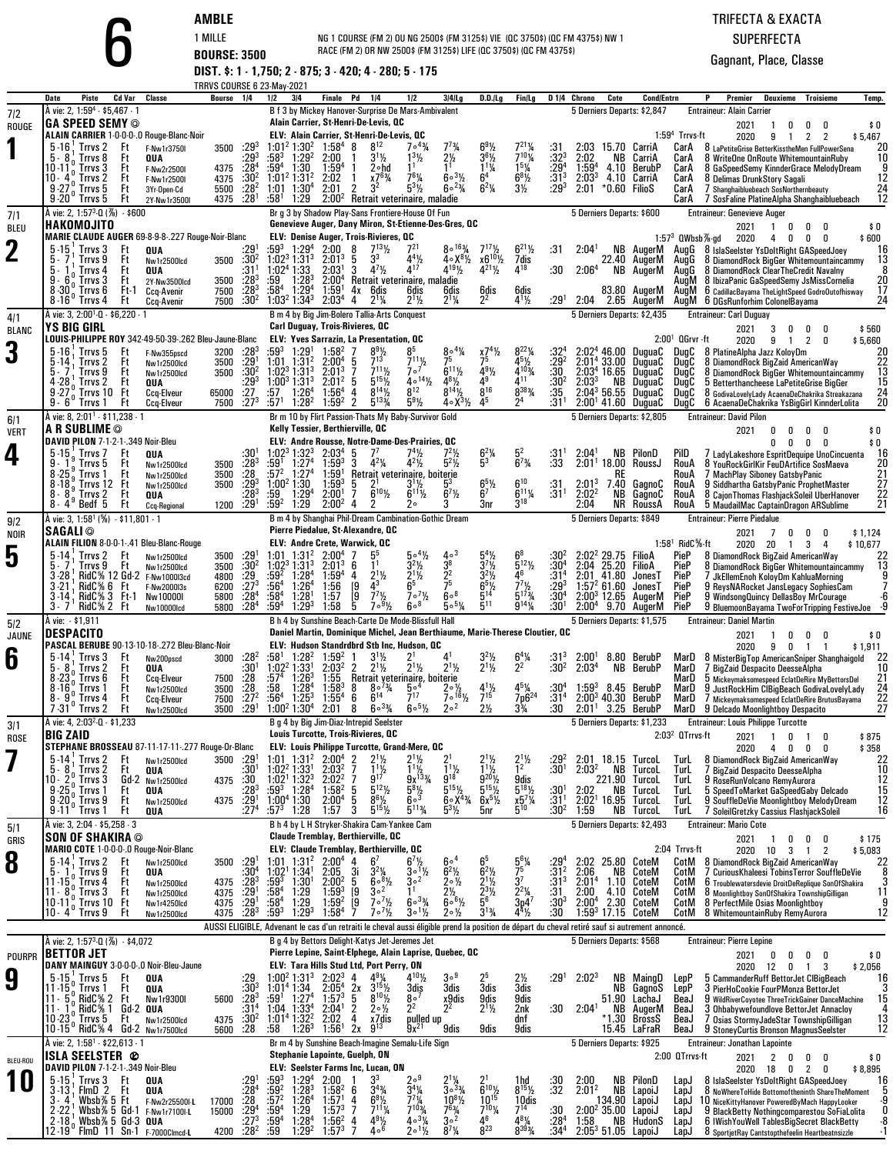| AMBI |  |        |  |  |
|------|--|--------|--|--|
|      |  | 88II I |  |  |

### TRIFECTA & EXACTASUPERFECTA

|                    |                                                                                                      |                                                          | AMBLE<br>1 MILLE                         |                                         |                                                                                                 |                                        | NG 1 COURSE (FM 2) OU NG 2500\$ (FM 3125\$) VIE (QC 3750\$) (QC FM 4375\$) NW 1 |                                                                                                      |                                                                                                                                                                                                  |                                                                             |                                                            |                                                                   |                                      |                                   |                                                   |                                                     |                                 | TRIFECTA & EXACTA                                  |                                                                                                                                              |                     |
|--------------------|------------------------------------------------------------------------------------------------------|----------------------------------------------------------|------------------------------------------|-----------------------------------------|-------------------------------------------------------------------------------------------------|----------------------------------------|---------------------------------------------------------------------------------|------------------------------------------------------------------------------------------------------|--------------------------------------------------------------------------------------------------------------------------------------------------------------------------------------------------|-----------------------------------------------------------------------------|------------------------------------------------------------|-------------------------------------------------------------------|--------------------------------------|-----------------------------------|---------------------------------------------------|-----------------------------------------------------|---------------------------------|----------------------------------------------------|----------------------------------------------------------------------------------------------------------------------------------------------|---------------------|
|                    |                                                                                                      |                                                          | <b>BOURSE: 3500</b>                      |                                         |                                                                                                 |                                        |                                                                                 |                                                                                                      | RACE (FM 2) OR NW 2500\$ (FM 3125\$) LIFE (QC 3750\$) (QC FM 4375\$)                                                                                                                             |                                                                             |                                                            |                                                                   |                                      |                                   |                                                   |                                                     |                                 | <b>SUPERFECTA</b>                                  |                                                                                                                                              |                     |
|                    |                                                                                                      |                                                          |                                          |                                         |                                                                                                 |                                        |                                                                                 |                                                                                                      | DIST. \$: 1 - 1,750; 2 - 875; 3 - 420; 4 - 280; 5 - 175                                                                                                                                          |                                                                             |                                                            |                                                                   |                                      |                                   |                                                   |                                                     |                                 |                                                    | Gagnant, Place, Classe                                                                                                                       |                     |
|                    | <b>Piste</b><br>Cd Var<br>Date                                                                       | Classe                                                   | TRRVS COURSE 6 23-May-2021<br>Bourse 1/4 |                                         | 1/2                                                                                             | 3 4                                    | <b>Finale</b> Pd                                                                | 1/4                                                                                                  | 1/2                                                                                                                                                                                              | 3/4/Lg                                                                      | D.D.ILg                                                    | Fin/Lg                                                            |                                      | D <sub>14</sub> Chrono            | Cote                                              | <b>Cond/Entrn</b>                                   |                                 | Premier                                            | Deuxieme<br>Troisieme                                                                                                                        | Temp.               |
| 7/2                | À vie: 2, 1:59 <sup>4</sup> - \$5,467 - 1<br><b>GA SPEED SEMY ©</b>                                  |                                                          |                                          |                                         |                                                                                                 |                                        |                                                                                 | Alain Carrier, St-Henri-De-Levis, QC                                                                 | B f 3 by Mickey Hanover-Surprise De Mars-Ambivalent                                                                                                                                              |                                                                             |                                                            |                                                                   |                                      |                                   |                                                   | 5 Derniers Departs: \$2,847                         |                                 | <b>Entraineur: Alain Carrier</b>                   |                                                                                                                                              |                     |
| ROUGE              | ALAIN CARRIER 1-0-0-0-.0 Rouge-Blanc-Noir                                                            |                                                          |                                          |                                         |                                                                                                 |                                        |                                                                                 | $8^{12}$                                                                                             | ELV: Alain Carrier, St-Henri-De-Levis, OC                                                                                                                                                        |                                                                             |                                                            |                                                                   |                                      |                                   |                                                   |                                                     | $1:594$ Trrvs-ft                | 2021<br>2020                                       | 0<br>0<br>-1<br>0<br>9<br>$\overline{2}$<br>$\overline{2}$<br>-1                                                                             | \$0<br>\$5,467      |
|                    | $5 - 16$ ; Trrvs 2<br>Ft<br>$5 - 8$<br>Trrvs 8<br>Ft<br>$10 - 11o$ Trrvs 3<br>Ft                     | F-Nw1r3750I<br>QUA                                       | 3500<br>4375                             | $:29^{3}$<br>:293<br>:284               | $1:01^2$ 1:30 <sup>2</sup> 1:58 <sup>4</sup> 8<br>:583<br>:59ª                                  | $1:29^{2}$<br>1:30                     | 2:00<br>$1:59^{4}$                                                              | $3^{1}$ <sup>1</sup> / <sub>2</sub><br>2∘hd                                                          | $7^{\circ}$ <sup>43</sup> / <sub>4</sub><br>$1^{3}$ <sup>1</sup> / <sub>2</sub><br>1 <sup>1</sup>                                                                                                | $7^{73}/4$<br>$2\frac{1}{2}$<br>1 <sup>1</sup>                              | $69\frac{1}{2}$<br>$36$ %<br>$1^{11}/4$                    | $7^{21}$ %<br>$7^{10}$ %                                          | :31<br>$:32^3$<br>$:29^4$<br>$:31^3$ | 2:03<br>2:02<br>1:59 <sup>4</sup> | 15.70 CarriA<br>NB<br>4.10                        | CarriA<br>BerubP                                    | CarA<br>CarA<br>CarA            |                                                    | 8 LaPetiteGrise BetterKisstheMen FullPowerSena<br>8 WriteOne OnRoute WhitemountainRuby<br>8 GaSpeedSemy KinnderGrace MelodyDream             | 20<br>10            |
|                    | 10 $-4^{\circ}$ Trrvs 2<br>Ft<br>Ft                                                                  | F-Nw2r2500I<br>F-Nw1r2500I<br>3Yr-Open-Cd                | 4375<br>5500                             | :30 <sup>2</sup><br>$:28^2$             | 1:01 <sup>2</sup> 1:31 <sup>2</sup><br>$1:01$ $1:304$                                           |                                        | 2:02<br>2:01                                                                    | x7 <sup>63</sup> / <sub>4</sub><br>2<br>3 <sup>2</sup>                                               | $7^{6}$ <sup>1</sup> / <sub>4</sub><br>$5^{3}$ <sup>1</sup> / <sub>2</sub>                                                                                                                       | $60^{31/2}$<br>$60^{23/4}$                                                  | 6 <sup>4</sup><br>$6^{2}$ %                                | $15\frac{1}{4}$<br>6 <sup>8</sup> $\frac{1}{2}$<br>$3\frac{1}{2}$ | :293                                 | 2:03 <sup>3</sup><br>2:01         | *0.60 FilioS                                      | 4.10 CarriA                                         | CarA<br>CarA                    | 8 Delimas DrunkStory Sagali                        | 7 Shanghaibluebeach SosNorthernbeauty                                                                                                        | 12<br>24            |
|                    | $9.27^{\circ}$ Trrvs 5<br>$9.20^{\circ}$ Trrvs 5<br>Ft<br>A vie: 2, 1:57 <sup>3</sup> -0 (%) - \$600 | 2Y-Nw1r3500I                                             | 4375                                     | :28 <sup>1</sup>                        | :58 <sup>1</sup>                                                                                | 1:29                                   |                                                                                 |                                                                                                      | 2:00 <sup>2</sup> Retrait veterinaire, maladie<br>Br g 3 by Shadow Play-Sans Frontiere-House Of Fun                                                                                              |                                                                             |                                                            |                                                                   |                                      |                                   |                                                   | 5 Derniers Departs: \$600                           | CarA                            | <b>Entraineur: Genevieve Auger</b>                 | 7 SosFaline PlatineAlpha Shanghaibluebeach                                                                                                   | 12                  |
| 7/1<br>BLEU        | HAKOMOJITO                                                                                           |                                                          |                                          |                                         |                                                                                                 |                                        |                                                                                 |                                                                                                      | Genevieve Auger, Dany Miron, St-Etienne-Des-Gres, QC                                                                                                                                             |                                                                             |                                                            |                                                                   |                                      |                                   |                                                   |                                                     |                                 | 2021                                               | 1<br>0<br>0<br>0                                                                                                                             | \$0                 |
| $\mathbf 2$        | MARIE CLAUDE AUGER 69-8-9-8-.227 Rouge-Noir-Blanc<br>$5 - 15$<br>Trrvs 3<br>Ft                       | QUA                                                      |                                          | :29                                     | :593                                                                                            | $1:29^{4}$                             | 2:00<br>2:01 <sup>3</sup>                                                       | ELV: Denise Auger, Trois-Rivieres, QC<br>8<br>$7^{13}$ <sup>1</sup> / <sub>2</sub><br>3 <sup>3</sup> | $7^{21}$                                                                                                                                                                                         | $8^{\circ}$ <sup>163</sup> / <sub>4</sub><br>$4.8^{8}\%$                    | $7^{17}$ <sup>1</sup> / <sub>2</sub><br>$x6^{10}$ %        | $6^{21}$ %                                                        | :31                                  | 2:04 <sup>1</sup>                 |                                                   | NB AugerM                                           | 1:57 $3$ QWbsb $\%$ -gd<br>AuaG | 2020                                               | 4<br>0<br>0<br>0<br>8 IslaSeelster YsDoltRight GASpeedJoey                                                                                   | \$600<br>16         |
|                    | Trrvs 9<br>Ft<br>5.<br>5.<br>Trrvs 4<br>Ft<br>$9 - 6$<br>Trrvs 3<br>Ft                               | Nw1r2500lcd<br>QUA<br>2Y-Nw3500lcd                       | 3500<br>3500                             | :30 <sup>2</sup><br>:31'<br>$:28^{3}$   | 1:02 <sup>3</sup> 1:31 <sup>3</sup><br>1:02 <sup>4</sup> 1:33<br>:59                            | $1:28^{3}$                             | 2:03 <sup>1</sup><br>2:00 <sup>4</sup>                                          | 3<br>$4^{7}$ <sup>1</sup> / <sub>2</sub>                                                             | $4^{4}\frac{1}{2}$<br>Retrait veterinaire, maladie                                                                                                                                               | $4^{19}$ <sup>1</sup> / <sub>2</sub>                                        | $4^{21}\%$                                                 | $\frac{7}{4}$ <sup>18</sup>                                       | :30                                  | 2:06 <sup>4</sup>                 |                                                   | 22.40 AugerM<br>NB AugerM                           | AugG<br>AugG<br>AuaM            |                                                    | 8 DiamondRock BigGer Whitemountaincammy<br>8 DiamondRock ClearTheCredit Navalny<br>8 IbizaPanic GaSpeedSemy JsMissCornelia                   | 13<br>20            |
|                    | $8.30°$ . Trrvs 6<br>$8.16^\circ$ Trrvs 4<br>Ft                                                      | Ft-1<br>Ccq-Avenir<br>Ccq-Avenir                         | 7500<br>7500                             | : 28 <sup>3</sup><br>$:30^2$            | :58ª<br>$1:032 1:343 2:034$                                                                     | 1:29 <sup>4</sup>                      | 1:59 <sup>1</sup>                                                               | 4x 6dis<br>$2^{11/4}$<br>4                                                                           | 6dis<br>$2^{11/2}$                                                                                                                                                                               | 6dis<br>$2^{11/4}$                                                          | $\frac{6}{2^2}$                                            | $6015$<br>$4^{11}/2$                                              | :29 <sup>1</sup>                     | 2:04                              |                                                   | 83.80 AugerM<br>2.65 AugerM                         | AugM                            |                                                    | 6 CadillacBayama TheLightSpeed GodroOutofhisway<br>AugM 6 DGsRunforhim ColonelBayama                                                         | 17<br>24            |
| 4/1                | A vie: 3, 2:00 <sup>1</sup> -0 - \$6,220 - 1<br><b>YS BIG GIRL</b>                                   |                                                          |                                          |                                         |                                                                                                 |                                        |                                                                                 | <b>Carl Duguay, Trois-Rivieres, QC</b>                                                               | B m 4 by Big Jim-Bolero Tallia-Arts Conquest                                                                                                                                                     |                                                                             |                                                            |                                                                   |                                      |                                   |                                                   | 5 Derniers Departs: \$2,435                         |                                 | <b>Entraineur: Carl Duguay</b>                     |                                                                                                                                              |                     |
| <b>BLANC</b>       | LOUIS-PHILIPPE ROY 342-49-50-39-.262 Bleu-Jaune-Blanc                                                |                                                          |                                          |                                         |                                                                                                 |                                        |                                                                                 |                                                                                                      | ELV: Yves Sarrazin, La Presentation, QC                                                                                                                                                          |                                                                             |                                                            |                                                                   |                                      |                                   |                                                   |                                                     | $2:001$ QGrvr -ft               | 2021<br>2020                                       | 0<br>3<br>0<br>0<br>2<br>0<br>9<br>$\mathbf{1}$                                                                                              | \$560<br>\$5,660    |
| 3                  | $5 - 16$<br>Ft<br>Trrvs 5<br>Trrvs 2<br>Ft<br>Trrvs 9<br>ს 7<br>Ft                                   | F-Nw355pscd<br>Nw1r2500lcd                               | 3200<br>3500<br>3500                     | $:28^3$<br>:291<br>$:30^2$              | :593<br>$1:01$ $1:312$<br>$1:02^3$ 1:31 <sup>3</sup>                                            | 1:29 <sup>1</sup>                      | $1:58^{2}$<br>2:00 <sup>4</sup><br>2:01 <sup>3</sup>                            | $\frac{8^{9}1}{7^{13}}$<br>5<br>$7^{11}$ <sup>1</sup><br>7                                           | 85<br>$7^{11}$ <sup>1</sup> / <sub>2</sub><br>7 <sup>0</sup>                                                                                                                                     | $804\%$<br>75<br>$6^{11}$ %                                                 | 75<br>$4^{9}$ <sup>1</sup> / <sub>2</sub>                  | $8^{22}\%$<br>$4^{5}$ <sup>1/2</sup><br>$4^{103}$                 | $:29^{2}$<br>:30                     |                                   | 46.00<br>2:01 <sup>4</sup> 33.00<br>$2:034$ 16.65 | DuguaC<br>DuguaC<br>DuauaC                          | DuaC<br>DugC<br>DugC            | 8 PlatineAlpha Jazz KoloyDm                        | 8 DiamondRock BigZaid AmericanWay<br>8 DiamondRock BigGer Whitemountaincammy                                                                 | 20<br>22<br>13      |
|                    | $4-28$ , Trrvs 2<br>Ft<br>9.27<br>、Trrvs 10 Ft                                                       | Nw1r2500lcd<br>QUA<br>Ccq-Elveur                         | 65000                                    | :293<br>$\overline{.27}$                | $1:00^3$ 1:31 <sup>3</sup><br>:57                                                               | 1:26 <sup>4</sup>                      | $2:01^2$<br>$1:56^{4}$                                                          | $5^{15}$<br>5<br>$8^{14}$ <sup>1</sup> / <sub>2</sub><br>4                                           | $40^{14}$<br>8 <sup>12</sup>                                                                                                                                                                     | $4^{8}$ <sup>1</sup> / <sub>2</sub><br>$8^{14}$ <sup>1</sup> / <sub>2</sub> | 49<br>$8^{16}$                                             | $4^{11}$<br>8383/4                                                | :30 <sup>2</sup><br>:35              | 2:03 <sup>3</sup>                 | NB                                                | DuguaC<br>$2:04^3$ 56.55 DuquaC                     | DugC<br>DugC                    |                                                    | 5 Betterthancheese LaPetiteGrise BigGer<br>8 GodivaLovelyLady AcaenaDeChakrika Streakazana                                                   | 15<br>24            |
|                    | $9 - 6^{\circ}$<br>′ Trrvs 1<br>Ft<br>A vie: 8, 2:01 <sup>1</sup> - \$11,238 - 1                     | <b>Ccq-Elveur</b>                                        | 7500                                     | $:27^{3}$                               | :571                                                                                            | $1:28^{2}$                             | 1:59 <sup>2</sup>                                                               | $5^{133}/4$<br>$\overline{2}$                                                                        | $5^{9}$ %<br>Br m 10 by Flirt Passion-Thats My Baby-Survivor Gold                                                                                                                                | 4∘X <sup>31</sup> ⁄2                                                        | 45                                                         | 24                                                                | :31'                                 |                                   |                                                   | $2:001$ 41.60 DuguaC<br>5 Derniers Departs: \$2,805 | DuqC                            | <b>Entraineur: David Pilon</b>                     | 6 AcaenaDeChakrika YsBigGirl KinnderLolita                                                                                                   | 20                  |
| 6/1<br><b>VERT</b> | A R SUBLIME ©<br>DAVID PILON 7-1-2-1-.349 Noir-Bleu                                                  |                                                          |                                          |                                         |                                                                                                 |                                        |                                                                                 | Kelly Tessier, Berthierville, QC                                                                     | ELV: Andre Rousse, Notre-Dame-Des-Prairies, QC                                                                                                                                                   |                                                                             |                                                            |                                                                   |                                      |                                   |                                                   |                                                     |                                 | 2021                                               | 0<br>0<br>0<br>0<br>0                                                                                                                        | \$0<br>\$0          |
| 4                  | 5-15 Trrvs 7<br>Ft<br>9.<br>Trrvs 5<br>Ft                                                            | QUA                                                      |                                          | :30<br>$:28^3$                          | $1:02^3$ 1:32 <sup>3</sup><br>:59'                                                              | 1:27 <sup>4</sup>                      | 2:03 <sup>4</sup><br>$1:59^{3}$                                                 | 7 <sup>7</sup><br>$4^{2}\%$<br>3                                                                     | $7^4$ <sup>1</sup> / <sub>2</sub><br>$4^{2}\%$                                                                                                                                                   | $7^2$ <sup>1</sup> / <sub>2</sub><br>$5^2\%$                                | $6^{2}$ %<br>5 <sup>3</sup>                                | 52<br>$6^{7}$ <sup>3</sup> / <sub>4</sub>                         | :31'<br>:33                          | 2:04 <sup>1</sup>                 |                                                   | <b>NB</b> PilonD<br>$2:011$ 18.00 RoussJ            | Pild<br>RouA                    |                                                    | 0<br>0<br>0<br>7 LadyLakeshore EspritDequipe UnoCincuenta<br>8 YouRockGirlKir FeuDArtifice SosMaeva                                          | 16<br>20            |
|                    | $8 - 25$<br>Trrvs 1<br>Ft<br>$8.18$ , Trrvs 12 Ft                                                    | Nw1r2500lcd<br>Nw1r2500lcd<br>Nw1r2500lcd                | 3500<br>3500<br>3500                     | :28<br>$:29^{3}$                        | :572<br>1:00 <sup>2</sup> 1:30                                                                  | 1:27 <sup>4</sup>                      | 1:59'<br>$1:59^{3}$                                                             | 5                                                                                                    | Retrait veterinaire, boiterie<br>$3\frac{1}{2}$                                                                                                                                                  | 5,                                                                          | $6^5\%$                                                    | $6^{10}$                                                          | :31                                  | $2:01^{3}$                        | KĿ                                                | 7.40 GagnoC                                         | RouA<br>RouA                    |                                                    | 7 MachPlay Siboney GatsbyPanic<br>9 Siddhartha GatsbyPanic ProphetMaster                                                                     | 21<br>27            |
|                    | $8 - 8^{9}$<br>Trrvs 2<br>Ft<br>$8 - 4^9$ Bedf 5<br>Ft                                               | QUA<br><b>Ccq-Regional</b>                               | 1200                                     | :283<br>:29 <sup>1</sup>                | :59<br>$:59^2$                                                                                  | $1:29^{4}$<br>1:29                     | 2:00 <sup>1</sup><br>2:00 <sup>2</sup>                                          | $6^{10}$ <sup>1</sup> / <sub>2</sub><br>7<br>4                                                       | $6^{11}\%$<br>2۰                                                                                                                                                                                 | $6^7\frac{1}{2}$<br>3                                                       | 6 <sup>7</sup><br>3nr                                      | $6^{11}$ %<br>$3^{18}$                                            | $:31^{1}$                            | 2:02 <sup>2</sup><br>2:04         | NB<br>NR                                          | GagnoC<br>RoussA                                    | RouA<br>RouA                    |                                                    | 8 CajonThomas FlashjackSoleil UberHanover<br>5 MaudailMac CaptainDragon ARSublime                                                            | 22<br>21            |
| 9/2                | À vie: 3, 1:58 <sup>1</sup> (%) - \$11,801 - 1<br><b>SAGALI</b> ©                                    |                                                          |                                          |                                         |                                                                                                 |                                        |                                                                                 | Pierre Piedalue, St-Alexandre, QC                                                                    | B m 4 by Shanghai Phil-Dream Cambination-Gothic Dream                                                                                                                                            |                                                                             |                                                            |                                                                   |                                      |                                   |                                                   | 5 Derniers Departs: \$849                           |                                 | <b>Entraineur: Pierre Piedalue</b><br>2021         | 7<br>0<br>n                                                                                                                                  |                     |
| <b>NOIR</b>        | ALAIN FILION 8-0-0-1-.41 Bleu-Blanc-Rouge<br>$5 - 14$<br>Trrvs 2<br>Ft                               |                                                          |                                          |                                         | $1:01$ $1:312$                                                                                  |                                        | 2:00 <sup>4</sup>                                                               | ELV: Andre Crete, Warwick, QC<br>5 <sup>5</sup>                                                      | $5 \circ 4\frac{1}{2}$                                                                                                                                                                           | $4\circ$ <sup>3</sup>                                                       |                                                            | $6^8$                                                             | :30                                  |                                   | 2:02 <sup>2</sup> 29.75 FilioA                    |                                                     | $1:581$ RidC $%$ -ft<br>PieP    | 2020 20                                            | 0<br>3<br>$\overline{4}$<br>-1                                                                                                               | \$1,124<br>\$10,677 |
| 5                  | Trrvs 9<br>Ft<br>$3 - 28$                                                                            | Nw1r2500lcd<br>Nw1r2500lcd<br>RidC% 12 Gd-2 F-Nw100013cd | 3500<br>3500<br>4800                     | $: 291$<br>$: 302$<br>$: 292$           | 1:02 <sup>3</sup> 1:31 <sup>3</sup><br>:594                                                     | 1:28 <sup>4</sup>                      | 2:01 <sup>3</sup><br>$1:59^{4}$                                                 | 1 <sup>1</sup><br>6<br>$2^{11/2}$<br>4                                                               | $3^{2}\frac{1}{2}$<br>2 <sup>1</sup> / <sub>2</sub>                                                                                                                                              | $\frac{3^8}{2^2}$                                                           | $3^7\frac{1}{2}$                                           | $\frac{5^{12}}{4^6}$                                              | $:30^4$<br>:31 <sup>4</sup>          | 2:04                              | 25.20<br>2:01 41.80                               | FilioA<br>JonesT                                    | PieP<br>PieP                    |                                                    | 8 DiamondRock BigZaid AmericanWay<br>8 DiamondRock BigGer Whitemountaincammy<br>7 JkEllemEnoh KoloyDm KahluaMorning                          | 13                  |
|                    | RidC% 6 Ft<br>$3 - 21$<br>$3.14$ , RidC% 3 Ft-1                                                      | F-Nw2000I3s<br>Nw10000I                                  | 6200<br>5800                             | $:27^{3}$<br>$\frac{128}{284}$          | :56 $^4$<br>:58ª                                                                                | 1:26 <sup>4</sup><br>1:28 <sup>1</sup> | 1:56<br>1:57                                                                    | 43<br>19<br>$7^{7}$ <sup>1</sup> / <sub>2</sub><br>$\begin{bmatrix} 9 \\ 5 \end{bmatrix}$            | 6 <sup>5</sup><br>$7 \cdot \frac{7}{2}$                                                                                                                                                          | 608                                                                         | $65\%$<br>$5^{14}$                                         | $7^7$ <sup>1</sup> / <sub>2</sub><br>$5^{17}$ %                   | $:29^{3}$<br>:30 <sup>4</sup>        |                                   | 1:57 <sup>2</sup> 61.60                           | JonesT<br>$2:00^3$ 12.65 AugerM                     | PieP<br>PieP                    |                                                    | 9 ReysNARocket JansLegacy SophiesCam<br>9 WindsongQuincy DellasBoy MrCourage                                                                 |                     |
| 5/2                | $3 - 7'$<br>RidC% 2 Ft<br>Å vie: - \$1,911                                                           | Nw10000lcd                                               | 5800                                     |                                         | :59ª                                                                                            | $1:29^{3}$                             | 1:58                                                                            | $7\cdot\frac{9}{2}$                                                                                  | 608<br>B h 4 by Sunshine Beach-Carte De Mode-Blissfull Hall                                                                                                                                      | $505\%$                                                                     | $\bar{5}^{11}$                                             | $9^{14}$ %                                                        | :30 <sup>1</sup>                     |                                   | $2:00^4$ 9.70                                     | AugerM<br>5 Derniers Departs: \$1,575               | PieP                            | <b>Entraineur: Daniel Martin</b>                   | 9 BluemoonBayama TwoForTripping FestiveJoe -9                                                                                                |                     |
| JAUNE              | <b>DESPACITO</b><br>PASCAL BERUBE 90-13-10-18-.272 Bleu-Blanc-Noir                                   |                                                          |                                          |                                         |                                                                                                 |                                        |                                                                                 |                                                                                                      | Daniel Martin, Dominique Michel, Jean Berthiaume, Marie-Therese Cloutier, QC<br>ELV: Hudson Standrdbrd Stb Inc, Hudson, QC                                                                       |                                                                             |                                                            |                                                                   |                                      |                                   |                                                   |                                                     |                                 | 2021<br>2020                                       | 0<br>n<br>n<br>9<br>0<br>-1<br>-1                                                                                                            | \$0<br>\$1,911      |
| 6                  | $5 - 14$<br>Trrvs 3<br>Ft<br>8<br>、Trrvs 2<br>Ft                                                     | Nw200pscd<br>QUA                                         | 3000                                     | :28 <sup>2</sup><br>:301                | $:58^1$ 1:28 <sup>2</sup> 1:59 <sup>2</sup> 1<br>$1:02^2$ 1:33 <sup>1</sup> 2:03 <sup>2</sup> 2 |                                        |                                                                                 | $3^{1}/_{2}$<br>211/2                                                                                | $2^{11}$                                                                                                                                                                                         | 41<br>$2^{11/2}$                                                            | $32$ / <sub>2</sub><br>211/                                | $6^4\%$<br>2                                                      | $:31^{3}$<br>-?ח?                    | $2:00^{1}$<br>2:0.3 <sup>4</sup>  |                                                   | 8.80 BerubP<br>NR RerubP                            |                                 |                                                    | MarD 8 MisterBigTop AmericanSniper Shanghaigold<br>MarD 7 BigZaid Despacito DeesseAlpha                                                      |                     |
|                    | $8.23_{0}^{0}$ Trrvs 6<br>Ft<br>$8.16n$ Trrvs 1<br>Ft                                                | Ccq-Elveur<br>Nw1r2500lcd                                | 7500<br>3500                             | :28<br>$\frac{.28}{.272}$               | $:57^{4}$<br>:58                                                                                | $1:26^{3}$<br>1:28 <sup>4</sup>        | 1:55<br>$1:58^{3}$                                                              | 8<br>$8^{\circ}$ <sup>73</sup> / <sub>4</sub>                                                        | Retrait veterinaire, boiterie<br>5∘"                                                                                                                                                             | 2∘ ½                                                                        | $4^{11/2}$                                                 | 45%                                                               |                                      | $1:59^{3}$                        |                                                   | 8.45 BerubP                                         | MarD<br>MarD                    |                                                    | b Mickeymaksomespeed EclatDeRire MyBettorsDel<br>9 JustRockHim CIBigBeach GodivaLovelyLady                                                   | 21<br>24            |
|                    | $8 - 9$<br>Trrvs 4<br>Ft<br>$7.31^\circ$ Trrvs 2<br>Ft                                               | Ccq-Elveur<br>Nw1r2500lcd                                | 7500<br>3500                             | .29 <sup>1</sup>                        | $:56^4$ 1:25 <sup>3</sup><br>$1:00^2$ 1:30 <sup>4</sup>                                         |                                        | $1:55^{4}$<br>2:01                                                              | $6^{14}$<br>6<br>$60^{3}/4$<br>8                                                                     | 717<br>$60^{5\frac{1}{2}}$                                                                                                                                                                       | $7^{\circ}$ <sup>16</sup> 1/ <sub>2</sub><br>2 <sup>o</sup>                 | $2\frac{1}{2}$                                             | 7p6 <sup>24</sup><br>$3\frac{3}{4}$                               | :31 <sup>4</sup><br>:30              | 2:01 <sup>1</sup>                 |                                                   | $2:00^3$ 40.30 BerubP<br>3.25 BerubP                | MarD                            |                                                    | 7 Mickeymaksomespeed EclatDeRire BrutusBayama<br>MarD 9 Delcado Moonlightboy Despacito                                                       | 22<br>27            |
| 3/1<br>ROSE        | A vie: 4, 2:03 <sup>2</sup> -0 - \$1,233<br><b>BIG ZAID</b>                                          |                                                          |                                          |                                         |                                                                                                 |                                        |                                                                                 | B g 4 by Big Jim-Diaz-Intrepid Seelster<br>Louis Turcotte, Trois-Rivieres, QC                        |                                                                                                                                                                                                  |                                                                             |                                                            |                                                                   |                                      |                                   |                                                   | 5 Derniers Departs: \$1,233                         | 2:03 <sup>2</sup> OTrrvs-ft     | <b>Entraineur: Louis Philippe Turcotte</b><br>2021 | $\mathbf{1}$<br>0<br>0<br>$\mathbf{1}$                                                                                                       | \$875               |
|                    | STEPHANE BROSSEAU 87-11-17-11-.277 Rouge-Or-Blanc<br>$5-14$ ; Trrvs 2<br>Ft                          | Nw1r2500lcd                                              | 3500                                     | .29                                     | $1:01$ $1:31^2$ $2:00^4$                                                                        |                                        |                                                                                 | $2^{11/2}$                                                                                           | ELV: Louis Philippe Turcotte, Grand-Mere, QC                                                                                                                                                     |                                                                             |                                                            | $2^{11/2}$                                                        | $.29^{2}$                            |                                   | 2:01 18.15                                        | TurcoL                                              | TurL                            | 2020                                               | 0<br>4<br>0<br>0<br>8 DiamondRock BigZaid AmericanWay                                                                                        | \$358<br>22         |
|                    | Trrvs <sub>2</sub><br>5.<br>8<br>Ft<br>10 - $2\frac{0}{0}$ Trrvs 3<br>9 - 25 $\frac{0}{0}$ Trrvs 1   | QUA<br>Gd-2 Nw1r2500lcd                                  | 4375                                     | :30<br>.30.                             | 1:02 <sup>2</sup> 1:33 <sup>1</sup><br>1:02 <sup>1</sup>                                        | $1:32^{3}$                             | 2:03 <sup>2</sup><br>$2:02^2$                                                   | $\frac{11}{9^{17}}$                                                                                  | $\frac{1}{9}$<br>9x <sup>133</sup> / <sub>4</sub>                                                                                                                                                | $3^{11/2}$                                                                  | $1^{11/2}$<br>9 <sup>201</sup> / <sub>2</sub>              | 1 <sup>2</sup><br>9dis<br>$5^{18}\%$                              | :30                                  | 2:03 <sup>2</sup>                 | ΝB<br>221.90                                      | TurcoL<br>TurcoL                                    | <b>TurL</b><br>TurL             |                                                    | 7 BigZaid Despacito DeesseAlpha<br>9 RoseRunVolcano RemyAurora                                                                               | 10<br>12            |
|                    | Ft<br>$9.200$ Trrvs 9<br>Ft                                                                          | QUA<br>Nw1r2500lcd                                       | 4375                                     | :283<br>$:29^{1}$                       | $:59^{3}$ 1:28 <sup>4</sup><br>$1:00^4$ 1:30                                                    |                                        | $1:58^{2}$<br>2:00 <sup>4</sup>                                                 | $\frac{5^{12}}{2}$<br>5<br>$8^{6}$ <sup>1/2</sup><br>5                                               | $5^{8}$ <sup>1/2</sup><br>60 <sup>3</sup>                                                                                                                                                        | $5^{15}$ %<br>$6^{\circ}X^{4}\%$                                            | $5^{15}\%$<br>$6x^{5}$ <sup>1</sup> / <sub>2</sub>         | $x_{5}^{7}\frac{7}{4}$                                            | :30<br>:31 <sup>1</sup>              | 2:02                              | NB<br>$2:021$ 16.95                               | TurcoL<br>TurcoL                                    | TurL<br><b>TurL</b>             |                                                    | 5 SpeedToMarket GaSpeedGaby Delcado<br>9 SouffleDeVie Moonlightboy MelodyDream                                                               | 15<br>12            |
| 5/1                | $9-11$ Trrvs 1<br>Ft<br>À vie: 3, 2:04 - \$5,258 - 3                                                 | QUA                                                      |                                          | $:27^4$                                 | :573                                                                                            | 1:28                                   | 1:57                                                                            | 3<br>$5^{15}$ <sup>1</sup> / <sub>2</sub>                                                            | $5^{113}$ /4<br>B h 4 by L H Stryker-Shakira Cam-Yankee Cam                                                                                                                                      | $5^{3}$ <sup>1</sup> / <sub>2</sub>                                         | 5nr                                                        |                                                                   | :30 <sup>2</sup>                     | 1:59                              | NB                                                | TurcoL<br>5 Derniers Departs: \$2.493               | TurL                            | <b>Entraineur: Mario Cote</b>                      | 7 SoleilGretzky Cassius FlashjackSoleil                                                                                                      | 16                  |
| GRIS               | SON OF SHAKIRA ©<br>MARIO COTE 1-0-0-0-.0 Rouge-Noir-Blanc                                           |                                                          |                                          |                                         |                                                                                                 |                                        |                                                                                 | Claude Tremblay, Berthierville, QC<br>ELV: Claude Tremblay, Berthierville, QC                        |                                                                                                                                                                                                  |                                                                             |                                                            |                                                                   |                                      |                                   |                                                   |                                                     | 2:04 Trrvs-ft                   | 2021<br>2020                                       | $\mathbf{1}$<br>0<br>0<br>0<br>10<br>3<br>$\overline{2}$<br>$\mathbf{1}$                                                                     | \$175<br>\$5,083    |
| 8                  | 5.14<br>Trrvs 2<br>Ft<br>Trrvs 9<br>Ft<br>5.1                                                        | Nw1r2500lcd<br>QUA                                       | 3500                                     | $.29^{\circ}$<br>:30ª                   | $1:01$ $1:31^2$<br>1:02 <sup>1</sup>                                                            | 1:34 <sup>1</sup>                      | $2:00^4$<br>2:05                                                                | 6 <sup>7</sup><br>4<br>3i<br>$3^{2}\%$                                                               | $6^{7}$ <sup>1</sup> / <sub>2</sub><br>$30^{11}/2$                                                                                                                                               | 6∘4<br>$6^{2}\%$                                                            | 65<br>$6^{2}\%$                                            | 5 <sup>6</sup><br>75                                              | :29<br>:31 <sup>2</sup>              | 2:02<br>2:06                      | NB                                                | 25.80 CoteM<br>CoteM                                | CotM                            |                                                    | CotM 8 DiamondRock BigZaid AmericanWay<br>7 Curious Khaleesi Tobins Terror SouffleDeVie                                                      | 22                  |
|                    | 11 $-15o$ . Trrvs 4<br>Ft<br>$11 \cdot 8^{\circ}$ Trrvs 3<br>Ft                                      | Nw1r2500lcd<br>Nw1r2500lcd                               | 4375<br>4375                             | $:28^{3}$<br>$:291$<br>:29 <sup>1</sup> | :593<br>:58 $^4$                                                                                | $1:30^{1}$<br>1:29<br>1:29             | $2:00^{2}$<br>$1:59^{3}$<br>1:59 <sup>2</sup>                                   | 5<br>$60^{81/2}$<br>19<br>30 <sup>2</sup><br>$7 \cdot \frac{7}{2}$                                   | 30 <sup>2</sup><br>11<br>$60^{3}/4$                                                                                                                                                              | $2 \circ \frac{1}{2}$<br>2½<br>$60^{6}\%$                                   | $2^{11}/2$<br>$2^{3}$ <sup>1</sup> / <sub>2</sub><br>$5^6$ | 37<br>$2^2\frac{1}{4}$                                            | :31 <sup>3</sup><br>:31<br>$:30^{3}$ | 2:01 <sup>4</sup><br>2:00         | 1.10<br>4.10                                      | CoteM<br>CoteM                                      | CotM<br>CotM                    |                                                    | 6 Troublewatersdevie DroitDeReplique SonOfShakira<br>8 Moonlightboy SonOfShakira TownshipGilligan                                            | 11<br>q             |
|                    | 10 - 11 $\frac{0}{0}$ Trrvs 10<br>10 - 4 $\frac{0}{0}$ Trrvs 9<br>Ft<br>Ft                           | Nw1r4250lcd<br>Nw1r2500lcd                               | 4375<br>4375                             | $:28^{3}$                               | $:58^4$<br>$:59^{3}$                                                                            | $1:29^{3}$                             | 1:58 <sup>4</sup>                                                               | [9<br>$7 \cdot \frac{7}{2}$                                                                          | $30^{11/2}$                                                                                                                                                                                      | $2 \circ \frac{1}{2}$                                                       | $3^{13}/4$                                                 | $3p4^7$<br>$4^4\frac{1}{2}$                                       | :30                                  | 2:00 <sup>4</sup>                 | 2.30<br>$1:593$ 17.15                             | CoteM<br>CoteM                                      | CotM<br>CotM                    |                                                    | 8 PerfectMile Osias Moonlightboy<br>8 WhitemountainRuby RemyAurora                                                                           | 12                  |
|                    | A vie: 2, 1:57 <sup>3</sup> -0 (%) $-$ \$4,072                                                       |                                                          |                                          |                                         |                                                                                                 |                                        |                                                                                 |                                                                                                      | AUSSI ELIGIBLE, Advenant le cas d'un retraiti le cheval aussi éligible prend la position de départ du cheval retiré sauf si autrement annoncé.<br>B g 4 by Bettors Delight-Katys Jet-Jeremes Jet |                                                                             |                                                            |                                                                   |                                      |                                   |                                                   | 5 Derniers Departs: \$568                           |                                 | <b>Entraineur: Pierre Lepine</b>                   |                                                                                                                                              |                     |
| <b>POURPR</b>      | <b>BETTOR JET</b><br>DANY MAINGUY 3-0-0-0-.0 Noir-Bleu-Jaune                                         |                                                          |                                          |                                         |                                                                                                 |                                        |                                                                                 | ELV: Tara Hills Stud Ltd, Port Perry, ON                                                             | Pierre Lepine, Saint-Elphege, Alain Laprise, Quebec, QC                                                                                                                                          |                                                                             |                                                            |                                                                   |                                      |                                   |                                                   |                                                     |                                 | 2021                                               | 0<br>0<br>0<br>0<br>2020 12<br>0<br>$\mathbf{1}$<br>3                                                                                        | \$0<br>\$2,056      |
| 9                  | $5-15$ , Trrvs $5$<br>Ft<br>11-15<br>Trrvs 1<br>۲t                                                   | QUA<br>QUA                                               |                                          | :29<br>$:30^3$                          | $1:00^2$ 1:31 <sup>3</sup> 2:02 <sup>3</sup><br>1:01 <sup>4</sup> 1:34                          |                                        | $2:05^4$                                                                        | 4<br>$3^{15}$ <sup>1</sup> / <sub>2</sub><br>2x                                                      | $4^{10}\%$<br>3dis                                                                                                                                                                               | $3^{\circ}$ <sup>9</sup><br>3dis                                            | 3dis                                                       | 2½<br>3dis                                                        | :29                                  | 2:02 <sup>3</sup>                 | NB<br>NB.                                         | MaingD<br>GagnoS                                    | LepP<br>LepP                    |                                                    | 5 CammanderRuff BettorJet ClBigBeach<br>3 PierHoCookie FourPMonza BettorJet                                                                  | 16                  |
|                    | 11 - 5 ° RidC% 2<br>Ft<br>11 $\frac{1}{6}$ RidC% 1 Gd 2 QUA                                          | Nw1r9300I                                                | 5600                                     | $:28^3$<br>:31ª                         | :59'<br>$1:04$ $1:334$                                                                          | 1:27 <sup>4</sup>                      | $1:57^{3}$<br>2:04 <sup>1</sup>                                                 | $8^{10}\frac{1}{2}$<br>5<br>2<br>$2 \circ \frac{1}{2}$                                               | 8 <sup>7</sup><br>$2^2$                                                                                                                                                                          | $x_2^{\text{9dis}}$                                                         | 9dis<br>$2^{11/2}$                                         | 9dis<br>2nk                                                       | :30                                  | 2:04 <sup>1</sup>                 | 51.90<br>NB                                       | LachaJ<br>AugerM                                    | BeaJ<br>BeaJ                    |                                                    | 9 WildRiverCoyotee ThreeTrickGainer DanceMachine<br>3 Ohbabywefoundlove BettorJet Annacloy                                                   | 15                  |
|                    | 10-23 Trives 5 Ft Nw1r2500lcd<br>10-15 RidC% 4 Gd-2 Nw1r7500lcd                                      |                                                          | 4375<br>5600 :28                         | $:30^2$                                 | 1:01 <sup>4</sup> 1:32 <sup>2</sup><br>:58                                                      | $1:26^{3}$                             | 2:02<br>1:56 <sup>1</sup> 2x                                                    | x7dis<br>4<br>$9^{13}$                                                                               | pulled up<br>$9x^{21}$                                                                                                                                                                           | 9dis                                                                        | 9dis                                                       | dnf<br>9dis                                                       |                                      |                                   | *1.30                                             | BrossS<br>15.45 LaFraR                              | BeaJ<br>BeaJ                    |                                                    | 7 Osias StormyJadeStar TownshipGilligan<br>9 Stoney Curtis Bronson Magnus Seelster                                                           | 13<br>12            |
| BLEU-ROU           | A vie: 2, $1:58^1 \cdot $22,613 \cdot 1$<br>ISLA SEELSTER   @                                        |                                                          |                                          |                                         |                                                                                                 |                                        |                                                                                 | Stephanie Lapointe, Guelph, ON                                                                       | Br m 4 by Sunshine Beach-Imagine Semalu-Life Sign                                                                                                                                                |                                                                             |                                                            |                                                                   |                                      |                                   |                                                   | 5 Derniers Departs: \$925                           | 2:00 QTrrvs-ft                  | Entraineur: Jonathan Lapointe<br>2021              | 2<br>0<br>0<br>0                                                                                                                             | \$0                 |
|                    | DAVID PILON 7-1-2-1-.349 Noir-Bleu<br>Trrvs 3<br>Ft<br>$5 - 15$                                      | QUA                                                      |                                          | $:29^{1}$                               | :593                                                                                            | $1:29^{4}$                             | 2:00                                                                            | ELV: Seelster Farms Inc, Lucan, ON<br>3 <sup>3</sup>                                                 | $2^{\circ}$ y                                                                                                                                                                                    |                                                                             | 2 <sup>1</sup>                                             | 1hd                                                               | :30                                  | 2:00                              | NB.                                               | PilonD                                              | LapJ                            | 2020                                               | 18<br>$\overline{2}$<br>0<br>0<br>8 IslaSeelster YsDoltRight GASpeedJoey                                                                     | \$8,895<br>16       |
|                    | $3-13$ ; FlmD 2<br>Ft<br>Wbsb% 5 Ft<br>3.4                                                           | QUA<br>F-Nw2r25500I-L                                    | 17000                                    | :284<br>:28                             | :59ª<br>$:57^2$                                                                                 | $1:28^{3}$<br>1:26 <sup>4</sup>        | $1:58^{2}$<br>1:57 <sup>1</sup>                                                 | $3^{43}$ /4<br>6<br>$6^{81}$<br>4<br>$7^{11}$ <sup>1</sup><br>7                                      | $3^{4}\frac{1}{4}$<br>$7^{7}\frac{1}{4}$<br>$7^{103}$                                                                                                                                            | $30^{33}$<br>$10^{8}$ %                                                     | $6^{10}$ %<br>$10^{15}$                                    | $8^{15}$ <sup>1</sup> / <sub>2</sub><br>10dis<br>714              | :32                                  | $2:01^2$                          | NB                                                | LapoiJ<br>134.90 LapoiJ                             | LapJ<br>LapJ                    |                                                    | 8 NoWhereToHide Bottomoftheninth ShareTheMoment<br>10 NiceKittyHanover PoweredByMach HappyLooker                                             |                     |
|                    | $2 - 22$<br>Wbsb $%5$ Gd-3 QUA<br>$2 - 18$<br>12-19 FlmD 11 Sn-1 F-7000Clmcd-L                       | Wbsb% 5 Gd-1 F-Nw1r7100I-L                               | 15000<br>4200                            | $:29^{4}$<br>:273<br>$:28^2$            | $:59^4$<br>:59ª<br>.59                                                                          | $1:29$<br>$1:284$<br>$1:29^{2}$        | $1:57^{3}$<br>$1:56^{2}$<br>$1:57^{3}$                                          | $\frac{4^9}{4^6}$<br>4                                                                               | $403\frac{1}{4}$<br>$2^0$ <sup>1</sup> / <sub>2</sub>                                                                                                                                            | $7^{6}_{3/4}$<br>3.2<br>$8^{7}$ <sup>1</sup> / <sub>4</sub>                 | $7^{10}$ <sup>%</sup><br>46<br>$8^{23}$                    | $4^{8}\frac{1}{8}$<br>8393/4                                      | :30<br>:28 <sup>4</sup><br>$:34^{4}$ | 1:58                              | ΝB<br>$2:05^3$ 51.05                              | $2:002 35.00$ LapoiJ<br>HudonS<br>LapoiJ            | LapJ<br>LapJ<br>LapJ            |                                                    | 9 BlackBetty Nothingcomparestou SoFiaLolita<br>6 IWishYouWell TablesBigSecret BlackBetty<br>8 SportjetRay Cantstopthefeelin Heartbeatnsizzle |                     |
|                    |                                                                                                      |                                                          |                                          |                                         |                                                                                                 |                                        |                                                                                 |                                                                                                      |                                                                                                                                                                                                  |                                                                             |                                                            |                                                                   |                                      |                                   |                                                   |                                                     |                                 |                                                    |                                                                                                                                              |                     |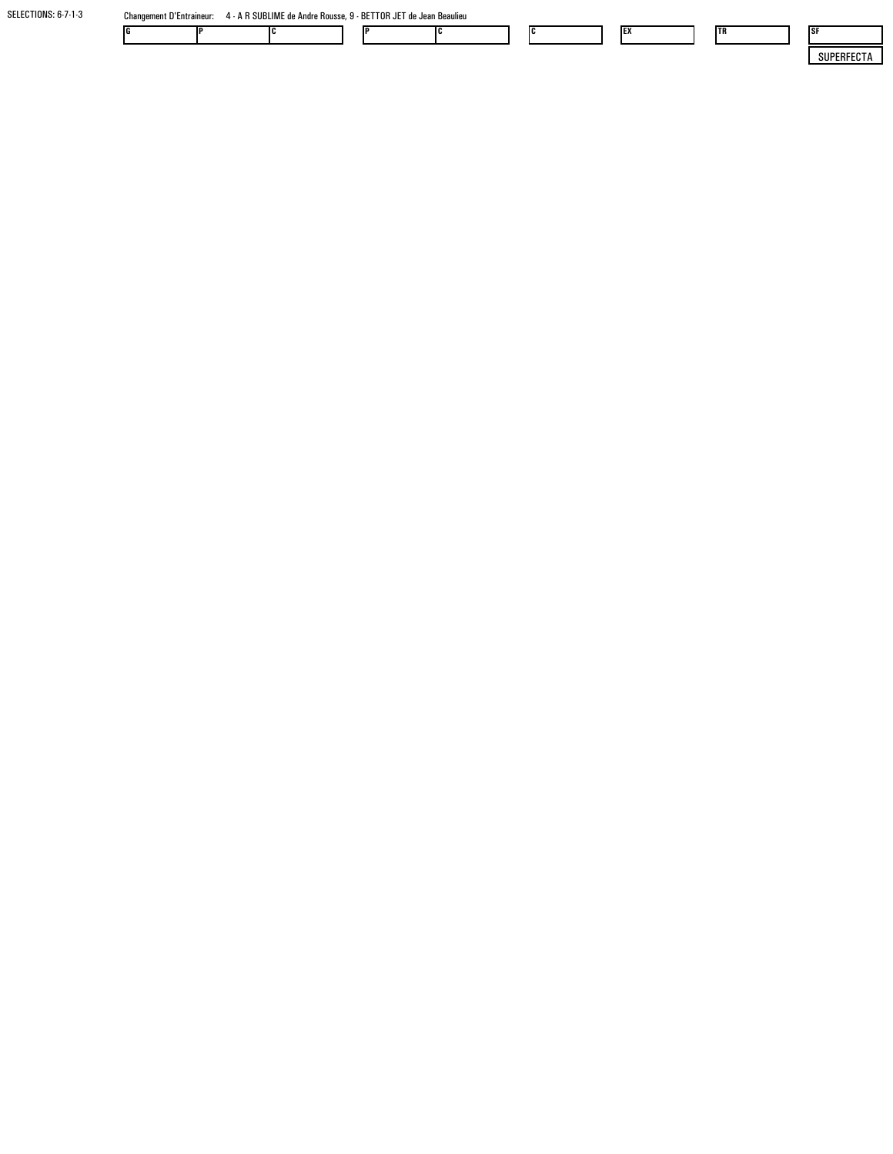SELECTIONS: 6-7-1-3Changement D'Entraineur: 4 - A R SUBLIME de Andre Rousse, 9 - BETTOR JET de Jean Beaulieu

| 1G |  |  |  | "<br> | <b>IEX</b> | <b>ITR</b> | - ISF                |
|----|--|--|--|-------|------------|------------|----------------------|
|    |  |  |  |       |            |            | $\sim$ $\sim$<br>۵U۱ |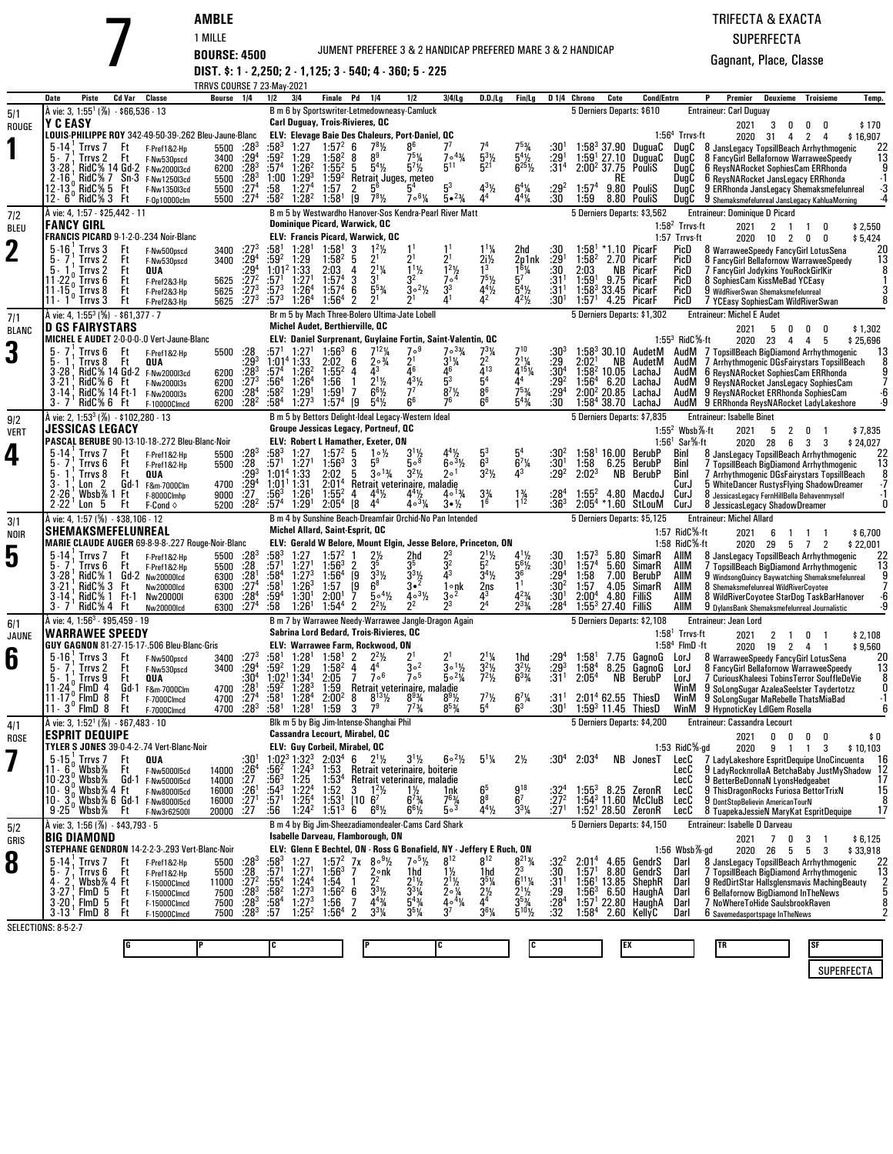### JUMENT PREFEREE 3 & 2 HANDICAP PREFERED MARE 3 & 2 HANDICAP

### TRIFECTA & EXACTASUPERFECTA

Gagnant, Place, Classe

**AMBLE** 1 MILLE **BOURSE: 4500 DIST. \$: 1 - 2,250; 2 - 1,125; 3 - 540; 4 - 360; 5 - 225**

|                    |                                                                                                                                                                                     |                                      |                                                       | <b>TRRVS COURSE 7 23-May-2021</b> |                                              |                           |                                                  |                                                                               |                   |                                                                              |                                                                                                                         |                                                    |                                             |                                                       |                                  |                                     |              |                                                                 |                                    |                                                                                             |                     |                     |                     |
|--------------------|-------------------------------------------------------------------------------------------------------------------------------------------------------------------------------------|--------------------------------------|-------------------------------------------------------|-----------------------------------|----------------------------------------------|---------------------------|--------------------------------------------------|-------------------------------------------------------------------------------|-------------------|------------------------------------------------------------------------------|-------------------------------------------------------------------------------------------------------------------------|----------------------------------------------------|---------------------------------------------|-------------------------------------------------------|----------------------------------|-------------------------------------|--------------|-----------------------------------------------------------------|------------------------------------|---------------------------------------------------------------------------------------------|---------------------|---------------------|---------------------|
|                    | Piste<br>Date                                                                                                                                                                       | Cd Var                               | Classe                                                | Bourse 1/4                        |                                              | 1/2                       | 3 4                                              | Finale Pd 1/4                                                                 |                   |                                                                              | 1/2                                                                                                                     | 3/4/Lg                                             | $D.D.$ $ Lg $                               | Fin/Lg                                                |                                  | D <sub>14</sub> Chrono              | Cote         | <b>Cond/Entrn</b>                                               |                                    | Premier<br>P                                                                                | Deuxieme            | Troisieme           | Temp.               |
| 5/1                | A vie: 3, 1:55 <sup>1</sup> (%) $-$ \$66,536 $-$ 13<br>Y C EASY                                                                                                                     |                                      |                                                       |                                   |                                              |                           |                                                  | Carl Duguay, Trois-Rivieres, QC                                               |                   |                                                                              | B m 6 by Sportswriter-Letmedowneasy-Camluck                                                                             |                                                    |                                             |                                                       |                                  |                                     |              | 5 Derniers Departs: \$610                                       |                                    | <b>Entraineur: Carl Duguay</b><br>2021                                                      | 3<br>0              | 0<br>0              | \$170               |
| ROUGE              |                                                                                                                                                                                     |                                      | LOUIS-PHILIPPE ROY 342-49-50-39-.262 Bleu-Jaune-Blanc |                                   |                                              |                           |                                                  |                                                                               |                   |                                                                              | <b>ELV: Elevage Baie Des Chaleurs, Port-Daniel, QC</b>                                                                  |                                                    |                                             |                                                       |                                  |                                     |              |                                                                 | $1:564$ Trrvs-ft                   | 2020                                                                                        | 31<br>4             | 2<br>4              | \$16,907            |
|                    | $5 - 14$<br>Trrvs <sub>7</sub><br>5.7<br>Trrvs 2                                                                                                                                    | Ft<br>Ft                             | F-Pref1&2-Hp<br>F-Nw530pscd                           | 5500<br>3400                      | $:28^{3}$<br>$:29^{4}$                       | :583<br>:59ª              | 1:27<br>1:29                                     | $1:57^{2}$<br>$1:58^{2}$                                                      | 6<br>8            | $78$ <sup>1</sup> / <sub>2</sub><br>8 <sup>9</sup>                           | $7^5\%$                                                                                                                 | $704\frac{3}{4}$                                   |                                             |                                                       | :30'<br>:29'                     | $1:58^{3}$<br>$1:59'$ 27.10         | 37.90        | DuguaC<br>DuguaC                                                | DugC<br>DugC                       | 8 JansLegacy TopsillBeach Arrhythmogenic<br>8 FancyGirl Bellafornow WarraweeSpeedy          |                     |                     | 22<br>13            |
|                    | $3 - 28$                                                                                                                                                                            | $RidC\%$ 7 Sn 3                      | RidC% 14 Gd-2 F-Nw200013cd                            | 6200                              | :28 <sup>3</sup>                             | :57 <sup>4</sup>          | $1:26^2$<br>$1:29^{3}$                           | $1:55^{2}$                                                                    | 5                 | $5^4\%$                                                                      | $5^{7}$ <sup>1</sup> / <sub>2</sub>                                                                                     | $5^{11}$                                           | $\frac{5^{3}1}{5^{21}}$                     | $5^{4}\frac{1}{2}$<br>$6^{25}\frac{1}{2}$             | :31 <sup>4</sup>                 | 2:00 <sup>2</sup> 37.75             |              | PouliS                                                          | DugC                               | 6 ReysNARocket SophiesCam ERRhonda                                                          |                     |                     |                     |
|                    | $2 - 16$<br>12 13 % RidC % 5 Ft                                                                                                                                                     |                                      | F-Nw1250I3cd<br>F-Nw1350I3cd                          | 5500<br>5500                      | $\frac{128}{274}$                            | 1:00<br>:58               | 1:27 <sup>4</sup>                                | $1:59^{2}$<br>1:57                                                            | 2                 | 5 <sup>6</sup>                                                               | Retrait Juges, meteo                                                                                                    | 5 <sup>3</sup>                                     |                                             | $6^{4}$ <sup>1</sup> / <sub>4</sub>                   | :292                             | 1:57 <sup>4</sup>                   | KF           | 9.80 PouliS                                                     | DugC<br>DugC                       | 6 ReysNARocket JansLegacy ERRhonda<br>9 ERRhonda JansLegacy Shemaksmefelunreal              |                     |                     |                     |
|                    | 12 - 6 ° RidC% 3 Ft<br>A vie: 4, 1:57 - \$25,442 - 11                                                                                                                               |                                      | F-0p10000clm                                          | 5500                              | :27 <sup>4</sup>                             | :58ª                      | $1:28^{2}$                                       | 1:58 <sup>1</sup>                                                             | [9                | $7^{8}$ <sup>1</sup> / <sub>2</sub>                                          | $7.6\%$<br>B m 5 by Westwardho Hanover-Sos Kendra-Pearl River Matt                                                      | $5 \cdot \frac{23}{4}$                             |                                             | $4^{4}$ <sup>1</sup> / <sub>4</sub>                   | :30                              | 1:59                                | 8.80         | PouliS<br>5 Derniers Departs: \$3,562                           | DugC                               | 9 Shemaksmefelunreal JansLegacy KahluaMorning<br><b>Entraineur: Dominique D Picard</b>      |                     |                     |                     |
| 7 2<br><b>BLEU</b> | <b>FANCY GIRL</b>                                                                                                                                                                   |                                      |                                                       |                                   |                                              |                           |                                                  | Dominique Picard, Warwick, QC                                                 |                   |                                                                              |                                                                                                                         |                                                    |                                             |                                                       |                                  |                                     |              |                                                                 | $1:582$ Trrvs-ft                   | 2021                                                                                        | 2<br>$\overline{1}$ | $\mathbf{1}$<br>0   | \$2,550             |
|                    |                                                                                                                                                                                     |                                      | FRANCIS PICARD 9-1-2-0-.234 Noir-Blanc                |                                   |                                              |                           |                                                  |                                                                               |                   | <b>ELV: Francis Picard, Warwick, QC</b><br>$1^2$ <sup>1</sup> / <sub>2</sub> |                                                                                                                         |                                                    |                                             |                                                       |                                  |                                     |              |                                                                 | 1:57 Trrvs-ft                      | 2020                                                                                        | 10<br>2             | 0<br>0              | \$5,424             |
| $\mathbf 2$        | $5 - 16$<br>Trrvs 3<br>Trrvs <sub>2</sub>                                                                                                                                           | Ft<br>Ft                             | F-Nw500pscd<br>F-Nw530pscd                            | 3400<br>3400                      | $:27^{3}$<br>$:29^{4}$<br>$:29^{4}$          | :581<br>:59ª              | 1:28 <sup>1</sup><br>1:29                        | 1:58 <sup>1</sup><br>1:58 <sup>2</sup>                                        | 3<br>5            | 21                                                                           | 2 <sup>1</sup>                                                                                                          |                                                    | $1^{11}/4$<br>$\frac{2i}{3}$                | 2hd<br>2p1nk                                          | :30<br>:29'                      | 1:58 <sup>1</sup><br>$1:58^{2}$     | 2.70         | *1.10 PicarF<br>PicarF                                          | PicD<br>PicD                       | 8 WarraweeSpeedy FancyGirl LotusSena<br>8 FancyGirl Bellafornow WarraweeSpeedy              |                     |                     | 20<br>13            |
|                    | Trrvs <sub>2</sub><br>5.<br>11-22<br>Trrvs 6                                                                                                                                        | Ft<br>Ft                             | QUA<br>F-Pref2&3-Hp                                   | 5625                              | $:27^{2}$                                    | :57 <sup>1</sup>          | 1:01 <sup>2</sup> 1:33<br>1:27                   | 2:03<br>1:57'                                                                 | 4<br>3            | $\frac{1}{2}$ <sup>1</sup> / <sub>4</sub><br>3 <sup>1</sup>                  | $1^{11}/2$<br>3 <sup>2</sup>                                                                                            | $12$ %<br>7.4                                      | $7^5$ <sup>1</sup> / <sub>2</sub>           | $\frac{16}{5^7}$                                      | :30<br>:31                       | 2:03<br>1:59'                       | NB<br>9.75   | PicarF<br>PicarF                                                | PicD<br>PicD                       | / FancyGirl Jodykins YouRockGirlKir<br>8 SophiesCam KissMeBad YCEasy                        |                     |                     |                     |
|                    | $11 - 15o$<br>Trrvs 8<br>Trrvs 3<br>$11 - 1$                                                                                                                                        | Ft<br>Ηt                             | F-Pref2&3-Hp<br>F-Pref2&3-Hp                          | 5625<br>5625                      | $:27^{3}$<br>$:27^{3}$                       | :573<br>:573              | 1:26 <sup>4</sup><br>1:26 <sup>4</sup>           | 1:57 <sup>4</sup><br>1:56 <sup>4</sup>                                        | 6<br>2            | $5^{5}_{4}$<br>2 <sup>1</sup>                                                | $3^{\circ}2\frac{1}{2}$                                                                                                 | 3 <sup>3</sup>                                     | 44½                                         | $\frac{5^4}{4^2}$                                     | :31'<br>$:30^1$                  | $1:58^{3}$<br>1:57 <sup>1</sup>     | 4.25         | 33.45 PicarF<br>PicarF                                          | PicD<br>PicD                       | 9 WildRiverSwan Shemaksmefelunreal<br>/ YCEasy SophiesCam WildRiverSwan                     |                     |                     |                     |
| 7/1                | À vie: 4, 1:55 <sup>3</sup> (%) - \$61,377 - 7                                                                                                                                      |                                      |                                                       |                                   |                                              |                           |                                                  |                                                                               |                   |                                                                              | Br m 5 by Mach Three-Bolero Ultima-Jate Lobell                                                                          |                                                    |                                             |                                                       |                                  |                                     |              | 5 Derniers Departs: \$1,302                                     |                                    | <b>Entraineur: Michel E Audet</b>                                                           |                     |                     |                     |
| <b>BLANC</b>       | <b>D GS FAIRYSTARS</b>                                                                                                                                                              |                                      | MICHEL E AUDET 2-0-0-0-.0 Vert-Jaune-Blanc            |                                   |                                              |                           |                                                  | Michel Audet, Berthierville, QC                                               |                   |                                                                              | ELV: Daniel Surprenant, Guylaine Fortin, Saint-Valentin, OC                                                             |                                                    |                                             |                                                       |                                  |                                     |              |                                                                 | $1:553$ RidC $%$ ft                | 2021<br>2020                                                                                | 5<br>0<br>4         | 0<br>4              | \$1,302             |
| 3                  | Trrvs 6                                                                                                                                                                             | Ft                                   | F-Pref1&2-Hp                                          | 5500                              |                                              | :57'                      | 1:27'                                            | $1:56^{3}$                                                                    | 6                 | $7^{12}$ %                                                                   | 7°9                                                                                                                     | $7^{\circ}3\frac{3}{4}$                            | $7^{3}_{2}$ %                               | 710                                                   |                                  |                                     |              | $1:58^3$ 30.10 AudetM                                           | AudM                               | 7 TopsillBeach BigDiamond Arrhythmogenic                                                    | 23                  | 5                   | \$25,696<br>13      |
|                    | 5.<br>Trrvs 8<br>$3 - 28$                                                                                                                                                           | Ft                                   | QUA<br>RidC% 14 Gd-2 F-Nw200013cd                     | 6200                              | $: 28$<br>$: 293$<br>$: 283$                 | $:57^4$                   | 1:01 <sup>4</sup> 1:33<br>$1:26^2$               | 2:02<br>$1:55^{2}$                                                            | 6<br>4            | $2 \circ \frac{3}{4}$<br>43                                                  | $2^1$<br>Δ6                                                                                                             | $3^{1}\frac{1}{4}$                                 | $\frac{1}{4}$ <sup>13</sup>                 | $2^1\%$<br>$4^{15}$ <sup>1</sup> / <sub>4</sub>       | :29<br>$:30^4$                   | 2:02 <sup>1</sup><br>$1:582$ 10.05  | NB           | AudetM<br>LachaJ                                                | AudM<br>AudM                       | 7 Arrhythmogenic DGsFairystars TopsillBeach<br>6 ReysNARocket SophiesCam ERRhonda           |                     |                     |                     |
|                    | 3-21<br>$3 - 14$                                                                                                                                                                    | RidC% 6 Ft<br>RidC% 14 Ft 1          | F-Nw2000I3s<br>F-Nw2000I3s                            | 6200<br>6200                      | $:27^{3}$<br>:28 <sup>4</sup>                | :56ª<br>:58ª              | 1:26 <sup>4</sup><br>1:29 <sup>1</sup>           | 1:56<br>1:59'                                                                 | $\mathbf{1}$<br>7 | $2^{1}$ %<br>$6^{6}$ <sup>1</sup> / <sub>2</sub>                             | $\frac{4^{3}\%}{7^{7}}$                                                                                                 | $8^{7}$ %                                          | $\frac{5^4}{8^6}$                           | 4 <sup>4</sup><br>$7^{5}_{4}$                         | .29 <sup>2</sup><br>:294         | 1:56 <sup>4</sup><br>$2:00^2$ 20.85 | 6.20         | LachaJ<br>LachaJ                                                | AudM<br>AudM                       | 9 ReysNARocket JansLegacy SophiesCam<br>9 ReysNARocket ERRhonda SophiesCam                  |                     |                     |                     |
|                    | $3 - 7$<br>RidC% 6 Ft                                                                                                                                                               |                                      | F-10000Clmcd                                          | 6200                              | $:28^2$                                      | :584                      | $1:27^{3}$                                       | 1:57 <sup>4</sup>                                                             | [9                | $5^4\%$                                                                      | 6 <sup>6</sup>                                                                                                          | 76                                                 | 6 <sup>6</sup>                              | $5^{43}$ /4                                           | :30                              |                                     |              | 1:58 <sup>4</sup> 38.70 LachaJ                                  |                                    | AudM 9 ERRhonda ReysNARocket LadyLakeshore                                                  |                     |                     |                     |
| 9/2<br><b>VERT</b> | A vie: 2, 1:53 <sup>3</sup> (%) - \$102,280 - 13<br>JESSICAS LEGACY                                                                                                                 |                                      |                                                       |                                   |                                              |                           |                                                  |                                                                               |                   | Groupe Jessicas Legacy, Portneuf, QC                                         | B m 5 by Bettors Delight-Ideal Legacy-Western Ideal                                                                     |                                                    |                                             |                                                       |                                  |                                     |              | 5 Derniers Departs: \$7,835                                     | 1:55 <sup>2</sup> Wbsb $%$ -ft     | <b>Entraineur: Isabelle Binet</b><br>2021                                                   | 5<br>2              | 0                   | \$7,835             |
|                    |                                                                                                                                                                                     |                                      | PASCAL BERUBE 90-13-10-18-.272 Bleu-Blanc-Noir        |                                   |                                              |                           |                                                  |                                                                               |                   | <b>ELV: Robert L Hamather, Exeter, ON</b>                                    |                                                                                                                         |                                                    |                                             |                                                       |                                  |                                     |              |                                                                 | $1.561$ Sar <sup>5</sup> %-ft      | 2020                                                                                        | 28<br>6             | 3<br>3              | \$24,027            |
| 4                  | $5 - 14$<br>Trrvs <sub>7</sub><br>5.<br>Trrvs 6                                                                                                                                     | Ft<br>Ft                             | F-Pref1&2-Hp<br>F-Pref1&2-Hp                          | 5500<br>5500                      | $:28^{3}$<br>:28                             | :583<br>:57 $1$           | 1:27<br>$1:27$ <sup>1</sup>                      | $1:57^{2}$<br>$1:56^{3}$                                                      | 5<br>3            | $1 \circ \frac{1}{2}$<br>5 <sup>9</sup>                                      | $3^{1}\frac{1}{2}$<br>5.8                                                                                               | $4^4\%$<br>$60^{3}/2$                              | $\frac{5^3}{6^3}$                           | 5 <sup>4</sup><br>$6^{7}$ <sup>%</sup>                | :304<br>:30'                     | 1:58                                | 6.25         | $1:581$ 16.00 BerubP<br>BerubP                                  | Binl<br>Binl                       | 8 JansLegacy TopsillBeach Arrhythmogenic<br>7 TopsillBeach BigDiamond Arrhythmogenic        |                     |                     | 22<br>13            |
|                    | 5.<br>Trrvs 8<br>$3 - 1$<br>Lon <sub>2</sub>                                                                                                                                        | Ft<br>Gd-1                           | QUA<br>F&m-7000Clm                                    | 4700                              | :293<br>$:29^{4}$                            |                           | 1:01 <sup>4</sup> 1:33<br>1:01 <sup>1</sup> 1:31 | 2:02<br>2:01 <sup>4</sup>                                                     | 5                 | $30^{13}$                                                                    | $3^2\frac{1}{2}$<br>Retrait veterinaire, maladie                                                                        | 1ه ?                                               | $3^2$ <sup>1</sup> / <sub>2</sub>           | 43                                                    | :292                             | 2:02 <sup>3</sup>                   | NB           | BerubP                                                          | Binl<br>CurJ                       | 7 Arrhythmogenic DGsFairystars TopsillBeach<br>5 WhiteDancer RustysFlying ShadowDreamer     |                     |                     | 8                   |
|                    | $2 - 26$<br>$2 - 22$<br>5<br>Lon                                                                                                                                                    | Wbsb% 1 Ft<br>Ft                     | F-8000Clmhp<br>$F$ -Cond $\diamond$                   | 9000<br>5200                      | :27<br>:28 <sup>2</sup>                      | :563<br>:57 <sup>4</sup>  | $1:26^{1}$<br>1:29'                              | $1:55^{2}$<br>2:05 <sup>4</sup>                                               | 4<br>[8           | $4^4\frac{1}{2}$<br>4 <sup>4</sup>                                           | $4^4$ <sup>1</sup> / <sub>2</sub><br>$403\frac{1}{4}$                                                                   | $40^{13}$<br>$3 \cdot \frac{1}{2}$                 | $3\frac{3}{4}$<br>16                        | $1\frac{3}{4}$<br>1 <sup>12</sup>                     | :284<br>$:36^3$                  | $1:55^{2}$                          |              | 4.80 MacdoJ<br>$2:05^4$ *1.60 StLouM                            | CurJ<br>CurJ                       | 8 JessicasLegacy FernHillBella Behavenmyself<br>8 JessicasLegacy ShadowDreamer              |                     |                     |                     |
| 3/1                | À vie: 4, 1:57 (%) - \$38,106 - 12                                                                                                                                                  |                                      |                                                       |                                   |                                              |                           |                                                  |                                                                               |                   |                                                                              | B m 4 by Sunshine Beach-Dreamfair Orchid-No Pan Intended                                                                |                                                    |                                             |                                                       |                                  |                                     |              | 5 Derniers Departs: \$5,125                                     |                                    | <b>Entraineur: Michel Allard</b>                                                            |                     |                     |                     |
| NOIR               | SHEMAKSMEFELUNREAL                                                                                                                                                                  |                                      | MARIE CLAUDE AUGER 69-8-9-8-.227 Rouge-Noir-Blanc     |                                   |                                              |                           |                                                  | Michel Allard, Saint-Esprit, QC                                               |                   |                                                                              | ELV: Gerald W Belore, Mount Elgin, Jesse Belore, Princeton, ON                                                          |                                                    |                                             |                                                       |                                  |                                     |              |                                                                 | 1:57 RidC%-ft<br>1:58 $RidC\%$ -ft | 2021                                                                                        | 6<br>-1             |                     | \$6,700             |
| 5                  | $5 - 14$<br>Trrvs <sub>7</sub>                                                                                                                                                      | Ft                                   | F-Pref1&2-Hp                                          | 5500                              | $:28^{3}$                                    | :583                      | 1:27                                             | 1:57 <sup>2</sup>                                                             |                   | $2\frac{1}{2}$                                                               | 2hd                                                                                                                     |                                                    | $\frac{2^{1}1}{5^{2}}$                      | $4^{1}\frac{1}{2}$                                    | :30                              | 1:57 <sup>3</sup>                   | 5.80         | SimarR                                                          | AIIM                               | 2020<br>8 JansLegacy TopsillBeach Arrhythmogenic                                            | 29<br>5             | 7<br>2              | \$22,001<br>22      |
|                    | Trrvs 6<br>$3 - 28$<br>RidC% 1                                                                                                                                                      | Ft<br>Gd-2                           | F-Pref1&2-Hp<br>Nw20000Icd                            | 5500<br>6300                      | $:28$<br>:28                                 | :57'<br>:58ª              | 1:27'<br>1:27 <sup>3</sup>                       | $1:56^3$<br>1:56 <sup>4</sup>                                                 | $\frac{2}{9}$     | 35<br>$3^{3}$ <sup>1</sup> / <sub>2</sub>                                    | ვა<br>$\frac{3^{3}\frac{1}{2}}{3^{2}}$                                                                                  | $3^2$<br>43                                        | $3^4\frac{1}{2}$                            | $\frac{5^{6}\%}{3^{6}}$                               | :30'<br>:29ª                     | 1:57 <sup>4</sup><br>1:58           | 5.60<br>7.00 | SimarR<br>BerubP                                                | aiim<br>aiim                       | 7 TopsillBeach BigDiamond Arrhythmogenic<br>9 WindsongQuincy Baywatching Shemaksmefelunreal |                     |                     | 13                  |
|                    | RidC% 3<br>$3 - 21$<br>RidC% 1<br>$3-14$                                                                                                                                            | Ft<br>Ft-1                           | <b>Nw20000Icd</b><br>Nw20000I                         | 6300<br>6300                      | :27 <sup>4</sup>                             | :58 <sup>1</sup><br>:59ª  | $1:26^{3}$<br>1:30 <sup>1</sup>                  | 1:57<br>2:00 <sup>1</sup>                                                     | [9                | $6^8$<br>$504\frac{1}{2}$                                                    | $4 \cdot 3\frac{1}{2}$                                                                                                  | l∘nk<br>$3^{\circ2}$                               | $\frac{2ns}{4^3}$<br>$2^4$                  |                                                       | :30 <sup>2</sup><br>:30'         | 1:57<br>2:00 <sup>4</sup>           | 4.05<br>4.80 | SimarR<br>Fillis                                                | AIIM<br>AIIM                       | 8 Shemaksmefelunreal WildRiverCoyotee<br>8 WildRiverCoyotee StarDog TaskBarHanover          |                     |                     | -6                  |
|                    | 3.7                                                                                                                                                                                 | RidC% 4 Ft                           | <b>Nw20000Icd</b>                                     | 6300                              | $\frac{128}{274}$                            | :58                       | 1:26 <sup>1</sup>                                | 1:54 <sup>4</sup>                                                             | 2                 | $2^2\frac{1}{2}$                                                             | $2^2$                                                                                                                   | 23                                                 |                                             | $4^{23/4}$<br>$2^{33/4}$                              | :284                             | $1:553$ 27.40 FilliS                |              |                                                                 | aiim                               | 9 DylansBank Shemaksmefelunreal Journalistic                                                |                     |                     |                     |
| 6/1<br>JAUNE       | Å vie: 4, 1:56 <sup>3</sup> - \$95,459 - 19<br>WARRAWEE SPEEDY                                                                                                                      |                                      |                                                       |                                   |                                              |                           |                                                  |                                                                               |                   | Sabrina Lord Bedard, Trois-Rivieres, QC                                      | B m 7 by Warrawee Needy-Warrawee Jangle-Dragon Again                                                                    |                                                    |                                             |                                                       |                                  |                                     |              | 5 Derniers Departs: \$2,108                                     | $1:581$ Trrvs-ft                   | Entraineur: Jean Lord<br>2021                                                               | 2<br>$\overline{1}$ | 0<br>-1             | \$2,108             |
|                    |                                                                                                                                                                                     |                                      | GUY GAGNON 81-27-15-17-.506 Bleu-Blanc-Gris           |                                   |                                              |                           |                                                  |                                                                               |                   | ELV: Warrawee Farm, Rockwood, ON                                             |                                                                                                                         |                                                    |                                             |                                                       |                                  |                                     |              |                                                                 | $1:584$ FlmD $\cdot$ ft            | 2020                                                                                        | 19                  | $2 \quad 4$<br>-1   | \$9,560             |
| 6                  | $5 - 16$<br>Trrvs 3<br>Irrvs <sub>2</sub>                                                                                                                                           | Ft<br>۲t                             | F-Nw500pscd<br>F-Nw530pscd                            | 3400<br>3400                      | $:27^{3}$<br>$:29^{4}$                       | :58'<br>:59ª              | $1:28$ <sup>1</sup><br>1:29                      | 1:58 <sup>1</sup><br>$1:58^{2}$                                               | 2<br>4            | $2^2$ <sup>1</sup> / <sub>2</sub><br>44                                      | 30 <sup>2</sup>                                                                                                         | $3\circ 1\frac{1}{2}$                              | $\frac{2^{1} \%}{3^{2} \%}$<br>$7^{2} \%$   | 1hd<br>$3^{2}\frac{1}{2}$<br>6 <sup>3</sup> %         | :293                             | 1:58'<br>1:58 <sup>4</sup>          | 7.75<br>8.25 | GaanoG<br>GagnoG                                                | LorJ<br>LorJ                       | 8 WarraweeSpeedy FancyGirl LotusSena<br>8 FancyGirl Bellafornow WarraweeSpeedy              |                     |                     | 20<br>13            |
|                    | 5.<br>Trrvs 9<br>11 - 24<br>FimD <sub>4</sub>                                                                                                                                       | Ft<br>Gd-1                           | QUA<br>F&m-7000Clm                                    | 4700                              | $:30^4$                                      | 1:02 <sup>1</sup><br>:594 | 1:34'<br>$1:28^{3}$                              | 2:05<br>1:59                                                                  | 7                 | 7 <sup>6</sup>                                                               | 7 <sup>5</sup><br>Retrait veterinaire, maladie                                                                          | $50^{2}$ %                                         |                                             |                                                       | :31'                             | 2:05 <sup>4</sup>                   | NB           | BerubP                                                          | LorJ<br>WinM                       | 7 Curious Khaleesi Tobins Terror SouffleDeVie<br>9 SoLongSugar AzaleaSeelster Taydertotzz   |                     |                     |                     |
|                    | FlmD 8<br>$11 - 17$<br>$11 \cdot 3^{\circ}$ FlmD $8$                                                                                                                                | Ft<br>Ft                             | F-7000Clmcd<br>F-7000Clmcd                            | 4700<br>4700                      | $:281274}$<br>: 28 <sup>3</sup>              | :581<br>:58 <sup>1</sup>  | 1:28 <sup>4</sup><br>1:28 <sup>1</sup>           | 2:00 <sup>2</sup><br>1:59                                                     | 8<br>3            | $8^{13}$ <sup>1</sup> / <sub>2</sub><br>7,                                   | $8^{93}/4$<br>$7^{73}/4$                                                                                                | $8^{9}$ <sup>1</sup> / <sub>2</sub><br>$8^{5}_{4}$ | $7^{7}\frac{1}{2}$                          | $6^{7}$ <sup>1</sup> / <sub>4</sub><br>6 <sup>3</sup> | :31<br>:30 <sup>1</sup>          |                                     |              | 2:01 <sup>4</sup> 62.55 ThiesD<br>1:59 $3$ 11.45 ThiesD         | WinM                               | 9 SoLongSugar MaRebelle ThatsMiaBad<br>WinM 9 HypnoticKey LdlGem Rosella                    |                     |                     | $\cdot$ 1           |
| 4/1                | A vie: 3, 1:52 <sup>1</sup> (%) - \$67,483 - 10                                                                                                                                     |                                      |                                                       |                                   |                                              |                           |                                                  |                                                                               |                   | Blk m 5 by Big Jim-Intense-Shanghai Phil                                     |                                                                                                                         |                                                    |                                             |                                                       |                                  |                                     |              | 5 Derniers Departs: \$4,200                                     |                                    | Entraineur: Cassandra Lecourt                                                               |                     |                     |                     |
| ROSE               | Esprit Dequipe                                                                                                                                                                      |                                      | TYLER S JONES 39-0-4-2-.74 Vert-Blanc-Noir            |                                   |                                              |                           |                                                  | Cassandra Lecourt, Mirabel, QC                                                |                   |                                                                              |                                                                                                                         |                                                    |                                             |                                                       |                                  |                                     |              |                                                                 |                                    | 2021                                                                                        | 0<br>0              | 0<br>0              | \$0                 |
|                    | $\frac{5.15}{2}$ Trrvs 7                                                                                                                                                            | Ft                                   | QUA                                                   |                                   | :30'                                         |                           |                                                  | ELV: Guy Corbeil, Mirabel, QC<br>$1:02^3$ 1:32 <sup>3</sup> 2:03 <sup>4</sup> |                   | 6 $2^{1}\frac{1}{2}$                                                         | $3^{1}/2$                                                                                                               | $60^{2}/2$                                         | $5^{1}$ <sup>1</sup> / <sub>4</sub>         | $2\frac{1}{2}$                                        | :30ª                             | 2:03 <sup>4</sup>                   |              | NB JonesT                                                       | 1:53 RidC%-gd<br>LecC              | 2020<br>7 LadyLakeshore EspritDequipe UnoCincuenta                                          | 9<br>$\overline{1}$ | 3<br>$\overline{1}$ | \$10,103<br>- 16    |
|                    |                                                                                                                                                                                     |                                      |                                                       | 14000<br>14000                    |                                              | :56 $^{2}$<br>$:56^3$     | $1:24^3$                                         | 1:53                                                                          |                   |                                                                              | Retrait veterinaire, boiterie                                                                                           |                                                    |                                             |                                                       |                                  |                                     |              |                                                                 | LecC<br>LecC                       | 9 LadyRocknrollaA BetchaBaby JustMyShadow 12<br>9 BetterBeDonnaN LyonsHedgeabet             |                     |                     | 17                  |
|                    | 11 - 6 0 Wbsb 76<br>10 - 23 0 Wbsb 76 6d - 1 F. Rws00015cd<br>10 - 9 0 Wbsb 76 4 Ft F. Rws00015cd<br>10 - 3 0 Wbsb 76 6d - 1 F. Rws00015cd<br>10 - 3 0 Wbsb 76 6d - 1 F. Rws00015cd |                                      |                                                       | 16000<br>16000                    | $: 26^4$<br>$: 27$<br>$: 26^1$<br>$: 27^1$   | $:54^{3}$<br>:57 $^1$     | $1:25$<br>$1:224$<br>$1:25^{4}$                  | $1:534$<br>$1:521$<br>1:53 <sup>1</sup>                                       |                   |                                                                              | Retrait veterinaire, maladie<br>3 $1^2\frac{1}{2}$ $1\frac{1}{2}$ 1nk<br>[10 6] $6^7$ $6^7\frac{3}{4}$ $7^6\frac{3}{4}$ |                                                    | 6 <sup>5</sup><br>$8^8$                     | $9^{18}$<br>6 <sup>7</sup>                            | $:32^{4}$<br>$:27^{2}$           |                                     |              | 1:55 <sup>3</sup> 8.25 ZeronR<br>1:54 <sup>3</sup> 11.60 McCluB | LecC<br>LecC                       | 9 ThisDragonRocks Furiosa BettorTrixN<br>9 DontStopBelievin AmericanTourN                   |                     |                     | 15<br>8             |
|                    | $9\cdot25$ $Wbsb\%$                                                                                                                                                                 | Ft                                   | F-Nw3r62500I                                          | 20000                             | :27                                          | :56                       | $1:24^2$                                         | $1:51^{3}$                                                                    | 6                 | $6^8\frac{1}{2}$                                                             | $6^{6}\%$                                                                                                               | $5^{\circ}$ <sup>3</sup>                           | $4^{4}$ <sup>1</sup> / <sub>2</sub>         | $3^{3}$ <sup><math>\frac{1}{4}</math></sup>           | :27 $^1$                         |                                     |              | $1:52^1$ 28.50 ZeronR                                           | LecC                               | 8 TuapekaJessieN MaryKat EspritDequipe                                                      |                     |                     | 17                  |
| 5/2                | A vie: 3, 1:56 (%) - \$43,793 - 5<br><b>BIG DIAMOND</b>                                                                                                                             |                                      |                                                       |                                   |                                              |                           |                                                  |                                                                               |                   | Isabelle Darveau, Flamborough, ON                                            | B m 4 by Big Jim-Sheezadiamondealer-Cams Card Shark                                                                     |                                                    |                                             |                                                       |                                  |                                     |              | 5 Derniers Departs: \$4,150                                     |                                    | Entraineur: Isabelle D Darveau<br>2021                                                      | 7<br>0              | 3<br>$\overline{1}$ |                     |
| GRIS               |                                                                                                                                                                                     |                                      | STEPHANE GENDRON 14-2-2-3-.293 Vert-Blanc-Noir        |                                   |                                              |                           |                                                  |                                                                               |                   |                                                                              | ELV: Glenn E Bechtel, ON - Ross G Bonafield, NY - Jeffery E Ruch, ON                                                    |                                                    |                                             |                                                       |                                  |                                     |              |                                                                 | 1:56 Wbsb $%$ -gd                  |                                                                                             | 2020 26<br>5        | 5<br>3              | \$6,125<br>\$33,918 |
| 8                  | 5-14, Trrvs 7<br>$5 - 7$<br>Trrvs 6                                                                                                                                                 | Ft<br>Ft                             | F-Pref1&2-Hp<br>F-Pref1&2-Hp                          | 5500<br>5500                      | $: 28^3$<br>$: 28$<br>$: 27^2$               | $:58^3$<br>:57!           | 1:27<br>1:27                                     | $1:57^{2}$<br>$1:56^{3}$                                                      | 7                 | $7x$ 8.                                                                      | $7 \cdot \frac{51}{2}$<br>1ḥd                                                                                           | $8^{12}$                                           | $8^{12}$<br>1hd                             | $8^{21}$ %<br>23                                      | $:32^2$<br>$:30$                 | 2:01 <sup>4</sup><br>1:57           | 8.80         | 4.65 GendrS<br>GendrS                                           | Darl<br>Darl                       | 8 JansLegacy TopsillBeach Arrhythmogenic<br>7 TopsillBeach BigDiamond Arrhythmogenic        |                     |                     | 22<br>13            |
|                    | $4 - 2$<br>$3 - 27$ , FimD 5                                                                                                                                                        | Whsh $\frac{1}{2}$ 4 Ft<br><b>Ft</b> | F-15000Clmcd<br>F-15000Clmcd                          | 11000<br>7500                     |                                              | $:55^{4}$<br>$:58^2$      | $1:24^{4}$<br>$1:27^{3}$                         | 1:54<br>$1:56^{2}$                                                            | -1<br>6           | $2^{\circ}$ nk<br>2 <sup>2</sup><br>$3^{3}$ <sup>1</sup> / <sub>2</sub>      | $2^{1}\frac{1}{2}$<br>$3^{3}\%$                                                                                         | $2^{1}\frac{1}{2}$<br>$2 \circ \frac{1}{4}$        | $3^{5}$ <sup>%</sup>                        | $6^{11}$ %<br>$2^{11/2}$                              | :31 <sup>1</sup><br>:29          | $1:56^{1}$<br>$1.56^{3}$            |              | 13.85 ShephR<br>6.50 HaughA                                     | Darl<br>Darl                       | 9 RedDirtStar Hallsglensmavis MachingBeauty<br>6 Bellafornow BigDiamond In The News         |                     |                     |                     |
|                    | $3-20$ ; FlmD 5<br>$3-13$ FlmD $8$                                                                                                                                                  | Ft                                   | F-15000Clmcd                                          | 7500                              | $\frac{128}{28^{3}}$<br>$\frac{128}{28^{3}}$ | :58 <sup>4</sup><br>.57   | $1:27^{3}$<br>$1:25^2$                           | 1:56<br>1:56 <sup>4</sup>                                                     | 7<br>2            | $4^{4}$ <sup>3</sup> / <sub>4</sub><br>$3^{3}$ <sup>/</sup> / <sub>4</sub>   | $5^{4}_{4}$<br>$3^{5}$ <sup>%</sup>                                                                                     | $4 \circ 4\frac{1}{4}$<br>3 <sup>7</sup>           | $^{2\frac{1}{2}}_{4^4}$<br>3 <sup>6</sup> % | $3^{5}_{4}$<br>5 <sup>10</sup> <sup>/2</sup>          | $\frac{1}{32}$<br>$\frac{1}{32}$ | $1.58^{4}$                          |              | 1:57 <sup>1</sup> 22.80 HaughA<br>1:58 <sup>4</sup> 2.60 KellyC | Darl<br>Darl                       | 7 NoWhereToHide SaulsbrookRaven                                                             |                     |                     |                     |
|                    | <b>SELECTIONS: 8-5-2-7</b>                                                                                                                                                          | Ηt                                   | F-15000Clmcd                                          | 7500                              |                                              |                           |                                                  |                                                                               |                   |                                                                              |                                                                                                                         |                                                    |                                             |                                                       |                                  |                                     |              |                                                                 |                                    | <b>b</b> Savemedasportspage In The News                                                     |                     |                     |                     |
|                    |                                                                                                                                                                                     | G                                    |                                                       |                                   |                                              |                           |                                                  |                                                                               |                   |                                                                              |                                                                                                                         |                                                    |                                             |                                                       |                                  |                                     | EX           |                                                                 |                                    | <b>TR</b>                                                                                   |                     | SF                  |                     |
|                    |                                                                                                                                                                                     |                                      |                                                       |                                   |                                              |                           |                                                  |                                                                               |                   |                                                                              |                                                                                                                         |                                                    |                                             |                                                       |                                  |                                     |              |                                                                 |                                    |                                                                                             |                     |                     |                     |

SUPERFECTA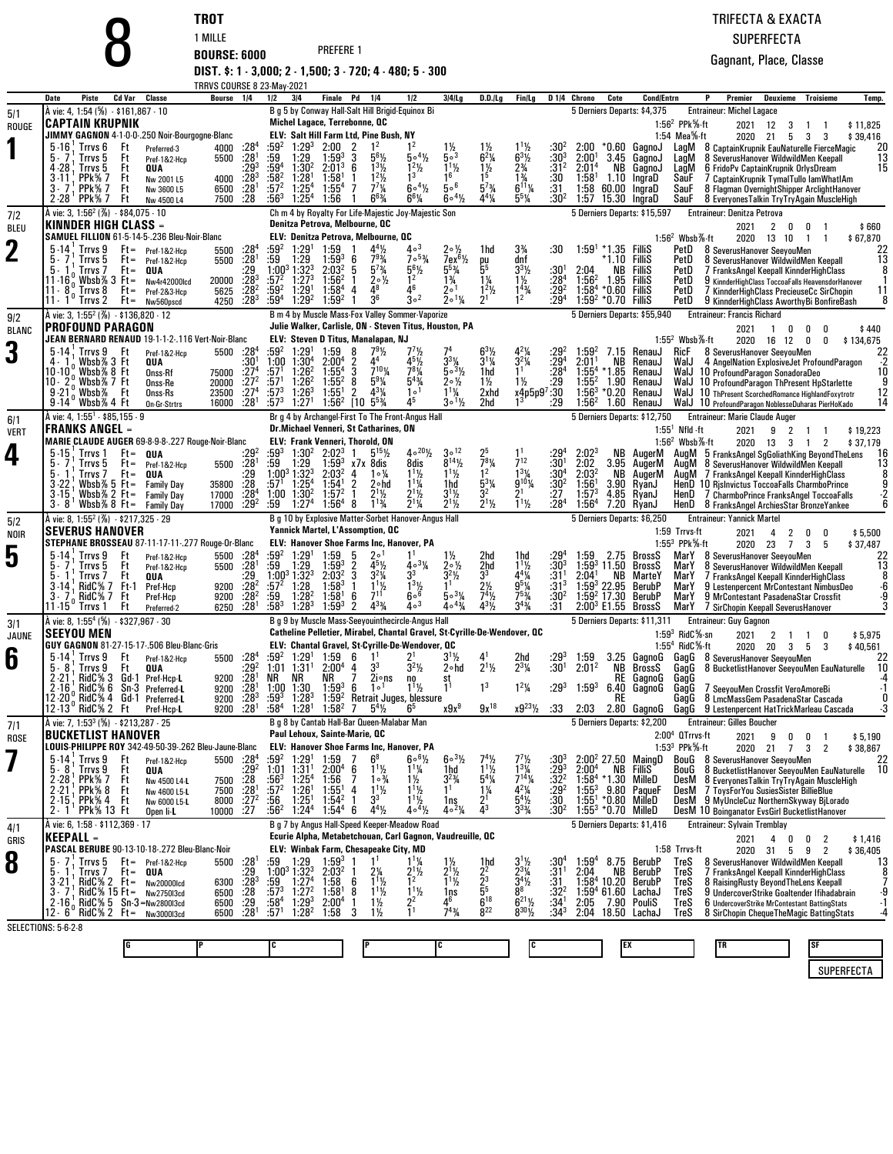|                    |                                                                                           | TROT                                                                                     |                                                              |                                                                                                                             |                                                                                   |                                                       |                                                                         |                                            |                                                   |                             | TRIFECTA & EXACTA                                                                                                                         |
|--------------------|-------------------------------------------------------------------------------------------|------------------------------------------------------------------------------------------|--------------------------------------------------------------|-----------------------------------------------------------------------------------------------------------------------------|-----------------------------------------------------------------------------------|-------------------------------------------------------|-------------------------------------------------------------------------|--------------------------------------------|---------------------------------------------------|-----------------------------|-------------------------------------------------------------------------------------------------------------------------------------------|
|                    |                                                                                           | 1 MILLE                                                                                  |                                                              |                                                                                                                             |                                                                                   |                                                       |                                                                         |                                            |                                                   |                             | <b>SUPERFECTA</b>                                                                                                                         |
|                    |                                                                                           | <b>BOURSE: 6000</b>                                                                      |                                                              | PREFERE 1                                                                                                                   |                                                                                   |                                                       |                                                                         |                                            |                                                   |                             | Gagnant, Place, Classe                                                                                                                    |
|                    |                                                                                           |                                                                                          |                                                              | DIST. \$: 1 - 3,000; 2 - 1,500; 3 - 720; 4 - 480; 5 - 300                                                                   |                                                                                   |                                                       |                                                                         |                                            |                                                   |                             |                                                                                                                                           |
|                    | Piste<br>Cd Var<br>Classe<br>Date                                                         | <b>TRRVS COURSE 8 23-May-2021</b><br>Bourse 1/4                                          | 1/2<br>3 4                                                   | <b>Finale</b> Pd<br>1/4                                                                                                     | 1/2<br>$3 4 $ Lg                                                                  | D.D.ILg                                               | Fin/Lg                                                                  |                                            | D <sub>14</sub> Chrono<br>Cote                    | <b>Cond/Entrn</b>           | P<br>Premier<br>Deuxieme<br>Troisieme<br>Temp.                                                                                            |
| 5/1                | À vie: 4, 1:54 (%) - \$161,867 - 10                                                       |                                                                                          |                                                              | B g 5 by Conway Hall-Salt Hill Brigid-Equinox Bi                                                                            |                                                                                   |                                                       |                                                                         |                                            | 5 Derniers Departs: \$4,375                       |                             | <b>Entraineur: Michel Lagace</b>                                                                                                          |
| ROUGE              | <b>CAPTAIN KRUPNIK</b><br>JIMMY GAGNON 4-1-0-0-.250 Noir-Bourgogne-Blanc                  |                                                                                          |                                                              | Michel Lagace, Terrebonne, QC<br>ELV: Salt Hill Farm Ltd, Pine Bush, NY                                                     |                                                                                   |                                                       |                                                                         |                                            |                                                   |                             | 1:56 <sup>2</sup> PPk $%$ -ft<br>2021<br>12<br>\$11,825<br>3<br>-1<br>1:54 Mea%-ft<br>2020 21<br>5<br>\$39,416<br>3<br>3                  |
|                    | $5-16$ . Trrvs $6$<br>Ft<br>5.7<br>Ft<br>Trrvs 5                                          | $\cdot 28^4$<br>4000<br>Preferred-3<br>$\frac{1}{28}$ <sup>1</sup>                       | :594<br>$1:29^{3}$<br>:59<br>1:29                            | 2:00<br>2<br>$1^2$<br>$1:59^{3}$<br>3<br>$56$ %                                                                             | 1 <sup>2</sup><br>$1\frac{1}{2}$<br>$5^{\circ 4}$ /2<br>50 <sup>3</sup>           | $1\frac{1}{2}$<br>$6^{2}$ <sup>1</sup> / <sub>4</sub> | $1^{11}/2$<br>$6^{3}$ <sup>1</sup> / <sub>2</sub>                       | :30ª<br>$:30^{3}$                          | 2:00<br>2:00 <sup>1</sup>                         | *0.60 GagnoJ<br>3.45 GagnoJ | LagM<br>8 CaptainKrupnik EauNaturelle FierceMagic<br>20<br>$\overline{13}$                                                                |
|                    | 4.28<br>Ft<br>Trrvs 5<br>QUA                                                              | 5500<br>Pref-1&2-Hcp<br>$:29^{3}$                                                        | $1:30^{2}$<br>1:28 <sup>1</sup><br>$:59^4$                   | $2:01^3$<br>6<br>$1^{3}$ <sup>1</sup> / <sub>2</sub>                                                                        | $1^2$ <sup>1</sup> / <sub>2</sub><br>$1^{11}/2$<br>1 <sup>3</sup><br>16           | $\frac{1}{2}$                                         | $2\frac{3}{4}$<br>$1\frac{3}{4}$                                        | :31 <sup>2</sup>                           | 2:01 <sup>4</sup><br>NB                           | GagnoJ                      | LagM<br>8 Severus Hanover Wildwild Men Keepall<br>15<br>6 FridoPv CaptainKrupnik OrlysDream<br>LagM                                       |
|                    | PPk% 7<br>Ft<br>3-11<br>PPk% 7<br>3.7<br>Ft                                               | : 28 <sup>3</sup><br>4000<br>Nw 2001 L5<br>:28 <sup>1</sup><br>6500<br>Nw 3600 L5        | $:58^2$<br>:57 <sup>2</sup><br>$1:25^{4}$                    | $1^2$ <sup>1</sup> / <sub>2</sub><br>1:58 <sup>1</sup><br>$7^{7}$ <sup>%</sup><br>1:55 <sup>4</sup><br>-7                   | $6 \circ 4\frac{1}{2}$<br>$5\circ ^6$                                             | $5^{7}$ <sup>3</sup> / <sub>4</sub>                   | $6^{11}$ %                                                              | :30<br>:31                                 | 1:58 <sup>1</sup><br>1:58 60.00 IngraD            | 1.10 IngraD                 | SauF<br>7 CaptainKrupnik TymalTullo lamWhatIAm<br>SauF<br>8 Flagman OvernightShipper ArclightHanover                                      |
|                    | PPk% 7<br>$2 - 28'$<br>Ft<br>À vie: 3, 1:56 <sup>2</sup> (%) - \$84,075 - 10              | :28<br>7500<br>Nw 4500 L4                                                                | :563<br>$1.25^{4}$                                           | $6^{6}_{4}$<br>1:56<br>Ch m 4 by Royalty For Life-Majestic Joy-Majestic Son                                                 | $604\%$<br>$6^{6}$ <sup>1</sup> / <sub>4</sub>                                    | $4^{4}$ <sup>1</sup> / <sub>4</sub>                   | $5^{5}$ <sup>%</sup>                                                    | :30 <sup>2</sup>                           | 1:57<br>5 Derniers Departs: \$15,597              | 15.30 IngraD                | SauF<br>8 Everyones Talkin Try Try Again Muscle High<br>Entraineur: Denitza Petrova                                                       |
| 7/2<br><b>BLEU</b> | <b>KINNDER HIGH CLASS =</b>                                                               |                                                                                          |                                                              | Denitza Petrova, Melbourne, QC                                                                                              |                                                                                   |                                                       |                                                                         |                                            |                                                   |                             | 2021<br>2<br>\$660<br>0<br>0                                                                                                              |
| $\bf{2}$           | SAMUEL FILLION 61-5-14-5-.236 Bleu-Noir-Blanc<br>5.14<br>Trrvs 9<br>$Ft =$                | $:28^{4}$<br>Pref-1&2-Hcp<br>5500                                                        | :59ª<br>1:29 <sup>1</sup>                                    | ELV: Denitza Petrova, Melbourne, QC<br>$4^{4}$ <sup>1</sup> / <sub>2</sub><br>1:59                                          | $4\circ$ <sup>3</sup><br>2∘½                                                      | 1hd                                                   | $3\frac{3}{4}$                                                          | :30                                        | $1:591 * 1.35$ FilliS                             |                             | $1:562$ Wbsb $%$ -ft<br>2020<br>13 10<br>\$67,870<br>$\overline{1}$<br>PetD<br>8 SeverusHanover SeeyouMen<br>22                           |
|                    | Trrvs 5<br>5.<br>$Ft =$                                                                   | .28 <sup>1</sup><br>5500<br>Pref-1&2-Hcp                                                 | $:59$ 1:29<br>1:00 <sup>3</sup> 1:32 <sup>3</sup>            | $7^9\%$<br>$1:59^{3}$<br>6<br>$5^{7}$ <sup>3</sup> / <sub>4</sub>                                                           | $705\%$<br>7ex <sup>61</sup> / <sub>2</sub><br>5 <sup>53</sup> / <sub>4</sub>     | ey<br>55                                              | dnf                                                                     |                                            |                                                   | *1.10 FilliS                | 13<br>8 Severus Hanover Wildwild Men Keepall<br>PetD                                                                                      |
|                    | 5.<br>Trrvs 7<br>$Ft =$<br>QUA<br>Wbsb\% 3 $Ft =$<br>11-16                                | :29<br>$:28^{3}$<br>20000<br>Nw4r42000lcd                                                | $:57^2$<br>$1:27^{3}$                                        | 2:03 <sup>2</sup><br>5<br>$20\frac{1}{2}$<br>$1:56^{2}$                                                                     | $56$ / <sub>2</sub><br>$1\frac{3}{4}$<br>1 <sup>2</sup>                           | 1¼                                                    | $3^{3}$ <sup>1</sup> / <sub>2</sub><br>$1\frac{1}{2}$                   | :30'<br>$:28^{4}$                          | 2:04<br>$1:56^{2}$                                | NB Fillis<br>1.95 FilliS    | 8<br>PetD<br>7 FranksAngel Keepall KinnderHighClass<br>PetD<br>9 KinnderHighClass ToccoaFalls HeavensdorHanover<br>-1                     |
|                    | l11 - 8<br>្ត Trrvs 8<br>$Ft =$<br>$11 - 1$ <sup>u</sup> Trrvs 2<br>$Ft =$                | :28 <sup>2</sup><br>5625<br>Pref-2&3-Hcp<br>:28 <sup>3</sup><br>4250<br>Nw560pscd        | :59ª<br>$1:29$ <sup>1</sup><br>:594<br>1:29 <sup>2</sup>     | 1:58 <sup>4</sup><br>48<br>4<br>3 <sup>6</sup><br>$1:59^{2}$                                                                | Δ6<br>1ە2<br>$3^{\circ 2}$<br>$2 \circ 1\frac{1}{4}$                              | $1^2$ <sup>1</sup> / <sub>2</sub><br>2 <sup>1</sup>   | $\frac{1^{4}}{1^{2}}$                                                   | $: 29^2$<br>:29 <sup>4</sup>               | $1:58^{4}$<br>$1:59^2 * 0.70$ Fillis              | *0.60 FilliS                | PetD<br>11<br>7 KinnderHighClass PrecieuseCc SirChopin<br>8<br>PetD<br>9 KinnderHighClass AworthyBi BonfireBash                           |
| 9/2                | À vie: 3, 1:55 <sup>2</sup> (%) · \$136,820 · 12                                          |                                                                                          |                                                              | B m 4 by Muscle Mass-Fox Valley Sommer-Vaporize                                                                             |                                                                                   |                                                       |                                                                         |                                            | 5 Derniers Departs: \$55,940                      |                             | <b>Entraineur: Francis Richard</b>                                                                                                        |
| <b>BLANC</b>       | <b>PROFOUND PARAGON</b><br>JEAN BERNARD RENAUD 19-1-1-2-.116 Vert-Noir-Blanc              |                                                                                          |                                                              | Julie Walker, Carlisle, ON - Steven Titus, Houston, PA<br>ELV: Steven D Titus, Manalapan, NJ                                |                                                                                   |                                                       |                                                                         |                                            |                                                   |                             | 2021<br>$\overline{1}$<br>0<br>\$440<br>0<br>0<br>$1:552$ Wbsb $%$ -ft<br>2020 16 12<br>0<br>0<br>\$134,675                               |
| 3                  | $5 - 14$<br>; Trrvs 9<br>Ft<br>Wbsb% 3 Ft<br>QUA                                          | $.28^4$<br>5500<br>Pref-1&2-Hcp<br>:30'                                                  | :59 <sup>2</sup><br>$1:29^{1}$<br>1:00<br>$1:30^{4}$         | 1:59<br>$7^9\%$<br>8<br>$2:00^{4}$<br>2                                                                                     | $7'$ <sup>1</sup> / <sub>2</sub><br>$3^{3}\%$<br>451/2                            | $63$ %<br>$3^{11}$                                    | $4^{2}\%$<br>$3^{2}\%$                                                  | $:29^{2}$<br>$:29^{4}$                     | $1:59^{2}$<br>7.15<br>2:01'<br>NB                 | RenauJ<br>RenauJ            | <b>RicF</b><br>8 SeverusHanover SeeyouMen<br>$22 \over 2$<br>WalJ<br>4 AngelNation ExplosiveJet ProfoundParagon                           |
|                    |                                                                                           | 75000 :27 <sup>4</sup><br>Onss-Rf                                                        | $:57^{1}$<br>1:26 <sup>2</sup>                               | $7^{10}$ %<br>$1:55^{4}$<br>3                                                                                               | $7^{8}$ <sup>1</sup> / <sub>4</sub><br>$5 \circ 3\frac{1}{2}$                     | 1hd                                                   |                                                                         | :28 <sup>4</sup>                           | $1:55^{4}$<br>* 1.85                              | RenauJ                      | 10<br>WalJ 10 ProfoundParagon SonadoraDeo                                                                                                 |
|                    | wbsb%7Ft<br>10 · 2<br>$9 - 21$<br>Wbsb% Ft                                                | :27 <sup>2</sup><br>20000<br>Onss-Re<br>:27 <sup>4</sup><br>23500<br>Onss-Rs             | :571<br>$1:26^2$<br>$:57^{3}$<br>$1:26^{3}$                  | $5^{9}$ <sup>%</sup><br>$1:55^{2}$<br>8<br>$4^{3}\frac{1}{4}$<br>2<br>1:55 <sup>1</sup>                                     | $5^{4}$ %<br>$2 \circ \frac{1}{2}$<br>1 <sup>0</sup><br>$1^{11}/4$                | $1\frac{1}{2}$<br>2xhd                                | $1\frac{1}{2}$ $\frac{129}{29}$ $\frac{129}{30}$                        |                                            | $1:55^{2}$<br>1.90<br>$1:56^{3}$<br>*0.20         | RenauJ<br>RenauJ            | $\frac{9}{12}$<br>10 ProfoundParagon ThPresent HpStarlette<br>WalJ<br>WalJ<br>10 ThPresent ScorchedRomance HighlandFoxytrotr              |
|                    | $9 - 14^{\circ}$ Wbsb% 4 Ft<br>À vie: 4, 1:55 <sup>1</sup> - \$85,155 - 9                 | :28 <sup>1</sup><br>16000<br>On-Gr-Strtrs                                                | $:57^{3}$<br>1:27 <sup>1</sup>                               | [10]<br>$5^{5}_{4}$<br>$1:56^{2}$<br>Br g 4 by Archangel-First To The Front-Angus Hall                                      | 45<br>$3 \circ 1\frac{1}{2}$                                                      | 2hd                                                   |                                                                         | :29                                        | $1:56^{2}$<br>5 Derniers Departs: \$12,750        | 1.60 RenauJ                 | 14<br>WalJ 10 ProfoundParagon NoblesseDuharas PierHoKado<br><b>Entraineur: Marie Claude Auger</b>                                         |
| 6/1<br><b>VERT</b> | <b>FRANKS ANGEL =</b>                                                                     |                                                                                          |                                                              | <b>Dr.Michael Venneri, St Catharines, ON</b>                                                                                |                                                                                   |                                                       |                                                                         |                                            |                                                   |                             | $1:551$ Nfld -ft<br>2<br>2021<br>9<br>\$19,223<br>$\overline{1}$<br>$\overline{1}$                                                        |
| 4                  | MARIE CLAUDE AUGER 69-8-9-8-.227 Rouge-Noir-Blanc<br>$5 - 15$<br>$Ft =$<br>Trrvs 1<br>QUA | :292                                                                                     | :593<br>1:30 <sup>2</sup>                                    | ELV: Frank Venneri, Thorold, ON<br>$2:02^3$<br>$5^{15}$ <sup>1</sup> / <sub>2</sub>                                         | $40^{20}\frac{1}{2}$<br>$30^{12}$                                                 | 25                                                    |                                                                         | :29ª                                       |                                                   | NB AugerM                   | $1:562$ Wbsb $%$ -ft<br>2020 13 3<br>$\overline{2}$<br>\$37,179<br>$\overline{1}$<br>AugM 5 FranksAngel SgGoliathKing BeyondTheLens<br>16 |
|                    | 5.<br>Trrvs 5<br>$Ft =$<br>5.                                                             | 5500 : 28 <sup>1</sup><br>Pref-1&2-Hcp                                                   | :59<br>1:29                                                  | $1:59^{3}$<br>x7x 8dis<br>2:03 <sup>2</sup><br>4<br>1∘¼                                                                     | $8^{14}$ %<br>8dis<br>$1^{11}/2$<br>$1^{11}/2$                                    | $\frac{7}{1^2}$ %                                     | $7^{12}$                                                                | $:30^{1}$                                  | 2:02<br>2:03 <sup>2</sup><br>NB                   | 3.95 AugerM                 | 13<br>AugM 8 Severus Hanover Wildwild Men Keepall                                                                                         |
|                    | Trrvs 7<br>$Ft =$<br>QUA<br>Wbsb $%5$ Ft=<br>$3 - 22$                                     | :29<br>.28<br>35800<br><b>Family Day</b>                                                 | $1:00^3$ 1:32 <sup>3</sup><br>$1:25^{4}$<br>:571             | 1:54 <sup>1</sup><br>2<br>2∘hd                                                                                              | $1^{11}/4$<br>1hd                                                                 | $5^{3}$ <sup>%</sup>                                  | $1^{3}\frac{1}{9}$<br>9 <sup>10</sup> <sup>1</sup> / <sub>4</sub>       | $:30^{4}$<br>:30 <sup>2</sup>              | $1:56^{\circ}$                                    | AugerM<br>3.90 RyanJ        | $\frac{8}{9}$<br>6<br>AugM 7 FranksAngel Keepall KinnderHighClass<br>HenD 10 Rislnvictus ToccoaFalls CharmboPrince                        |
|                    | Wbsb $% 2$ Ft=<br>$3 - 15$<br>$3 - 8$ Whsh % 8 Ft =                                       | $17000$ :28 <sup>4</sup><br><b>Family Day</b><br>$:29^{2}$<br>17000<br><b>Family Day</b> | 1:00 1:30 <sup>2</sup><br>:59<br>1:27 <sup>4</sup>           | $2^{11}/2$<br>$1:57^{2}$<br>$1^{13}$ /4<br>1:56 <sup>4</sup><br>8                                                           | $2^{11}/2$<br>$3^{1}/_{2}$<br>$2^{11/2}$<br>$2^{1}$ <sup>1</sup> / <sub>4</sub>   | 3 <sup>2</sup><br>$2^1$ ½                             | 21<br>$1^{11}/2$                                                        | : 27<br>:284                               | $1:57^{3}$<br>1:56 <sup>4</sup>                   | 4.85 RyanJ<br>7.20 RyanJ    | HenD<br>7 CharmboPrince FranksAngel ToccoaFalls<br>HenD 8 FranksAngel ArchiesStar BronzeYankee                                            |
| 5/2                | A vie: 8, 1:55 <sup>2</sup> (%) - \$217,325 - 29<br><b>SEVERUS HANOVER</b>                |                                                                                          |                                                              | B g 10 by Explosive Matter-Sorbet Hanover-Angus Hall<br>Yannick Martel, L'Assomption, QC                                    |                                                                                   |                                                       |                                                                         |                                            | 5 Derniers Departs: \$6,250                       |                             | <b>Entraineur: Yannick Martel</b><br>1:59 Trrvs-ft                                                                                        |
| NOIR               | STEPHANE BROSSEAU 87-11-17-11-.277 Rouge-Or-Blanc                                         |                                                                                          |                                                              | ELV: Hanover Shoe Farms Inc, Hanover, PA                                                                                    |                                                                                   |                                                       |                                                                         |                                            |                                                   |                             | 2021<br>2<br>\$5,500<br>4<br>0<br>0<br>1:55 <sup>3</sup> PPk%-ft<br>2020 23<br>$\overline{7}$<br>3<br>5<br>\$37,487                       |
| 5                  | $5 - 14$<br>Trrvs 9<br>Ft<br>Ft<br>Trrvs 5                                                | 5500 :284<br>Pref-1&2-Hcp<br>:28'<br>5500<br>Pref-1&2-Hcp                                | $:59^2$<br>1:29 <sup>1</sup><br>:59<br>1:29                  | 1:59<br>5<br>$2^{\circ}$<br>$1:59^{3}$<br>2<br>$4^5\%$                                                                      | 1 <sup>1</sup><br>$1\frac{1}{2}$<br>$403\frac{1}{4}$<br>$2 \circ \frac{1}{2}$     | 2hd<br>2hd                                            | 1hd<br>$1^{11}/2$                                                       | :29ª                                       | 1:59<br>$1:593$ 11.50                             | 2.75 BrossS<br>BrossS       | MarY<br>22<br>8 Severus Hanover Seeyou Men<br>$\frac{13}{8}$<br>MarY<br>8 Severus Hanover Wildwild Men Keepall                            |
|                    | 5.<br>Ft<br>Irrvs /<br>QUA<br>RidC% 7<br>$3 - 14$<br>- Ft-1                               | :29<br>$:28^{2}$<br>9200<br>Pref-Hcp                                                     | $1:00^3$ $1:32^3$<br>1:28<br>:57 <sup>2</sup>                | 3<br>$3^2\%$<br>2:03 <sup>2</sup><br>$1:58^{3}$                                                                             | 33<br>$3^2\%$<br>$1^{3}$ <sup>1</sup> / <sub>2</sub>                              | 33<br>2½                                              | $4^{4}\%$<br>$9^5\%$                                                    | $:30^{3}$<br>$:31^{1}$<br>:31 <sup>3</sup> | $2:04^{\circ}$<br>NB<br>$1:59^3$ 22.95            | MarteY<br>BerubP            | MarY<br>7 FranksAngel Keepall KinnderHighClass<br>MarY<br>9 Lestenpercent MrContestant NimbusDeo                                          |
|                    | 3.<br>RidC% 7<br>Ft<br>Ft<br>11-15<br>Trrvs 1                                             | :28 <sup>2</sup><br>9200<br>Pref-Hcp<br>$:28^{1}$<br>6250                                | :59<br>$1:28^{2}$<br>:583<br>$1:28^{3}$                      | 711<br>$1:58^{1}$<br>6<br>$4^{3}$ <sup>3</sup> / <sub>4</sub><br>$1:59^{3}$<br>2                                            | 606<br>$503\%$<br>$4\circ$ <sup>3</sup><br>$40^{43}$                              | 74½<br>$4^{31/2}$                                     | $7^{53}/4$<br>$3^{43}$                                                  | :30 <sup>2</sup><br>:31                    | $1:592$ 17.30<br>$2:00^3$ E1.55 BrossS            | BerubP                      | $-6.9$<br>3<br>MarY<br>9 MrContestant PasadenaStar Crossfit<br>MarY<br>7 SirChopin Keepall SeverusHanover                                 |
| 3/1                | À vie: 8, 1:55 <sup>4</sup> (%) - \$327,967 - 30                                          | Preferred-2                                                                              |                                                              | B g 9 by Muscle Mass-Seeyouinthecircle-Angus Hall                                                                           |                                                                                   |                                                       |                                                                         |                                            | 5 Derniers Departs: \$11,311                      |                             | <b>Entraineur: Guy Gagnon</b>                                                                                                             |
| JAUNE              | <b>SEEYOU MEN</b><br>GUY GAGNON 81-27-15-17-506 Bleu-Blanc-Gris                           |                                                                                          |                                                              | Catheline Pelletier, Mirabel, Chantal Gravel, St-Cyrille-De-Wendover, QC<br>ELV: Chantal Gravel, St-Cyrille-De-Wendover, QC |                                                                                   |                                                       |                                                                         |                                            |                                                   |                             | $1:593$ RidC $%$ -sn<br>2021<br>\$5,975<br>2<br>-1<br>$\overline{1}$<br>0<br>1:55 $4$ RidC $%$ -ft                                        |
| 6                  | $5-14$ . Trrvs 9<br>Ft                                                                    | $:28^{4}$<br>5500<br>Pref-1&2-Hcp                                                        | $:59^2$ 1:29 <sup>1</sup> 1:59 6                             | 1 <sup>1</sup>                                                                                                              | $3^{1}$ 1/ <sub>2</sub>                                                           | 41                                                    | $^{2hd}_{2^{3}\%}$                                                      |                                            | $:29^3$ 1:59<br>$:30^1$ 2:01 <sup>2</sup><br>1:59 |                             | 2020<br>3<br>\$40,561<br>20<br>3 <sub>5</sub><br>3.25 GagnoG GagG 8 Severus Hanover Seeyou Men<br>$^{22}_{10}$                            |
|                    | 8<br>Trrvs 9<br>Ft<br>QUA<br>$2 - 21$<br>RidC% 3 Gd-1 Pref-Hcp-L                          | $-29^{2}$<br>:28 <sup>1</sup><br>9200                                                    | $1:01$ $1:31$ <sup>1</sup> $2:00$ <sup>4</sup> 4<br>NR<br>NR | - 23<br>$2i$ ons<br>7<br>NR                                                                                                 | $3^{2}$ <sup>1</sup> / <sub>2</sub><br>2∘hd<br>no<br>st                           | $2^{11/2}$                                            |                                                                         |                                            |                                                   | <b>RE</b> GagnoG            | NB BrossS GagG 8 BucketlistHanover SeeyouMen EauNaturelle<br>-4<br>GagG                                                                   |
|                    | RidC% 6<br>Sn-3 Preferred-L<br>$2 - 16$<br>RidC% 4<br>Gd-1 Preferred-L<br>12 - 20 )       | 9200<br>$:28^{1}$<br>:28 <sup>3</sup><br>9200                                            | $1:00$ $1:30$<br>$:59^3$<br>$1:28^{3}$                       | 6<br>$1:59^{3}$<br>1 <sup>0</sup><br>$1:59^{2}$<br>Retrait Juges, blessure                                                  | 1 <sup>1</sup><br>$1^{1}\frac{1}{2}$                                              | 1 <sup>3</sup>                                        | $1^2\frac{1}{4}$                                                        | $:29^{3}$                                  | $1:59^{3}$                                        | 6.40 GagnoG                 | $\cdot$ 1<br>GagG<br>7 SeeyouMen Crossfit VeroAmoreBi<br>0<br>GagG<br>8 LmcMassGem PasadenaStar Cascada                                   |
|                    | 12-13 RidC% 2 Ft                                                                          | 9200 : 28 <sup>1</sup><br>Pref-Hcp-L                                                     | $:58^4$ 1:28 <sup>1</sup>                                    | $1:58^{2}$<br>7<br>$5^4\%$                                                                                                  | x9x <sup>9</sup><br>6,                                                            | $9x^{18}$                                             | $x9^{23}\frac{1}{2}$                                                    | :33                                        |                                                   |                             | -3<br>2:03 2.80 GagnoG GagG 9 Lestenpercent HatTrickMarleau Cascada                                                                       |
| 7/1<br><b>ROSE</b> | À vie: 7, 1:53 <sup>3</sup> (%) - \$213,287 - 25<br><b>BUCKETLIST HANOVER</b>             |                                                                                          |                                                              | B g 8 by Cantab Hall-Bar Queen-Malabar Man<br>Paul Lehoux, Sainte-Marie, QC                                                 |                                                                                   |                                                       |                                                                         |                                            | 5 Derniers Departs: \$2,200                       |                             | <b>Entraineur: Gilles Boucher</b><br>$2:004$ QTrrvs-ft<br>2021<br>9<br>0<br>\$5,190<br>0<br>-1                                            |
|                    | LOUIS-PHILIPPE ROY 342-49-50-39-.262 Bleu-Jaune-Blanc                                     |                                                                                          |                                                              | ELV: Hanover Shoe Farms Inc, Hanover, PA                                                                                    |                                                                                   |                                                       |                                                                         |                                            |                                                   |                             | 1:53 $3$ PPk $%$ -ft<br>2020 21 7 3<br>$\overline{2}$<br>\$38,867                                                                         |
|                    | $5-14$ , Trrvs 9<br>Ft<br>$5 - 8$<br>Trrvs 9<br>Ft<br>QUA                                 | 5500 :284<br>Pref-1&2-Hcp<br>$:29^{2}$                                                   | :59ª<br>1:29 <sup>1</sup><br>1:31 <sup>1</sup><br>1:01       | 1:59<br>7<br>$6^8$<br>$2:00^4$ 6<br>$1\frac{1}{2}$                                                                          | $60^{31/2}$<br>$6^{\circ}$ <sup>61</sup> / <sub>2</sub><br>$11\frac{1}{4}$<br>1hd | $1\frac{1}{2}$                                        | $\frac{1^{3}\frac{1}{4}}{7^{14}\frac{1}{4}}$                            | :30ª<br>$:29^{3}$                          | $2:00^2$ 27.50 MaingD<br>2:00 <sup>4</sup>        | <b>NB FilliS</b>            | BouG 8 Severus Hanover SeeyouMen<br>22<br>10<br>BouG<br>8 BucketlistHanover SeeyouMen EauNaturelle                                        |
|                    | $^{1}$ PPk $\%$ 7<br>$2 - 28$<br>Ft<br>; PPk% 8<br>$2 - 21$<br>Ft                         | 7500 :28<br>Nw 4500 L4-L<br>:28'<br>7500<br>Nw 4600 L5-L                                 | $:56^{3}$<br>$1:25^{4}$<br>$1:26^{1}$<br>:57 <sup>2</sup>    | 7<br>$1 \circ \frac{3}{4}$<br>1:56<br>1:55 <sup>1</sup><br>$1^{11}$<br>4                                                    | $3^{2}\frac{3}{4}$<br>$1\frac{1}{2}$<br>$1\frac{1}{2}$                            | $5^4\%$<br>$1\frac{1}{4}$                             | $4^{2}\%$                                                               | $:32^{2}$<br>$:29^{2}$                     | 1:58 $4$ *1.30 MilleD<br>$1:55^{3}$               | 9.80 PaqueF                 | 8 Everyones Talkin Try Try Again Muscle High<br>DesM<br>DesM<br>7 ToysForYou SusiesSister BillieBlue                                      |
|                    | 2 - 15 , PPk% 4<br>Ft<br>PPk% 13 Ft<br>$2 - 1$                                            | $8000$ :27 <sup>2</sup><br>Nw 6000 L5-L<br>10000 :27<br>Open li-L                        | $1:25^{1}$<br>:56<br>$:56^{2}$<br>$1:24^{4}$                 | 3 <sup>3</sup><br>$1:54^{2}$<br>$4^{4}$ <sup>1</sup> / <sub>2</sub><br>$1:54^{4}$<br>6                                      | $1^{11}$ /2<br>1ns<br>$4 \circ 4\frac{1}{2}$<br>$4 \cdot 2\frac{1}{4}$            | 21<br>$\overline{4}^3$                                | $5^{4}\frac{1}{2}$<br>$3^{3}\frac{1}{4}$                                | :30<br>:30 <sup>2</sup>                    | $1:55^1 * 0.80$ MilleD<br>$1:55^3 * 0.70$ MilleD  |                             | DesM 9 MyUncleCuz NorthernSkyway BiLorado<br>DesM 10 Boinganator EvsGirl BucketlistHanover                                                |
| 4/1                | A vie: 6, 1:58 - \$112,369 - 17                                                           |                                                                                          |                                                              | B g 7 by Angus Hall-Speed Keeper-Meadow Road                                                                                |                                                                                   |                                                       |                                                                         |                                            | 5 Derniers Departs: \$1,416                       |                             | Entraineur: Sylvain Tremblay                                                                                                              |
| GRIS               | <b>KEEPALL -</b><br>PASCAL BERUBE 90-13-10-18-.272 Bleu-Blanc-Noir                        |                                                                                          |                                                              | Ecurie Alpha, Metabetchouan, Carl Gagnon, Vaudreuille, QC<br>ELV: Winbak Farm, Chesapeake City, MD                          |                                                                                   |                                                       |                                                                         |                                            |                                                   |                             | 2021<br>4<br>0<br>\$1,416<br>0<br>2<br>1:58 Trrvs-ft<br>2020<br>5<br>9<br>2<br>\$36,405<br>31                                             |
| 8                  | 5.7<br>Trrvs 5<br>$Ft = Pref-182-Hcp$                                                     | 5500 : 28 <sup>1</sup>                                                                   | :59<br>1:29                                                  | $1:59^{3}$<br>1 <sup>1</sup>                                                                                                | $\frac{11\frac{1}{4}}{21\frac{1}{2}}$<br>$1\frac{1}{2}$                           | 1hd                                                   | $3^{11/2}$                                                              | :30ª                                       | $1:59^{4}$                                        | 8.75 BerubP                 | TreS<br>13<br>8 Severus Hanover Wildwild Men Keepall                                                                                      |
|                    | 5.<br>Trrvs 7<br>$Ft =$<br>QUA<br>$RidC\% 2 \quad \text{Ft} =$<br>$3 - 21$                | $\frac{.29}{.283}$<br>6300<br><b>Nw20000Icd</b>                                          | $1:00^3$ 1:32 <sup>3</sup><br>:59 1:27 <sup>4</sup>          | 2:03 <sup>2</sup><br>$2\frac{1}{4}$<br>$1\frac{1}{2}$<br>1:58<br>6                                                          | $2^{1/2}$<br>$1^{1/2}$                                                            | $\frac{2^2}{2^3}$ 55                                  | $2^{3}\%$<br>$\frac{5}{3}$ <sup>4</sup> $\frac{7}{2}$<br>8 <sup>8</sup> | $:31^{1}$<br>:31                           | 2:04<br>NB<br>$1:58^4$ 10.20                      | BerubP<br>BerubP            | $\frac{8}{7}$<br>TreS<br>7 FranksAngel Keepall KinnderHighClass<br>TreS<br>8 RaisingRusty BeyondTheLens Keepall                           |
|                    | $RidC\%$ 15 $Et =$<br>$3 - 7$<br>$2 - 16$ RidC% 5 Sn-3=Nw280013cd                         | :28<br>6500<br>Nw2750I3cd<br>:29<br>6500                                                 | $:57^{3}$<br>$1:27^{2}$<br>$:58^{4}$                         | 8<br>$1^{11}/2$<br>1:58 <sup>1</sup><br>2:00 <sup>4</sup>                                                                   | $1^{11}/2$<br>1ns<br>$2^2$<br>46                                                  | $6^{18}$                                              | $6^{21}$ %                                                              | $:32^{2}$                                  | 1:594 61.60 LachaJ<br>2:05 7.90 PouliS            |                             | -9<br>TreS<br>9 UndercoverStrike Goaltender Ifihadabrain<br>TreS<br>6 UndercoverStrike MrContestant BattingStats                          |
|                    | $RidC\%$ 2 $Ft = Nw300013cd$<br>12 - 6'                                                   | $\cdot 28$<br>6500                                                                       | $1:29^3$<br>$1:28^2$<br>:57 <sup>1</sup>                     | $\frac{1\frac{1}{2}}{1\frac{1}{2}}$<br>1:58<br>-3                                                                           | 1 <sup>1</sup><br>$7^{43}$ /4                                                     | $\bar{8}^{22}$                                        | $8^{30}$ <sup>1</sup> / <sub>2</sub>                                    | $:34^{1}$<br>$:34^{3}$                     | 2:04 18.50 LachaJ                                 |                             | $\frac{1}{4}$<br>TreS<br>8 SirChopin ChequeTheMagic BattingStats                                                                          |

**G** P IC IP IC IIC IIEX IITR IISF

SELECTIONS: 5-6-2-8

SUPERFECTA

TRIFECTA & EXACTASUPERFECTA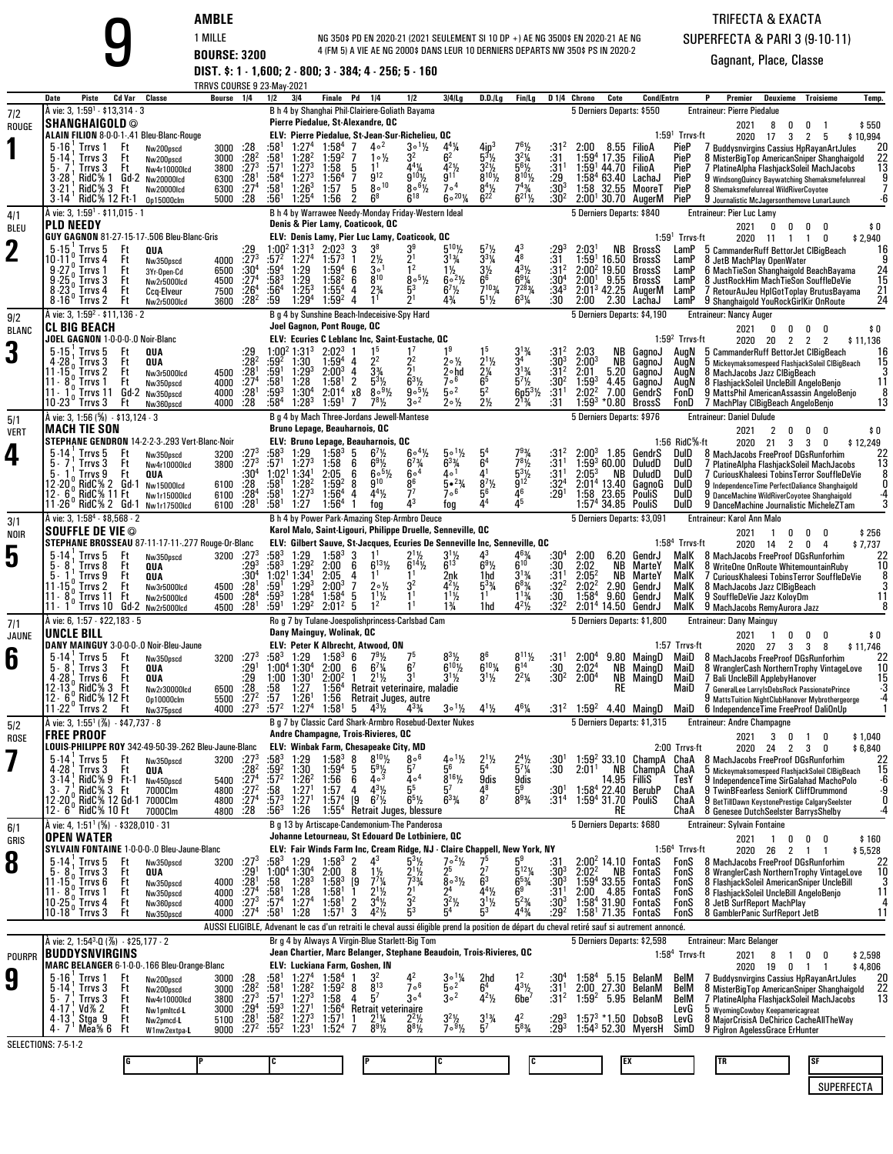| AMBI |  |      |  |  |
|------|--|------|--|--|
|      |  | ---- |  |  |

**AMBLE**<br>
1 MILLE **BOURSE: 3200** <sup>4</sup> (FM 5) A VIE AE NG 2000\$ DANS<br> **DIST. \$: 1 - 1,600; 2 - 800; 3 - 384; 4 - 256; 5 - 160** NG 350\$ PD EN 2020-21 (2021 SEULEMENT SI 10 DP +) AE NG 3500\$ EN 2020-21 AE NG 4 (FM 5) A VIE AE NG 2000\$ DANS LEUR 10 DERNIERS DEPARTS NW 350\$ PS IN 2020-2

## TRIFECTA & EXACTASUPERFECTA & PARI 3 (9-10-11)

|                    |                                                                                                                                                                     |                                                                                                                                                                | TRRVS COURSE 9 23-May-2021                            |                                                                                           |                                                                                |                                                                                                      |                                                                                                                      |                            |                                                                                                                        |                                                                                                                                                      |                                                                                                       |                                                                                                                     |                                                                                                                                  |                                                                                              |                                                                             |                                                   |                                                                                                                   |                                                                  |                                                                                                                                                                                                                                                                                             |                                            |
|--------------------|---------------------------------------------------------------------------------------------------------------------------------------------------------------------|----------------------------------------------------------------------------------------------------------------------------------------------------------------|-------------------------------------------------------|-------------------------------------------------------------------------------------------|--------------------------------------------------------------------------------|------------------------------------------------------------------------------------------------------|----------------------------------------------------------------------------------------------------------------------|----------------------------|------------------------------------------------------------------------------------------------------------------------|------------------------------------------------------------------------------------------------------------------------------------------------------|-------------------------------------------------------------------------------------------------------|---------------------------------------------------------------------------------------------------------------------|----------------------------------------------------------------------------------------------------------------------------------|----------------------------------------------------------------------------------------------|-----------------------------------------------------------------------------|---------------------------------------------------|-------------------------------------------------------------------------------------------------------------------|------------------------------------------------------------------|---------------------------------------------------------------------------------------------------------------------------------------------------------------------------------------------------------------------------------------------------------------------------------------------|--------------------------------------------|
| 7/2                | Date<br>Piste<br>A vie: 3, 1:59 <sup>1</sup> - \$13,314 - 3                                                                                                         | Cd Var<br>Classe                                                                                                                                               | Bourse 1/4                                            |                                                                                           | 1/2                                                                            | 3/4                                                                                                  | Finale Pd                                                                                                            |                            | 1/4                                                                                                                    | 1/2<br>B h 4 by Shanghai Phil-Clairiere-Goliath Bayama                                                                                               | $3 4 $ Lg                                                                                             | $D.D.$ /Lg                                                                                                          | Fin/Lg                                                                                                                           |                                                                                              | D 1/4 Chrono                                                                | Cote                                              | <b>Cond/Entrn</b><br>5 Derniers Departs: \$550                                                                    |                                                                  | Premier<br>Deuxieme<br><b>Troisieme</b><br><b>Entraineur: Pierre Piedalue</b>                                                                                                                                                                                                               | Temp.                                      |
| ROUGE              | <b>SHANGHAIGOLD ©</b>                                                                                                                                               |                                                                                                                                                                |                                                       |                                                                                           |                                                                                |                                                                                                      | Pierre Piedalue, St-Alexandre, QC                                                                                    |                            |                                                                                                                        |                                                                                                                                                      |                                                                                                       |                                                                                                                     |                                                                                                                                  |                                                                                              |                                                                             |                                                   |                                                                                                                   |                                                                  | 2021<br>8<br>0<br>0                                                                                                                                                                                                                                                                         | \$550                                      |
|                    | 5-16<br>Trrvs 1<br>5-14<br>Trrvs 3<br>Irrvs 3<br>RidC% 1<br>3-28<br>RidC% 3 Ft<br>3-21                                                                              | ALAIN FILION 8-0-0-1-.41 Bleu-Blanc-Rouge<br>Ft<br>Nw200pscd<br>Ft<br>Nw200pscd<br>Ft<br>Nw4r10000lcd<br>Gd 2<br>Nw20000lcd<br><b>Nw20000Icd</b>               | 3000<br>3000<br>3800<br>6300<br>6300                  | .28<br>$:28^2$<br>$\frac{1}{273}$<br>:28 <sup>1</sup><br>:27 <sup>4</sup>                 | :58†<br>:58'<br>:571<br>:58 <sup>4</sup><br>:58'                               | 1:27 <sup>4</sup><br>1:28 <sup>2</sup><br>$1:27^{3}$<br>$1:27^{3}$<br>$1:26^{3}$                     | 1:58 <sup>4</sup><br>1:59 <sup>2</sup><br>1:58<br>1:56 <sup>4</sup><br>1:57                                          | -7<br>7<br>5<br>7<br>5     | $4\circ^2$<br>$1 \circ \frac{1}{2}$<br>9 <sup>12</sup><br>$8 \, \circ \,^{10}$                                         | ELV: Pierre Piedalue, St-Jean-Sur-Richelieu, QC<br>$3 \circ 1\frac{1}{2}$<br>32<br>4 <sup>4</sup> %<br>q10y<br>$8\circ$ <sup>61</sup> / <sub>2</sub> | $4^{4}$ %<br>6 <sup>2</sup><br>$4^{21}$<br>9 <sup>11</sup><br>7 <sup>0</sup>                          | $5^3\%$<br>$3^{2}\frac{1}{2}$<br>8 <sup>10</sup> <sup>/</sup> <sub>2</sub><br>$8^{4}\frac{1}{2}$<br>6 <sup>22</sup> | 761/2<br>$3^2\%$<br>$5^{61/2}_{8^{101/2}}$<br>$7^{4}$ <sup>3</sup> / <sub>4</sub>                                                | :314<br>:31<br>$\frac{131}{29}$<br>:30 <sup>3</sup>                                          | 2:00<br>1:59ª<br>1:59'                                                      | 8.55<br>17.35<br>44.70<br>1:58 <sup>4</sup> 63.40 | FilioA<br>FilioA<br>FilioA<br>LachaJ<br>1:58 32.55 MooreT                                                         | $1:591$ Trrvs-ft<br>PieP<br>PieP<br>PieP<br>PieP<br>PieP         | 2020 17<br>3<br>2<br>5<br>7 Buddysnvirgins Cassius HpRayanArtJules<br>8 MisterBigTop AmericanSniper Shanghaigold<br>7 PlatineAlpha FlashjackSoleil MachJacobs<br>9 WindsongQuincy Baywatching Shemaksmefelunreal<br>8 Shemaksmefelunreal WildRiverCoyotee                                   | \$10,994<br>20                             |
|                    | RidC% 12 Ft-1<br>$3 - 14$<br>À vie: 3, 1:59 <sup>1</sup> - \$11,015 - 1                                                                                             | 0p15000clm                                                                                                                                                     | 5000                                                  | :28                                                                                       | :56'                                                                           | 1:25 <sup>4</sup>                                                                                    | 1:56                                                                                                                 | 2                          | $6^8$                                                                                                                  | $6^{18}$<br>B h 4 by Warrawee Needy-Monday Friday-Western Ideal                                                                                      | $60^{20}$ %                                                                                           |                                                                                                                     | $6^{21}\%$                                                                                                                       | :30 <sup>2</sup>                                                                             |                                                                             |                                                   | 2:00 <sup>1</sup> 30.70 AugerM<br>5 Derniers Departs: \$840                                                       | PieP                                                             | 9 Journalistic McJagersonthemove LunarLaunch<br><b>Entraineur: Pier Luc Lamy</b>                                                                                                                                                                                                            |                                            |
| 4/1<br><b>BLEU</b> | <b>PLD NEEDY</b>                                                                                                                                                    |                                                                                                                                                                |                                                       |                                                                                           |                                                                                |                                                                                                      | Denis & Pier Lamy, Coaticook, QC                                                                                     |                            |                                                                                                                        |                                                                                                                                                      |                                                                                                       |                                                                                                                     |                                                                                                                                  |                                                                                              |                                                                             |                                                   |                                                                                                                   |                                                                  | 2021<br>0<br>0<br>0                                                                                                                                                                                                                                                                         | \$0                                        |
| $\mathbf 2$        | $5-15$ . Trrvs $5$<br>$0 - 11$<br>Trrvs 4<br>Trrvs 1<br>Trrvs 3<br>8 - 23<br>Trrvs 4<br>$8 - 16'$<br>Trrvs 2                                                        | GUY GAGNON 81-27-15-17-.506 Bleu-Blanc-Gris<br>Ft<br>QUA<br>Ft<br>Nw350pscd<br>Ft<br>3Yr-Open-Cd<br>Ft<br>Nw2r5000lcd<br>Ft<br>Ccq-Elveur<br>Ft<br>Nw2r5000lcd | 4000<br>6500<br>4500<br>7500<br>3600                  | :29<br>$\frac{.273}{.304}$<br>:27 <sup>4</sup><br>$\overline{.26}^{4}$<br>$:28^2$         | :572<br>:59ª<br>:583<br>$:56^4$<br>:59                                         | 1:00 <sup>2</sup> 1:31 <sup>3</sup><br>1:27 <sup>4</sup><br>1:29<br>1:29<br>$1:25^{3}$<br>$1:29^{4}$ | $2:02^3$<br>$1:57^{3}$<br>$1:59^{4}$<br>1:58 <sup>2</sup><br>$1:55^{4}$<br>1:59 <sup>2</sup>                         | 3<br>6<br>6<br>4<br>4      | 3∘<br>$8^{10}$                                                                                                         | ELV: Denis Lamy, Pier Luc Lamy, Coaticook, OC<br>$\overline{1}2$<br>$80^{51/2}$<br>5 <sup>3</sup><br>21                                              | $3^{13}/4$<br>1½<br>$6^{\circ 2}\frac{1}{2}$<br>$6^{7}$ <sup>1</sup> / <sub>2</sub><br>$4\frac{3}{4}$ | 57<br>$3^{3}$ <sup>1</sup> /4<br>$\frac{3\frac{1}{2}}{6^6}$<br>$7^{103}$<br>$5^1\%$                                 | 48<br>$4^{3}\frac{1}{2}$<br>$6^{9}$ <sup>%</sup><br>$7^{28}_{4}$<br>$6^{3}$ <sup>%</sup>                                         | :31<br>:31 <sup>2</sup><br>:30ª<br>$:34^{3}$<br>:30                                          | 2:03'<br>1:59'<br>$2:002$ 19.50<br>$2:00^+$<br>$2:013$ 42.25<br>2:00        | NB.<br>16.50<br>9.55<br>2.30                      | BrossS<br>BrossS<br>BrossS<br>BrossS<br>AugerM<br>LachaJ                                                          | $1:591$ Trrvs-ft<br>LamP<br>LamP<br>LamP<br>LamP<br>LamP<br>LamP | 2020 11<br>0<br>$\overline{1}$<br>$\overline{1}$<br>5 CammanderRuff BettorJet ClBiaBeach<br>8 JetB MachPlay OpenWater<br>6 MachTieSon Shanghaigold BeachBayama<br>8 JustRockHim MachTieSon SouffleDeVie<br>7 RetourAuJeu HplGotToplay BrutusBayama<br>9 Shanghaigold YouRockGirlKir OnRoute | \$2,940<br>16<br>15<br>21<br>24            |
| 9/2                | À vie: 3, 1:59 <sup>2</sup> - \$11,136 - 2                                                                                                                          |                                                                                                                                                                |                                                       |                                                                                           |                                                                                |                                                                                                      | Joel Gagnon, Pont Rouge, QC                                                                                          |                            |                                                                                                                        | B g 4 by Sunshine Beach-Indeceisive-Spy Hard                                                                                                         |                                                                                                       |                                                                                                                     |                                                                                                                                  |                                                                                              |                                                                             |                                                   | 5 Derniers Departs: \$4,190                                                                                       |                                                                  | <b>Entraineur: Nancy Auger</b>                                                                                                                                                                                                                                                              |                                            |
| <b>BLANC</b>       | <b>CL BIG BEACH</b><br>JOEL GAGNON 1-0-0-0-.0 Noir-Blanc                                                                                                            |                                                                                                                                                                |                                                       |                                                                                           |                                                                                |                                                                                                      |                                                                                                                      |                            |                                                                                                                        | ELV: Ecuries C Leblanc Inc, Saint-Eustache, OC                                                                                                       |                                                                                                       |                                                                                                                     |                                                                                                                                  |                                                                                              |                                                                             |                                                   |                                                                                                                   | $1:592$ Trrvs-ft                                                 | 2021<br>0<br>0<br>0<br>2020 20<br>2<br>2<br>2                                                                                                                                                                                                                                               | \$0<br>\$11,136                            |
| 3                  | $5 - 15$<br>Trrvs 5<br>Trrvs 3<br>11-15<br>Trrvs 2<br>11 - 8<br>Trrvs 1<br>Trrvs 11<br>11 - 1<br>$10 - 23$<br>′ Trrvs 3                                             | Ft<br>QUA<br>Ft<br>QUA<br>Ft<br>Nw3r5000lcd<br>Ft<br>Nw350pscd<br>Gd-2 Nw350pscd<br>Ft<br>Nw360pscd                                                            | 4500<br>4000<br>4000<br>4000                          | :28<br>:28 <sup>1</sup><br>$\frac{.274}{.28}$<br>:28                                      | :59ª<br>:59'<br>:581<br>$:59^{3}$<br>$:58^4$                                   | $1:00^2$ 1:31 <sup>3</sup><br>1:30<br>$1:29^{3}$<br>1:28<br>$1:30^{4}$<br>$1:28^{3}$                 | $2:02^3$<br>$1:59^{4}$<br>$2:00^{3}$<br>1:58 <sup>1</sup><br>2:01 <sup>4</sup><br>$1:59^{\circ}$                     | 4<br>2<br>х8<br>7          | 22<br>$3\frac{3}{4}$<br>53%<br>$8°9\frac{1}{2}$<br>$7^{8}$ <sup>1</sup> / <sub>2</sub>                                 | $2^2$<br>21<br>$9^{\circ 5}$ <sup>/2</sup><br>$3^{\circ2}$                                                                                           | $2 \circ \frac{1}{2}$<br>2∘hd<br>7ºp<br>50 <sup>2</sup><br>$20\frac{1}{2}$                            | $2^{11/2}$<br>$\frac{2\frac{1}{4}}{6^5}$<br>2 <sub>2</sub>                                                          | $3^{13/4}$<br>$3^{13}/4$<br>$5^{7}$ <sup>1</sup> / <sub>2</sub><br>$6p5^{3}\frac{1}{2}$<br>2 <sup>13</sup> / <sub>4</sub>        | :31 $\frac{2}{3}$<br>:303<br>:31 <sup>2</sup><br>:30 <sup>2</sup><br>:31 <sup>1</sup><br>:31 | 2:03<br>$2:00^{3}$<br>2:01<br>$1:59^{3}$<br>2:02 <sup>2</sup><br>$1:59^{3}$ | NB<br>NB.<br>5.20<br>4.45<br>7.00<br>*0.80        | GagnoJ<br>GagnoJ<br>GagnoJ<br>GagnoJ<br>GendrS<br>BrossS                                                          | AuaN<br>AugN<br>AugN<br>AuaN<br>FonD<br>FonD                     | 5 CammanderRuff BettorJet ClBigBeach<br>5 Mickeymaksomespeed FlashjackSoleil CIBigBeach<br>8 Mach Jacobs Jazz ClBigBeach<br>8 FlashjackSoleil UncleBill AngeloBenjo<br>9 MattsPhil AmericanAssassin AngeloBenjo<br>7 MachPlay ClBigBeach AngeloBenio                                        | 16<br>15<br>11<br>13                       |
| 5/1                | A vie: 3, 1:56 (%) $\cdot$ \$13,124 $\cdot$ 3                                                                                                                       |                                                                                                                                                                |                                                       |                                                                                           |                                                                                |                                                                                                      | Bruno Lepage, Beauharnois, QC                                                                                        |                            |                                                                                                                        | B g 4 by Mach Three-Jordans Jewell-Mantese                                                                                                           |                                                                                                       |                                                                                                                     |                                                                                                                                  |                                                                                              |                                                                             |                                                   | 5 Derniers Departs: \$976                                                                                         |                                                                  | <b>Entraineur: Daniel Dulude</b>                                                                                                                                                                                                                                                            |                                            |
| <b>VERT</b>        | MACH TIE SON                                                                                                                                                        | STEPHANE GENDRON 14-2-2-3-.293 Vert-Blanc-Noir                                                                                                                 |                                                       |                                                                                           |                                                                                |                                                                                                      | ELV: Bruno Lepage, Beauharnois, QC                                                                                   |                            |                                                                                                                        |                                                                                                                                                      |                                                                                                       |                                                                                                                     |                                                                                                                                  |                                                                                              |                                                                             |                                                   |                                                                                                                   | 1:56 RidC%-ft                                                    | 2021<br>2<br>0<br>0<br>0<br>2020 21<br>3<br>- 3<br>0                                                                                                                                                                                                                                        | \$0<br>\$12,249                            |
| 4                  | $5-14$<br>Trrvs 5<br>Trrvs 3<br>Trrvs 9<br>RidC% 2 Gd 1<br>RidC% 11 Ft<br>$12 - 6$<br>11-26 RidC% 2 Gd-1                                                            | Ft<br>Nw350pscd<br>Ft<br>Nw4r10000lcd<br>Ft<br>QUA<br>Nw15000lcd<br>Nw1r15000lcd<br>Nw1r17500lcd                                                               | 3200<br>3800<br>6100<br>6100<br>6100                  | :27 <sup>3</sup><br>$:27^{3}$<br>:30 <sup>4</sup><br>:28<br>$:28^4$<br>:28 <sup>1</sup>   | :583<br>:57'<br>1:02 <sup>1</sup><br>:581<br>:58†<br>:58 <sup>1</sup>          | 1:29<br>$1:27^{3}$<br>1:34'<br>$1:28^2$<br>$1:27^{3}$<br>1:27                                        | $1:58^{3}$<br>1:58<br>2:05<br>1:59 <sup>2</sup><br>1:56 <sup>4</sup><br>1:56 <sup>4</sup>                            | 5<br>6<br>6<br>8<br>4      | $67$ %<br>$6^{9}$ <sup>1</sup> / <sub>2</sub><br>$60^{51/2}$<br>$9^{10}$<br>$4^{4}$ <sup>1</sup> / <sub>2</sub><br>tog | $6\cdot\frac{4}{2}$<br>$6^{7/3}$<br>6004<br>86<br>77<br>43                                                                                           | $5 \circ 1\frac{1}{2}$<br>$6^{3}\%$<br>40 <sup>1</sup><br>$5 \cdot \frac{23}{4}$<br>706<br>fog        | 54<br>$6^4$<br>41<br>$8^{7}\%$<br>56<br>44                                                                          | $7^9\%$<br>$7^{8}$ <sup>1</sup> / <sub>2</sub><br>$5^{31/2}$<br>46<br>45                                                         | :31 <sup>2</sup><br>:31 <sup>1</sup><br>$:31^{1}$<br>$:32^{4}$<br>$:29^{1}$                  | $2:00^{3}$<br>$2:05^{3}$<br>2:01 <sup>4</sup> 13.40                         | 1.85<br>$1:59^3$ 60.00<br>NB<br>1:58 23.65        | GendrS<br>DuludD<br>DuludD<br>GagnoG<br>PouliS<br>$1:574 34.85$ PouliS                                            | DulD<br>DulD<br>DulD<br>DulD<br>DulD<br>DulD                     | 8 MachJacobs FreeProof DGsRunforhim<br>7 PlatineAlpha FlashjackSoleil MachJacobs<br>7 Curious Khaleesi Tobins Terror SouffleDeVie<br>9 Independence Time PerfectDaliance Shanghaigold<br>9 DanceMachine WildRiverCovotee Shanghaigold<br>9 DanceMachine Journalistic MicheleZTam            | 13                                         |
| 3/1                | À vie: 3, 1:58 <sup>4</sup> - \$8,568 - 2<br><b>SOUFFLE DE VIE ©</b>                                                                                                |                                                                                                                                                                |                                                       |                                                                                           |                                                                                |                                                                                                      |                                                                                                                      |                            |                                                                                                                        | B h 4 by Power Park-Amazing Step-Armbro Deuce<br>Karol Malo, Saint-Ligouri, Philippe Druelle, Senneville, QC                                         |                                                                                                       |                                                                                                                     |                                                                                                                                  |                                                                                              |                                                                             |                                                   | 5 Derniers Departs: \$3,091                                                                                       |                                                                  | Entraineur: Karol Ann Malo                                                                                                                                                                                                                                                                  |                                            |
| NOIR               |                                                                                                                                                                     | STEPHANE BROSSEAU 87-11-17-11-.277 Rouge-Or-Blanc                                                                                                              |                                                       |                                                                                           |                                                                                |                                                                                                      |                                                                                                                      |                            |                                                                                                                        | ELV: Gilbert Sauve, St-Jacques, Ecuries De Senneville Inc, Senneville, QC                                                                            |                                                                                                       |                                                                                                                     |                                                                                                                                  |                                                                                              |                                                                             |                                                   |                                                                                                                   | 1:58 <sup>4</sup> Trrvs-ft                                       | 2021<br>0<br>0<br>0<br>2020 14<br>2<br>0<br>$\overline{4}$                                                                                                                                                                                                                                  | \$256<br>\$7,737                           |
| 5                  | $5-14$<br>Trrvs 5<br>8<br>Trrvs 8<br>Trrvs 9<br>Trrvs 2<br>11-15<br>11 - 8<br>Trrvs 11<br>$11 - 1$<br>Trrvs 10                                                      | Ft<br>Nw350pscd<br>Ft<br>QUA<br>Ft<br>QUA<br>Ft<br>Nw3r5000lcd<br>Ft<br>Nw2r5000lcd<br>Gd-2<br>Nw2r5000lcd                                                     | 3200<br>4500<br>4500<br>4500                          | :273<br>$:29^{3}$<br>$:30^4$<br>:28 <sup>1</sup><br>$:28^{4}$<br>$:28^{1}$                | :583<br>:583<br>1:02 <sup>1</sup><br>:59'<br>:593<br>:59'                      | 1:29<br>1:29 <sup>2</sup><br>1:34<br>$1:29^{3}$<br>$1:28^{4}$<br>1:29 <sup>2</sup>                   | $1:58^{3}$<br>2:00<br>2:05<br>$2:00^{3}$<br>$1:58^{4}$<br>$2:01^2$                                                   | 3<br>6<br>4<br>7<br>5<br>5 | $6^{13}$ %<br>$2 \circ \frac{1}{2}$<br>$1\frac{1}{2}$                                                                  | $6^{14}$ <sup>1</sup> / <sub>2</sub><br>32<br>1 <sup>1</sup>                                                                                         | $6^{13}$<br>2nk<br>44%<br>$1^{11/2}$<br>1%                                                            | 43<br>$6^9\%$<br>1hd<br>$5^3\%$<br>11<br>1hd                                                                        | $6^{10}$<br>$3^{13\%}$<br>$6^{83}$<br>$1^{13}/4$<br>$4^{2}\frac{1}{2}$                                                           | :30ª<br>$:30$<br>:31 <sup>1</sup><br>:32ª<br>:30<br>:32 <sup>2</sup>                         | 2:00<br>2:02<br>$2:05^2$<br>2:02 <sup>2</sup><br>$1:58^{4}$                 | 6.20<br>NB<br>ΝB<br>2.90<br>9.60<br>$2:014$ 14.50 | GendrJ<br>MarteY<br>MarteY<br>GendrJ<br>GendrJ<br>GendrJ                                                          | MalK<br>MalK<br>MalK<br>MalK<br>MalK<br>MalK                     | 8 MachJacobs FreeProof DGsRunforhim<br>8 WriteOne OnRoute WhitemountainRuby<br>7 Curious Khaleesi Tobins Terror SouffleDeVie<br>8 Mach Jacobs Jazz ClBigBeach<br>9 SouffleDeVie Jazz KoloyDm<br>9 MachJacobs RemyAurora Jazz                                                                | 10                                         |
| 7/1                | À vie: 6, 1:57 - \$22,183 - 5<br>UNCLE BILL                                                                                                                         |                                                                                                                                                                |                                                       |                                                                                           |                                                                                |                                                                                                      | Dany Mainguy, Wolinak, QC                                                                                            |                            |                                                                                                                        | Ro g 7 by Tulane-Joespolishprincess-Carlsbad Cam                                                                                                     |                                                                                                       |                                                                                                                     |                                                                                                                                  |                                                                                              |                                                                             |                                                   | 5 Derniers Departs: \$1,800                                                                                       |                                                                  | <b>Entraineur: Dany Mainguy</b><br>2021<br>0<br>0<br>0                                                                                                                                                                                                                                      | \$0                                        |
| JAUNE              |                                                                                                                                                                     | DANY MAINGUY 3-0-0-0-.0 Noir-Bleu-Jaune                                                                                                                        |                                                       |                                                                                           |                                                                                |                                                                                                      | ELV: Peter K Albrecht, Atwood, ON                                                                                    |                            |                                                                                                                        |                                                                                                                                                      |                                                                                                       |                                                                                                                     |                                                                                                                                  |                                                                                              |                                                                             |                                                   |                                                                                                                   | 1:57 Trrvs-ft                                                    | -1<br>2020 27<br>3<br>3<br>8                                                                                                                                                                                                                                                                | \$11,746                                   |
| 6                  | $5 - 14$<br>Trrvs 5<br>5.<br>-8<br>Trrvs 3<br>4 - 28<br>Trrvs 6<br>12.13 <sub>0</sub><br>RidC% 3<br>12 - 6<br>RidC% 12 Ft                                           | Ft<br>Nw350pscd<br>Ft<br>QUA<br>Ft<br>QUA<br>Ft<br>Nw2r30000lcd<br>Op10000clm                                                                                  | 3200<br>6500<br>5500                                  | $:27^{3}$<br>:29 <sup>1</sup><br>:29<br>$\frac{.28}{.27^2}$                               | :583<br>$1:00^4$ 1:30 <sup>4</sup><br>$1:00$ $1:30$ <sup>1</sup><br>:58<br>:57 | 1:29<br>1:27<br>1:26                                                                                 | $1:58^{3}$<br>2:00<br>$2:00^2$<br>1:56 <sup>4</sup><br>1:56                                                          | 6<br>6<br>-1               | $7^{9}_{6}$ <sup>79</sup> / <sub>4</sub><br>$2^{1}\frac{1}{2}$                                                         | 6 <sup>7</sup><br>3 <sup>1</sup><br>Retrait veterinaire, maladie<br>Retrait Juges, autre                                                             | $6^{10}$ <sup>1</sup> / <sub>2</sub><br>$3^{1}\frac{1}{2}$                                            | $8^{6}_{6}$ 10 <sub>1/4</sub><br>$3^{11}/2$                                                                         | $8^{11}$ %<br>$\mathbf{\check{6}}^{14}$<br>$2^2\frac{1}{4}$                                                                      | :31'<br>:30<br>:30ª                                                                          | $2:00^{4}$<br>2:02 <sup>4</sup><br>2:00 <sup>4</sup>                        | 9.80<br>NB<br>NB<br><b>RE</b>                     | MaingD<br>MaingD<br>MaingD                                                                                        | MaiD<br>MaiD<br>MaiD<br>MaiD                                     | 8 MachJacobs FreeProof DGsRunforhim<br>8 WranglerCash NorthernTrophy VintageLove<br>7 Bali UncleBill ApplebyHanover<br>GeneralLee LarryIsDebsRock PassionatePrince<br>9 MattsTuition NightClubHanover Mybrothergeorge                                                                       | 10<br>15                                   |
| 5/2                | 11-22<br>Trrvs 2<br>A vie: 3, 1:55 <sup>1</sup> (%) $-$ \$47,737 $-$ 8                                                                                              | Ft<br>Nw375pscd                                                                                                                                                | 4000                                                  | $:27^{3}$                                                                                 | :57 <sup>2</sup>                                                               | 1:27 <sup>4</sup>                                                                                    | 1:58'                                                                                                                | 5                          | $4^{3}\frac{1}{2}$                                                                                                     | 43%<br>B a 7 by Classic Card Shark-Armbro Rosebud-Dexter Nukes                                                                                       | $3^0\frac{1}{2}$                                                                                      | $4^{1}\frac{1}{2}$                                                                                                  | $4^6\%$                                                                                                                          | :312                                                                                         | $1:59^{2}$                                                                  |                                                   | 4.40 MaingD<br>5 Derniers Departs: \$1,315                                                                        | MaiD                                                             | 6 Independence Time Free Proof DaliOnUp<br><b>Entraineur: Andre Champagne</b>                                                                                                                                                                                                               |                                            |
| <b>ROSE</b>        | FREE PROOF                                                                                                                                                          |                                                                                                                                                                |                                                       |                                                                                           |                                                                                |                                                                                                      | Andre Champagne, Trois-Rivieres, QC                                                                                  |                            |                                                                                                                        |                                                                                                                                                      |                                                                                                       |                                                                                                                     |                                                                                                                                  |                                                                                              |                                                                             |                                                   |                                                                                                                   | 2:00 Trrvs-ft                                                    | 2021<br>3 0 1<br>0                                                                                                                                                                                                                                                                          | \$1,040                                    |
|                    | 5.14<br>Trrvs 5<br>4 - 28<br>Trrvs 3<br>RidC% 9<br>$3 - 14$ ;<br>RidC% 3 Ft<br>3.7<br>12 - 20 <sup>0</sup> RidC% 12 Gd-1 7000Clm<br>12 - 6 <sup>°</sup> RidC% 10 Ft | LOUIS-PHILIPPE ROY 342-49-50-39-.262 Bleu-Jaune-Blanc<br>Ft<br>Nw350pscd<br>Ft<br>QUA<br>- Ft-1<br>Nw450pscd<br>7000Clm<br>7000Clm                             | 3200 :27 <sup>3</sup><br>5400<br>4800<br>4800<br>4800 | :28ª<br>$\frac{.27^4}{.27^2}$<br>:27 <sup>4</sup><br>.28                                  | :583<br>:59ª<br>:57 <sup>2</sup><br>:58<br>$:57^{3}$<br>$:56^3$                | 1:29<br>1:30<br>$1:26^2$<br>1:27<br>1:27 <sup>1</sup><br>1:26                                        | ELV: Winbak Farm, Chesapeake City, MD<br>$1:58^{3}$<br>$1:59^{4}$<br>1:56<br>1:57<br>1:57 <sup>4</sup><br>$1:55^{4}$ | 5<br>6<br>4<br>19          | $8^{10}\%$<br>$\frac{5^{9}\%}{4^{3}}$<br>$4^{3}\frac{1}{2}$<br>$6^7\frac{1}{2}$                                        | 806<br>57<br>$4\circ4$<br>5 <sup>5</sup><br>$6^{5}$ <sup>1</sup> / <sub>2</sub><br>Retrait Juges, blessure                                           | $4 \circ 1\frac{1}{2}$<br>56<br>$8^{16}\%$<br>$6^{3}$ <sup>%</sup>                                    | $2^{1}$ <sup>1</sup> / <sub>2</sub><br>5 <sup>4</sup><br>$\frac{9}{4^8}$<br>8 <sup>7</sup>                          | $2^4\%$<br>$\frac{1}{5}$ <sup>7</sup> / <sub>4</sub><br>9dis<br>5ª<br>$8^{93}/4$                                                 | :30'<br>:30<br>:30 <sup>1</sup><br>:31 <sup>4</sup>                                          | 2:01 <sup>1</sup>                                                           | NB<br>14.95<br><b>RE</b>                          | $1:592$ 33.10 ChampA ChaA<br>ChampA<br>Fillis<br>1:58 <sup>4</sup> 22.40 BerubP<br>1:59 <sup>4</sup> 31.70 PouliS | ChaA<br>TesY<br>ChaA<br>ChaA<br>ChaA                             | 2020 24 2 3<br>0<br>8 MachJacobs FreeProof DGsRunforhim<br>5 Mickeymaksomespeed FlashjackSoleil CIBigBeach<br>9 IndependenceTime SirGalahad MachoPolo<br>9 TwinBFearless SeniorK CliffDrummond<br>9 BetTillDawn KeystonePrestige CalgarySeelster<br>8 Genesee DutchSeelster BarrysShelby    | \$6,840<br>22<br>15<br>-6<br>و.<br>0<br>-4 |
| 6/1                | À vie: 4, 1:51 <sup>1</sup> (%) - \$328,010 - 31<br><b>OPEN WATER</b>                                                                                               |                                                                                                                                                                |                                                       |                                                                                           |                                                                                |                                                                                                      |                                                                                                                      |                            |                                                                                                                        | B g 13 by Artiscape-Candemonium-The Panderosa<br>Johanne Letourneau, St Edouard De Lotbiniere, OC                                                    |                                                                                                       |                                                                                                                     |                                                                                                                                  |                                                                                              |                                                                             |                                                   | 5 Derniers Departs: \$680                                                                                         |                                                                  | <b>Entraineur: Sylvain Fontaine</b>                                                                                                                                                                                                                                                         |                                            |
| GRIS               |                                                                                                                                                                     | SYLVAIN FONTAINE 1-0-0-0-.0 Bleu-Jaune-Blanc                                                                                                                   |                                                       |                                                                                           |                                                                                |                                                                                                      |                                                                                                                      |                            |                                                                                                                        | ELV: Fair Winds Farm Inc, Cream Ridge, NJ - Claire Chappell, New York, NY                                                                            |                                                                                                       |                                                                                                                     |                                                                                                                                  |                                                                                              |                                                                             |                                                   |                                                                                                                   | $1:564$ Trrvs-ft                                                 | 2021<br>$\overline{1}$<br>0<br>0<br>0<br>2020 26 2 1 1                                                                                                                                                                                                                                      | \$160<br>\$5,528                           |
| 8                  | 5 - 14 ; Trrvs 5<br>$5 - 8 - 7$ Trrvs 3<br>Trrvs 6<br>11-15.<br>11 - 81<br>Trrvs 1<br>$10.25o$ Trrvs 4<br>10 - 18'<br>Trrvs 3                                       | Ft<br>Nw350pscd<br>QUA<br>Ft<br>Ft<br>Nw350pscd<br>Ft<br>Nw350pscd<br>Ft<br>Nw360pscd<br>Ft<br>Nw350pscd                                                       | 3200<br>4000<br>4000<br>4000<br>4000                  | $:27^{3}$<br>:29'<br>$:28^{1}$<br>:27 <sup>4</sup><br>$\frac{273}{2}$<br>:27 <sup>4</sup> | :583<br>:58'<br>:574<br>:581                                                   | 1:29<br>$1:00^4$ 1:30 <sup>4</sup><br>:58 1:28 <sup>3</sup><br>1:28<br>1:27 <sup>4</sup><br>1:28     | $1:58^3$ 2<br>2:00 8<br>$1:58^{3}$<br>1:58 <sup>1</sup><br>1:58 <sup>1</sup><br>1:57 <sup>1</sup>                    | [9]<br>-1<br>$\frac{2}{3}$ | $4^3$<br>$\frac{1}{2}$ / $\frac{1}{4}$<br>$2^{11/2}$<br>$3^{4}\frac{1}{2}$<br>4 <sup>2</sup> $\frac{1}{2}$             | $5^{3}\frac{1}{2}$<br>$\frac{2^{11/2}}{7^{33/4}}$<br>$\frac{2^1}{3^2}$                                                                               | $7 \cdot \frac{21}{2}$<br>25<br>$\bar{8} \cdot \frac{31}{2}$<br>2 <sup>4</sup><br>$3^{2}\frac{1}{2}$  | 7 <sup>5</sup><br>$\frac{2^7}{6^3}$<br>$4^{4}$ <sup>1</sup> / <sub>2</sub><br>$3^{1}/_{2}$                          | 5,<br>$5^{12}$ <sup>1</sup> / <sub>4</sub><br>$6^{5}$ <sup>3</sup> / <sub>4</sub><br>6 <sup>9</sup><br>$\frac{5^{23}}{4^{43/4}}$ | :31<br>$:30^{3}$<br>$:30^{3}$<br>:31'<br>$:30^{3}$<br>:292                                   | $2:02^{2}$<br>2:00                                                          | NB<br>$1:59^4$ 33.55<br>4.85<br>$1:58^{4}$ 31.90  | $2:002$ 14.10 FontaS<br>FontaS<br>FontaS<br>FontaS<br>FontaS<br>$1:581$ 71.35 FontaS                              | FonS<br>FonS<br>FonS<br>FonS<br>FonS<br>FonS                     | 8 MachJacobs FreeProof DGsRunforhim<br>8 WranglerCash NorthernTrophy VintageLove<br>8 FlashjackSoleil AmericanSniper UncleBill<br>8 FlashjackSoleil UncleBill AngeloBenjo<br>8 JetB SurfReport MachPlay<br>8 GamblerPanic SurfReport JetB                                                   | 22<br>10<br>11<br>11                       |
|                    |                                                                                                                                                                     |                                                                                                                                                                |                                                       |                                                                                           |                                                                                |                                                                                                      |                                                                                                                      |                            |                                                                                                                        | AUSSI ELIGIBLE, Advenant le cas d'un retraiti le cheval aussi éligible prend la position de départ du cheval retiré sauf si autrement annoncé.       |                                                                                                       |                                                                                                                     |                                                                                                                                  |                                                                                              |                                                                             |                                                   |                                                                                                                   |                                                                  |                                                                                                                                                                                                                                                                                             |                                            |
| POURPR             | A vie: 2, 1:54 <sup>3</sup> -0 (%) - \$25,177 - 2<br><b>BUDDYSNVIRGINS</b>                                                                                          |                                                                                                                                                                |                                                       |                                                                                           |                                                                                |                                                                                                      |                                                                                                                      |                            |                                                                                                                        | Br g 4 by Always A Virgin-Blue Starlett-Big Tom<br>Jean Chartier, Marc Belanger, Stephane Beaudoin, Trois-Rivieres, QC                               |                                                                                                       |                                                                                                                     |                                                                                                                                  |                                                                                              |                                                                             |                                                   | 5 Derniers Departs: \$2,598                                                                                       | 1:58 <sup>4</sup> Trrvs-ft                                       | <b>Entraineur: Marc Belanger</b><br>2021<br>8<br>0<br>0<br>-1                                                                                                                                                                                                                               | \$2,598                                    |
| 9                  | $5 - 16$<br>¦ Trrvs 1<br>5 - 14<br>Trrvs 3<br>Trrvs 3<br>4.17<br>Vd% 2<br>4.13, Stga 9                                                                              | MARC BELANGER 6-1-0-0-.166 Bleu-Orange-Blanc<br>Ft<br>Nw200pscd<br>Ft<br>Nw200pscd<br>Ft<br>Nw4r10000lcd<br>Ft<br>Nw1pmltcd-L<br>Ft<br>Nw2pmcd-L               | 3000 :28<br>3000<br>3800<br>3000<br>5100              | $: 28^2$<br>$: 27^3$<br>$: 29^4$<br>:28 <sup>1</sup>                                      | :58†<br>:58†<br>$:57^{1}$<br>$:59^{3}$<br>$:58^2$                              | 1:27 <sup>4</sup><br>1:28 <sup>2</sup><br>$\frac{1:27^3}{1:27^1}$<br>1:27 <sup>3</sup>               | <b>ELV: Luckiana Farm, Goshen, IN</b><br>$1:58^{4}$<br>$1:59^2$ 8<br>1:58<br>1:56 <sup>4</sup><br>1:57 <sup>1</sup>  | 4<br>-1                    | 3 <sup>2</sup><br>${\bf 8}^{13}$<br>$5^7$<br>Retrait veterinaire<br>$2^{11}/4$                                         | 42<br>7 <sub>0</sub> 6<br>$3^{\circ 4}$<br>$2^{2}\frac{1}{2}$                                                                                        | $30^{11}/4$<br>$5^{\circ 2}$<br>30 <sup>2</sup><br>$3^{2}\frac{1}{2}$<br>7.91/2                       | 2hd<br>6 <sup>4</sup><br>$4^{2}\%$<br>$3^{13}/4$                                                                    | $4^{3}\frac{1}{2}$<br>6be <sup>7</sup><br>4 <sup>2</sup>                                                                         | :30ª<br>:31'<br>:31 <sup>2</sup><br>$:29^{3}$                                                | 2:00                                                                        |                                                   | $1:584$ 5.15 BelanM<br>27.30 BelanM<br>1:59 $^{2}$ 5.95 BelanM<br>$1:57^3$ *1.50 DobsoB                           | BelM<br>BelM<br>BelM<br>LevG<br>LevG                             | 2020<br>19<br>$\overline{1}$<br>0<br>$\overline{1}$<br>7 Buddysnvirgins Cassius HpRayanArtJules<br>8 MisterBigTop AmericanSniper Shanghaigold<br>7 PlatineAlpha FlashjackSoleil MachJacobs<br>b WyomingCowboy Keepamericagreat<br>8 MajorCrisisA DeChirico CacheAllTheWay                   | \$4,806<br>20<br>22<br>13                  |
|                    | Mea% 6<br>4.7<br><b>SELECTIONS: 7-5-1-2</b>                                                                                                                         | Ft<br>W1nw2extpa-L                                                                                                                                             | 9000                                                  | $:27^{2}$                                                                                 | $:55^{2}$                                                                      | 1:23 <sup>1</sup>                                                                                    | 1:52 <sup>4</sup>                                                                                                    | 7                          | $8^{9}$ <sup>1</sup> / <sub>2</sub>                                                                                    | $8^{8}$ <sup>1</sup> / <sub>2</sub>                                                                                                                  |                                                                                                       | 5 <sup>7</sup>                                                                                                      | $5^{8}$ <sup>3</sup> / <sub>4</sub>                                                                                              | :293                                                                                         |                                                                             |                                                   | 1:54 $3$ 52.30 MyersH                                                                                             | SimD                                                             | 9 Piglron AgelessGrace ErHunter                                                                                                                                                                                                                                                             |                                            |
|                    |                                                                                                                                                                     | IG.                                                                                                                                                            |                                                       |                                                                                           |                                                                                |                                                                                                      |                                                                                                                      |                            |                                                                                                                        |                                                                                                                                                      |                                                                                                       |                                                                                                                     |                                                                                                                                  |                                                                                              |                                                                             | EX                                                |                                                                                                                   |                                                                  | TR.<br>SF                                                                                                                                                                                                                                                                                   | SUPERFECTA                                 |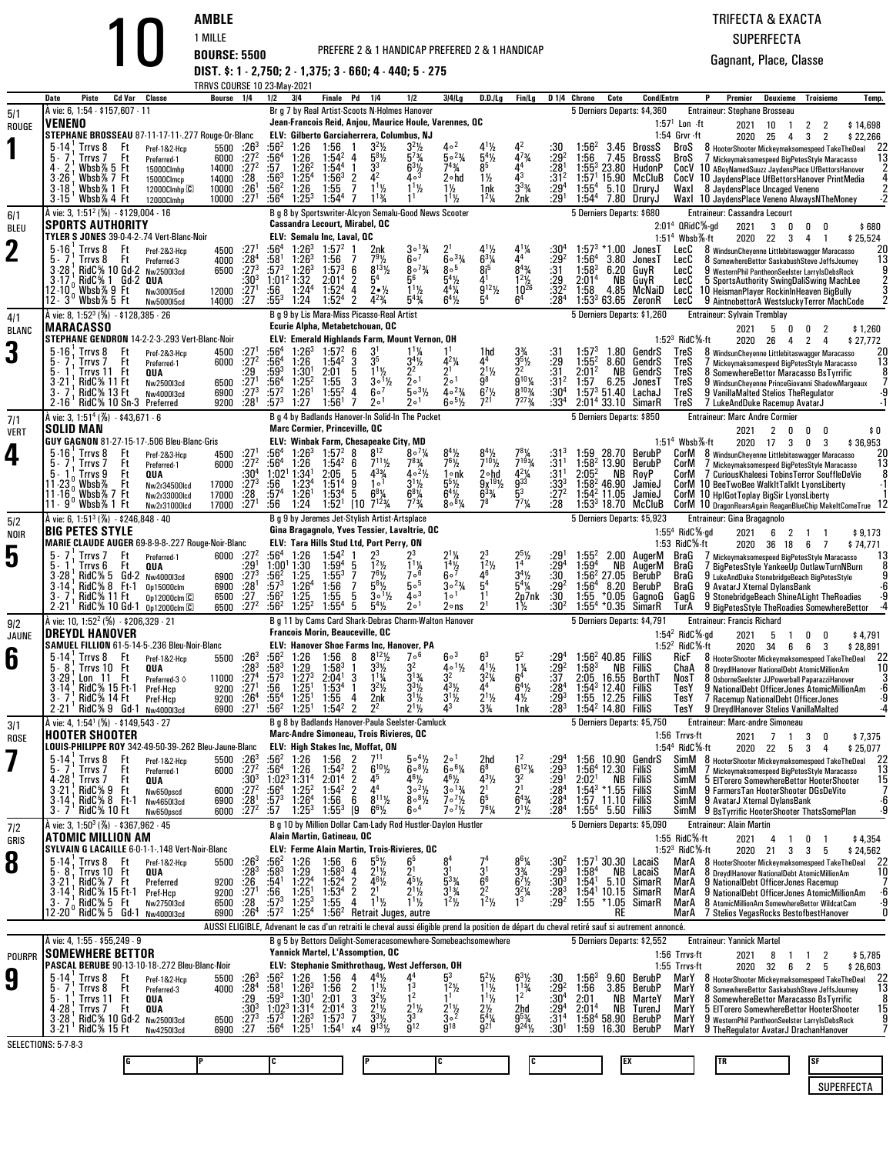PREFERE 2 & 1 HANDICAP PREFERED 2 & 1 HANDICAP

**AMBLE** 1 MILLE **BOURSE: 5500 DIST. \$: 1 - 2,750; 2 - 1,375; 3 - 660; 4 - 440; 5 - 275**

|                    |                                                                                |                                       | TRRVS COURSE 10 23-May-2021                      |                                        |                                                |                                                                 |                                        |                                                                                                                                                |                                                               |                                                                            |                                                     |                                                 |                                       |                                                       |                                                    |                      |                                               |                                                                                                 |                                              |                                |                     |
|--------------------|--------------------------------------------------------------------------------|---------------------------------------|--------------------------------------------------|----------------------------------------|------------------------------------------------|-----------------------------------------------------------------|----------------------------------------|------------------------------------------------------------------------------------------------------------------------------------------------|---------------------------------------------------------------|----------------------------------------------------------------------------|-----------------------------------------------------|-------------------------------------------------|---------------------------------------|-------------------------------------------------------|----------------------------------------------------|----------------------|-----------------------------------------------|-------------------------------------------------------------------------------------------------|----------------------------------------------|--------------------------------|---------------------|
|                    | Cd Var<br>Date<br>Piste<br>À vie: 6, 1:54 - \$157,607 - 11                     | Classe                                | Bourse                                           | 1/4                                    | 1/2                                            | 3 4                                                             | Finale                                 | Pd<br>1/4<br>Br g 7 by Real Artist-Scoots N-Holmes Hanover                                                                                     | 1/2                                                           | $3 4 $ l.g                                                                 | D.D./Lg                                             | Fin/Lg                                          |                                       | D <sub>14</sub> Chrono<br>5 Derniers Departs: \$4,360 | Cote                                               | <b>Cond/Entrn</b>    |                                               | Premier<br>Entraineur: Stephane Brosseau                                                        | Deuxieme                                     | <b>Troisieme</b>               | Temp.               |
| 5/1<br>ROUGE       | VENENO                                                                         |                                       |                                                  |                                        |                                                |                                                                 |                                        | Jean-Francois Reid, Anjou, Maurice Houle, Varennes, QC                                                                                         |                                                               |                                                                            |                                                     |                                                 |                                       |                                                       |                                                    |                      | $1:571$ Lon $\cdot$ ft                        | 2021                                                                                            | 10<br>-1                                     | 2<br>2                         | \$14,698            |
|                    | STEPHANE BROSSEAU 87-11-17-11-.277 Rouge-Or-Blanc                              |                                       |                                                  |                                        |                                                |                                                                 |                                        | ELV: Gilberto Garciaherrera, Columbus, NJ                                                                                                      |                                                               |                                                                            |                                                     |                                                 |                                       |                                                       |                                                    |                      | 1:54 Grvr -ft                                 | 2020                                                                                            | 25<br>4                                      | 3<br>2                         | \$22,266            |
|                    | $5-14$<br>Trrvs 8<br>Ft<br>Ft<br>5.7<br>Trrvs 7                                | Pref-1&2-Hcp<br>Preferred-1           | 5500<br>6000                                     | $.26^{\circ}$<br>:27 <sup>2</sup>      | :56ª                                           | 1:26<br>1:26                                                    | 1:56<br>$1:54^2$                       | $32$ %<br>$5^{8}$ <sup>1/2</sup><br>4                                                                                                          | $3^{2}\frac{1}{2}$<br>$5^{7}$ <sup>3</sup> / <sub>4</sub>     | 40 <sup>2</sup><br>$50^{23}$                                               | $5^{4}$ %                                           | $4^{73}$ /4                                     | :30<br>$:29^{2}$                      | $1:56^{2}$<br>:56                                     | 3.45 BrossS<br>7.45                                | BrossS               | BroS<br>BroS                                  | 8 HooterShooter Mickeymaksomespeed TakeTheDeal<br>/ Mickeymaksomespeed BigPetesStyle Maracasso  |                                              |                                | 22<br>13            |
|                    | 4.<br>Wbsb% 5 Ft                                                               | 15000Clmhp                            | 14000                                            | $:27^2$                                | $\frac{156}{57}$                               | $1:26^2$                                                        | $1:54^{4}$                             |                                                                                                                                                | $6^{3}\frac{1}{4}$                                            | 743/4                                                                      | 85                                                  |                                                 | :28                                   | $1:55^{3}$                                            | 23.80                                              | HudonP               | CocV                                          | 10 ABoyNamedSuuzz JaydensPlace UfBettorsHanover                                                 |                                              |                                |                     |
|                    | $3 - 26$<br>Wbsb%7 Ft<br>$3 - 18$<br>Wbsb% 1 Ft                                | 15000Clmcp<br>12000Clmhp <sup>C</sup> | 14000<br>10000                                   | :28<br>$:26^{1}$                       | :56ª<br>$:56^2$                                | $1:25^{4}$<br>1:26                                              | $1:56^{3}$<br>1:55                     | 2<br>$1^{11}$<br>7                                                                                                                             |                                                               | 2∘hd<br>$1\frac{1}{2}$                                                     | $1\frac{1}{2}$<br>1nk                               | $3^{3}\%$                                       | :312<br>:29 <sup>4</sup>              | 1:57'<br>$1:55^{4}$                                   | 15.90<br>5.10 DruryJ                               | McCluB               | CocV<br>Waxl                                  | 10 JaydensPlace UfBettorsHanover PrintMedia<br>8 JaydensPlace Uncaged Veneno                    |                                              |                                |                     |
|                    | $3 - 15$<br>Wbsb%4 Ft                                                          | 12000Clmhp                            | 10000                                            | :27 <sup>1</sup>                       | :56ª                                           | $1:25^{3}$                                                      | $1:54^{4}$                             | $1^{13}/$                                                                                                                                      |                                                               | $11\frac{1}{2}$                                                            | $1^2\frac{1}{4}$                                    | 2nk                                             | :29 <sup>1</sup>                      | $1:54^{4}$                                            | 7.80 DruryJ                                        |                      |                                               | Waxl 10 JaydensPlace Veneno AlwaysNTheMoney                                                     |                                              |                                |                     |
| 6/1                | A vie: 3, 1:51 <sup>2</sup> (%) $\cdot$ \$129,004 $\cdot$ 16                   |                                       |                                                  |                                        |                                                |                                                                 |                                        | B g 8 by Sportswriter-Alcyon Semalu-Good News Scooter                                                                                          |                                                               |                                                                            |                                                     |                                                 |                                       | 5 Derniers Departs: \$680                             |                                                    |                      |                                               | <b>Entraineur: Cassandra Lecourt</b>                                                            |                                              |                                |                     |
| BLEU               | <b>SPORTS AUTHORITY</b><br>TYLER S JONES 39-0-4-2-.74 Vert-Blanc-Noir          |                                       |                                                  |                                        |                                                |                                                                 | ELV: Semalu Inc, Laval, OC             | <b>Cassandra Lecourt, Mirabel, QC</b>                                                                                                          |                                                               |                                                                            |                                                     |                                                 |                                       |                                                       |                                                    |                      | $2:014$ QRidC $%$ -gd<br>$1.514$ Wbsb $%$ -ft | 2021                                                                                            | 3<br>0<br>2020 22<br>$\overline{\mathbf{3}}$ | 0<br>4                         | \$680<br>\$25,524   |
| 2                  | $5 - 16$<br>Trrvs 8<br>Ft                                                      | Pref-2&3-Hcp                          | 4500                                             | .27                                    | :56ª                                           | $1:26^{3}$                                                      | $1:57^{2}$                             | 2nk                                                                                                                                            |                                                               |                                                                            |                                                     |                                                 | :30'                                  | $:57^{3}$                                             | *1.00                                              | JonesT               | LecC                                          | 8 WindsunCheyenne Littlebitaswagger Maracasso                                                   |                                              |                                | 20                  |
|                    | Trrvs 8<br>Ft<br>RidC% 10 Gd-2<br>3-28                                         | Preferred-3<br>Nw2500I3cd             | 4000<br>6500                                     | :28 <sup>4</sup><br>$:27^{3}$          | :58†<br>:573                                   | $1:26^{3}$<br>$1:26^{3}$                                        | 1:56<br>$1:57^{3}$                     | $8^{13}$ %<br>-6                                                                                                                               | 60 <sup>7</sup><br>$80^{7}$ %                                 | $60^{3}/4$<br>$8^{\circ}$ <sup>5</sup>                                     | $6^{3}$ <sup>1</sup> / <sub>4</sub><br>$\bar{8}i^5$ | $8^{4}$ <sup>3</sup> / <sub>4</sub>             | $: 29^2$<br>:31                       | $1:56^4$<br>$1:58^{3}$                                | 3.80<br>6.20 GuvR                                  | JonesT               | LecC<br>LecC                                  | 8 SomewhereBettor SaskabushSteve JeffsJourney<br>9 WesternPhil PantheonSeelster LarryIsDebsRock |                                              |                                | 13                  |
|                    | RidC% 1 Gd-2 QUA<br>3-17<br>$12.10^{\circ}$ Wbsb% 9 Ft                         |                                       |                                                  | $:30^{3}$                              | 1:01 <sup>2</sup> 1:32                         |                                                                 | 2:01 <sup>4</sup>                      | 2<br>5 <sup>4</sup>                                                                                                                            | 56                                                            | $5^4\%$                                                                    | 41                                                  | $1^2$ <sup>1</sup> / <sub>2</sub>               | : 29                                  | 2:01 <sup>4</sup>                                     | NB GuyR                                            |                      | LecC                                          | 5 SportsAuthority SwingDaliSwing MachLee                                                        |                                              |                                |                     |
|                    | 12–3°Wbsb%5 Ft                                                                 | Nw3000I5cd<br>Nw500015cd              | 12000<br>14000                                   | :27 <sup>1</sup><br>:27                | :56<br>:55ª                                    | $1:24^{4}$<br>1:24                                              | 1:52 <sup>4</sup><br>1:52 <sup>4</sup> | 4<br>$2 \cdot \frac{1}{2}$<br>2<br>$4^{23}$ /                                                                                                  | $1^{1}$ %<br>$5^{4}$ %                                        | $4^{4}$ %<br>$6^4\%$                                                       | $9^{12}\%$<br>5 <sup>4</sup>                        | $10^{26}$<br>6 <sup>4</sup>                     | :32 <sup>2</sup><br>:28 <sup>4</sup>  | 1:58                                                  | 4.85<br>$1:533 63.65$ ZeronR                       | McNaiD               | LecC<br>LecC                                  | 10 HeismanPlayer RockinInHeaven BigBully<br>9 Aintnobettor A Westslucky Terror MachCode         |                                              |                                |                     |
| 4/1                | A vie: 8, 1:52 <sup>3</sup> (%) - \$128,385 - 26                               |                                       |                                                  |                                        |                                                |                                                                 |                                        | B g 9 by Lis Mara-Miss Picasso-Real Artist                                                                                                     |                                                               |                                                                            |                                                     |                                                 |                                       | 5 Derniers Departs: \$1,260                           |                                                    |                      |                                               | <b>Entraineur: Sylvain Tremblay</b>                                                             |                                              |                                |                     |
| <b>BLANC</b>       | MARACASSO                                                                      |                                       |                                                  |                                        |                                                |                                                                 |                                        | Ecurie Alpha, Metabetchouan, QC                                                                                                                |                                                               |                                                                            |                                                     |                                                 |                                       |                                                       |                                                    |                      |                                               | 2021                                                                                            | 5<br>0                                       | 2<br>0                         | \$1,260             |
| З                  | STEPHANE GENDRON 14-2-2-3-.293 Vert-Blanc-Noir<br>$5-16$<br>Trrvs 8<br>Ft      | Pref-2&3-Hcp                          | 4500                                             | :27                                    | :564                                           | $1:26^{3}$                                                      | $1:57^{2}$                             | ELV: Emerald Highlands Farm, Mount Vernon, OH<br>-6                                                                                            |                                                               |                                                                            | 1hd                                                 |                                                 |                                       | $1:57^{3}$                                            | 1.80 GendrS                                        |                      | 1:52 $3$ RidC $%$ -ft<br>TreS                 | 2020<br>8 WindsunCheyenne Littlebitaswagger Maracasso                                           | 26<br>4                                      | 2<br>4                         | \$27,772<br>20      |
|                    | Trrvs 7<br>Ft                                                                  | Preferred-1                           | 6000                                             | :27 <sup>2</sup>                       | :56ª                                           | 1:26                                                            | $1:54^2$                               | 35<br>3                                                                                                                                        | $3^{4}\%$                                                     | $4^{2}$ <sup>1</sup> / <sub>4</sub>                                        | 44                                                  | $3^{5}\%$                                       | :31<br>:29                            | $1:55^{2}$                                            | 8.60                                               | GendrS               | TreS                                          | / Mickeymaksomespeed BigPetesStyle Maracasso                                                    |                                              |                                | 13                  |
|                    | Trrvs 11 Ft<br><b>RidC% 11 Ft</b><br>3-21                                      | QUA<br>Nw2500I3cd                     | 6500                                             | :29<br>$:27^{1}$                       | :59 $^3$<br>$:56^4$                            | 1:30 <sup>1</sup><br>$1:25^2$                                   | 2:01<br>1:55                           | $1^{11}$<br>5<br>3<br>$3 \circ 1\frac{1}{2}$                                                                                                   | 2 <sup>2</sup><br>2 <sup>0</sup>                              | $2^1$<br>1ه 2                                                              | $2^{11/2}$<br>g8                                    | 22<br>$\bar{9}^{10}$ %                          | :31<br>:31 <sup>2</sup>               | 2:01 <sup>2</sup><br>1:57                             | NB<br>6.25                                         | GendrS<br>JonesT     | TreS<br>TreS                                  | 8 SomewhereBettor Maracasso BsTyrrific<br>9 WindsunCheyenne PrinceGiovanni ShadowMargeaux       |                                              |                                |                     |
|                    | RidC% 13 Ft<br>RidC% 10 Sn-3 Preferred<br>$2 - 16'$                            | Nw4000I3cd                            | 6900                                             | $\frac{1}{2}7^{3}$<br>:28 <sup>1</sup> | :57 <sup>2</sup><br>$:57^{3}$                  | 1:26 <sup>1</sup><br>1:27                                       | $1:55^{2}$<br>1:56 <sup>1</sup>        | 60 <sup>7</sup><br>4<br>2 <sup>0</sup><br>-7                                                                                                   | $50^{31/2}$<br>2 <sup>0</sup>                                 | $40^{23}$<br>$60^{51/2}$                                                   | $6^7\frac{1}{2}$<br>721                             | $8^{103}$<br>$7^{273}$ /4                       | $:30^4$<br>:33 <sup>4</sup>           | 1:57 <sup>3</sup> 51.40                               | 2:01 <sup>4</sup> 33.10 SimarR                     | LachaJ               | TreS<br>TreS                                  | 9 VanillaMalted Stelios TheRegulator                                                            |                                              |                                |                     |
|                    | À vie: 3, 1:51 <sup>4</sup> (%) - \$43,671 - 6                                 |                                       | 9200                                             |                                        |                                                |                                                                 |                                        | B g 4 by Badlands Hanover-In Solid-In The Pocket                                                                                               |                                                               |                                                                            |                                                     |                                                 |                                       | 5 Derniers Departs: \$850                             |                                                    |                      |                                               | 7 LukeAndDuke Racemup AvatarJ<br><b>Entraineur: Marc Andre Cormier</b>                          |                                              |                                |                     |
| 7/1<br><b>VERT</b> | SOLID MAN                                                                      |                                       |                                                  |                                        |                                                |                                                                 |                                        | <b>Marc Cormier, Princeville, QC</b>                                                                                                           |                                                               |                                                                            |                                                     |                                                 |                                       |                                                       |                                                    |                      |                                               | 2021                                                                                            | 2<br>0                                       | 0<br>0                         | \$0                 |
|                    | GUY GAGNON 81-27-15-17-.506 Bleu-Blanc-Gris                                    |                                       |                                                  |                                        |                                                |                                                                 |                                        | ELV: Winbak Farm, Chesapeake City, MD<br>$8^{12}$                                                                                              | 8°7%                                                          |                                                                            |                                                     |                                                 |                                       |                                                       |                                                    |                      | $1:514$ Wbsb%-ft                              |                                                                                                 | 2020 17 3                                    | 0<br>3                         | \$36,953            |
| 4                  | $5 - 16$<br>Trrvs 8<br>Ft<br>Trrvs <sub>7</sub><br>Ft<br>b - /                 | Pref-2&3-Hcp<br>Preferred-1           | 4500<br>6000                                     | :27 <sup>1</sup><br>:27 <sup>2</sup>   | :56ª<br>:56ª                                   | $1:26^{3}$<br>1:26                                              | $1:57^{2}$<br>$1:54^2$                 | 8<br>$7^{11}$ %<br>6                                                                                                                           | $7^{8}_{4}$                                                   | $8^{4}$ <sup>1</sup> / <sub>2</sub><br>$7^{6}$ <sup>1</sup> / <sub>2</sub> | $7^{10}$ %                                          | $7^{193}$                                       | :31ª<br>:31                           | :59<br>1:58 <sup>2</sup> 13.90                        | 28.70                                              | BerubP<br>BerubP     | CorM<br>CorM                                  | 8 WindsunCheyenne Littlebitaswagger Maracasso<br>/ Mickeymaksomespeed BigPetesStyle Maracasso   |                                              |                                | 20<br>13            |
|                    | Ft<br>Trrvs 9<br>$11 - 23.$<br>Ft                                              | QUA                                   |                                                  | :30ª<br>$:27^{3}$                      | 1:02 <sup>1</sup><br>:56                       | 1:34'<br>1:23 <sup>4</sup>                                      | 2:05<br>1:51 <sup>4</sup>              | $4^{3}\%$<br>5<br>10 <sup>1</sup><br>9                                                                                                         | $40^{2}$ %<br>$3^{1}/2$                                       | 1∘nk                                                                       | 2∘hd<br>$9x^{19}$ <sup>19</sup>                     | $4^{2}\frac{1}{9}$                              | :31'                                  | $2:05^2$<br>$1:582$ 46.90                             | NB                                                 | RoyP                 | CorM                                          | 7 Curious Khaleesi Tobins Terror SouffleDeVie                                                   |                                              |                                |                     |
|                    | Wbsb%<br>$11 - 16$<br>Wbsb%7 Ft                                                | Nw2r34500lcd<br>Nw2r33000lcd          | 17000<br>17000                                   | :28                                    | :57ª                                           | $1:26^{1}$                                                      | 1:53 <sup>4</sup>                      | $6^{8}$ <sup>1</sup> / <sub>4</sub><br>5                                                                                                       | $6^8\%$                                                       | $5^5\frac{1}{2}$<br>$6^4$ <sup>1</sup> / <sub>2</sub>                      | $6^{3}$ <sup>%</sup>                                | 5 <sup>3</sup>                                  | :33'<br>: 27 <sup>2</sup>             | $1:54^2$ 11.05                                        |                                                    | JamieJ<br>JamieJ     |                                               | CorM 10 BeeTwoBee WalkItTalkIt LyonsLiberty<br>CorM 10 HplGotToplay BigSir LyonsLiberty         |                                              |                                |                     |
|                    | 11 - 9 Mbsb% 1 Ft                                                              | Nw2r31000lcd                          | 17000                                            | :27 <sup>1</sup>                       | :56                                            | 1:24                                                            | 1:52 <sup>1</sup>                      | $7^{123}/4$<br>$[10$                                                                                                                           | $7^{73}$ /4                                                   | $800^{8}$                                                                  | 78                                                  | $7^{7}$ <sup>1</sup> / <sub>4</sub>             | :28                                   |                                                       | $1:533$ 18.70 McCluB                               |                      |                                               | COrM 10 DragonRoarsAgain ReaganBlueChip MakeltComeTrue 12                                       |                                              |                                |                     |
| 5/2                | A vie: 6, 1:51 <sup>3</sup> (%) $-$ \$246,848 $-$ 40<br><b>BIG PETES STYLE</b> |                                       |                                                  |                                        |                                                |                                                                 |                                        | B g 9 by Jeremes Jet-Stylish Artist-Artsplace<br>Gina Bragagnolo, Yves Tessier, Lavaltrie, OC                                                  |                                                               |                                                                            |                                                     |                                                 |                                       | 5 Derniers Departs: \$5,923                           |                                                    |                      | $1:554$ RidC $%$ ad                           | Entraineur: Gina Bragagnolo<br>2021                                                             | 6<br>2                                       | -1<br>-1                       | \$9,173             |
| NOIR               | MARIE CLAUDE AUGER 69-8-9-8-.227 Rouge-Noir-Blanc                              |                                       |                                                  |                                        |                                                |                                                                 |                                        | ELV: Tara Hills Stud Ltd, Port Perry, ON                                                                                                       |                                                               |                                                                            |                                                     |                                                 |                                       |                                                       |                                                    |                      | 1:53 $RidC\%$ -ft                             |                                                                                                 | 2020 36 18                                   | 6<br>7                         | \$74,771            |
| 5                  | Ft<br>5.<br>Trrvs 7<br>Trrvs 6<br>Ft                                           | Preferred-1<br>QUA                    | 6000 :27 <sup>2</sup>                            | :29'                                   | :56ª<br>$1:00^{1}$                             | 1:26<br>1:30                                                    | $1:54^{2}$<br>$1:59^{4}$               | 23<br>$12$ %<br>5                                                                                                                              |                                                               |                                                                            | $1^2$ <sup>1</sup> / <sub>2</sub>                   |                                                 | :29 $\mathrm{^4}$                     | :55ª<br>$1:59^{4}$                                    | NB.                                                | .00 AugerM<br>AugerM | BraG<br>BraG                                  | / Mickeymaksomespeed BigPetesStyle Maracasso<br>7 BigPetesStyle YankeeUp OutlawTurnNBurn        |                                              |                                | 13                  |
|                    | 3-28<br>RidC% 5 Gd-2 Nw400013cd                                                |                                       | 6900                                             | $:27^{3}$                              | $:56^2$                                        | 1:25                                                            | $1:55^{3}$                             | $76$ <sup>1</sup> / <sub>2</sub><br>7                                                                                                          | $1\frac{1}{6}$                                                | $\frac{1}{6}$ <sup>41/2</sup>                                              | 46                                                  | $3^{4}$ %                                       | :30                                   | $1:562$ 27.05                                         |                                                    | BerubP               | BraG                                          | 9 LukeAndDuke StonebridgeBeach BigPetesStyle                                                    |                                              |                                |                     |
|                    | $RidC\% 8 Ft-1$<br>3-14<br>RidC% 11 Ft                                         | 0p15000clm<br>0p12000cm               | 6900<br>6500                                     | $:28^{1}$<br>:27                       | $:57^{3}$<br>$:56^2$                           | 1:26 <sup>4</sup><br>1:25                                       | 1:56<br>1:55                           | $5^{6}$ <sup>1</sup> / <sub>2</sub><br>7<br>$3 \circ 1\frac{1}{2}$                                                                             | 50 <sup>5</sup><br>$4\circ$ <sup>3</sup>                      | $30^{23}$ /4<br>1 <sup>0</sup>                                             | 5 <sup>4</sup><br>1 <sup>1</sup>                    | $5^4\%$<br>2p7nk                                | :29 <sup>2</sup><br>:30               | 1:56 <sup>4</sup><br>1:55                             | 8.20<br>$*0.05$                                    | BerubP<br>GagnoG     | BraG<br>GagG                                  | 9 AvatarJ Xternal DylansBank<br>9 StonebridgeBeach ShineALight TheRoadies                       |                                              |                                |                     |
|                    | $2 - 21$<br>RidC% 10 Gd-1 0p12000clm C                                         |                                       | 6500                                             | $\frac{1}{27^2}$                       | :564                                           | $1:25^{2}$                                                      | $1:55^{4}$                             | 5<br>$5^4\%$                                                                                                                                   | 2 <sup>0</sup>                                                | 2∘ns                                                                       | $2^1$                                               | 1½                                              | :30 <sup>2</sup>                      | $1:55^{4}$                                            | *0.35                                              | SimarR               | TurA                                          | 9 BigPetesStyle TheRoadies SomewhereBettor                                                      |                                              |                                |                     |
| 9/2                | À vie: 10, 1:52 <sup>2</sup> (%)  · \$206,329 · 21<br><b>DREYDL HANOVER</b>    |                                       |                                                  |                                        |                                                |                                                                 |                                        | B g 11 by Cams Card Shark-Debras Charm-Walton Hanover<br><b>Francois Morin, Beauceville, QC</b>                                                |                                                               |                                                                            |                                                     |                                                 |                                       | 5 Derniers Departs: \$4,791                           |                                                    |                      | 1:54 $^2$ RidC%-gd                            | <b>Entraineur: Francis Richard</b>                                                              |                                              |                                |                     |
| JAUNE              | SAMUEL FILLION 61-5-14-5-.236 Bleu-Noir-Blanc                                  |                                       |                                                  |                                        |                                                |                                                                 |                                        | <b>ELV: Hanover Shoe Farms Inc, Hanover, PA</b>                                                                                                |                                                               |                                                                            |                                                     |                                                 |                                       |                                                       |                                                    |                      | 1:52 $^2$ RidC $%$ -ft                        | 2021<br>2020                                                                                    | 5<br>-1<br>34<br>6                           | 0<br>0<br>6<br>3               | \$4,791<br>\$28,891 |
| 6                  | $5 - 14$<br>Trrvs 8<br>Ft<br>5.8                                               | Pref-1&2-Hcp                          | 5500                                             | :26 <sup>3</sup><br>:283               | :56 <sup>2</sup><br>:583                       | 1:26<br>1:29                                                    | 1:56<br>$1:58^{3}$                     | $8^{12}\%$<br>8<br>$3^{3}$ <sup>1</sup> / <sub>2</sub>                                                                                         | $7\circ ^6$<br>3 <sup>2</sup>                                 | 60 <sup>3</sup><br>$4 \cdot 1\frac{1}{2}$                                  | 63<br>$4^{1}$ %                                     | $1\frac{1}{4}$                                  | $^{129^4}_{129^2}$                    | $1:58^{3}$                                            | $1:56^2$ 40.85 FilliS<br>NB                        | Fillis               | RicF                                          | 8 HooterShooter Mickeymaksomespeed TakeTheDeal                                                  |                                              |                                | -22<br>10           |
|                    | Trrvs 10<br>Ft<br>$3 - 29$<br>-11<br>Ft<br>Lon                                 | QUA<br>Preferred-3 $\diamond$         | 11000                                            | $:27^{4}$                              | $:57^{3}$                                      | $1:27^{3}$                                                      | 2:04 <sup>1</sup>                      | $1^{1}$ <sup>1</sup> / <sub>4</sub><br>3                                                                                                       |                                                               |                                                                            | $3^2\%$                                             | 6 <sup>4</sup>                                  | :37                                   | 2:05                                                  | 16.55                                              | BorthT               | ChaA<br>NosT                                  | 8 DreydlHanover NationalDebt AtomicMillionAm<br>8 OsborneSeelster JJPowerball PaparazziHanover  |                                              |                                |                     |
|                    | RidC% 15 Ft-1<br>RidC% 14 Ft                                                   | Pref-Hcp<br>Pref-Hcp                  | 9200<br>9200                                     | :27 <sup>1</sup><br>.26 <sup>4</sup>   | :56<br>:55ª                                    | $1:25^{1}$<br>$1:25^{1}$                                        | 1:53 <sup>4</sup><br>1:55              | $3^2$ <sup>1</sup> / <sub>2</sub><br>4<br>2nk                                                                                                  | $3^{3}$ <sup>1</sup> / <sub>2</sub><br>$3^{11/2}$             | $4^{3}$ <sup>1</sup> / <sub>2</sub><br>$3^{1}/2$                           | $2^{11/2}$                                          | $6^{4}$ %<br>$4\frac{1}{2}$                     | $:28^{4}$<br>:293                     | $1:54^3$ 12.40<br>1:55 12.25                          |                                                    | Fillis<br>Fillis     | TesY<br>lesY                                  | 9 NationalDebt OfficerJones AtomicMillionAm<br>7 Racemup NationalDebt OfficerJones              |                                              |                                |                     |
|                    | $2 - 21$<br>$RidC\%9Gd-1$                                                      | Nw4000I3cd                            | 6900                                             | $:27^{1}$                              | $:56^{2}$                                      | $1:25^{1}$                                                      | $1:54^{2}$                             | $\overline{2}$<br>$2^2$                                                                                                                        | $2^{11}/2$                                                    | 43                                                                         | $3\frac{3}{4}$                                      | 1nk                                             | :283                                  | $1:54^2$ 14.80                                        |                                                    | Fillis               | TesY                                          | 9 DreydlHanover Stelios VanillaMalted                                                           |                                              |                                |                     |
| 3/1                | À vie: 4, 1:54 <sup>1</sup> (%) - \$149,543 - 27                               |                                       |                                                  |                                        |                                                |                                                                 |                                        | B g 8 by Badlands Hanover-Paula Seelster-Camluck<br>Marc-Andre Simoneau, Trois Rivieres, QC                                                    |                                                               |                                                                            |                                                     |                                                 |                                       | 5 Derniers Departs: \$5,750                           |                                                    |                      |                                               | Entraineur: Marc-andre Simoneau                                                                 |                                              |                                |                     |
| <b>ROSE</b>        | <b>HOOTER SHOOTER</b><br>LOUIS-PHILIPPE ROY 342-49-50-39-.262 Bleu-Jaune-Blanc |                                       |                                                  |                                        |                                                |                                                                 |                                        | <b>ELV: High Stakes Inc, Moffat, ON</b>                                                                                                        |                                                               |                                                                            |                                                     |                                                 |                                       |                                                       |                                                    |                      | 1:56 Trrvs-ft<br>1:54 <sup>4</sup> RidC%-ft   | 2021                                                                                            | 7 1<br>2020 22 5 3                           | 3<br>0<br>4                    | \$7,375<br>\$25,077 |
|                    | $5 - 14$<br>Trrvs 8<br>Ft                                                      | Pref-1&2-Hcp                          | 5500 : 26 <sup>3</sup>                           |                                        | :56ª                                           | 1:26                                                            | 1:56                                   | 711<br>2                                                                                                                                       | 504%                                                          | 20 <sup>1</sup>                                                            | 2hd                                                 |                                                 | :29'                                  | :56                                                   | 10.90 GendrS                                       |                      |                                               | SimM 8 HooterShooter Mickeymaksomespeed TakeTheDeal 22                                          |                                              |                                |                     |
|                    | 5.7<br>Trrvs <sub>7</sub><br>Ft<br>4 - 28<br>Ft<br>Trrvs 7                     | Preferred-1<br>QUA                    | 6000 :27 <sup>2</sup>                            | $:30^{3}$                              | :56 <sup>4</sup><br>$1:02^3$ 1:31 <sup>4</sup> | 1:26                                                            | $1:54^2$<br>2:01 <sup>4</sup>          | $6^{10}$ %<br>2<br>$\overline{2}$<br>45                                                                                                        | $608\frac{1}{2}$                                              | $60^{6}$ %                                                                 | $6^8$<br>$4^{3}\frac{1}{2}$                         | $6^{12}$ %<br>32                                | :293                                  | 2:02 <sup>1</sup>                                     | 1:56 <sup>4</sup> 12.30 FilliS<br><b>NB FilliS</b> |                      | SimM<br>SimM                                  | 7 Mickeymaksomespeed BigPetesStyle Maracasso<br>5 EITorero SomewhereBettor HooterShooter        |                                              |                                | 13<br>15            |
|                    | RidC% 9 Ft<br>RidC% 8 Ft-1<br>3-21                                             | Nw650pscd                             | 6000                                             | $.27^{2}$                              | :56 $^4$                                       | $1:25^{2}$                                                      | $1:54^{2}$                             | $4^4$<br>$\overline{2}$<br>$8^{11}\%$                                                                                                          | $\frac{4^{6}\frac{1}{2}}{3^{6}\frac{2}{\sqrt{2}}}$<br>$808\%$ | $\frac{4^{6}\frac{1}{2}}{3^{6}\frac{13}{4}}$<br>$7 \cdot \frac{7}{2}$      | $\frac{2^1}{6^5}$                                   | $\frac{2^1}{6^4}$                               | $: 291$<br>:28 <sup>4</sup>           |                                                       | 1:54 $3 * 1.55$ FilliS                             |                      | SimM                                          | 9 FarmersTan HooterShooter DGsDeVito                                                            |                                              |                                | ٠ĥ                  |
|                    | $3 - 14$<br>RidC% 10 Ft<br>$3 - 7$                                             | Nw4650I3cd<br>Nw650pscd               | $6900$ :28 <sup>1</sup><br>6000 :27 <sup>2</sup> |                                        | $:57^{3}$<br>:57                               | 1:26 <sup>4</sup><br>$1:25^{3}$                                 | 1:56<br>$1:55^{3}$                     | 6<br>[9<br>$6^{6}\%$                                                                                                                           | 6004                                                          | $7 \cdot \frac{7}{2}$                                                      | 761/4                                               | $2^{11/2}$                                      | : 28 <sup>4</sup><br>:28 <sup>4</sup> |                                                       | 1:57 11.10 FilliS<br>$1:55^4$ 5.50 FilliS          |                      |                                               | SimM 9 AvatarJ Xternal DylansBank<br>SimM 9 BsTyrrific HooterShooter ThatsSomePlan              |                                              |                                |                     |
| 7/2                | À vie: 3, 1:50 <sup>3</sup> (%) - \$367,962 - 45                               |                                       |                                                  |                                        |                                                |                                                                 |                                        | B g 10 by Million Dollar Cam-Lady Rod Hustler-Daylon Hustler                                                                                   |                                                               |                                                                            |                                                     |                                                 |                                       | 5 Derniers Departs: \$5,090                           |                                                    |                      |                                               | <b>Entraineur: Alain Martin</b>                                                                 |                                              |                                |                     |
| GRIS               | ATOMIC MILLION AM<br>SYLVAIN G LACAILLE 6-0-1-1-.148 Vert-Noir-Blanc           |                                       |                                                  |                                        |                                                |                                                                 | Alain Martin, Gatineau, OC             | ELV: Ferme Alain Martin, Trois-Rivieres, QC                                                                                                    |                                                               |                                                                            |                                                     |                                                 |                                       |                                                       |                                                    |                      | 1:55 $RidC\%$ -ft<br>$1:523$ RidC $%$ -ft     | 2021                                                                                            | - 4<br>2020 21 3 3                           | 0<br>5                         | \$4,354<br>\$24,562 |
| 8                  | $5-14$<br>Trrvs 8<br>Ft                                                        | Pref-1&2-Hcp                          | 5500 : 26 <sup>3</sup>                           |                                        | :56ª                                           | 1:26                                                            | 1:56                                   | $5^5\%$<br>6                                                                                                                                   |                                                               |                                                                            |                                                     | $8^6\%$                                         | :303                                  |                                                       | $:57^{\circ}30.30$ LacaiS                          |                      |                                               | MarA 8 HooterShooter Mickeymaksomespeed TakeTheDeal                                             |                                              |                                | -22                 |
|                    | Trrvs 10 Ft<br>5.8<br>RidC% 7 Ft<br>3-21                                       | QUA<br>Preferred                      | 9200                                             | $\frac{.28}{.26}$                      | :583<br>$:54^{1}$                              | $1:29$<br>$1:224$                                               | $1:58^{3}$<br>$1.52^{4}$               | $2^{11/2}$<br>$\frac{1}{4}$ <sup>6</sup> / <sub>2</sub><br>$\overline{2}$                                                                      | $\frac{6^5}{2^1}$<br>4 <sup>5</sup> $\frac{1}{2}$             | 31<br>$\bar{5}^{3}\%$                                                      | $3^{1}_{6}$                                         | $3\frac{3}{4}$<br>6 <sup>7</sup> / <sub>2</sub> | $:29^{3}$<br>$:30^{3}$                | $1:58^{4}$<br>1:54 <sup>1</sup>                       | NB LacaiS<br>5.10 SimarR                           |                      | MarA<br>MarA                                  | 8 DrevdlHanover NationalDebt AtomicMillionAm<br>9 NationalDebt OfficerJones Racemup             |                                              |                                | 10                  |
|                    | $3 - 14$ , RidC% 15 Ft-1                                                       | Pref-Hcp                              | 9200                                             | $:27^{1}$                              | :56                                            |                                                                 | $1:53^{4}$                             | $\overline{2}$<br>21                                                                                                                           | $2^{11/2}$                                                    | $3^{13}/4$                                                                 | 2 <sup>2</sup>                                      | $3^{2}\%$                                       | : 28 <sup>3</sup>                     |                                                       | 1:54 <sup>1</sup> 10.15 SimarR                     |                      | MarA                                          | 9 NationalDebt OfficerJones AtomicMillionAm                                                     |                                              |                                | -6                  |
|                    | RidC% 5 Ft<br>RidC% 5 Gd-1<br>12 - 20 <sup>\</sup>                             | Nw2750I3cd<br>Nw4000l3cd              | 6500<br>6900                                     | $\frac{.28}{.264}$                     | $:57^{3}$<br>$:57^{2}$                         | $\frac{1:25}{1:25^3}$<br>1:25 <sup>3</sup><br>1:25 <sup>4</sup> | 1:55                                   | $1^{11}/2$<br>4<br>1:56 <sup>2</sup> Retrait Juges, autre                                                                                      | $1^{11}/2$                                                    | $1^2$ <sup>1</sup> / <sub>2</sub>                                          | $12$ %                                              |                                                 | :29 <sup>2</sup>                      | 1:55                                                  | $*1.05$ SimarR<br>RE                               |                      | MarA<br>MarA                                  | 8 AtomicMillionAm SomewhereBettor WildcatCam<br>7 Stelios VegasRocks BestofbestHanover          |                                              |                                | 0                   |
|                    |                                                                                |                                       |                                                  |                                        |                                                |                                                                 |                                        | AUSSI ELIGIBLE, Advenant le cas d'un retraiti le cheval aussi éligible prend la position de départ du cheval retiré sauf si autrement annoncé. |                                                               |                                                                            |                                                     |                                                 |                                       |                                                       |                                                    |                      |                                               |                                                                                                 |                                              |                                |                     |
|                    | A vie: 4, 1:55 - \$55,249 - 9                                                  |                                       |                                                  |                                        |                                                |                                                                 |                                        | B g 5 by Bettors Delight-Someracesomewhere-Somebeachsomewhere                                                                                  |                                                               |                                                                            |                                                     |                                                 |                                       | 5 Derniers Departs: \$2,552                           |                                                    |                      |                                               | <b>Entraineur: Yannick Martel</b>                                                               |                                              |                                |                     |
| <b>POURPR</b>      | <b>SOMEWHERE BETTOR</b><br>PASCAL BERUBE 90-13-10-18-.272 Bleu-Blanc-Noir      |                                       |                                                  |                                        |                                                |                                                                 |                                        | Yannick Martel, L'Assomption, QC<br>ELV: Stephanie Smithrothaug, West Jefferson, OH                                                            |                                                               |                                                                            |                                                     |                                                 |                                       |                                                       |                                                    |                      | 1:56 Trrvs-ft<br>1:55 Trrvs-ft                | 2021<br>2020                                                                                    | 8<br>-1<br>32<br>6                           | 2<br>-1<br>$\overline{2}$<br>5 | \$5,785<br>\$26,603 |
| 9                  | $5-14$ ; Trrvs $8$<br>Ft                                                       | Pref-1&2-Hcp                          | 5500 : 26 <sup>3</sup>                           |                                        | :56ª                                           | 1:26                                                            | 1:56                                   | $4^{4}\frac{1}{2}$<br>4                                                                                                                        |                                                               |                                                                            |                                                     | $6^{3}$ <sup>1</sup> / <sub>2</sub>             | :30                                   | $1:56^{3}$                                            | 9.60 BerubP                                        |                      | MarY                                          | 8 HooterShooter Mickeymaksomespeed TakeTheDeal                                                  |                                              |                                | -22                 |
|                    | Trrvs 8<br>5.7<br>Ft<br>Trrvs 11 Ft                                            | Preferred-3<br>QUA                    | 4000                                             | $\frac{.284}{.29}$<br>$:30^{3}$        | $:58^{1}$<br>$:59^{3}$                         | $1:26^3$<br>$1:30^1$                                            | 1:56<br>2:01                           | $\overline{2}$<br>$1^{11}/2$<br>3                                                                                                              | 1 <sup>3</sup><br>1 <sup>2</sup>                              | $1^2$ <sup>1</sup> / <sub>2</sub>                                          | $\frac{11}{2}$<br>$\frac{1}{2}$                     | $\frac{113}{1^2}$                               | $:29^{2}$<br>$:30^{4}$                | 1:56<br>2:01                                          | 3.85 BerubP<br>NB                                  | MarteY               | MarY<br>MarY                                  | 8 SomewhereBettor SaskabushSteve JeffsJourney<br>8 SomewhereBettor Maracasso BsTyrrific         |                                              |                                | 13                  |
|                    | 4 - 28<br>Ft<br>Trrvs 7                                                        | QUA                                   |                                                  |                                        | $1:02^3$ 1:31 <sup>4</sup>                     |                                                                 | 2.01 <sup>4</sup>                      | $3^{2}\frac{1}{2}$<br>2 <sup>1</sup> / <sub>2</sub><br>$\frac{3}{7}$                                                                           | $\frac{2^{1}1}{3^{3}}$                                        | $2^{11/2}$                                                                 | $2\frac{1}{2}$                                      | 2hd                                             | :29ª                                  | 2:01 <sup>4</sup>                                     | NB                                                 | TurenJ               | MarY                                          | 5 EITorero SomewhereBettor HooterShooter                                                        |                                              |                                | 15                  |
|                    | RidC% 10 Gd-2 Nw250013cd<br>$3 - 28$<br><b>RidC% 15 Ft</b><br>$3 - 21$         | Nw4250I3cd                            | 6500<br>6900                                     | $:27^{3}$<br>:27                       | $:57^{3}$<br>$:56^4$                           | $1.26^{3}$<br>1:25 <sup>1</sup>                                 | $1:57^{3}$<br>$1:54^{1}$               | $3^{3}$ <sup>1</sup> / <sub>2</sub><br>$9^{13}$ <sup>1</sup> / <sub>2</sub><br>х4                                                              | 9 <sup>12</sup>                                               | 9 <sup>18</sup>                                                            | $5^4\%$<br>g <sub>21</sub>                          | $9^5\frac{3}{4}$<br>$9^{24}$ %                  | :31 <sup>4</sup><br>:30 <sup>1</sup>  | $1:58^4$ 58.90                                        | 1:59 16.30 BerubP                                  | BerubP               | MarY<br>MarY                                  | 9 WesternPhil PantheonSeelster LarryIsDebsRock<br>9 The Regulator AvatarJ Drachan Hanover       |                                              |                                |                     |
|                    | SELECTIONS: 5-7-8-3                                                            |                                       |                                                  |                                        |                                                |                                                                 |                                        |                                                                                                                                                |                                                               |                                                                            |                                                     |                                                 |                                       |                                                       |                                                    |                      |                                               |                                                                                                 |                                              |                                |                     |
|                    | l G                                                                            |                                       |                                                  |                                        | Ic                                             |                                                                 |                                        |                                                                                                                                                |                                                               | Ic                                                                         |                                                     |                                                 |                                       |                                                       | EX                                                 |                      |                                               | <b>TR</b>                                                                                       |                                              | <b>SF</b>                      |                     |
|                    |                                                                                |                                       |                                                  |                                        |                                                |                                                                 |                                        |                                                                                                                                                |                                                               |                                                                            |                                                     |                                                 |                                       |                                                       |                                                    |                      |                                               |                                                                                                 |                                              |                                |                     |
|                    |                                                                                |                                       |                                                  |                                        |                                                |                                                                 |                                        |                                                                                                                                                |                                                               |                                                                            |                                                     |                                                 |                                       |                                                       |                                                    |                      |                                               |                                                                                                 |                                              |                                | SUPERFECTA          |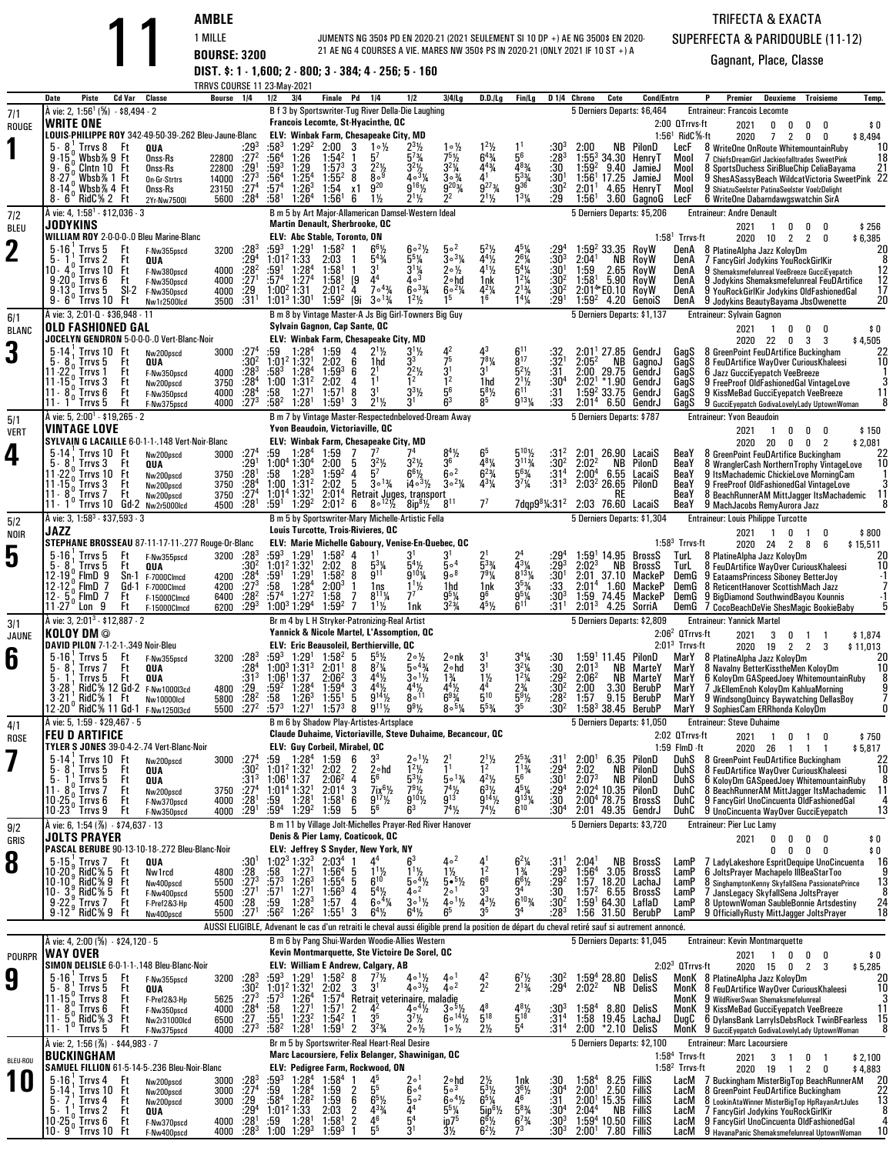**AMBLE** 1 MILLE **BOURSE: 3200 DIST. \$: 1 - 1,600; 2 - 800; 3 - 384; 4 - 256; 5 - 160** JUMENTS NG 350\$ PD EN 2020-21 (2021 SEULEMENT SI 10 DP +) AE NG 3500\$ EN 2020- 21 AE NG 4 COURSES A VIE. MARES NW 350\$ PS IN 2020-21 (ONLY 2021 IF 10 ST +) A

## TRIFECTA & EXACTASUPERFECTA & PARIDOUBLE (11-12)

|                    |                                                                                                                                                      | TRRVS COURSE 11 23-May-2021                    |                                        |                                                                |                                                                                                 |                                                                                                                                                                                                   |                                                                          |                                                                              |                                                                                             |                                                                                               |                                                                 |                                                                                      |                   |                                                      |                                          | P                                                                      |                                                                                                                                       |                                    |
|--------------------|------------------------------------------------------------------------------------------------------------------------------------------------------|------------------------------------------------|----------------------------------------|----------------------------------------------------------------|-------------------------------------------------------------------------------------------------|---------------------------------------------------------------------------------------------------------------------------------------------------------------------------------------------------|--------------------------------------------------------------------------|------------------------------------------------------------------------------|---------------------------------------------------------------------------------------------|-----------------------------------------------------------------------------------------------|-----------------------------------------------------------------|--------------------------------------------------------------------------------------|-------------------|------------------------------------------------------|------------------------------------------|------------------------------------------------------------------------|---------------------------------------------------------------------------------------------------------------------------------------|------------------------------------|
| 7/1<br>ROUGE       | Cd Var<br>Classe<br>Date<br>Piste<br>A vie: 2, 1:56 <sup>1</sup> (%) - \$8,494 - 2<br><b>WRITE ONE</b>                                               | Bourse                                         | 1/4                                    | 1/2<br>3 4                                                     |                                                                                                 | Finale Pd<br>1/4<br>B f 3 by Sportswriter-Tug River Della-Die Laughing<br>Francois Lecomte, St-Hyacinthe, QC                                                                                      | 1/2                                                                      | $3/4$ Lg                                                                     | D.D.ILg                                                                                     | Fin/Lg                                                                                        |                                                                 | D <sub>14</sub> Chrono                                                               | Cote              | <b>Cond/Entrn</b><br>5 Derniers Departs: \$6,464     | 2:00 QTrrvs-ft                           | Premier<br><b>Entraineur: Francois Lecomte</b><br>2021                 | Deuxieme<br><b>Troisieme</b><br>0<br>0<br>0<br>0                                                                                      | Temp.<br>\$0                       |
|                    | LOUIS-PHILIPPE ROY 342-49-50-39-.262 Bleu-Jaune-Blanc<br>$5 - 8$<br>Trrvs 8 Ft<br>QUA                                                                |                                                | :293                                   | :583                                                           | 1:29 <sup>2</sup><br>2:00                                                                       | ELV: Winbak Farm, Chesapeake City, MD<br>3<br>$1 \circ \frac{1}{2}$                                                                                                                               | $2^{3}\%$                                                                | $1 \circ \frac{1}{2}$                                                        | $1^{2}\frac{1}{2}$<br>6 <sup>43</sup> / <sub>4</sub>                                        |                                                                                               | $:30^{3}$                                                       |                                                                                      |                   | NB PilonD                                            | $1:561$ RidC $%$ -ft<br>LecF             | 2020                                                                   | $\overline{2}$<br>$\overline{7}$<br>0<br>0<br>8 WriteOne OnRoute WhitemountainRuby                                                    | \$8,494<br>10                      |
|                    | $9 - 15$<br>Wbsb%9 Ft<br>Onss-Rs<br>$9 - 6$<br>Clntn 10 Ft<br>Onss-Rs                                                                                | 22800 :272<br>22800                            | $\frac{.29^{1}}{.27^{3}}$              | :56 <sup>4</sup><br>:593                                       | 1:26<br>1:54 <sup>2</sup><br>$1:29$<br>$1:254$<br>$1:57^{3}$                                    | 5 <sup>7</sup><br>$\frac{2^{2}\%}{8^{9}}$<br>3                                                                                                                                                    | $5^{7}$ <sup>3</sup> / <sub>4</sub><br>$3^{2}\frac{1}{2}$<br>4.31/4      | $75$ <sup>1</sup> / <sub>2</sub><br>$3^{2}\frac{1}{4}$<br>$3^{3}\frac{3}{4}$ | $4^{43}$ /4                                                                                 | 5 <sup>6</sup><br>$483/4$<br>$533/4$<br>$936$                                                 | : 28 <sup>3</sup><br>:30                                        | $1:59^{2}$                                                                           | 9.40              | $1:55^3$ 34.30 Henry T<br>JamieJ                     | Mool<br>Mool                             |                                                                        | 7 ChiefsDreamGirl Jackieofalltrades SweetPink<br>8 SportsDuchess SiriBlueChip CeliaBayama                                             | 18<br>21                           |
|                    | Wbsb% 1 Ft<br>On-Gr-Strtrs<br>$8 - 14$<br>$\frac{6}{6}$ Wbsb% 4 Ft<br>Onss-Rs<br>RidC% 2 Ft<br>$8 - 6$<br>2Yr-Nw7500I                                | 14000<br>23150 :274<br>5600                    | :28 $4$                                | $:56^{4}$<br>:57 <sup>4</sup><br>:58 <sup>1</sup>              | $1:55^{2}$<br>$1:26^{3}$<br>1:54<br>$1:26^4$<br>1:56'                                           | 8<br>$\bar{9}^{20}$<br>x1<br>$1\frac{1}{2}$<br>6                                                                                                                                                  | $9^{16}\%$<br>$2^{11/2}$                                                 | g <sub>203</sub><br>$2^2$                                                    | $9^{27}$ <sup>3</sup> / <sub>4</sub><br>$2^1\frac{1}{2}$                                    | $1^{3}$ <sup>1</sup> / <sub>4</sub>                                                           | $:30^{1}$<br>:30 <sup>2</sup><br>:29                            | 1:56 <sup>1</sup> 17.25<br>2:01 <sup>1</sup><br>$1:56^{\circ}$                       |                   | JamieJ<br>4.65 HenrvT<br>3.60 GagnoG                 | Mool<br>Mool<br>LecF                     |                                                                        | 9 ShesASassyBeach WildcatVictoria SweetPink 22<br>9 ShiatzuSeelster PatinaSeelster VoelzDelight<br>6 WriteOne Dabarndawgswatchin SirA |                                    |
| 712                | A vie: 4, 1:58 <sup>1</sup> - \$12,036 - 3                                                                                                           |                                                |                                        |                                                                |                                                                                                 | B m 5 by Art Major-Allamerican Damsel-Western Ideal<br><b>Martin Denault, Sherbrooke, QC</b>                                                                                                      |                                                                          |                                                                              |                                                                                             |                                                                                               |                                                                 |                                                                                      |                   | 5 Derniers Departs: \$5,206                          |                                          | <b>Entraineur: Andre Denault</b>                                       |                                                                                                                                       |                                    |
| <b>BLEU</b>        | JODYKINS<br>WILLIAM ROY 2-0-0-0-.0 Bleu Marine-Blanc                                                                                                 |                                                |                                        |                                                                | ELV: Abc Stable, Toronto, ON                                                                    |                                                                                                                                                                                                   | $60^{21/2}$                                                              | 50 <sup>2</sup>                                                              |                                                                                             |                                                                                               |                                                                 |                                                                                      |                   |                                                      | $1:581$ Trrvs-ft                         | 2021<br>2020 10                                                        | 0<br>-1<br>0<br>n<br>2<br>2<br>0                                                                                                      | \$256<br>\$6,385                   |
| $\mathbf 2$        | $5 - 16$<br>Trrvs 5<br>Ft<br>F-Nw355pscd<br>5.<br>Ft<br>QUA<br>Trrvs 2<br>IO - 4<br>Trrvs 10<br>Ft<br>F-Nw380pscd                                    | 3200<br>4000                                   | $:28^3$<br>$:29^{4}$<br>$:28^{2}$      | $:59^3$ 1:29 <sup>1</sup><br>$1:01^2$ 1:33<br>:59 <sup>1</sup> | $1:58^{2}$<br>2:03<br>1:28 <sup>4</sup><br>1:58                                                 | $6^{6}$ <sup>1</sup> / <sub>2</sub><br>$5^{4}$ %<br>3 <sup>1</sup>                                                                                                                                | $\frac{5^5\%}{3^1\%}$                                                    | $30^{3}/4$<br>$20\frac{1}{2}$                                                | $5^2$ <sup>1</sup> / <sub>2</sub><br>$4^{4}\frac{1}{2}$<br>$4^{1}\frac{1}{2}$               | 451/4<br>$2^{6}\frac{1}{4}$<br>5 <sup>4</sup> / <sub>4</sub><br>1 <sup>2</sup> / <sub>4</sub> | :29ª<br>$:30^{3}$<br>$:30^{1}$                                  | 1:59 $2$ 33.35 RoyW<br>2:04 <sup>1</sup><br>1:59                                     | NB<br>$2.65$ RoyW | RoyW                                                 | DenA<br>DenA<br>DenA                     | 8 PlatineAlpha Jazz KoloyDm                                            | 7 FancyGirl Jodykins YouRockGirlKir<br>9 Shemaksmefelunreal VeeBreeze GucciEyepatch                                                   | $^{20}_{\hphantom{0}8}$            |
|                    | $9.20$ $\times$ Trrvs $6$<br>Ft<br>F-Nw350pscd<br>$9 - 13$<br>Trrvs 5<br>SI-2<br>F-Nw350pscd                                                         | 4000<br>4000                                   | :27 <sup>1</sup><br>$\frac{.29}{.31}$  | $:57^4$ 1:27 <sup>4</sup><br>1:00 <sup>2</sup> 1:31            | $1:58$ <sup>1</sup><br>$2:01^2$                                                                 | 4 <sup>4</sup><br>[9<br>$7^{\circ}$ <sup>43</sup> / <sub>4</sub><br>4                                                                                                                             | $4\circ^3$<br>$60^{3}/4$                                                 | 2∘hd<br>$6^{\circ 2}$ <sup>1</sup> / <sub>4</sub>                            | 1nk<br>$4^{2}\%$                                                                            | $2^{13}/4$                                                                                    | :30 <sup>2</sup><br>:30ª                                        | $1:58^{\circ}$<br>2:01*E0.10 RoyW                                                    | 5.90 RoyW         |                                                      | DenA<br>DenA                             |                                                                        | 9 Jodykins Shemaksmefelunreal FeuDArtifice<br>9 YouRockGirlKir Jodykins OldFashionedGal                                               | $\frac{12}{12}$<br>$\frac{12}{17}$ |
| 6/1                | $9 - 6$<br>'Trrvs 10 Ft<br>Nw1r2500lcd<br>À vie: 3, 2:01-0 - \$36,948 - 11                                                                           | 3500                                           |                                        | $1:01^3$ 1:30 <sup>1</sup>                                     | $1:59^{2}$                                                                                      | [9i<br>$3^{\circ}$ <sup>13</sup> /4<br>B m 8 by Vintage Master-A Js Big Girl-Towners Big Guy                                                                                                      | $1^2\frac{1}{2}$                                                         |                                                                              | 16                                                                                          | $\frac{1}{4}$                                                                                 | $:29^{1}$                                                       |                                                                                      |                   | $1:59^2$ 4.20 GenoiS<br>5 Derniers Departs: \$1,137  | DenA                                     | <b>Entraineur: Sylvain Gagnon</b>                                      | 9 Jodykins BeautyBayama JbsOwenette                                                                                                   | 20                                 |
| <b>BLANC</b>       | <b>OLD FASHIONED GAL</b><br>JOCELYN GENDRON 5-0-0-0-.0 Vert-Blanc-Noir                                                                               |                                                |                                        |                                                                |                                                                                                 | Sylvain Gagnon, Cap Sante, QC<br>ELV: Winbak Farm, Chesapeake City, MD                                                                                                                            |                                                                          |                                                                              |                                                                                             |                                                                                               |                                                                 |                                                                                      |                   |                                                      |                                          | 2021                                                                   | $\overline{1}$<br>0<br>0<br>0<br>2020 22 0<br>3<br>3                                                                                  | \$0<br>\$4,505                     |
| 3                  | $5 - 14$<br>Trrvs 10 Ft<br>Nw200pscd<br>Ft<br>5.<br>-8<br>Trrvs 5<br>QUA                                                                             | 3000                                           | :27 <sup>4</sup><br>:30 <sup>2</sup>   | :59<br>1:01 <sup>2</sup> 1:32 <sup>1</sup>                     | 1:59<br>$1:28^4$<br>2:02                                                                        | $2^{11/2}$<br>4<br>6<br>1hd                                                                                                                                                                       | $3^{11/2}$                                                               | 75                                                                           | 43<br>$7^{8}$ <sup>1</sup> / <sub>4</sub>                                                   | $6^{11}$<br>$\bar{8}^{17}$                                                                    | :32<br>$:32^{1}$                                                | 2:05 <sup>2</sup>                                                                    |                   | $2:01'$ 27.85 GendrJ<br>NB GagnoJ                    | GagS<br>GagS                             |                                                                        | 8 GreenPoint FeuDArtifice Buckingham<br>8 FeuDArtifice WayOver CuriousKhaleesi                                                        | $\frac{22}{10}$                    |
|                    | 11-22<br>Ft<br>Irrvs 1<br>F-Nw350pscd<br>Ft<br>Trrvs 3<br>11-15<br>Nw200pscd<br>$11 - 8$                                                             | 4000<br>3750                                   | :28 <sup>3</sup><br>$^{+28^4}_{-28^4}$ | $:58^3$<br>1:00<br>:58                                         | $1:28^{4}$<br>$1:59^{3}$<br>1:31 <sup>2</sup><br>2:02<br>1:27 <sup>1</sup><br>1:57 <sup>1</sup> | 6<br>2 <sup>1</sup><br>1 <sup>1</sup><br>4<br>3 <sup>1</sup><br>8                                                                                                                                 | $2^2$ <sup>1</sup> / <sub>2</sub><br>$3^{3}$ <sup>1</sup> / <sub>2</sub> | $3^{1}$<br>$1^{2}$<br>$5^{6}$                                                | $3^1$<br>1hd<br>$5^{8}$ <sup>1</sup> / <sub>2</sub>                                         | $5^{2}$ %<br>$\frac{2^{11}}{6^{11}}$                                                          | :31<br>$^{:30^4}_{:31}$                                         | 2:00 29.75<br>2:02 <sup>1</sup><br>$1:59^2$ 33.75                                    | $*1.90$           | GendrJ<br>GendrJ<br>GendrJ                           | GagS<br>GagS                             | 6 Jazz GucciEyepatch VeeBreeze                                         | 9 FreeProof OldFashionedGal VintageLove                                                                                               | 3<br>11                            |
|                    | Trrvs 6<br>Ft<br>F-Nw350pscd<br>Ft<br>$11 - 1$ Trrvs 5<br>F-Nw375pscd<br>A vie: 5, 2:00 <sup>1</sup> - \$19,265 - 2                                  | 4000<br>4000                                   | $:27^{3}$                              | $:58^2$                                                        | 1:28 <sup>1</sup><br>1:59 <sup>1</sup>                                                          | $2^{1}\frac{1}{2}$<br>3<br>B m 7 by Vintage Master-Respectednbeloved-Dream Away                                                                                                                   | 3 <sup>1</sup>                                                           |                                                                              |                                                                                             | $9^{13}$ <sup>1</sup>                                                                         | :33                                                             | 2:01 <sup>4</sup><br>5 Derniers Departs: \$787                                       |                   | 6.50 GendrJ                                          | GagS<br>GagS                             | <b>Entraineur: Yvon Beaudoin</b>                                       | 9 KissMeBad GucciEyepatch VeeBreeze<br>9 GucciEyepatch GodivaLovelyLady UptownWoman                                                   | 8                                  |
| 5/1<br><b>VERT</b> | <b>VINTAGE LOVE</b><br>SYLVAIN G LACAILLE 6-0-1-1-.148 Vert-Noir-Blanc                                                                               |                                                |                                        |                                                                |                                                                                                 | Yvon Beaudoin, Victoriaville, QC<br>ELV: Winbak Farm, Chesapeake City, MD                                                                                                                         |                                                                          |                                                                              |                                                                                             |                                                                                               |                                                                 |                                                                                      |                   |                                                      |                                          | 2021                                                                   | 0<br>$\overline{1}$<br>0<br>0                                                                                                         | \$150                              |
| 4                  | $5 - 14$<br>Trrvs 10 Ft<br>Nw200pscd<br>5.8<br>Trrvs 3<br>Ft<br>QUA                                                                                  | 3000                                           | .27 <sup>4</sup><br>$:29^{1}$          | :59<br>$1:00^4$ 1:30 <sup>4</sup>                              | 1:28 <sup>4</sup><br>1:59<br>2:00                                                               | 7 <sup>7</sup><br>$3^2\frac{1}{2}$<br>-5                                                                                                                                                          | $3^2\frac{1}{2}$                                                         | $8^4\frac{1}{2}$<br>36                                                       | 481⁄4                                                                                       | $3^{113}$ /4                                                                                  | :31 <sup>2</sup><br>:30 <sup>2</sup>                            | 2:02 <sup>2</sup>                                                                    | NB                | 26.90 LacaiS<br>PilonD                               | BeaY<br>BeaY                             | 2020 20                                                                | 0<br>$\overline{2}$<br>0<br>8 GreenPoint FeuDArtifice Buckingham<br>8 WranglerCash NorthernTrophy VintageLove                         | \$2,081<br>22<br>10                |
|                    | $11 - 220$<br>Trrvs 10<br>Ft<br>Nw200pscd<br>$11.15n$ Trrvs 3<br>Ft<br>Nw200pscd                                                                     | 3750<br>3750                                   | :28 <sup>1</sup><br>:28 <sup>4</sup>   | :58<br>$1:00$ $1:312$                                          | $1:59^{2}$<br>$1:28^{3}$<br>2:02                                                                | $5^7$<br>4<br>5<br>$3^{\circ}$ <sup>13</sup> /4                                                                                                                                                   | $6^{6}$ <sup>1</sup> / <sub>2</sub><br>$14 \circ 3\frac{1}{2}$           | $6^{\circ 2}$<br>$30^{2}$ %                                                  | $6^{2}$ <sup>3</sup> / <sub>4</sub><br>431/4                                                | $\frac{5^{63/4}}{3^{7/4}}$                                                                    | $:31^{4}$<br>:31 <sup>3</sup>                                   | 2:00 <sup>4</sup> 6.55 LacaiS<br>2:03 <sup>2</sup> 26.65 PilonD                      |                   |                                                      | BeaY<br>BeaY                             |                                                                        | 9 ItsMachademic ChickieLove MorningCam<br>9 FreeProof OldFashionedGal VintageLove                                                     | -1<br>3                            |
|                    | Ft<br>11 - 8<br>$\frac{9}{6}$ Trrvs 7<br>Nw200pscd<br>Trrvs 10 Gd-2 Nw2r5000lcd<br>$11 - 1$                                                          | 3750 : 27 <sup>4</sup><br>4500                 | :28 <sup>1</sup>                       | 1:01 <sup>4</sup> 1:32 <sup>1</sup><br>:59'                    | 2:01 <sup>4</sup><br>1:29 <sup>2</sup><br>$2:01^2$                                              | $8^{\circ}$ <sup>121</sup> / <sub>2</sub><br>6                                                                                                                                                    | Retrait Juges, transport<br>$8ip^{8}\frac{1}{2}$                         | $8^{11}$                                                                     | $7^7$                                                                                       |                                                                                               | 7dqp9 <sup>8</sup> <sup>1</sup> / <sub>4</sub> :31 <sup>2</sup> | 2:03 76.60 LacaiS                                                                    | RE                |                                                      | BeaY<br>BeaY                             | 9 MachJacobs RemyAurora Jazz                                           | 8 BeachRunnerAM MittJagger ItsMachademic                                                                                              | 11<br>8                            |
| 5/2<br>NOIR        | À vie: 3, 1:58 <sup>3</sup> - \$37,593 - 3<br>JAZZ                                                                                                   |                                                |                                        |                                                                |                                                                                                 | B m 5 by Sportswriter-Mary Michelle-Artistic Fella<br>Louis Turcotte, Trois-Rivieres, QC                                                                                                          |                                                                          |                                                                              |                                                                                             |                                                                                               |                                                                 |                                                                                      |                   | 5 Derniers Departs: \$1,304                          |                                          | <b>Entraineur: Louis Philippe Turcotte</b><br>2021                     | 0<br>$\overline{1}$<br>0                                                                                                              | \$800                              |
| 5                  | STEPHANE BROSSEAU 87-11-17-11-.277 Rouge-Or-Blanc<br>$5 - 16$<br>Trrvs 5<br>Ft<br>F-Nw355pscd                                                        | 3200 : 28 <sup>3</sup>                         |                                        | $:59^3$                                                        | 1:29 <sup>1</sup><br>$1:58^{2}$                                                                 | ELV: Marie Michelle Gaboury, Venise-En-Quebec, QC<br>4                                                                                                                                            |                                                                          | 31                                                                           |                                                                                             |                                                                                               | :29ª                                                            |                                                                                      |                   | $1:591 14.95$ BrossS                                 | $1:583$ Trrvs-ft<br>TurL                 | 2020 24<br>8 PlatineAlpha Jazz KoloyDm                                 | 2<br>8<br>6                                                                                                                           | \$15,511<br>20                     |
|                    | 5.<br>Trrvs 5<br>Ft<br>QUA<br>$F$ ImD $9$<br>12-19<br>Sn-1<br>F-7000Clmcd                                                                            | 4200                                           | :30ª<br>:28 <sup>4</sup>               | $1:01^2$ 1:32 <sup>1</sup><br>$:59^1$                          | 2:02 8<br>$1:29^{1}$<br>$1:58^{2}$                                                              | $5^{3}\%$<br>9 <sup>11</sup><br>8                                                                                                                                                                 | g <sub>10</sub> <sub>%</sub>                                             | 5∘4<br>9°8                                                                   | $\frac{1}{7}$ <sup>33</sup> / <sub>4</sub>                                                  | $\frac{4^{3}\frac{1}{4}}{8^{13}\frac{1}{4}}$                                                  | $: 29^{3}$<br>$: 30^{1}$                                        | 2:02 <sup>3</sup><br>2:01                                                            | NΒ                | BrossS<br>37.10 MackeP                               | TurL<br>DemG                             |                                                                        | 8 FeuDArtifice WayOver CuriousKhaleesi<br>9 EataamsPrincess Siboney BetterJoy                                                         | 10<br>$\cdot$ 1                    |
|                    | 7<br>12 - 12<br>. FimD<br>Gd-1<br>F-7000Clmcd<br>$12 - 5$<br>FlmD<br>7<br>Ft<br>F-15000Clmcd<br>' Lon 9<br>Ft<br>$11 - 27$<br>F-15000Clmcd           | 4200<br>6400<br>6200                           | $:27^{3}$<br>$: 28^2$<br>$: 29^3$      | :58<br>:57ª<br>$1:00^3$ 1:29 <sup>4</sup>                      | 1:28 <sup>4</sup><br>$2:00^{3}$<br>1:27 <sup>2</sup><br>1:58<br>$1:59^{2}$                      | 1ns<br>$8^{11}$ %<br>7<br>$1^{11}$                                                                                                                                                                | $1^{11}/2$<br>77<br>1nk                                                  | 1hd<br>$9^{5}_{2}\%$<br>$3^{2}\%$                                            | 1nk<br>g6<br>$45\frac{1}{2}$                                                                | $3^{5}_{4}$<br>$\frac{9^{5}}{6^{1}}$                                                          | :33<br>$:30^{3}$<br>:31 <sup>1</sup>                            | 2:01 <sup>4</sup><br>1:59 74.45<br>2:01 <sup>3</sup>                                 | 1.60              | MackeP<br>MackeP<br>4.25 SorriA                      | DemG<br>DemG<br>DemG                     |                                                                        | 8 ReticentHanover ScottishMach Jazz<br>9 BigDiamond SouthwindBayou Kounnis<br>7 CocoBeachDeVie ShesMagic BookieBaby                   | $\cdot$ 1<br>5                     |
| 3/1                | À vie: 3, 2:01 <sup>3</sup> - \$12,887 - 2<br>KOLOY DM ©                                                                                             |                                                |                                        |                                                                |                                                                                                 | Br m 4 by L H Stryker-Patronizing-Real Artist<br>Yannick & Nicole Martel, L'Assomption, QC                                                                                                        |                                                                          |                                                                              |                                                                                             |                                                                                               |                                                                 |                                                                                      |                   | 5 Derniers Departs: \$2,809                          | $2:062$ QTrrvs-ft                        | <b>Entraineur: Yannick Martel</b>                                      |                                                                                                                                       |                                    |
| <b>JAUNE</b>       | DAVID PILON 7-1-2-1-.349 Noir-Bleu<br>$5 - 16$<br>Trrvs 5<br>Ft<br>F-Nw355pscd                                                                       | 3200                                           | $:28^3$                                | :593                                                           | 1:29 <sup>1</sup><br>$1:58^{2}$                                                                 | ELV: Eric Beausoleil, Berthierville, QC<br>5                                                                                                                                                      |                                                                          | 2∘nk                                                                         |                                                                                             |                                                                                               | :30                                                             | $1:59^{1}$                                                                           |                   | 11.45 PilonD                                         | $2:013$ Trrvs-ft<br>MarY                 | 2021<br>8 PlatineAlpha Jazz KolovDm                                    | 3<br>0<br>1 1<br>2020 19 2 2 3                                                                                                        | \$1,874<br>\$11.013<br>20          |
| 6                  | Ft<br>5.<br>Irrvs /<br>QUA<br>Ft<br>5.<br>Trrvs 5<br>QUA                                                                                             |                                                | :28 <sup>4</sup><br>:31 <sup>3</sup>   | $1:00^3$ 1:31 <sup>3</sup><br>1:06 <sup>1</sup> 1:37           | 2:01 <sup>1</sup><br>$2:06^2$                                                                   | 8<br>$8'$ <sup>1</sup> / <sub>4</sub><br>3<br>$4^{4}\%$                                                                                                                                           | $504\frac{3}{4}$<br>$30^{11/2}$                                          | 2∘hd<br>$1\frac{3}{4}$                                                       | 3 <sup>1</sup><br>$1\frac{1}{2}$                                                            | $3^{4}\frac{1}{4}$<br>$3^{2}\frac{1}{4}$<br>$1^{2}\frac{1}{4}$                                | $\overline{30}$<br>$:29^{2}$                                    | 2:01 <sup>3</sup><br>2:06 <sup>2</sup>                                               | NB<br>NB          | MarteY<br>MarteY                                     | MarY<br>MarY                             |                                                                        | 8 Navalny BetterKisstheMen KoloyDm<br>6 KoloyDm GASpeedJoey WhitemountainRuby                                                         | 10<br>8                            |
|                    | RidC% 12 Gd-2 F-Nw1000l3cd<br>$3 - 28$<br>RidC% 1 Ft<br>$3 - 21$<br>Nw10000lcd                                                                       | 4800<br>5800                                   | $\frac{.29}{.28^2}$                    | :59ª<br>:58                                                    | 1:28 <sup>4</sup><br>$1:59^{4}$<br>$1:26^{3}$<br>1:55 <sup>1</sup>                              | 3<br>$4^{4}\frac{1}{2}$<br>9 <sup>14</sup> / <sub>2</sub><br>5                                                                                                                                    | $4^{4}\%$<br>$8^{\circ}$ <sup>11</sup>                                   | $4^{4}\frac{1}{2}$<br>$6^{9}\frac{3}{4}$                                     | 4 <sup>4</sup><br>$5^{10}$                                                                  | $2\frac{3}{4}$<br>5 <sup>9</sup> / <sub>2</sub>                                               | $:30^{2}$<br>$:28^{2}$                                          | 2:00<br>1:57                                                                         | 3.30<br>9.15      | BerubP<br>BerubP                                     | MarY<br>MarY                             |                                                                        | 7 JkEllemEnoh KoloyDm KahluaMorning<br>9 WindsongQuincy Baywatching DellasBoy                                                         | $\frac{9}{7}$                      |
| 4/1                | 12 20° RidC% 11 Gd 1<br>F-Nw1250I3cd<br>A vie: 5, 1:59 - \$29,467 - 5                                                                                | 5500                                           | $:27^{2}$                              | :573                                                           | 1:27 <sup>1</sup><br>$1:57^{3}$                                                                 | 8<br>$9^{11}$ %<br>B m 6 by Shadow Play-Artistes-Artsplace                                                                                                                                        | $9^{9}$ <sup>1</sup> / <sub>2</sub>                                      | $80^{5}$ %                                                                   | $\bar{5}^{53}$ /4                                                                           |                                                                                               | :30 <sup>2</sup>                                                |                                                                                      |                   | $1:58^3$ 38.45 BerubP<br>5 Derniers Departs: \$1,050 | MarY                                     | 9 SophiesCam ERRhonda KoloyDm<br><b>Entraineur: Steve Duhaime</b>      |                                                                                                                                       | 0                                  |
| <b>ROSE</b>        | <b>FEU D ARTIFICE</b><br>TYLER S JONES 39-0-4-2-.74 Vert-Blanc-Noir                                                                                  |                                                |                                        |                                                                |                                                                                                 | Claude Duhaime, Victoriaville, Steve Duhaime, Becancour, QC<br>ELV: Guy Corbeil, Mirabel, QC                                                                                                      |                                                                          |                                                                              |                                                                                             |                                                                                               |                                                                 |                                                                                      |                   |                                                      | 2:02 QTrrvs-ft<br>$1:59$ FlmD $\cdot$ ft | 2021                                                                   | 1 0 1 0<br>2020 26 1 1 1                                                                                                              | \$750<br>\$5,817                   |
|                    | $5 - 14$<br>Trrvs 10 Ft<br>Nw200pscd<br>5.<br>Trrvs 5<br>Ft<br>QUA<br>5.                                                                             | 3000 : 27 <sup>4</sup>                         | :30 <sup>2</sup><br>:313               | :59<br>$1:01^2$ 1:32 <sup>1</sup>                              | $1:28^4$<br>1:59<br>2:02<br>$2:06^2$                                                            | 3 <sup>3</sup><br>6<br>2<br>$2 \circ hd$<br>$5^6$<br>4                                                                                                                                            | $2 \circ 1\frac{1}{2}$<br>$\frac{1^2\frac{1}{2}}{5^3\frac{1}{2}}$        | $5 \circ 1\frac{3}{4}$                                                       | $2^1\%$                                                                                     | $2^{5}_{4}$<br>$1^{1}_{3/4}$<br>$5^{6}_{-}$                                                   | $:31^{1}$<br>$:29^{4}$                                          | 2:00 <sup>1</sup><br>2:02<br>2:07 <sup>3</sup>                                       | NB                | 6.35 PilonD<br>PilonD<br><b>NB</b> PilonD            | DuhS<br>DuhS                             |                                                                        | DuhS 8 GreenPoint FeuDArtifice Buckingham<br>8 FeuDArtifice WayOver CuriousKhaleesi                                                   | 22<br>10<br>8                      |
|                    | Trrvs 5<br>Ft<br>QUA<br>11 - 8<br>$B_0^*$ Trrvs 7<br>Ft<br>Nw200pscd<br>$10.25\degree$ Trrvs 6<br>Ft<br>F-Nw370pscd                                  | 3750<br>4000 :28 <sup>1</sup>                  | .27 <sup>4</sup>                       | $1:061 1:37$<br>$1:014 1:321$<br>$:59$ 1:28 <sup>1</sup>       | 2:01 <sup>4</sup><br>1:58 <sup>1</sup>                                                          | 3<br>$7ix^6$ <sup>1/2</sup><br>6<br>$9^{17}\%$                                                                                                                                                    | $9^{10}$ %                                                               | $\frac{74}{9^{13}}$                                                          | $4^{2}\frac{1}{2}$<br>6 <sup>3</sup> / <sub>2</sub><br>$9^{14}$ <sup>1</sup> / <sub>2</sub> | $45\frac{1}{9}$<br>9131/4                                                                     | $:30^{1}$<br>$:29^{4}$<br>:30                                   | $2:024$ 10.35 PilonD<br>$2:00^4$ 78.75 BrossS                                        |                   |                                                      | DuhC<br>DuhC                             |                                                                        | 6 KoloyDm GASpeedJoey WhitemountainRuby<br>8 BeachRunnerAM MittJagger ItsMachademic<br>9 FancyGirl UnoCincuenta OldFashionedGal       | 11<br>4                            |
| 9/2                | $10 - 23$ <sup>0</sup><br>' Trrvs 9<br>Ft<br>F-Nw350pscd<br>A vie: 6, 1:54 (%) - \$74,637 - 13                                                       | 4000                                           | $:29^1$                                | :59ª                                                           | 1:29 <sup>2</sup><br>1:59                                                                       | 5 <sup>6</sup><br>5<br>B m 11 by Village Jolt-Michelles Prayer-Red River Hanover                                                                                                                  | 6 <sup>3</sup>                                                           | $74\frac{1}{2}$                                                              | $7^{4}$ <sup>1</sup> / <sub>2</sub>                                                         | $6^{10}$                                                                                      | :30ª                                                            | 2:01 49.35 GendrJ                                                                    |                   | 5 Derniers Departs: \$3,720                          | DuhC                                     | <b>Entraineur: Pier Luc Lamy</b>                                       | 9 UnoCincuenta WayOver GucciEyepatch                                                                                                  | 13                                 |
| GRIS               | JOLTS PRAYER<br>PASCAL BERUBE 90-13-10-18-.272 Bleu-Blanc-Noir                                                                                       |                                                |                                        |                                                                |                                                                                                 | Denis & Pier Lamy, Coaticook, QC<br>ELV: Jeffrey S Snyder, New York, NY                                                                                                                           |                                                                          |                                                                              |                                                                                             |                                                                                               |                                                                 |                                                                                      |                   |                                                      |                                          | 2021                                                                   | 0<br>0<br>0<br>0<br>0<br>0<br>0<br>0                                                                                                  | \$0<br>\$0                         |
| 8                  | $5-15$ , Trrvs 7<br>Ft<br>QUA<br>10 -20 ° RidC % 5<br>10 -10 ° RidC % 9<br>Ft<br>Nw1rcd                                                              | 4800                                           | :30 $^1$<br>$\frac{.28}{.27^3}$        | $1:02^3$ 1:32 <sup>3</sup><br>:58                              | 2:03 <sup>4</sup><br>1:27 <sup>1</sup><br>1:56 <sup>4</sup>                                     | 44<br>$1^{11/2}$<br>5                                                                                                                                                                             |                                                                          | 2ه4<br>$1\frac{1}{2}$                                                        | 1 <sup>2</sup>                                                                              | $6^{2}\%$<br>$1\frac{3}{4}$<br>6 <sup>61</sup> / <sub>2</sub>                                 | :31'<br>$: 29^3$<br>$: 29^2$                                    | 2:04 <sup>1</sup><br>1:56 <sup>4</sup>                                               | 3.05              | NB BrossS<br>BrossS                                  | LamP<br>LamP                             |                                                                        | / LadyLakeshore EspritDequipe UnoCincuenta<br>6 JoltsPrayer Machapelo IIIBeaStarToo                                                   | 16<br>9                            |
|                    | - Ft<br>Nw400pscd<br>10 $3^{\circ}$ RidC% 5 Ft<br>9.22 Trrvs 7 Ft<br>F-Nw400pscd                                                                     | 5500<br>5500                                   | :27 <sup>1</sup>                       | $:57^{3}$<br>:57 $^1$                                          | $1:26^{3}$<br>$1:55^{4}$<br>1:27 <sup>1</sup><br>$1:56^{3}$                                     | 5<br>$5^{4}$ %<br>4                                                                                                                                                                               | $50^{4}$ %<br>40 <sup>2</sup>                                            | $5 - \frac{5}{2}$<br>1ه 2                                                    | 6 <sup>6</sup><br>33                                                                        | $6^{10\frac{3}{4}}$                                                                           | :30                                                             | 1:57<br>$1:57^{2}$                                                                   |                   | 18.20 LachaJ<br>6.55 BrossS                          | LamP<br>LamP                             |                                                                        | 8 SinghamptonKenny SkyfallSena PassionatePrince<br>7 JansLegacy SkyfallSena JoltsPrayer                                               | 13<br>8                            |
|                    | $9.229$ Trrvs 7 Ft<br>$9.129$ RidC% 9 Ft<br>F-Pref2&3-Hp<br>Nw400pscd                                                                                | 4500<br>5500                                   | $: 28$<br>:271                         | :59<br>:56 <sup>2</sup>                                        | $1:28^{3}$<br>1:57<br>$1:26^2$<br>1:55 <sup>1</sup>                                             | $6^{\circ}$ <sup>4</sup> %<br>4<br>$6^{4}\%$<br>3                                                                                                                                                 | $3 \cdot 1\frac{1}{2}$<br>$6^4\%$                                        | $4 \circ 1\frac{1}{2}$                                                       | $4^{3}\frac{1}{2}$                                                                          | 3 <sup>4</sup>                                                                                | :30 <sup>2</sup><br>$:28^{3}$                                   | $1:59^1$ 64.30<br>$1:56$ $31.50$                                                     |                   | LaflaD<br>BerubP                                     | LamP<br>LamP                             |                                                                        | 8 UptownWoman SaubleBonnie Artsdestiny<br>9 Officially Rusty Mitt Jagger Jolts Prayer                                                 | $^{24}_{18}$                       |
|                    | A vie: 4, 2:00 (%) $-$ \$24,120 $-$ 5                                                                                                                |                                                |                                        |                                                                |                                                                                                 | AUSSI ELIGIBLE, Advenant le cas d'un retraiti le cheval aussi éligible prend la position de départ du cheval retiré sauf si autrement annoncé.<br>B m 6 by Pang Shui-Warden Woodie-Allies Western |                                                                          |                                                                              |                                                                                             |                                                                                               |                                                                 |                                                                                      |                   | 5 Derniers Departs: \$1,045                          |                                          | Entraineur: Kevin Montmarquette                                        |                                                                                                                                       |                                    |
| POURPR             | <b>WAY OVER</b><br>SIMON DELISLE 6-0-1-1-.148 Bleu-Blanc-Noir                                                                                        |                                                |                                        |                                                                |                                                                                                 | Kevin Montmarquette, Ste Victoire De Sorel, QC<br>ELV: William E Andrew, Calgary, AB                                                                                                              |                                                                          |                                                                              |                                                                                             |                                                                                               |                                                                 |                                                                                      |                   |                                                      | $2:023$ QTrrvs-ft                        | 2021<br>2020 15                                                        | 0<br>$\overline{1}$<br>0<br>0<br>$\overline{2}$<br>3                                                                                  | \$0<br>\$5,285                     |
| 9                  | $5 - 16$<br>Trrvs 5<br>Ft<br>F-Nw355pscd<br>5.8<br>Trrvs 5<br>Ft<br>QUA                                                                              | 3200 :28 <sup>3</sup><br>5625 :27 <sup>3</sup> | :30ª                                   | :593<br>$1:01^2$ 1:32 <sup>1</sup><br>$:57^{3}$                | 1:29 <sup>1</sup><br>$2:02 \t3$                                                                 | $1:58^2$ 8 $7^7\frac{1}{2}$<br>3 <sup>1</sup>                                                                                                                                                     | $4 \circ 1\frac{1}{2}$<br>$40^{3}$                                       | $4^{\circ}$<br>40 <sup>2</sup>                                               | 42<br>2 <sup>2</sup>                                                                        | $6^{7}\frac{1}{2}$<br>2 <sup>13</sup> / <sub>4</sub>                                          | :30 <sup>2</sup><br>:29 <sup>4</sup>                            | 1:59 <sup>4</sup> 28.80 DelisS<br>2:02 <sup>2</sup>                                  |                   | <b>NB</b> DelisS                                     | MonK                                     | MonK 8 PlatineAlpha Jazz KoloyDm<br>9 WildRiverSwan Shemaksmefelunreal | 8 FeuDArtifice WayOver Curious Khaleesi                                                                                               | 20<br>10<br>3                      |
|                    | 11 - 15 Trrvs 8<br>11 - 8 Trrvs 6<br>11 - 5 Dides<br>Ft<br>F-Pref2&3-Hp<br>Ft<br>F-Nw350pscd<br>$\frac{6}{6}$ RidC% 3 Ft<br>$11 - 5$<br>Nw2r31000lcd | 4000<br>6500 :27                               | :28 <sup>4</sup>                       | :58<br>$:55^{1}$                                               | $1:264$<br>$1:271$<br>1:23 <sup>2</sup><br>$1:54^{2}$                                           | 1:57 <sup>4</sup> Retrait veterinaire, maladie<br>1:57 <sup>1</sup> 2 4 <sup>2</sup> 4 <sup>°</sup> 4 <sup>°</sup> 3 <sup>° 5</sup> <sup>1</sup> / <sub>2</sub><br>3 <sup>5</sup><br>-1           | $3^7\frac{1}{2}$                                                         | $6^{\circ}$ <sup>14</sup> <sup>1</sup> / <sub>2</sub>                        | 48<br>$5^{18}$                                                                              | $4^{8}\frac{1}{2}$<br>5 <sup>18</sup>                                                         | $:30^{3}$<br>:31 <sup>4</sup>                                   | 1:58 <sup>4</sup> 8.80 DelisS                                                        |                   | 1:58 19.45 LachaJ                                    | MonK                                     |                                                                        | MonK 9 KissMeBad GucciEyepatch VeeBreeze<br>DugC 6 DylansBank LarrylsDebsRock TwinBFearless 15                                        | 11                                 |
|                    | $11 - 10$ Trrvs 5<br>Ft<br>F-Nw375pscd<br>A vie: 2, 1:56 (%) $-$ \$44,983 $-$ 7                                                                      | 4000                                           | $:27^{3}$                              | $:58^2$ 1:28 <sup>1</sup>                                      | 1:59 <sup>1</sup>                                                                               | $3^{2}\%$<br>$\overline{2}$<br>Br m 5 by Sportswriter-Real Heart-Real Desire                                                                                                                      | $2 \circ \frac{1}{2}$                                                    | $1 \circ \frac{1}{2}$                                                        | $2\frac{1}{2}$                                                                              | 5 <sup>4</sup>                                                                                | :314                                                            | 2:00 *2.10 DelisS                                                                    |                   | 5 Derniers Departs: \$2,100                          |                                          | <b>Entraineur: Marc Lacoursiere</b>                                    | MonK 9 GucciEyepatch GodivaLovelyLady UptownWoman                                                                                     | 8                                  |
| BLEU-ROU           | <b>BUCKINGHAM</b><br>SAMUEL FILLION 61-5-14-5-.236 Bleu-Noir-Blanc                                                                                   |                                                |                                        |                                                                |                                                                                                 | Marc Lacoursiere, Felix Belanger, Shawinigan, OC<br>ELV: Pedigree Farm, Rockwood, ON                                                                                                              |                                                                          |                                                                              |                                                                                             |                                                                                               |                                                                 |                                                                                      |                   |                                                      | $1:584$ Trrvs-ft<br>$1:582$ Trrvs-ft     | 2021                                                                   | 3<br>0<br>$\overline{1}$<br>2020 19 1<br>2<br>0                                                                                       | \$2,100<br>\$4,883                 |
| 1 U                | $5-16$ . Trrvs 4<br>Ft<br>Nw200pscd<br>$5 - 14$<br>Trrvs 10<br>Ft<br>Nw200pscd                                                                       | 3000 : 28 <sup>3</sup>                         |                                        | :59 <sup>3</sup> 1:28 <sup>4</sup>                             | $1:58^{4}$<br>1:59                                                                              | 5 <sup>5</sup>                                                                                                                                                                                    | 2 <sup>0</sup><br>60 <sup>4</sup>                                        | 2∘hd<br>$5^{\circ 3}$                                                        | 2½                                                                                          | 1nk                                                                                           | :30                                                             | $1:58^{4}$                                                                           | 8.25 FilliS       |                                                      | LacM<br>LacM                             |                                                                        | 7 Buckingham MisterBigTop BeachRunnerAM<br>8 GreenPoint FeuDArtifice Buckingham                                                       | 20                                 |
|                    | 5.<br>Ft<br>Trrvs 4<br>Nw200pscd<br>5.<br>, Trrvs 2<br>Ft<br>QUA                                                                                     | $3000$ :27 <sup>4</sup><br>3000 :29            | $:29^{4}$                              | :59.584<br>$1:01^2$ 1:33                                       | $1:284$<br>$1:282$<br>1:59<br>2:03                                                              | $\frac{2}{6}$<br>$6^{5}\%$<br>$4^{3}\frac{3}{4}$<br>2                                                                                                                                             | 5002<br>4 <sup>4</sup>                                                   | $6.04\%$<br>$5^5\%$                                                          | $\frac{5^3}{6^5}$<br>$5$ ip <sup>61</sup> / <sub>2</sub>                                    | $3^{6}\frac{1}{2}$                                                                            | $:304$<br>:31<br>$:30^{4}$                                      | 2:00 <sup>1</sup> 2.50 FilliS<br>2:00 <sup>1</sup> 15.35 FilliS<br>2:04 <sup>4</sup> |                   | <b>NB FilliS</b>                                     | LacM<br>LacM                             |                                                                        | 8 LookinAtaWinner MisterBigTop HpRayanArtJules<br>7 FancyGirl Jodykins YouRockGirlKir                                                 | $^{22}_{13}$<br>8                  |
|                    | $\frac{0}{n}$ Trrvs $\overline{6}$<br>10 - 25<br>Ft<br>F-Nw370pscd<br>$10 - 90$ Trrvs 10<br>Ft<br>F-Nw400pscd                                        | 4000 $:281$<br>4000 $:283$                     |                                        | :59<br>$1:00$ $1:293$                                          | 1:28 <sup>1</sup><br>$1:58$ <sup>1</sup><br>$1:59^{3}$                                          | 4 <sup>6</sup><br>2<br>5 <sup>5</sup>                                                                                                                                                             |                                                                          | ip7 <sup>5</sup><br>3½                                                       | $6^{6}\frac{1}{2}$                                                                          | $\frac{5^{8}}{6^{7}}$<br>$\frac{3}{4}$                                                        | $:30^{3}$<br>:30 <sup>3</sup>                                   | 1:59 <sup>4</sup> 10.50 FilliS<br>2:00 <sup>1</sup> 7.80 FilliS                      |                   |                                                      | LacM<br>LacM                             |                                                                        | 9 FancyGirl UnoCincuenta OldFashionedGal<br>9 HavanaPanic Shemaksmefelunreal UptownWoman                                              | 4<br>10                            |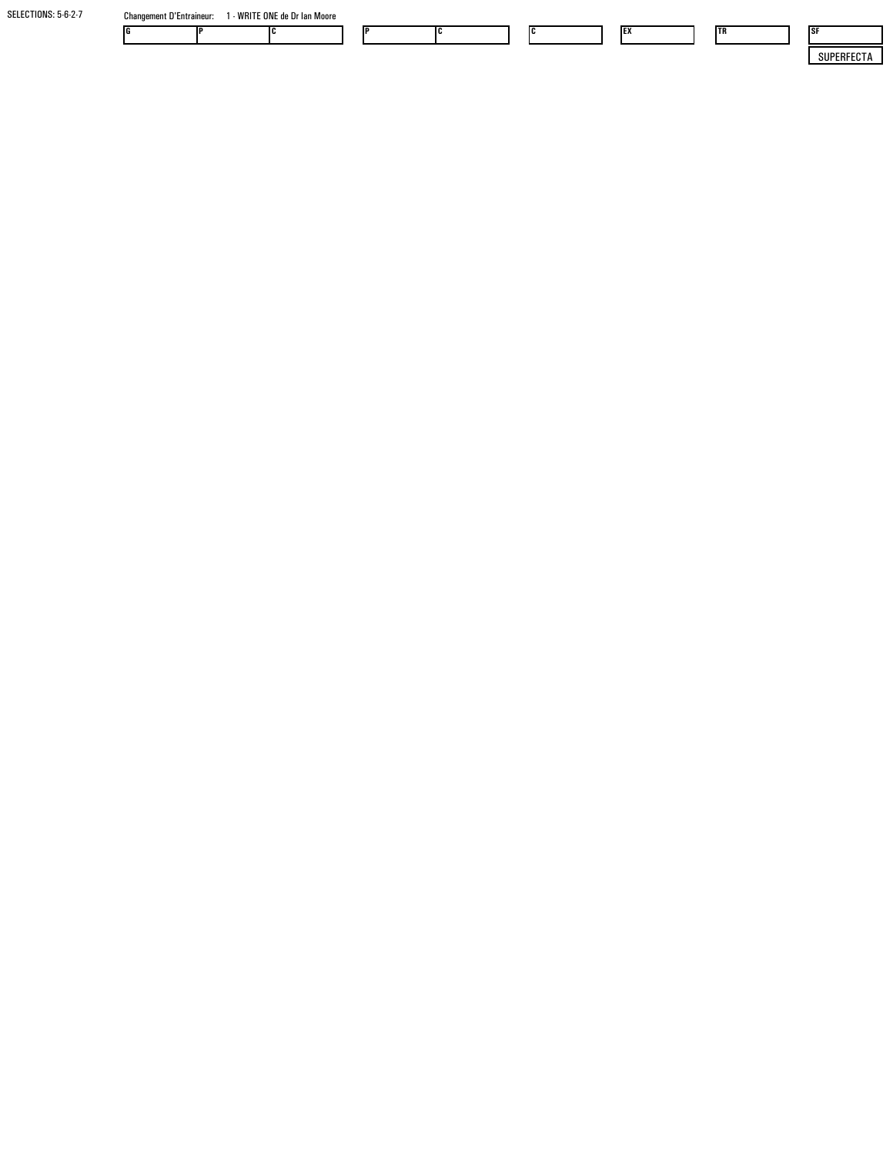| SELECTIONS: 5-6-2-7 | <b>Changement D'Entraineur:</b> | - WRITE ONE de Dr Ian Moore |  |  |     |     |            |            |
|---------------------|---------------------------------|-----------------------------|--|--|-----|-----|------------|------------|
|                     | IG                              |                             |  |  | IC. | IΕλ | <b>ITR</b> | <b>ISF</b> |
|                     |                                 |                             |  |  |     |     |            | SUPERFECTA |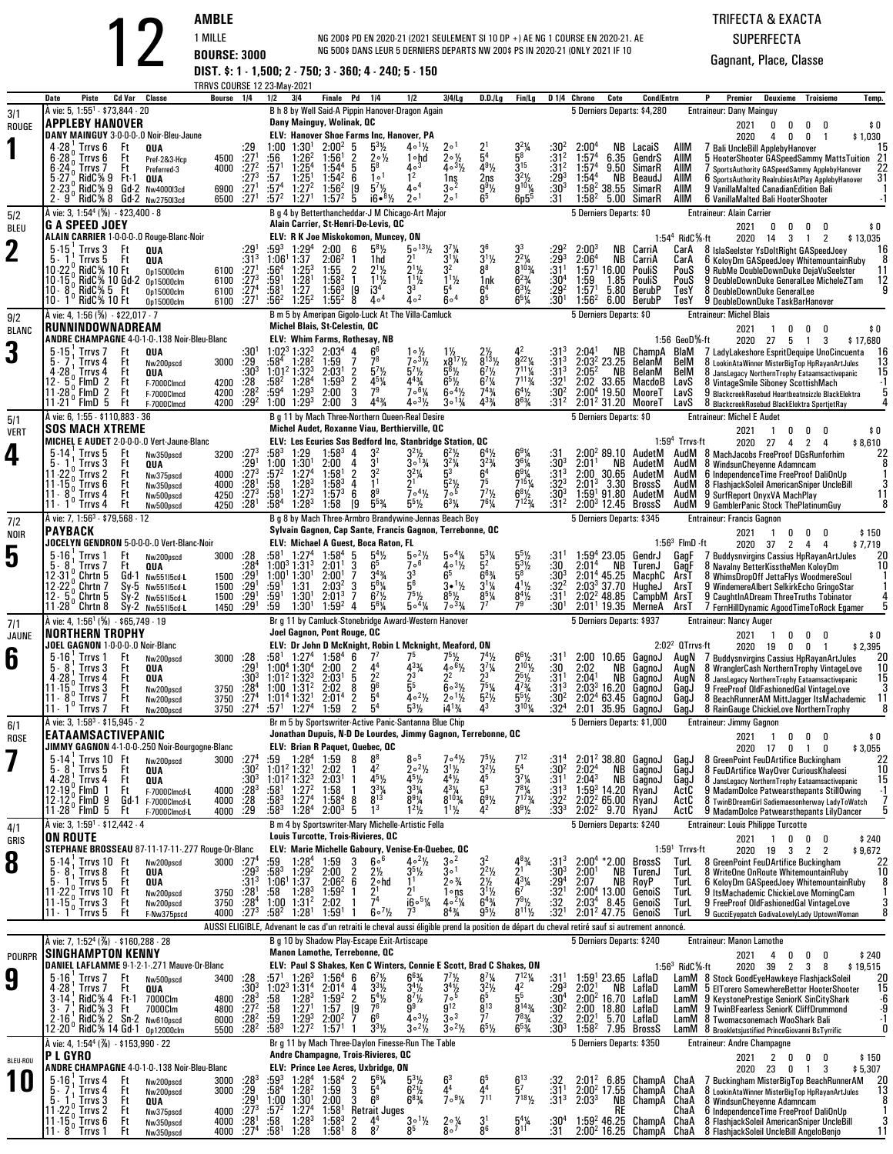11 - 8

 $^{\circ}$  Trrvs 1

Nw350nsco

4 :58

1:28

NG 200\$ PD EN 2020-21 (2021 SEULEMENT SI 10 DP +) AE NG 1 COURSE EN 2020-21. AENG 500\$ DANS LEUR 5 DERNIERS DEPARTS NW 200\$ PS IN 2020-21 (ONLY 2021 IF 10

# TRIFECTA & EXACTA

**SUPERFECTA** Gagnant, Place, Classe

<sup>12</sup>

**AMBLE**<br>
1 MILLE **BOURSE: 3000 DIST. \$: 1 - 1,500; 2 - 750; 3 - 360; 4 - 240; 5 - 150**<br> **BOURSE: 3000 DIST. \$: 1 - 1,500; 2 - 750; 3 - 360; 4 - 240; 5 - 150**<br> **ERRIVS COURSE 12 - 2340; 4 - 240; 5 - 150**<br> **BOURSE 1230,** TRRVS COURSE 12 23-May-2021 $3/4$ **DatePiste Cd Var Classe 1/2 3/4 Finale Pd 1/4 1/2 3/4/Lg D.D./Lg Fin/Lg D 1/4 Chrono Cote Cond/Entrn <sup>P</sup>**B h 8 by Well Said-A Pippin Hanover-Dragon Again**P** Premier Deuxieme Troisieme Temp.<br> **Entraineur:** Dany Mainguy  $3/1$   $\lambda$  vie: 5, 1:55<sup>1</sup> - \$73,844 - 20 **APPLEBY HANOVER** ROUGE**1DANY MAINGUY** 3-0-0-0-.0 Noir-Bleu-Jaune<br>
4 -28<sup>1</sup> Trrvs 6 Ft **QUA**<br>
6-28<sup>0</sup> Trrvs 6 Ft Prefareed-3<br>
6-24<sup>0</sup> Trrvs 7 Ft Preferred-3 DANY MAINGUY 3-0-0-0-.0 Noir-Bleu-Jaune **ELV: Hanover Shoe Farms Inc, Hanover, PA**  $1\frac{1}{2}$ 20211 0 0 0 0 \$ 0 20202020 4 0 0 1 \$1,030<br>15 المراج 7 Bali UncleBill ApplebyHanover  $\begin{array}{cccccccccccc} 4\cdot 28^1 & \text{Trv} s\ 6 & \text{Ft} & \text{0UA} & \text{159} & \text{100} & \text{1:30}^1 & \text{2:00}^2 & 5 & \text{53}\frac{1}{2} & 4 & \text{1}\frac{1}{2} & \text{2}^1 & \text{2}^1 & \text{3}^2\frac{1}{4} & \text{3}^2\frac{1}{3} & \text{3}^2\frac{2:00^4}{157^4} & \text{6.35 GendrS} & \text{AlIM} & \text{7 Bali Ducleiil AppelbyHanover} &$  $1:00$   $1:30<sup>1</sup>$  $1 \t2:00^2$ <sup>2</sup> 1:56<sup>1</sup><br><sup>4</sup> 1:54<sup>4</sup>  $\begin{smallmatrix} 2 & 5 & 5 \ 1 & 2 & 2 \ 4 & 5 & 5 \ 2 & 6 & 1 \end{smallmatrix}$ 5 5<sup>3</sup>½ 4。<br>2 2.∘½ 1。<br>5 5<sup>8</sup> 4。 2 1°1½ 2°<sup>1</sup> 2٪<br>2<sup>1</sup>⁄2 1°10d 2°<sup>1</sup>⁄2 5<br>4°<sup>3</sup> 4°<sup>3</sup>′2 4  $\frac{1}{2}$   $\frac{2}{5}$   $\frac{1}{3}$   $\frac{5}{4}$   $\frac{1}{2}$   $\frac{3}{2}$   $\frac{1}{2}$   $\frac{3}{2}$   $\frac{3}{2}$   $\frac{3}{2}$   $\frac{3}{2}$   $\frac{3}{2}$   $\frac{3}{2}$  $3^{2}\%$  $\frac{3^2\%}{5^8}$   $\frac{31^2}{31^2}$ <br>  $\frac{3^{15}}{3^2\%}$   $\frac{31^2}{29^3}$ <br>  $\frac{3^2\%}{29^{10}\%}$   $\frac{30^3}{30^3}$ <br>  $\frac{605^5}{31}$   $\frac{31}{31}$ 2 2:00 $2 \quad 1:57^4$ 4<sup>4</sup> NB LacaiS AllM<br><sup>4</sup> CaE Candr<sup>o</sup> AllM 1<br>2 56: <sup>1</sup>:<br>571: <sup>2</sup>  $6, 1:26^2$  $\frac{5^8}{2^1}$  $2 \quad 1:57^4$ <sup>4</sup> 6.35<br><sup>4</sup> 9.50 **GendrS**  AllM<sup>3</sup> :57<br><sup>1</sup> :57<sup>4</sup>  $1:25<sup>4</sup>$  1:25 1 1:272<sup>1</sup> 1:54<sup>2</sup><br><sup>2</sup> 1:56<sup>2</sup><br><sup>1</sup> 1:57<sup>2</sup>  $\frac{1}{4}$ <sub>0</sub> $\frac{1}{3}$  $\frac{2}{50}$  1ns <sup>3</sup> 1:54<sup>4</sup><br><sup>3</sup> 1:58<sup>2</sup> SimarR**AllM**<br>AllM 3<br>1  $[9 \t5^{7}]_{2}^{6}$  4。<br> $[9 \t5^{7}]_{2}^{6}$  4。<br>5 i6•<sup>8</sup>½ 2。  $1.4$ 2 $\frac{2}{2}$  2ns 3<br> $\frac{99}{2}$  9 ns 3<sup>2</sup>½ :29<br><sup>91</sup>½ 9<sup>101</sup>¼ :30<br><sup>5</sup> 6p5<sup>5</sup> :31 NBBeaudJ  $5\cdot 27$  RidC% 9 Ft-1 QUA  $27^3$  :57 1:25' 1:54' 6 1°' 1' 1ns 2ns 3'½ :29' 1:54" NB BeaudJ AIIM 6.sportsAuthority.RealrubiesAtPlay.ApplebyHanover 31<br>2.23 RidC% 8 Gd:2 Nw400013cd 6900 :27' :57' 1:57' 1:57' 5 iR.<sup>81</sup>% 201 8  $1 \tcdot 572$  $2^{1}$  1:27<sup>1</sup> <sup>2</sup>[9<br>25  $1 2^{\circ}$  $1 6^5$  $1 \quad 1:58^2$  38.55**SimarF**  AllM $.271$ 57<sup>2</sup> 1:27<sup>1</sup> 1:57<sup>2</sup> 5 i6•<sup>81</sup>⁄2 2∘<sup>1</sup> 2<br>B g 4 by Betterthancheddar-J M Chicago-Art Major  $20<sup>1</sup>$ <sup>2</sup> 5.00 SimarR AllM6 VanillaMalted Bali HooterShooter Entraineur: Dany Mainguy 5 Derniers Departs: \$4,280**Dany Mainguy, Wolinak, QC** $5/2$   $\qquad$  A vie: 3, 1:54<sup>4</sup> (%)  $\cdot$  \$23,400  $\cdot$  8 **G A SPEED JOEY** BLEU**211.54° RidC%-ft**<br> **11.54° RidC%-ft**<br> **11.54° RidC%-ft**<br> **11.54° RidC%-ft**<br> **11.5**° RidC% 10 GHz 0515000cm<br> **11.5**° RidC% 10 GHz 0515000cm<br> **11.5**° RidC% 10 GHz 0515000cm<br> **11.5**° RidC% 10 GHz 0515000cm<br> **11.5**° RidC% 10 G ALAIN CARRIER 1-0-0-0-0 Rouge-Blanc-Noir **ELV: R K Joe Miskokomon, Muncey, ON**  $\frac{1}{2}$  5.<sup>013</sup><sup>1</sup>/<sub>2</sub> 3<br>1d 2<sup>1</sup> 3 2021 <sup>0</sup> <sup>0</sup> <sup>0</sup> <sup>0</sup> \$ 0 1:54<sup>4</sup> RidC%-ft 2020 <sup>14</sup> <sup>3</sup> <sup>1</sup> <sup>2</sup> \$ 13,035 **5 -15<sup>1</sup> Trrvs 3 Ft QUA**<br>5 - 1 Trrvs 5 Ft QUA  $\frac{1}{2}$   $\frac{1}{2}$   $\frac{1}{2}$   $\frac{1}{2}$   $\frac{1}{2}$   $\frac{1}{2}$   $\frac{1}{2}$   $\frac{1}{2}$   $\frac{1}{2}$   $\frac{1}{2}$   $\frac{1}{2}$   $\frac{1}{2}$   $\frac{1}{2}$   $\frac{1}{2}$   $\frac{1}{2}$   $\frac{1}{2}$   $\frac{1}{2}$   $\frac{1}{2}$   $\frac{1}{2}$   $\frac{1}{2}$   $\frac{1}{2}$   $\frac{1}{2}$   $^1$  :59 $^3$ <sup>3</sup> 1:06  $3\quad1:29^4$  1:379<sup>4</sup> 2:00 6 5<br>7 2:06<sup>2</sup> 1 1<br>53 1:55 2  $5^{8}$ <sup>1</sup>/<sub>2</sub> 7 1/4<br>1 1/4  $\begin{array}{ccc} \frac{7\frac{1}{4}}{1\frac{1}{4}} & \frac{3^6}{1\frac{1}{2}} & \frac{3}{2} \\ \frac{2}{3} & \frac{3^1\frac{1}{2}}{8^8} & \frac{3}{8} \end{array}$  $2^2\%$ 3 :29 23 $2:00^3$  $3 - 2:06^4$  NB CarriA $5\cdot15$  Trrvs 3 Ft QUA  $29^1$   $55^{9^3}$   $1:29^4$   $2:00$  6  $5^{8}\%$   $5^{\circ13}\%$   $3^{1}\%$   $3^{1}\%$   $3^{1}\%$   $2:06^{2}$   $2:06^{2}$  NB CarriA CarA 8 IslaSeelster YsDoltRight GASpeedJoey 16 ملاحظ المستخدم المستخدم المستخدم المستخدم ا :56 4 :59 1 :581 1hd <sup>2</sup> 1L <sup>2</sup> <sup>1</sup> 1L <sup>1</sup> i3 4 3 :29 :31 1 :30 42 $1:57$ <sup>1</sup> NB CarriAm 6100 :27<sup>1</sup><br>m 6100 :27<sup>3</sup><br>c100 :274  $4$  1:25 $^3$  1:28 1 1:27<sup>3</sup> 1:55 2 2<br><sup>1</sup> 1:58<sup>2</sup> 1 1 11/2 3<br>11/2 1<br>3 5  $\frac{1}{2}$  1nk 6<br>6<sup>4</sup> 6 8 8<sup>103</sup>4 :31<br>nk 6<sup>23</sup>4 :30<br><sup>4</sup> 6<sup>31</sup>⁄2 :29<br>5 6<sup>51</sup>⁄4 :30 <sup>4</sup> 1:59<br><sup>2</sup> 1:571 16.00<br>1.85 PouliS $\frac{7}{52}$   $\frac{1:56^3}{1.552}$   $\frac{19}{5}$  $1\frac{1}{2}$ PouliS<br>BeruhF PouS 9 DoubleDownDuke GeneralLee MicheleZTam<br>TesY 8 DoubleDownDuke GeneralLee MicheleZTam 0p15000clm 6100  $^1$  :56 $^2$  $\frac{3^3}{4}$  5<br>4  $\frac{3^3}{4}$  6 วุ่ง  $2 6 \circ 4$  $5<sup>4</sup>$  $^{4}$  6<sup>4</sup> 85 $5 - 6^5\%$  $1:56^2$  5.80TesY 8 DoubleDownDuke GeneralLee<br>TesY 9 DoubleDownDuke TaskBarHar <u>10 - 1º RidC% 10</u> On15000clm 6100  $\frac{1}{27}$ <sup>1</sup> B m 5 by Ameripan Gigolo-Luck At The Villa-Camluck $2^2$  1:25<sup>2</sup>  $^2$  1:55 $^2$  8 $\frac{8}{4}$   $\frac{4}{9}$  $\frac{1}{4}$  :30<sup>1</sup> Entraineur: Michel Blais 5 Derniers Departs: \$06.00 BerubP SY 9 DoubleDownDuke TaskBarHanover<br>Entraineur: Michel Blais Entraineur: Alain Carrier **Alain Carrier, St-Henri-De-Levis, QC**5 Derniers Departs: \$0 $9/2$   $\lambda$  vie: 4, 1:56 (%)  $\cdot$  \$22,017 - 7 BLANC**3ANDRE CHAMPAGNE 4-0-1-0-.138 Noir-Bleu-Blanc**<br>
5. 7 Trrvs 4 Ft 0004<br>
4-28 Trrvs 4 Ft 0004<br>
12-8 Ft Franch 2010<br>
12-5 PMD 2 Ft F-7000Clmcd 420<br>
12-8 Ft F. 7000Clmcd 420 **RUNNINDOWNADREAM**ANDRE CHAMPAGNE 4-0-1-0-.138 Noir-Bleu-Blanc **ELV: Whim Farms, Rothesay, NB**  $2021$  1  $0$ 1 0 0 0 0 0 0<br>1 2020 27 5 1 3 \$17,680<br>- $1:56$  GeoD $%$ -ft  $\frac{5}{2}$  - 15<sup>1</sup> Trrvs 7 Ft **QUA**3000 :29  $\cdot$ 301 1:02 4 1:28 2 1:01 2 1:32 32 1:284 $3\ 1:32^3$  2:03<sup>4</sup> 4 <sup>2</sup> 1:59  $\frac{4}{7}$   $\frac{6}{78}$  $\begin{array}{llll} 6 & & 1\circ \frac{1}{2} & 1 \ 3 & & 7\circ \frac{3}{2} & \chi \ \frac{7}{2} & & 5\frac{7}{2} & 5 \ 5\frac{7}{4} & & 4\frac{4}{4} & 6 \ 9 & & 7\circ \frac{6}{4} & 6 \ \end{array}$  $\frac{1}{2}$   $\frac{1}{2}$   $\frac{2}{2}$  4<br> $\frac{1}{2}$   $\frac{1}{2}$   $\frac{2}{3}$  4 2 $^{2}$   $:31^{3}$  $\frac{13}{13}$  $3 \quad 2:041$  2:03 2 23.25 2:05 2 NB 2:02 $\frac{1}{2}$  NB ChampA BlaM<br>BelM  $\frac{7}{10}$   $\frac{7}{2}$   $\frac{1}{2}$   $\frac{1}{2}$   $\frac{1}{2}$   $\frac{2}{3}$   $\frac{2}{3}$   $\frac{2}{3}$   $\frac{1}{3}$   $\frac{2}{3}$   $\frac{1}{3}$   $\frac{2}{3}$   $\frac{1}{3}$   $\frac{2}{3}$   $\frac{2}{3}$   $\frac{2}{3}$   $\frac{2}{3}$   $\frac{2}{3}$   $\frac{2}{3}$   $\frac{2}{3}$   $\frac{2}{3}$   $\frac{2}{3}$  Nw200pscd<br>QUA  $\begin{array}{cccc} 9 & 7 & 7^8 & 7 \\ 3^1 & 2 & 5^7\frac{1}{2} & 5 \\ 9^3 & 2 & 4^{5}\frac{1}{4} & 4 \\ 0 & 3 & 7^9 & 7 \end{array}$  $\frac{1}{2}$   $x8^{17}\frac{1}{2}$   $8^{13}\frac{1}{2}$   $8^{22}\frac{1}{4}$  :31<br>  $\frac{1}{6}$   $6^{5}\frac{1}{2}$   $6^{7}\frac{1}{2}$   $7^{11}\frac{1}{4}$  :32<br>  $\frac{1}{14}$   $6^{6}\frac{1}{2}$   $7^{4}\frac{1}{4}$   $6^{4}\frac{1}{2}$  :32<br>  $\frac{1}{2}$   $3^{6}\frac{1}{4}$   $4^{3}\frac{1}{4}$   $8^{6}\frac{1}{4}$  :31 BelanM $\begin{array}{cccccccc} 5\cdot 7 & \text{Trvs}\ 4 & \text{Et} & \text{two} 200 \text{psch} & 3000 & 29 & 58^4 & 1:28^2 & 1:59 & 7 & 7^3 & 7^3 & 8^{11} & 8^{13} & 8^{22} & 31^3 & 2:03^2 & 2.325 & \text{Belanh} & \text{BellM} & 8 \text{ LookinAtaWinner MisterBigTop FakanArdN 2001} & 15 & 31^3 & 1:01^2 & 1:32^2 & 2:03^1 & 2 & 5^1 & 5^1$  Ft **QUA** $\overline{A}$  :30<sup>3</sup>  $^3$  2:03 $^1$  $4$  1:59<sup>3</sup>  $\frac{1}{3}$  2  $\frac{7\frac{1}{2}}{7\frac{1}{4}}$  7<br>  $\frac{4\frac{3}{4}}{3\frac{1}{4}}$  6<br>  $\frac{3\frac{3}{4}}{8}$  $\frac{1}{2}$   $\frac{7^{11}\%}{2^{11}\%}$  :31<br>
34  $\frac{7^{11}\%}{6^{4}\%}$  :32<br>
34  $\frac{64\%}{30}$  :30 NB BelanM<br>8.65 MacdoB Ft F-7000Clmcd 4200<br>Ft F-7000Clmcd 4200<br>Ft F-7000Clmcd 4200 <sup>2</sup> :59<sup>4</sup> 1:29<sup>3</sup><br><sup>2</sup> 1:00 1:29<sup>3</sup> <sup>3</sup> 2:00<br><sup>3</sup> 2:00 33.65 MacdoB 2:00 4 19.50 MooreT 2:012 31.20 MooreT -28 11 -21 0 FlmD 5F-7000Clmcd 4200<br>F-7000Clmcd 4200 2<br>2  $\overline{3}$ 9<sup>9</sup> 7०<sup>61</sup>⁄4<br><sup>43</sup>⁄4 4०<sup>31</sup>⁄2 41/2<br>63/4  $\frac{\frac{1}{2}}{\frac{3}{4}}$  :30<sup>2</sup> Moore LavS 9 BlackcreekRosebud Heartbeatnsizzle BlackElektra 5<br>Moore LavS 8 BlackcreekRosebud BlackElektra SportietRav 4 F-7000Clmcd <sup>3</sup> <sup>4</sup> <sup>4</sup><sup>F</sup> <sup>3</sup><sup>F</sup> B g 11 by Mach Three-Northern Queen-Real Desire $4^{4}$ % Entraineur: Michel E Audet 5 Derniers Departs: \$0S 8 BlackcreekRosebud BlackElektra SportjetRay<br>Entraineur: Michel E Audet **Michel Blais, St-Celestin, QC** $5/1$   $\lambda$  vie: 6, 1:55 - \$110,883 - 36 VERT**4MICHEL E AUDET** 2-0-0-0-.0 Vert-Jaune-Blanc<br>
5. 14 Trrvs 5 Ft Nw350pscd<br>
11-22 n Trrvs 2 Ft Nw375pscd<br>
11-22 n Trrvs 2 Ft Nw375pscd **SOS MACH XTREME**MICHEL E AUDET 2-0-0-0-.0 Vert-Jaune-Blanc **ELV: Les Ecuries Sos Bedford Inc, Stanbridge Station, QC**  $\begin{array}{ccc} \frac{1}{2} & 6^{4}\frac{1}{2} & 6 \\ \frac{1}{4} & \frac{3}{4} & \frac{3}{4} \\ 6^{4} & 6 \end{array}$ 20210 \$ 0 0 0 \$ 0<br>1 2020 27 4 2 4 \$ 8,610 1:59<sup>4</sup> Trrvs-ft0 AudetM<br>P. Aude**tM**  $5 - 14<sup>1</sup>$  Trrvs 3<br>  $5 - 1<sup>1</sup>$  Trrvs 3<br>  $11 - 22<sup>0</sup>$  Trrvs 2<br>  $11 - 15<sup>0</sup>$  Trrvs 6<br>  $11 - 8<sup>0</sup>$  Trrvs 4 Ft Nw350pscd <sup>3200</sup> :27  $:27^{3}$  $^3\;$  :58 $^3\;$ <sup>1</sup> 1:00<br>57<sup>2</sup> : 1:29 $9 \t1:58^3 \t4$  $\frac{4}{4}$   $\frac{3^2}{21}$  $\begin{array}{ccc} 2 & 3^2\frac{1}{2} & 6 \\ 1 & 3 \cdot \frac{13}{4} & 3 \\ 2 & 3^2\frac{1}{4} & 5 \end{array}$  $\frac{2\frac{1}{2}}{\frac{2\frac{1}{4}}{3}}$  6<br>3<br>6 91/4<br>61/4 % :31 2:00<sup>2</sup> 89.10<br>% :30<sup>3</sup> 2:01<sup>1</sup> NB<br>% :31<sup>3</sup> 2:00 30.65 AudM <sup>8</sup> MachJacobs FreeProof DGsRunforhim <sup>22</sup> Ft **QUA** :29 0 1:30<sup>1</sup><br>2 1:27<sup>4</sup> 2:00043<br>8<sup>1</sup>23  $\begin{array}{ccc} 2 & 3^2\frac{1}{4} & 5 \\ 1 & 2^1 & 5 \end{array}$  $\frac{1}{4}$  :30<sup>3</sup><br> $\frac{3}{4}$  :31<sup>3</sup> NB AudetM<br>0.65 AudetM Audi VIII Communicatione yenne Adamncam<br>Audi 6 Independence Time FreeProof DaliOnUp Ft Nw375pscd 4000<br>Ft Nw350pscd 4000  $:27^{3}$ <sup>1</sup> :58<br>3 :581 8 1:28<sup>3</sup><br>8<sup>1</sup> 1:27<sup>3</sup>  $4$  1:58<sup>1</sup> <sup>3</sup> 1:58<sup>3</sup> 4<br><sup>3</sup> 1:57<sup>3</sup> 6  $\begin{array}{ccc} 2 & 3^2 & 3^2 \ 4 & 1^1 & 2^1 \ 6 & 8^9 & 7 \ \mathsf{19} & 5^5\% & 5^5 \end{array}$  $3<sup>2</sup>$ /<sub>2</sub> 7<sup>5</sup> 7<br><sup>5</sup> 7<sup>7</sup>/<sub>2</sub> 6<br>/<sub>4</sub> 7<sup>6</sup>/<sub>4</sub> 7  $\begin{array}{cc} 4 & 6^{9}\% & .31 \\ 5 & 7^{15}\% & .32 \end{array}$ 11–22° Trrvs 2 Ft <sub>Nw375pscd</sub> 4000 :27<sup>3</sup> :57<sup>2</sup> 1:27<sup>4</sup> 1:58<sup>1</sup> 2 3<sup>2</sup>% 5<sup>3</sup> 6<sup>4</sup> 6<sup>9</sup>% :31<sup>3</sup> 2:00 30.65 AudetM AudM 6 IndependenceTime FreeProof DaliOnUp 1<br>11–15<sub>0</sub> Trrvs 6 Ft Nw50ppscd 4000 :28<sup>1</sup> :58 1:27<sup>3</sup> 1:57<sup>3</sup> 6 11-22" Trrvs 2 Ft <sub>Nw375pscd</sub> 4000 :27<sup>3</sup> :57<sup>2</sup> 1:27<sup>4</sup> 1:58<sup>1</sup> 2 3<sup>2</sup> 3<sup>2</sup>% 5<sup>3</sup> 6<sup>4</sup> 6<sup>9</sup>% :31<sup>3</sup> 2:00 30.65 AudetM AudM 6 IndependenceTime FreeProof DaliOnUp 1<br>11-15 Trrvs 6 Ft <sub>Nw350pscd 4000 :28<sup>1</sup> :58 1:28<sup>3</sub></sup> Ft Nw350pscd <sup>4000</sup> :28 1<br>1<br>1 4 $7\circ 4\frac{1}{2}$  $\frac{5^2\frac{1}{2}}{7^5}$  7 <sup>5</sup>1/4 :32<sup>3</sup><br>23/<sub>2</sub> :30<sup>3</sup><br>23/<sub>2</sub> :312 BrossS AudM<br>AudetM AudM 1 - 8° Trrvs 4<br><u>1 - 1° Trrvs 4</u> Ft Nw500pscd 4250<br>Ft Nw500pscd 4250  $1:58^4$  $4$  1:28 $3$ <sup>3</sup> 1:58  $5\frac{1}{2}$  $\frac{1}{2}$  7<sup>ob</sup><br>26<sup>31</sup>/4  $\frac{1}{2}$   $\frac{6^{8}1}{2}$  :30<br> $\frac{1}{4}$   $\frac{7^{12}3}{4}$  :31 11 8 Trrvs 4 Ft nw500pscd 4250 :27<sup>3</sup> :58' 1:27<sup>3</sup> 1:57<sup>3</sup> 6 8<sup>y</sup> 7c<sup>4</sup>½ 7c<sup>5</sup> 7′½ 6<sup>8</sup>½ :30<sup>3</sup> 1:59'91.80 AudetM AudM 9.SurfReport.OnyxVA.MachPlay 11<br>11 1 Trrvs 4 Ft nw500pscd 4250 :28' :58<sup>4</sup> 1:28<sup>3</sup> 1:58 [9 5<sup>5</sup>¾ 5<sup>5½</sup> Nw500nscd 58<sup>4</sup> 1:28<sup>3</sup> 1:58 [9 5<sup>53</sup>⁄4 5<sup>51</sup>⁄2 6<sup>31</sup>⁄4 7<br>B g 8 by Mach Three-Armbro Brandywine-Jennas Beach Boy  $\frac{6}{9}$  5 Derniers Departs: \$345 AudM**Michel Audet, Roxanne Viau, Berthierville, QC** $7/2$   $\lambda$  vie: 7, 1:56<sup>3</sup> - \$79,568 - 12 **PAYBACK** NOIR**5JOCELYN GENDRON** 5-0-0-.0 Vert-Blanc-Noir<br>
5-8<sup>1</sup> Trrvs 7 Ft Nw200psed<br>
12-31<sup>0</sup> Chrtn 5 Gd-1 Nw55115cd-L JOCELYN GENDRON 5-0-0-0-.0 Vert-Blanc-Noir **ELV: Michael A Guest, Boca Raton, FL** $\begin{array}{ccccc} 4\frac{1}{2} & & 5\circ^2\frac{1}{2} & & 5\circ^2\frac{1}{2} \\ 5 & & 7\circ^6 & & 4\circ^2\frac{1}{2} \\ 6\frac{1}{4} & & 3^3 & & 6^5\frac{1}{2} \\ 6\frac{1}{4} & & 5^6 & & 3\bullet^2\frac{1}{2} \\ 7\frac{1}{4} & & 7^5\frac{1}{4} & & 8^5 \end{array}$ 2021 <sup>1</sup> <sup>0</sup> <sup>0</sup> <sup>0</sup> \$ 150 1:56<sup>3</sup> FlmD -ft 2020 <sup>37</sup> <sup>2</sup> <sup>4</sup> <sup>4</sup> \$ 7,719 5 - 16<sup>1</sup> Trrvs 1<br>
5 - 8<sup>1</sup> Trrvs 7<br>
12 -31<sup>0</sup> Chrtn 5<br>
12 -22<sup>0</sup> Chrtn 7<br>
12 - 5<sup>0</sup> Chrtn 5 Ft Nw200pscd <sup>3000</sup> :28 :58  $:581$  $1:27<sup>4</sup>$  $4$  1:00 $3$  1:31 $3$  $4$  1:58 $4$  $3\quad 2:011$  5 $\frac{5}{6}$   $\frac{5^{4}1}{25}$ 41/4<br>11/<sub>2</sub>  $\frac{1}{4}$   $\frac{5^3}{4}$  5<br> $\frac{5^2}{5}$  5 51/2<br>31/2 31<sup>1</sup> (א'<br>הר- י  $1.59^{4}$  4 23.05 $5.16$ , Trrvs 1 Ft Nw200pscd 3000 :28 :58' 1:27" 1:58" 5  $5\%$  5  $5\%$  5  $5\%$  5  $5\%$  5  $5\%$  5  $1.159$ " 23.05 GendrJ GagF 7 Buddysnvirgins Cassius HpRayanArtJules 20  $\,$  5.8  $^1$  Trrvs 7 Ft QUA  $\,$  Gagar 1:003 1:313 2 Ft **QUA** Gd-1 Nw551l5cd-**<sup>L</sup>** <sup>1500</sup> :29 :28 111 $:28'$ <sup>1</sup> 1:00<sup>1</sup> 1:30<sup>1</sup><br><sup>1</sup> :59<sup>1</sup> 1:31  $\begin{array}{cccc} 1^3 & 2:01^1 & 3 & 6 \ 0^1 & 2:00^1 & 7 & 3 \ 1 & 2:03^2 & 3 & 5 \ 0^1 & 2:01^3 & 7 & 6 \ 0^1 & 1:50^2 & 4 & 6 \end{array}$  $6<sup>5</sup>$  5 $\begin{matrix} 6^{-1}\frac{1}{2} & 5^2 & 5 \\ 5 & 6^{6}\frac{3}{4} & 5 \\ 5\frac{1}{2} & 3^{1}\frac{1}{4} & 4 \\ 5\frac{1}{2} & 8^{5}\frac{1}{4} & 8 \\ 2^{3}\frac{3}{4} & 7^{7} & 7 \end{matrix}$ 5<sup>8</sup><br>4<sup>1</sup>½<br>8<sup>4</sup>½<br>79 :30 2:01 2:01 4 45.25 MacphC ArsT <sup>8</sup> WhimsDropOff JettaFlys WoodmereSoul <sup>1</sup> <sup>12</sup> 2:03 3 37.70 HugheJ ArsT <sup>9</sup> WindemereAlbert SelkirkEcho GringoStar <sup>1</sup> <sup>12</sup> 2:022 48.85 CampbM NBGendrJ GagF 7 Buddysnvirgins Cassius HpRayanArtJ<br>TurenJ GagF 8 Navalny BetterKisstheMen KoloyDm<br>MacphC ArsT 8 WhimsDropOff JettaFlys WoodmereSo  $10^{13}$  120 110  $10^{14}$  120  $10^{11}$  120  $10^{11}$  120  $10^{11}$  120  $10^{11}$  120  $10^{11}$  3  $10^{11}$  3  $10^{11}$  3  $10^{11}$  3  $10^{11}$  3  $10^{11}$  3  $10^{11}$  3  $10^{11}$  3  $10^{11}$  3  $10^{11}$  3  $10^{11}$  3  $10^{11}$   $10^{11}$   $\frac{7}{3}$   $\frac{3^{4}\%}{5^{6}\%}$  $3\cdot\frac{1}{2}$ 30<sup>3</sup><br>1½ :32<sup>2</sup><br>1½ :31<sup>1</sup><br>101 Sy-5 Nw551l5cd-**<sup>L</sup>** <sup>1500</sup> :29 Sy-2 Nw551l5cd-**<sup>L</sup>** <sup>1500</sup> :29  $1:59^1$   $1:30^1$  $\frac{5\frac{1}{2}}{\frac{3\frac{3}{4}}{7}}$  :59 $9 - 1:30$  $1:59^2$  $6^{7}$ /<sub>2</sub>  $\frac{1}{2}$   $\frac{7^{5}}{2}$  8<br> $\frac{1}{4}$  5  $\frac{4}{4}$  7  $1 \quad 2:01$ <sup>1</sup>  $\frac{1500}{29}$   $\frac{291}{29}$   $\frac{1501}{29}$   $\frac{2013}{29}$   $\frac{7}{4}$   $\frac{7}{8}$   $\frac{7}{10}$   $\frac{75}{24}$   $\frac{75}{24}$   $\frac{85}{4}$   $\frac{155}{20}$   $\frac{85}{4}$   $\frac{155}{29}$   $\frac{155}{29}$   $\frac{155}{29}$   $\frac{155}{29}$   $\frac{155}{29}$   $\frac{155}{29}$ 11-28 Chrtn 8 $Sy-2$  Nw55115cd-L :29 59 1:30' 1:59<sup>2</sup> 4 5<sup>6</sup>1⁄4 5∘<sup>41</sup>⁄4 7∘<sup>33</sup>⁄4<br>Br g 11 by Camluck-Stonebridge Award-Western Hanover 4 $\frac{4}{56\%}$  $^{\prime}$  7 :30 5 Derniers Departs: \$937<sup>1</sup> 19.35 MerneA 7 FernHillDynamic AgoodTimeToRock Egamer Entraineur: Francis Gagnon **Sylvain Gagnon, Cap Sante, Francis Gagnon, Terrebonne, QC** $7/1$   $\lambda$  vie: 4, 1:56<sup>1</sup> (\\in \times \times \times \times \times \times \times \times \times \times \times \times \times \times \times \times \times \times \times \times \times \times \times \times \times \times \times **NORTHERN TROPHY** JAUNE**6JOEL GAGNON** 1-0-0-0-0 Noir-Blanc<br> **J** 5-8<sup>1</sup> Trrvs 1 Ft Nw200ps<br>
4-28<sup>1</sup> Trrvs 3 Ft QUA<br>
4-28<sup>1</sup> Trrvs 4 Ft QUA JOEL GAGNON 1-0-0-0-.0 Noir-Blanc **ELV: Dr John D McKnight, Robin L Mcknight, Meaford, ON**  $\frac{4\frac{1}{2}}{7\frac{1}{4}}$  6 2021 <sup>1</sup> <sup>0</sup> <sup>0</sup> <sup>0</sup> \$ 0  $2:02^2$   $\,$   $0$ Trrvs-ft  $\,$  2020 <sup>19</sup> <sup>0</sup> <sup>0</sup> <sup>1</sup> \$ 2,395 5 -16<sup>1</sup> Trrvs 1 Ft Nw20<br>5 - 8<sup>1</sup> Trrvs 3 Ft **QUA**<br>4 -28<sup>1</sup> Trrvs 4 Ft **QUA**<br>11 -15<sup>0</sup> Trrvs 3 Ft Nw20 Ft Nw200pscd 3000 <mark>:28</mark><br>Ft QUA :29<br>Ft QUA :30  $:58^1$  $1:27<sup>4</sup>$  1:00 4 1:30 42 1:323 $4$  1:58 $4$  6  $\frac{4}{3}$  2:00 2 4<br>3 2:021 5 2  $\begin{matrix} 6 & 7^7 \\ 2 & 4^4 \\ 5 & 2^7 \end{matrix}$  $\begin{array}{cc} 7 & 7^5 & 7 \\ 4 & 4^{3}\frac{3}{4} & 4 \\ 2 & 2^3 & 2 \end{array}$  $\frac{7^{5}\frac{1}{2}}{2^{2}}$  3<br>  $\frac{3}{2^{2}}$  2 <sup>61</sup>/<sub>2</sub> :31<br><sup>101</sup>/<sub>2</sub> :31  $:31<sup>1</sup>$ <sup>1</sup> 2:00 10.65 GagnoJ AugN GagnoJ AugN 7 Buddysnvirgins Cassius HpRayanArtJules 20<br>GagnoJ AugN 8 WranglerCash NorthernTrophy VintageLove 10<br>GagnoJ AugN 8 Janstegacy NorthernTrophy Eatamsactivepanic<br>GagnoJ GagJ 9 FreeProof OldFashionedGal VintageLove  $1.29<sup>1</sup>$  $210\pm1.1$  and  $221\pm1.00^4\,1:30^4\,2:00$   $21\,4^4$   $4^{3}\%$   $4^{6}\%$   $3^{7}\%$   $2^{10}\%$   $3:0$   $2:02$  NB GagnoJ AugN 8 VaranglerCash NorthernTrophy VintageLove 10  $4\cdot28$   $4\cdot28$   $11\,2\,0$  Trus  $4\,0$  ansl.  $4\,2\,0$  Trus :30 444<sup>3</sup> 1:01<sup>2</sup> 1:32<sup>3</sup> 2:03<sup>1</sup> 5 2<br><sup>4</sup> 1:00 1:31<sup>2</sup> 2:02 8 9<br><sup>4</sup> 1:01<sup>4</sup> 1:32<sup>1</sup> 2:01<sup>4</sup> 2 5  $\begin{array}{cc} 5 & 2^2 & 2 \\ 8 & 9^6 & 5 \\ 2 & 5^4 & 4 \\ 2 & 5^4 & 6 \end{array}$ г5 5  $6^{\circ}$ <sup>31</sup>/<sub>2</sub>  $\begin{array}{ccc} & 2^3 & 2 \ \frac{1}{2} & 7^5\% & 4 \ \frac{1}{2} & 5^2\% & 5 \ \frac{1}{2} & 4 & 3 \end{array}$ 2<sup>51</sup>⁄2 :31<br>4<sup>73</sup>⁄4 :31<br>551⁄2 :30  $\frac{1}{2}$   $\frac{131}{3}$  $1 \quad 2:041$  $3\quad 2:03^3$  16.20 NB<br>NB GagnoJ AugN<br>GagnoJ GagJ Ft Nw200pscd 3750<br>Ft Nw200pscd 3750<br>Ft Nw200pscd 3750  $\frac{4}{4}$   $\frac{4\circ^{2}\frac{1}{2}}{5^{3}\frac{1}{2}}$   $\frac{2}{14}$  $\frac{1}{2}$   $\frac{2 \circ 1}{2}$  5<br> $\frac{14^{13}/4}{4}$  4 2:02 4 2:01 - 8 Trrvs 7 - 1 0 Trrvs 7Nw200pscd 3750<br>است200pscd 3750  $^4$  :57 $^1$  $1:27<sup>4</sup>$  1:59 2 <sup>2</sup> <sup>5</sup>  $\frac{2\frac{1}{2}}{3}$  5<sup>51</sup>/<sub>2</sub><br>3<sup>101</sup>/4  $\frac{\frac{1}{2}}{\frac{0}{4}}$  :30<sup>2</sup>  $63.45$ <br>35.95 GagnoJ GagJ 8 BeachRunnerAM MittJagger ItsMachademic 11<br>GagnoJ GagJ 8 RainGauge ChickieLove NorthernTrophy 8 Nw200psco Br m 5 by Sportswriter-Active Panic-Santanna Blue Chip8 RainGauge ChickieLove NorthernTrophy Entraineur: Nancy Auger **Joel Gagnon, Pont Rouge, QC** $6/1$   $\lambda$  vie: 3, 1:58<sup>3</sup> - \$15,945 - 2 **EATAAMSACTIVEPANIC** ROSE**7JIMMY GAGNON** 4-1-0-0-.250 Noir-Bourgogne-Blanc<br>
5-8 Trrvs 10 Ft Nw200pscd 3000<br>
4-28 Trrvs 4 Ft **QUA** JIMMY GAGNON 4-1-0-0-.250 Noir-Bourgoane-Blanc **ELV: Brian R Paquet, Quebec, QC**2021 $1 \t 0 \t 0 \t 0 \t \t \t \t \t \t \t 1$ <br>17 0 1 0 \$3.055 2020 <sup>17</sup> <sup>0</sup> <sup>1</sup> <sup>0</sup> \$ 3,055  $\begin{array}{cccccccccccccccc} 5\cdot14\cdot17\cdot17\cdot18\cdot15 & F1 & 0.00 & 0.00 & 0.00 & 0.00 & 0.00 & 0.00 & 0.00 & 0.00 & 0.00 & 0.00 & 0.00 & 0.00 & 0.00 & 0.00 & 0.00 & 0.00 & 0.00 & 0.00 & 0.00 & 0.00 & 0.00 & 0.00 & 0.00 & 0.00 & 0.00 & 0.00 & 0.00 & 0.00 & 0.00 & 0.00 & 0.0$ Nw200pscd 3000<br>**QUA**  $:27<sup>4</sup>$  :599 1:28<sup>4</sup><br>01<sup>2</sup> 1:32<sup>1</sup> 1:59 <sup>8</sup> <sup>8</sup> 2:02 <sup>1</sup> <sup>4</sup> 8<br>2  $\begin{array}{llll} 8 & 8\,\circ\,5 & 7\,\circ\,2 & \ 2 & 2\,\circ\,2\,\gamma_2 & 3^1\ 3^1\gamma_4 & 3^3\gamma_4 & 4^3\ 13 & 8^9\gamma_4 & 8^{11}\ \end{array}$  $\begin{array}{cccc} 5 & 7 \circ {}^4 \frac{1}{2} & 7 \ {}^2 \frac{1}{2} & 3^{11} \frac{1}{2} & 3^{11} \ {}^4 \frac{1}{2} & 4^{11} \frac{1}{2} & 4^{11} \ {}^4 \frac{1}{2} & 6^{10} \frac{1}{2} & 6^{11} \ {}^4 \frac{1}{2} & 1^{11} \end{array}$  $\begin{array}{ccccc} \gamma_5\gamma_2 & 75\gamma_2 & 7\ \gamma_2 & 3^{2}\gamma_2 & 5\ \gamma_4 & 4^{5} & 3\ \gamma_3 & 6^{9}\gamma_2 & 7\ \gamma_2 & 4^{2} & 8\ \end{array}$  $\frac{1}{2}$   $\frac{7^{12}}{5^4}$   $\frac{.31^4}{.30^2}$ <br> $\frac{.30^2}{.31}$ <sup>4</sup> 2:01<sup>2</sup><br>2:02<sup>4</sup><br>2:04<sup>3</sup> <sup>2</sup> 38.80<br>MB GagJ 8 GreenPoint FeuDArtifice Buckingham<br>GagJ 8 FeuDArtifice WayOver CuriousKhaleesi<br>GagJ 8 JansLegacy NorthernTrophy Eataamsactivepa A :30  $\overline{30}^2$  $2 \quad 1:01^2$  $3$  1:01 $^2$  1:32 $^3$ 4<br>71⁄4 **QUA**<br>E.7000Clmed.I 4000  $:30<sup>3</sup>$ 58<sup>1</sup>. 3<br>503 1:27 2 1:274 $^3$  2:03 $^1$  1 <sup>2</sup> 1:58  $\begin{array}{cccc} 3^1 & 1 & 4^{5}\frac{1}{2} & 4 \\ 8 & 1 & 3^{3}\frac{1}{4} & 3 \\ 8^4 & 8 & 8^{13} & 8 \\ 2^3 & 5 & 3 & 4 \end{array}$  $45%$  $\frac{3^{7}\%}{7^{8}\%}$   $\frac{31}{31}$ <br>  $\frac{7^{17}\%}{8^{9}\%}$   $\frac{32}{32}$ <br>  $\frac{32}{32}$ <sup>1</sup> 2:04<sup>3</sup> NB GagnoJ GagJ<br><sup>3</sup> 1:59<sup>3</sup> 14.20 RyanJ ActC<br><sup>2</sup> 2:02<sup>2</sup> 65.00 RyanJ ActC Ft F-7000Clmcd-**<sup>L</sup>** <sup>4000</sup> :28 Gd-1 F-7000Clmcd-**<sup>L</sup>** <sup>4000</sup> :28 :58  $\frac{28}{3}$ <br>:28  $\frac{73}{73}\n_{2}$  :31<sup>3</sup><br>  $\frac{13}{2}$  :32<sup>2</sup><br>  $\frac{133}{2}$ 4000 :28<sup>3</sup> :58<sup>1</sup> 1:27<sup>2</sup> 1:58 1 3<sup>3</sup>% 3<sup>3</sup>% 4<sup>3</sup>% 5<sup>3</sup> 7<sup>8</sup>% :31<sup>3</sup> 1:59<sup>3</sup> 14.20 RyănJ ActC 9.MadamDolce Patwearsthepants StillOwing -1<br>4000 :29 :58<sup>3</sup> 1:27<sup>4</sup> 1:58<sup>4</sup> 8 8<sup>13</sup> 8<sup>9</sup>% 8<sup>19%</sup> 6<sup>9%</sup> :32<sup>2</sup> 2:02<sup>2</sup> 6.302 2:0  $3 \t1:28^4$  $4$  1:58 $4$ <sup>4</sup> 1:58<sup>4</sup> 8<br><sup>4</sup> 2:00<sup>3</sup> 5  $3, 2:02^2$ 12-12°FImD 9 Gd-1 F7000Clmcd-L 4000 :28 :58<sup>3</sup> 1:27° 1:58° 8 8<sup>13</sup> 8<sup>91</sup>% 8<sup>19</sup>% 7<sup>17</sup>% :32<sup>2</sup> 2:02<sup>2</sup> 65.00 RyanJ ActC 8 TwinBDreamGirl Sadiemaesonherway LadyToWatch 7<br>11-28°FImD 5 Ft F7000Clmcd-L F-7000Clmcd-L 4000  $-583$ 58<sup>3</sup> 1:28<sup>4</sup> 2:00<sup>3</sup> 5 1<sup>3</sup> 1<sup>2</sup>½ 1<br>B m 4 by Sportswriter-Mary Michelle-Artistic Fella 13 3  $1^2\frac{1}{2}$  $1\frac{1}{2}$  $89\frac{1}{2}$  5 Derniers Departs: \$240<sup>2</sup> 9.70 RyanJ ActC Entraineur: Jimmy Gagnon<br>1 0C: **Jonathan Dupuis, N-D De Lourdes, Jimmy Gagnon, Terrebonne,** 5 Derniers Departs: \$1,000 $\frac{1}{4}$  A vie: 3, 1:59<sup>1</sup> - \$12,442 - 4 **ON ROUTE** GRIS**8STEPHANE BROSSEAU** 87-11-17-11-.277 Rouge-Or-Blanc<br>
5. 8<sup>1</sup> Trrvs 10 Ft Nov200<sub>pscd</sub> 3000 :225<br>
5. 1 Trrvs 5 Ft QUA :33<br>
5. 1 Trrvs 5 Ft QUA :33 STEPHANE BROSSEAU 87-11-17-11-.277 Rouge-Or-Blanc **ELV: Marie Michelle Gaboury, Venise-En-Quebec, QC** 2021 <sup>1</sup> <sup>0</sup> <sup>0</sup> <sup>0</sup> \$ 240 1:59<sup>1</sup> Trrvs-ft 2020 <sup>19</sup> <sup>3</sup> <sup>2</sup> <sup>2</sup> \$ 9,672  $\begin{array}{cccccccccccccccc} 5\cdot14\cdot17\cdot17\cdot18\cdot8 & Ft & \text{0.004}\cdot22\cdot9 & 3000 & 274 & 259 & 1:28^4 & 1:59 & 3 & 6^5 & 4\circ^2\frac{1}{2} & 3\circ^2 & 3^2 & 4^8\frac{1}{4} & 31^3 & 2:00^4 & 2.00 & \text{BrossS} & \text{TurL} & 8\text{ GreenPoint FeuDArtifice Buckingham} & 22\text{ B.8} & 1& 210\text{ A.004}\cdot1000 & 274 & 2$  $:27'$  :59 $9, 1:28<sup>4</sup>$  1:59 $9 \t3 \t60$ <sup>6</sup>  $2\frac{1}{2}$ 6  $4 \circ 2\frac{1}{2}$  $5\frac{1}{2}$  $\frac{1}{2}$   $\frac{3}{3}$   $\frac{3}{2}$   $\frac{3}{2}$  $\frac{2}{1}$   $\frac{3^2}{2^2\frac{1}{2}}$   $\frac{4}{2}$ 2 $8<sub>3/4</sub>$  $\begin{array}{llll} 18\% & 0.313 & 2.003 \ 1 & 0.303 & 2.003 \ 3\% & 0.294 & 2.073 \ 7 & 0.321 & 2.033 \ 8\% & 0.32 & 2.033 \ 1\% & 0.321 & 2.033 \end{array}$  $^3$  2:00 $^4$  $3\quad2:001$  \*2.00BrossS<br>TurenJ TurL <sup>8</sup> GreenPoint FeuDArtifice BuckinghamA :29  $: 2^{03}$ <sup>3</sup>:58<sup>3</sup> 1:06 1 1:37 :58 1:28 3 1:00 1:31 2 $3 \t1:29^2$  $2.00$  $\begin{array}{ccc} 0 & 2 & 2\% & 3^{5}1\ 6^2 & 6 & 2 \circ h d & 1^1\ 9^2 & 1 & 2^1 & 2^1\ 2 & 1 & 7^4 & 16 \circ \end{array}$ 51/<sub>2</sub> 3.01<br>12.03/4  $\frac{9}{3}$ <sup>1</sup>  $\frac{2^2}{2}$ <br>  $\frac{34}{2}$ <br>  $\frac{21}{2}$ <br>  $\frac{21}{2}$ <br>  $\frac{64}{4}$ <br>  $\frac{72}{4}$ <br>  $\frac{64}{4}$ <br>  $\frac{72}{4}$ <br>  $\frac{1}{2}$ <br>  $\frac{1}{2}$ <br>  $\frac{1}{2}$ <br>  $\frac{1}{2}$ <br>  $\frac{1}{2}$ <br>  $\frac{1}{2}$ <br>  $\frac{1}{2}$  2:07 NB TurenJ TurL <sup>8</sup> WriteOne OnRoute WhitemountainRuby <sup>10</sup> 31:<br><sup>32</sup>: <sup>126</sup>: <sup>32</sup>  $\overline{31}^3$ 7 2:06<sup>2</sup> é<br>8<sup>3</sup> 1:59<sup>2</sup> 1 6 $4^{3}_{4}$  NB 13.00RoyP Turl 6 KoloyDm GASpeedJoey WhitemountainRuby 8 131<sup>3</sup> 1:06' 1:37 2:06' 6 2 hd 1' 2 2 4 21 4<sup>31</sup>4 1:29° 2:07 NB RoyP Turl 6 KoloyDm GASpeedJoey WhitemountainRuby 8 يومي 11 122 158 11:08 11:08 11:08 11:08 1 11:08 11:08 Nw200pscd 3750<br>Nw200pscd 3750  $:28$  $2:02$ i6∘<sup>5</sup>%  $1$  ons 7 $1 \quad 2:00^4$  4**GenoiS**  $-28<sup>4</sup>$ <sup>2</sup> 2:02 1 7<br><sup>1</sup> 1:59<sup>1</sup> 1 6  $3^{3 \circ 5\frac{1}{4}}$   $4^{3 \circ 2 \circ 3\frac{1}{4}}$  $40^{2}$  $\frac{79}{8}$ <sub>11</sub><sup>2</sup> 8.45 GenniS 2:03<sup>4</sup> 8.45 GenoiS<br><u>2:01<sup>2</sup> 47.75 GenoiS</u>  $:27^{3}$  $^3$  :58 $^2$  $1000$   $:27^3$   $:58^2$   $1:28^1$   $1:59^1$   $1$   $6\,$   $6^7\%$   $7^3$   $8^4\%$   $9^5\%$   $8^{11}\%$   $:32^1$   $2:01^2$   $47.75$  GenoiS  $100$   $100$   $100$   $100$   $100$   $100$   $100$   $100$   $100$   $100$   $100$   $100$   $100$   $100$   $100$   $100$   $10$  $^2$  1:28 $^1$  $1 6 \cdot \frac{7}{2}$  $95%$ :321 TurL <sup>9</sup> GucciEyepatch GodivaLovelyLady UptownWoman <sup>8</sup> Entraineur: Louis Philippe Turcotte **Louis Turcotte, Trois-Rivieres, QC**À vie: 7, 1:52<sup>4</sup> (K) - \$160,288 - 28 **SINGHAMPTON KENNY**POURPR**9DANIEL LAFLAMME** 9-1-2-1-.271 Mauve-Or-Blanc<br>
5-16 Trrvs 7 Ft Nw500pscd<br>
9-14, RidC% 4 Ft-1 000 Clm<br>
3-14, RidC% 4 Ft-1 000 Clm DANIEL LAFLAMME 9-1-2-1-.271 Mauve-Or-Blanc **ELV: Paul S Shakes, Ken C Winters, Connie E Scott, Brad C Shakes, ON**  $\frac{1}{4}$   $\frac{7^{12}}{4}$  :31<br> $\frac{1}{2}$  :20 20212021 4 0 0 0 \$240 1:56<sup>3</sup> RidC%-ft 2020 <sup>39</sup> <sup>2</sup> <sup>3</sup> <sup>8</sup> \$ 19,515 LamM <sup>8</sup> Stock GoodEyeHawkeye FlashjackSoleil 20 45 -16<sup>1</sup> Trrvs 7 Ft Nw500pscd 3400 :28 :57<br>4 -28<sup>1</sup> Trrvs 7 Ft QUA :30<sup>3</sup> 1:0<br>3 -14 RidC<sup>5</sup> 4 Ft-1 7000Clm 4800 :28<sup>3</sup> :58 1 1:26 3 1:023 1:314<sup>3</sup> 1:56<sup>4</sup> 6<br><sup>4</sup> 2:01<sup>4</sup> 4 6 $\begin{array}{ccc} 6 & 6^7\frac{1}{2} & 6^6 \ 4 & 3^3\frac{1}{2} & 3^4 \ 2 & 5^4\frac{1}{2} & 8^7 \ 7 & 6^6 & 9 \ 7 & 6^3\frac{1}{2} & 9 \ \end{array}$  $\begin{array}{ccc} \frac{1}{2} & 6^{6}\frac{3}{4} & 7 \\ \frac{1}{2} & 3^{4}\frac{1}{2} & 3 \\ \frac{1}{2} & 8^{7}\frac{1}{2} & 7 \end{array}$  $\frac{71}{4}$ <br> $\frac{1}{5}$  $\frac{1}{2}$   $\frac{1}{2}$   $\frac{1}{2}$   $\frac{3}{2}$   $\frac{2}{2}$   $\frac{4}{5}$   $\frac{5}{5}$   $\frac{6}{5}$   $\frac{5}{5}$  $\begin{array}{ll} 12\gamma_4 & 0.31^1 & 1.59 \ 2 & 0.29^3 & 2.02 \ 5 & 0.30^4 & 2.00 \ 14\gamma_4 & 0.30^2 & 2.02 \ 2.02 & 0.4 & 0.32 & 2.02 \ 5\gamma_4 & 0.30^3 & 1.58 \end{array}$  $1:591$  2:02 1 NB LaflaD 2:002 16.70<sup>1</sup> 23.65 LaflaD  $:30<sup>3</sup>$ <sup>3</sup>:58  $\frac{8}{9}$  1:28<sup>3</sup>  $3$  1:59<sup>2</sup> 2 LamM5 ElTorero SomewhereBettor HooterShooter<br>
9 KeystonePrestige SeniorK SinCityShark<br>
9 TwinBFarless SeniorK CiffOrummond<br>
9 TwinBFarless SeniorK CiffOrummond<br>
-1<br>
2 TwinBarless SeniorK Bali 4800<br>4800  $-28$ <sup>1</sup> 1:57<br><sup>3</sup> 2:00<sup>2</sup>  $9^{12}$ 8. p<br>7<sup>7</sup> 7 9 **9**<sup>12</sup> 8<sup>13</sup> 8<sup>143</sup>/4  $55$ 2 2:00<sup>2</sup> 16.70 LaflaD<br>2 2:00 18.80 LaflaD<br>2:02<sup>1</sup> 5.70 LaflaD LamM3-14 RidC% 4 Ft-1 7000Clm 4800 :28<sup>3</sup> :58 1:28<sup>3</sup> 1:59<sup>2</sup> 2 5<sup>4</sup>½ 8<sup>/y</sup> 7<sup>5</sup> 6<sup>5</sup> 5<sup>5</sup> :30<sup>4</sup> 2:00<sup>2</sup> 16.70 LaflaD LamM 9.KeystonePrestige SeniorK SinCityShark -6<br>3 - 7 RidC% 3 Ft 7000Clm 4000 :27<sup>2</sup> :58 1:27 <sup>4800</sup> :27 222 :588 1:27'<br>9 1:29<sup>3</sup><br>8<sup>3</sup> 1:27<sup>2</sup>  $1:27<sup>1</sup>$ 7 [9 7<br>0<sup>2</sup> 7 6 4031/2  $\frac{6}{9}$ D LamM<br>D LamM<br>^C LamM 9 TwinBFearless SeniorK CliffDrummond<br>8 Twomacsonemach WooShark Bali <sup>2</sup> :59<br><sup>2</sup> :58<sup>3</sup>  $2$  1:57<sup>1</sup> 1  $0^2\frac{1}{2}$  $\frac{\frac{1}{2}}{\frac{1}{2}}$   $\frac{3}{3}$   $\frac{3}{2}\frac{1}{2}$  6 3 7 $6^{5}\frac{1}{2}$  6 7<sup>83</sup>/4 :32<br>6<sup>53</sup>/4 :30 <sup>1</sup> 5.70 LaflaD<br><u><sup>2</sup> 7.95 BrossS</u> <sup>8</sup> Twomacsonemach WooShark Bali -1 LamM <sup>8</sup> Brookletsjustified PrinceGiovanni BsTyrrific <sup>0</sup>  $5500$ 58<sup>3</sup> 1:27<sup>2</sup> 1:57<sup>1</sup> 1 3<sup>3</sup>½ 3∘<sup>2</sup>½ 3∘<br>Br g 11 by Mach Three-Daylon Finesse-Run The Table  $3\frac{1}{2}$  $3 \quad 1:58^2$  5 Derniers Departs: \$350B g 10 by Shadow Play-Escape Exit-Artiscape Entraineur: Manon Lamothe **Manon Lamothe, Terrebonne, QC**5 Derniers Departs: \$240À vie: 4, 1:54<sup>4</sup> (K) - \$153,990 - 22 **P L GYRO**BLEU-ROU**10ANDRE CHAMPAGNE** 4-0-1-0-.138 Noir-Bleu-Blanc<br>
5. 7 Trivs 4 Ft Nw200psed 300<br>
5. 7 Trivs 4 Ft Nw200psed 300<br>
5. 1 Trivs 3 Ft QUA **ELV: Prince Lee Acres, Uxbridge, ON**  $\begin{matrix} 5^3\frac{1}{2} & 6 \ 6^2\frac{1}{2} & 4 \end{matrix}$ 20212 0 0 0 \$150<br>23 0 1 3 \$5,307 2020 23 0 <sup>23</sup> <sup>0</sup> <sup>1</sup> <sup>3</sup> \$ 5,307 ChaA <sup>7</sup> Buckingham MisterBigTop BeachRunnerAM 20 5 5 $5 - 16<sup>1</sup>$  Trrvs 4 Ft Nw200pscd 3000<br>Ft Nw200pscd 3000 59<sup>3</sup>: 3<br>504  $3\quad1:28^4$  $4$  1:28<sup>2</sup>  $4$  1:58 $4$  $1.59$  $\frac{2}{3}$  $\frac{2}{2}$   $\frac{5^{6}\%}{5^{4}}$ 8<sup>4</sup> 1:58<sup>4</sup> 2 5<sup>6</sup><sup>1</sup>4 5<sup>3</sup><br>8<sup>2</sup> 1:59 3 5<sup>4</sup> 6<sup>2</sup><br>0<sup>1</sup> 2:00 3 6<sup>8</sup> 6<sup>8</sup><br>7<sup>4</sup> 1:58<sup>3</sup> 2 4<sup>4</sup> 3<sup>°</sup><br>8<sup>3</sup> 1:58<sup>3</sup> 8 8<sup>7</sup> <sup>ვ</sup> 6  $\frac{4}{91}$ ,  $\frac{4^4}{7^{11}}$ , 5 5 $\begin{matrix}5\ 4\ \end{matrix}$   $\begin{matrix}6^{13}\ 5^{7}\ \end{matrix}$  :32<br>4  $\begin{matrix}5^{7}\ \end{matrix}$  :311  $\begin{array}{cc} 2 & 2:01^2 & 6.85 \\ 1 & 2:00^2 & 17.55 \end{array}$ 5 ChampA<br>5 ChampA<br>P ChampA  $\frac{5}{5}$  -  $\frac{7}{1}$  Trrvs 3<br>11 -22 <sup>0</sup> Trrvs 2<br>11 -15 <sup>0</sup> Trrvs 6<br>11 -15 <sup>0</sup> Trrvs 6 Trrvs 4Ft Nw200pscd<br>Ft QUA 00 1:30<sup>1</sup><br>7<sup>2</sup> 1:27<sup>4</sup><br>8 1:28<sup>3</sup>  $6^{2}\%$  4<br> $6^{8}\%$  7  $\tilde{4}$ <sup>4</sup>  $\frac{1}{4}$  7<sup>11</sup> 7<sup>18</sup><sup>1</sup>/<sub>2</sub> :31 7 3 $3\quad 2:03^3$  ChaA <sup>8</sup> LookinAtaWinner MisterBigTop HpRayanArtJules 13 5Ft QUA<br>Ft Nw37<br>Ft Nw35 29<sup>:</sup><br>375<sub>pscd</sub> 4000 27<sup>3</sup><br>291: <sup>4000</sup>: <sup>201</sup> 1 1:00<br><sup>3</sup> :57<sup>2</sup><br>1 :58<br>4 :591  $\frac{3}{4}$  7  $\frac{9}{4}$ 8<br>1901 - 2014 1:592 46.25 ChampA ChaA<br>1:592 46.25 ChampA ChaA 1:592 46.25 ChampA ChaA NB ChampAChan 1 Cha 1 Chan 1 Chan 1 Chan 1 Chan 1 Chan 1 Chan 1 Chan 1 Chan 1 Chan 1 Chan 1 Chan 1 Chan 1 Chan 1 Chan 1<br>11 Chan 1 The Second Chan 1 Chan 1 Chan 1 Chan 1 Chan 1 Chan 1 Chan 1 Chan 1 Chan 1 Chan 1 Chan 1 Chan 1 Chan<br>1 **Nw375pscd 4000<br>Nw350pscd 4000** Ft Nw350pscd 4000<br>Ft Nw350pscd 4000  $30^{11}/2$  $\begin{matrix} 1 & 1 \ 5 & 2 \ 6 & 3 \end{matrix}$   $\begin{matrix} 2 & 1 \ 8 & 7 \end{matrix}$  8  $3<sup>1</sup>$ <sup>1</sup> 5<sup>41</sup>/4 :30<br>6 8<sup>11</sup> :31 :31  $:30<sup>4</sup>$  Entraineur: Andre Champagne **Andre Champagne, Trois-Rivieres, QC**

5

6

 $1 \quad 2:00^2$  16.25

ChampA ChaA